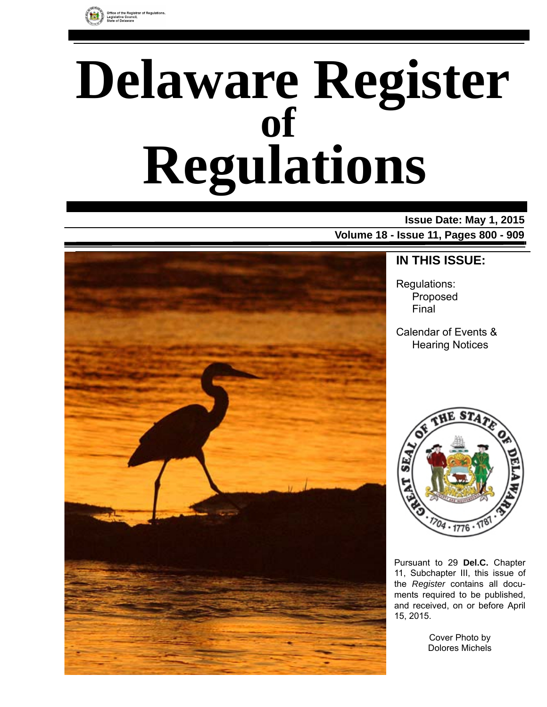

# **Delaware Register Regulations of**

### **Issue Date: May 1, 2015**

**Volume 18 - Issue 11, Pages 800 - 909**



### **IN THIS ISSUE:**

Regulations: Proposed Final

Calendar of Events & Hearing Notices



Pursuant to 29 **Del.C.** Chapter 11, Subchapter III, this issue of the *Register* contains all documents required to be published, and received, on or before April 15, 2015.

> Cover Photo by Dolores Michels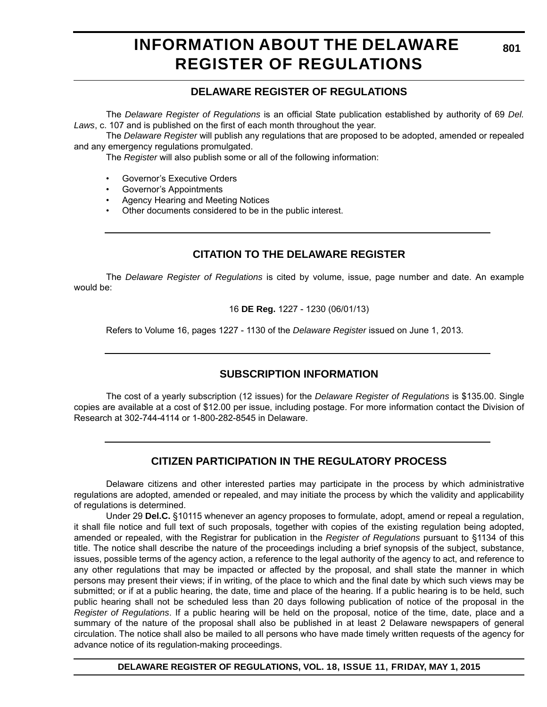### **INFORMATION ABOUT THE DELAWARE REGISTER OF REGULATIONS**

### **DELAWARE REGISTER OF REGULATIONS**

The *Delaware Register of Regulations* is an official State publication established by authority of 69 *Del. Laws*, c. 107 and is published on the first of each month throughout the year.

The *Delaware Register* will publish any regulations that are proposed to be adopted, amended or repealed and any emergency regulations promulgated.

The *Register* will also publish some or all of the following information:

- Governor's Executive Orders
- Governor's Appointments
- Agency Hearing and Meeting Notices
- Other documents considered to be in the public interest.

### **CITATION TO THE DELAWARE REGISTER**

The *Delaware Register of Regulations* is cited by volume, issue, page number and date. An example would be:

16 **DE Reg.** 1227 - 1230 (06/01/13)

Refers to Volume 16, pages 1227 - 1130 of the *Delaware Register* issued on June 1, 2013.

### **SUBSCRIPTION INFORMATION**

The cost of a yearly subscription (12 issues) for the *Delaware Register of Regulations* is \$135.00. Single copies are available at a cost of \$12.00 per issue, including postage. For more information contact the Division of Research at 302-744-4114 or 1-800-282-8545 in Delaware.

### **CITIZEN PARTICIPATION IN THE REGULATORY PROCESS**

Delaware citizens and other interested parties may participate in the process by which administrative regulations are adopted, amended or repealed, and may initiate the process by which the validity and applicability of regulations is determined.

Under 29 **Del.C.** §10115 whenever an agency proposes to formulate, adopt, amend or repeal a regulation, it shall file notice and full text of such proposals, together with copies of the existing regulation being adopted, amended or repealed, with the Registrar for publication in the *Register of Regulations* pursuant to §1134 of this title. The notice shall describe the nature of the proceedings including a brief synopsis of the subject, substance, issues, possible terms of the agency action, a reference to the legal authority of the agency to act, and reference to any other regulations that may be impacted or affected by the proposal, and shall state the manner in which persons may present their views; if in writing, of the place to which and the final date by which such views may be submitted; or if at a public hearing, the date, time and place of the hearing. If a public hearing is to be held, such public hearing shall not be scheduled less than 20 days following publication of notice of the proposal in the *Register of Regulations*. If a public hearing will be held on the proposal, notice of the time, date, place and a summary of the nature of the proposal shall also be published in at least 2 Delaware newspapers of general circulation. The notice shall also be mailed to all persons who have made timely written requests of the agency for advance notice of its regulation-making proceedings.

**DELAWARE REGISTER OF REGULATIONS, VOL. 18, ISSUE 11, FRIDAY, MAY 1, 2015**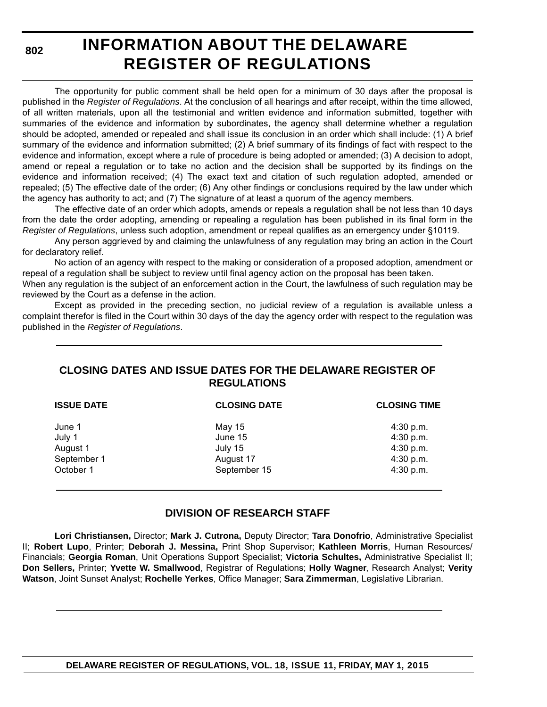**802**

# **INFORMATION ABOUT THE DELAWARE REGISTER OF REGULATIONS**

The opportunity for public comment shall be held open for a minimum of 30 days after the proposal is published in the *Register of Regulations*. At the conclusion of all hearings and after receipt, within the time allowed, of all written materials, upon all the testimonial and written evidence and information submitted, together with summaries of the evidence and information by subordinates, the agency shall determine whether a regulation should be adopted, amended or repealed and shall issue its conclusion in an order which shall include: (1) A brief summary of the evidence and information submitted; (2) A brief summary of its findings of fact with respect to the evidence and information, except where a rule of procedure is being adopted or amended; (3) A decision to adopt, amend or repeal a regulation or to take no action and the decision shall be supported by its findings on the evidence and information received; (4) The exact text and citation of such regulation adopted, amended or repealed; (5) The effective date of the order; (6) Any other findings or conclusions required by the law under which the agency has authority to act; and (7) The signature of at least a quorum of the agency members.

The effective date of an order which adopts, amends or repeals a regulation shall be not less than 10 days from the date the order adopting, amending or repealing a regulation has been published in its final form in the *Register of Regulations*, unless such adoption, amendment or repeal qualifies as an emergency under §10119.

Any person aggrieved by and claiming the unlawfulness of any regulation may bring an action in the Court for declaratory relief.

No action of an agency with respect to the making or consideration of a proposed adoption, amendment or repeal of a regulation shall be subject to review until final agency action on the proposal has been taken.

When any regulation is the subject of an enforcement action in the Court, the lawfulness of such regulation may be reviewed by the Court as a defense in the action.

Except as provided in the preceding section, no judicial review of a regulation is available unless a complaint therefor is filed in the Court within 30 days of the day the agency order with respect to the regulation was published in the *Register of Regulations*.

### **CLOSING DATES AND ISSUE DATES FOR THE DELAWARE REGISTER OF REGULATIONS**

| <b>ISSUE DATE</b>                                        | <b>CLOSING DATE</b>                                       | <b>CLOSING TIME</b>                                             |
|----------------------------------------------------------|-----------------------------------------------------------|-----------------------------------------------------------------|
| June 1<br>July 1<br>August 1<br>September 1<br>October 1 | May 15<br>June 15<br>July 15<br>August 17<br>September 15 | $4:30$ p.m.<br>4:30 p.m.<br>4:30 p.m.<br>4:30 p.m.<br>4:30 p.m. |
|                                                          |                                                           |                                                                 |

### **DIVISION OF RESEARCH STAFF**

**Lori Christiansen,** Director; **Mark J. Cutrona,** Deputy Director; **Tara Donofrio**, Administrative Specialist II; **Robert Lupo**, Printer; **Deborah J. Messina,** Print Shop Supervisor; **Kathleen Morris**, Human Resources/ Financials; **Georgia Roman**, Unit Operations Support Specialist; **Victoria Schultes,** Administrative Specialist II; **Don Sellers,** Printer; **Yvette W. Smallwood**, Registrar of Regulations; **Holly Wagner**, Research Analyst; **Verity Watson**, Joint Sunset Analyst; **Rochelle Yerkes**, Office Manager; **Sara Zimmerman**, Legislative Librarian.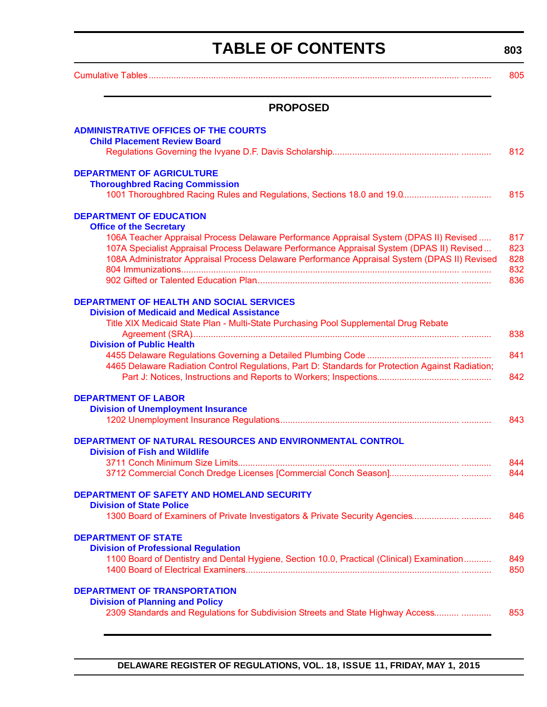# **TABLE OF CONTENTS**

<span id="page-3-0"></span>

|                                                                                                                                                                                                                                                                                                                       | 805                             |
|-----------------------------------------------------------------------------------------------------------------------------------------------------------------------------------------------------------------------------------------------------------------------------------------------------------------------|---------------------------------|
| <b>PROPOSED</b>                                                                                                                                                                                                                                                                                                       |                                 |
| <b>ADMINISTRATIVE OFFICES OF THE COURTS</b><br><b>Child Placement Review Board</b>                                                                                                                                                                                                                                    |                                 |
|                                                                                                                                                                                                                                                                                                                       | 812                             |
| <b>DEPARTMENT OF AGRICULTURE</b><br><b>Thoroughbred Racing Commission</b>                                                                                                                                                                                                                                             | 815                             |
| <b>DEPARTMENT OF EDUCATION</b>                                                                                                                                                                                                                                                                                        |                                 |
| <b>Office of the Secretary</b><br>106A Teacher Appraisal Process Delaware Performance Appraisal System (DPAS II) Revised<br>107A Specialist Appraisal Process Delaware Performance Appraisal System (DPAS II) Revised<br>108A Administrator Appraisal Process Delaware Performance Appraisal System (DPAS II) Revised | 817<br>823<br>828<br>832<br>836 |
| <b>DEPARTMENT OF HEALTH AND SOCIAL SERVICES</b><br><b>Division of Medicaid and Medical Assistance</b>                                                                                                                                                                                                                 |                                 |
| Title XIX Medicaid State Plan - Multi-State Purchasing Pool Supplemental Drug Rebate                                                                                                                                                                                                                                  | 838                             |
| <b>Division of Public Health</b>                                                                                                                                                                                                                                                                                      |                                 |
| 4465 Delaware Radiation Control Regulations, Part D: Standards for Protection Against Radiation;                                                                                                                                                                                                                      | 841<br>842                      |
| <b>DEPARTMENT OF LABOR</b>                                                                                                                                                                                                                                                                                            |                                 |
| <b>Division of Unemployment Insurance</b>                                                                                                                                                                                                                                                                             | 843                             |
| DEPARTMENT OF NATURAL RESOURCES AND ENVIRONMENTAL CONTROL<br><b>Division of Fish and Wildlife</b>                                                                                                                                                                                                                     |                                 |
|                                                                                                                                                                                                                                                                                                                       | 844                             |
|                                                                                                                                                                                                                                                                                                                       | 844                             |
| <b>DEPARTMENT OF SAFETY AND HOMELAND SECURITY</b><br><b>Division of State Police</b>                                                                                                                                                                                                                                  |                                 |
| 1300 Board of Examiners of Private Investigators & Private Security Agencies                                                                                                                                                                                                                                          | 846                             |
| <b>DEPARTMENT OF STATE</b><br><b>Division of Professional Regulation</b>                                                                                                                                                                                                                                              |                                 |
| 1100 Board of Dentistry and Dental Hygiene, Section 10.0, Practical (Clinical) Examination                                                                                                                                                                                                                            | 849<br>850                      |
| <b>DEPARTMENT OF TRANSPORTATION</b>                                                                                                                                                                                                                                                                                   |                                 |
| <b>Division of Planning and Policy</b><br>2309 Standards and Regulations for Subdivision Streets and State Highway Access                                                                                                                                                                                             | 853                             |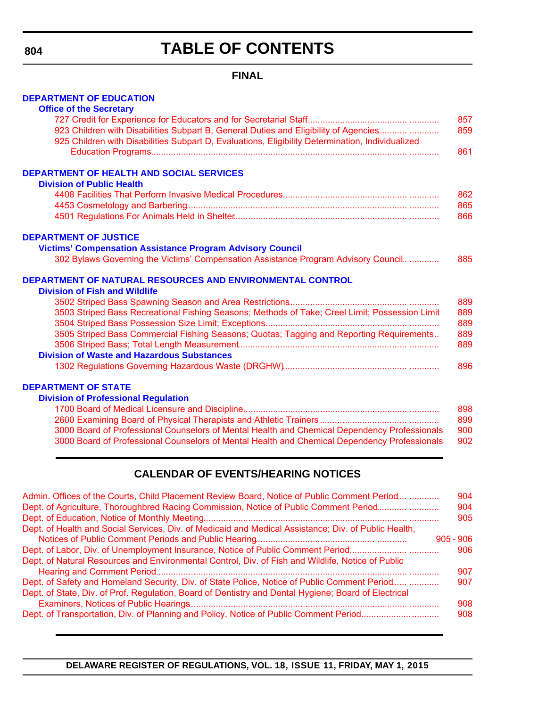**804**

# **TABLE OF CONTENTS**

### **FINAL**

#### **[DEPARTMENT OF EDUCATION](http://www.doe.k12.de.us/site/default.aspx?PageID=1)**

| <b>Office of the Secretary</b>                                                                   |     |
|--------------------------------------------------------------------------------------------------|-----|
|                                                                                                  | 857 |
| 923 Children with Disabilities Subpart B, General Duties and Eligibility of Agencies             | 859 |
| 925 Children with Disabilities Subpart D, Evaluations, Eligibility Determination, Individualized |     |
|                                                                                                  | 861 |
| DEPARTMENT OF HEALTH AND SOCIAL SERVICES                                                         |     |
| <b>Division of Public Health</b>                                                                 |     |
|                                                                                                  | 862 |
|                                                                                                  | 865 |
|                                                                                                  | 866 |
| <b>DEPARTMENT OF JUSTICE</b>                                                                     |     |
| <b>Victims' Compensation Assistance Program Advisory Council</b>                                 |     |
| 302 Bylaws Governing the Victims' Compensation Assistance Program Advisory Council.              | 885 |
| DEPARTMENT OF NATURAL RESOURCES AND ENVIRONMENTAL CONTROL                                        |     |
| <b>Division of Fish and Wildlife</b>                                                             |     |
|                                                                                                  | 889 |
| 3503 Striped Bass Recreational Fishing Seasons; Methods of Take; Creel Limit; Possession Limit   | 889 |
|                                                                                                  | 889 |
| 3505 Striped Bass Commercial Fishing Seasons; Quotas; Tagging and Reporting Requirements         | 889 |
|                                                                                                  | 889 |
| <b>Division of Waste and Hazardous Substances</b>                                                |     |
|                                                                                                  | 896 |
| <b>DEPARTMENT OF STATE</b>                                                                       |     |
| <b>Division of Professional Regulation</b>                                                       |     |
|                                                                                                  | 898 |
|                                                                                                  | 899 |

| <u> סט בסטורה ההוויות המונחה הוויות הוויות הוויות המונחה המונחה המונחה שוושטות ושטוב ושטושטות וט שטוסם טט ו ו</u> | $\sim$ |
|-------------------------------------------------------------------------------------------------------------------|--------|
|                                                                                                                   | 899    |
| 3000 Board of Professional Counselors of Mental Health and Chemical Dependency Professionals                      | 900    |
| 3000 Board of Professional Counselors of Mental Health and Chemical Dependency Professionals                      | 902    |

### **CALENDAR OF EVENTS/HEARING NOTICES**

| Admin. Offices of the Courts, Child Placement Review Board, Notice of Public Comment Period<br>Dept. of Agriculture, Thoroughbred Racing Commission, Notice of Public Comment Period                 | 904<br>904  |
|------------------------------------------------------------------------------------------------------------------------------------------------------------------------------------------------------|-------------|
|                                                                                                                                                                                                      | 905         |
| Dept. of Health and Social Services, Div. of Medicaid and Medical Assistance; Div. of Public Health,                                                                                                 |             |
|                                                                                                                                                                                                      | $905 - 906$ |
| Dept. of Labor, Div. of Unemployment Insurance, Notice of Public Comment Period                                                                                                                      | 906         |
| Dept. of Natural Resources and Environmental Control, Div. of Fish and Wildlife, Notice of Public                                                                                                    | 907         |
| Dept. of Safety and Homeland Security, Div. of State Police, Notice of Public Comment Period<br>Dept. of State, Div. of Prof. Regulation, Board of Dentistry and Dental Hygiene; Board of Electrical | 907         |
|                                                                                                                                                                                                      | 908<br>908  |
|                                                                                                                                                                                                      |             |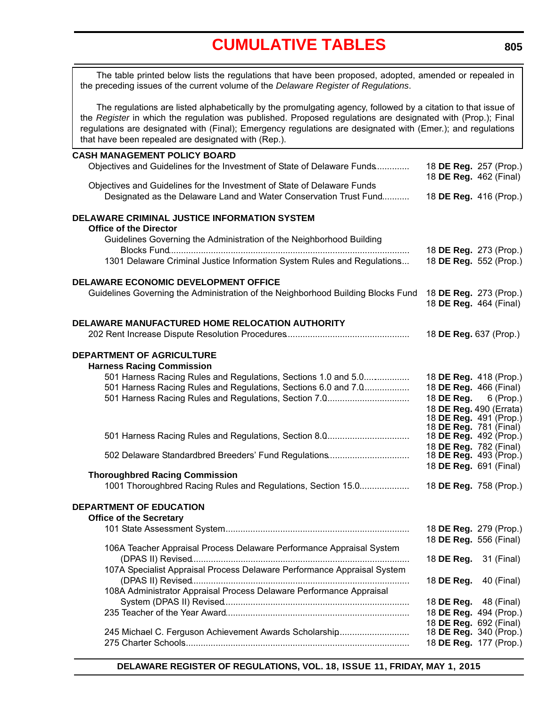<span id="page-5-0"></span>The table printed below lists the regulations that have been proposed, adopted, amended or repealed in the preceding issues of the current volume of the *Delaware Register of Regulations*.

The regulations are listed alphabetically by the promulgating agency, followed by a citation to that issue of the *Register* in which the regulation was published. Proposed regulations are designated with (Prop.); Final regulations are designated with (Final); Emergency regulations are designated with (Emer.); and regulations that have been repealed are designated with (Rep.).

#### **CASH MANAGEMENT POLICY BOARD**

| Objectives and Guidelines for the Investment of State of Delaware Funds          | 18 DE Reg. 257 (Prop.)        |                                                   |
|----------------------------------------------------------------------------------|-------------------------------|---------------------------------------------------|
| Objectives and Guidelines for the Investment of State of Delaware Funds          | 18 DE Reg. 462 (Final)        |                                                   |
| Designated as the Delaware Land and Water Conservation Trust Fund                | 18 DE Reg. 416 (Prop.)        |                                                   |
| DELAWARE CRIMINAL JUSTICE INFORMATION SYSTEM                                     |                               |                                                   |
| <b>Office of the Director</b>                                                    |                               |                                                   |
| Guidelines Governing the Administration of the Neighborhood Building             |                               |                                                   |
| 1301 Delaware Criminal Justice Information System Rules and Regulations          | 18 DE Reg. 552 (Prop.)        | 18 DE Reg. 273 (Prop.)                            |
| DELAWARE ECONOMIC DEVELOPMENT OFFICE                                             |                               |                                                   |
| Guidelines Governing the Administration of the Neighborhood Building Blocks Fund | 18 DE Reg. 273 (Prop.)        | 18 DE Reg. 464 (Final)                            |
| DELAWARE MANUFACTURED HOME RELOCATION AUTHORITY                                  |                               |                                                   |
|                                                                                  | 18 DE Reg. 637 (Prop.)        |                                                   |
|                                                                                  |                               |                                                   |
| <b>DEPARTMENT OF AGRICULTURE</b>                                                 |                               |                                                   |
| <b>Harness Racing Commission</b>                                                 |                               |                                                   |
| 501 Harness Racing Rules and Regulations, Sections 1.0 and 5.0                   |                               | 18 DE Reg. 418 (Prop.)                            |
| 501 Harness Racing Rules and Regulations, Sections 6.0 and 7.0                   |                               | 18 DE Reg. 466 (Final)                            |
| 501 Harness Racing Rules and Regulations, Section 7.0                            | 18 DE Reg.                    | 6 (Prop.)                                         |
|                                                                                  |                               | 18 DE Reg. 490 (Errata)<br>18 DE Reg. 491 (Prop.) |
|                                                                                  | 18 <b>DE Reg.</b> 781 (Final) |                                                   |
| 501 Harness Racing Rules and Regulations, Section 8.0                            | 18 <b>DE Reg.</b> 492 (Prop.) |                                                   |
|                                                                                  | 18 DE Reg. 782 (Final)        |                                                   |
| 502 Delaware Standardbred Breeders' Fund Regulations                             | 18 DE Reg. 493 (Prop.)        |                                                   |
| <b>Thoroughbred Racing Commission</b>                                            | 18 DE Reg. 691 (Final)        |                                                   |
| 1001 Thoroughbred Racing Rules and Regulations, Section 15.0                     | 18 DE Reg. 758 (Prop.)        |                                                   |
|                                                                                  |                               |                                                   |
| DEPARTMENT OF EDUCATION                                                          |                               |                                                   |
| <b>Office of the Secretary</b>                                                   |                               |                                                   |
|                                                                                  | 18 DE Reg. 279 (Prop.)        |                                                   |
|                                                                                  | 18 DE Reg. 556 (Final)        |                                                   |
| 106A Teacher Appraisal Process Delaware Performance Appraisal System             |                               |                                                   |
|                                                                                  |                               | 18 <b>DE Reg.</b> 31 (Final)                      |
| 107A Specialist Appraisal Process Delaware Performance Appraisal System          |                               |                                                   |
| 108A Administrator Appraisal Process Delaware Performance Appraisal              | 18 DE Reg.                    | 40 (Final)                                        |
|                                                                                  | 18 DE Reg.                    | 48 (Final)                                        |
|                                                                                  |                               | 18 DE Reg. 494 (Prop.)                            |
|                                                                                  | 18 DE Reg. 692 (Final)        |                                                   |
| 245 Michael C. Ferguson Achievement Awards Scholarship                           |                               | 18 DE Reg. 340 (Prop.)                            |
|                                                                                  |                               | 18 DE Reg. 177 (Prop.)                            |
|                                                                                  |                               |                                                   |

**DELAWARE REGISTER OF REGULATIONS, VOL. 18, ISSUE 11, FRIDAY, MAY 1, 2015**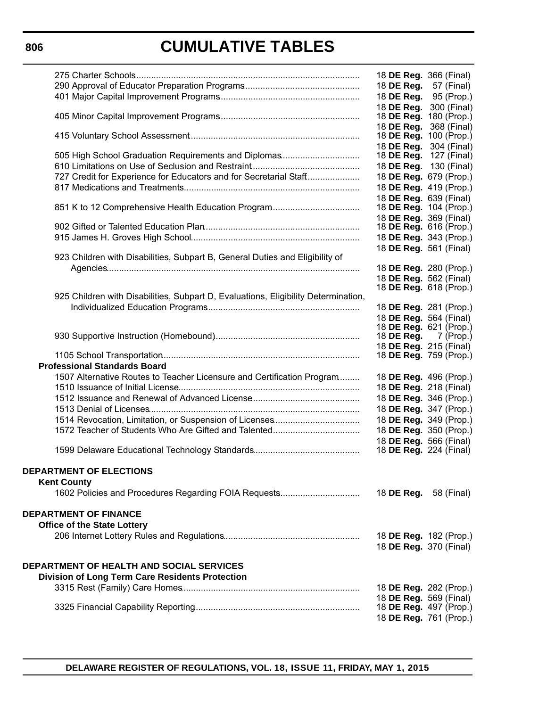|                                                                                    | 18 DE Reg. 366 (Final)                           |             |
|------------------------------------------------------------------------------------|--------------------------------------------------|-------------|
|                                                                                    | 18 DE Reg.                                       | 57 (Final)  |
|                                                                                    | 18 DE Reg.                                       | 95 (Prop.)  |
|                                                                                    | 18 DE Reg.                                       | 300 (Final) |
|                                                                                    | 18 DE Reg. 180 (Prop.)                           |             |
|                                                                                    | 18 DE Reg. 368 (Final)                           |             |
|                                                                                    | 18 DE Reg. 100 (Prop.)                           |             |
|                                                                                    | 18 DE Reg.                                       | 304 (Final) |
| 505 High School Graduation Requirements and Diplomas                               | 18 DE Reg. 127 (Final)                           |             |
|                                                                                    | 18 DE Reg. 130 (Final)                           |             |
| 727 Credit for Experience for Educators and for Secretarial Staff                  | 18 DE Reg. 679 (Prop.)                           |             |
|                                                                                    | 18 DE Reg. 419 (Prop.)                           |             |
|                                                                                    | 18 DE Reg. 639 (Final)                           |             |
|                                                                                    | 18 <b>DE Reg.</b> 104 (Prop.)                    |             |
|                                                                                    | 18 DE Reg. 369 (Final)<br>18 DE Reg. 616 (Prop.) |             |
|                                                                                    |                                                  |             |
|                                                                                    | 18 DE Reg. 343 (Prop.)                           |             |
| 923 Children with Disabilities, Subpart B, General Duties and Eligibility of       | 18 DE Reg. 561 (Final)                           |             |
|                                                                                    | 18 DE Reg. 280 (Prop.)                           |             |
|                                                                                    | 18 DE Reg. 562 (Final)                           |             |
|                                                                                    | 18 <b>DE Reg.</b> 618 (Prop.)                    |             |
| 925 Children with Disabilities, Subpart D, Evaluations, Eligibility Determination, |                                                  |             |
|                                                                                    | 18 DE Reg. 281 (Prop.)                           |             |
|                                                                                    | 18 DE Reg. 564 (Final)                           |             |
|                                                                                    | 18 DE Reg. 621 (Prop.)                           |             |
|                                                                                    | 18 <b>DE Reg.</b> $\overline{7}$ (Prop.)         |             |
|                                                                                    | 18 DE Reg. 215 (Final)                           |             |
|                                                                                    | 18 <b>DE Reg.</b> 759 (Prop.)                    |             |
| <b>Professional Standards Board</b>                                                |                                                  |             |
| 1507 Alternative Routes to Teacher Licensure and Certification Program             | 18 DE Reg. 496 (Prop.)                           |             |
|                                                                                    | 18 DE Reg. 218 (Final)                           |             |
|                                                                                    | 18 DE Reg. 346 (Prop.)                           |             |
|                                                                                    | 18 DE Reg. 347 (Prop.)                           |             |
|                                                                                    | 18 DE Reg. 349 (Prop.)                           |             |
|                                                                                    | 18 DE Reg. 350 (Prop.)                           |             |
|                                                                                    | 18 DE Reg. 566 (Final)                           |             |
|                                                                                    | 18 <b>DE Reg.</b> 224 (Final)                    |             |
| DEPARTMENT OF ELECTIONS                                                            |                                                  |             |
|                                                                                    |                                                  |             |
| <b>Kent County</b>                                                                 |                                                  |             |
| 1602 Policies and Procedures Regarding FOIA Requests                               | 18 <b>DE Reg.</b> 58 (Final)                     |             |
| <b>DEPARTMENT OF FINANCE</b>                                                       |                                                  |             |
|                                                                                    |                                                  |             |
| <b>Office of the State Lottery</b>                                                 |                                                  |             |
|                                                                                    | 18 DE Reg. 182 (Prop.)                           |             |
|                                                                                    | 18 <b>DE Reg.</b> 370 (Final)                    |             |
| <b>DEPARTMENT OF HEALTH AND SOCIAL SERVICES</b>                                    |                                                  |             |
| <b>Division of Long Term Care Residents Protection</b>                             |                                                  |             |
|                                                                                    | 18 DE Reg. 282 (Prop.)                           |             |
|                                                                                    | 18 DE Reg. 569 (Final)                           |             |
|                                                                                    | 18 DE Reg. 497 (Prop.)                           |             |
|                                                                                    | 18 DE Reg. 761 (Prop.)                           |             |
|                                                                                    |                                                  |             |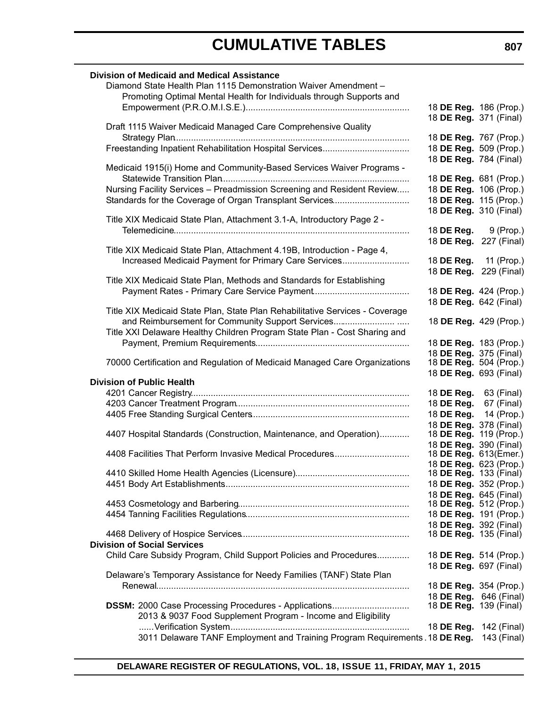| <b>Division of Medicaid and Medical Assistance</b>                                      |                                                  |            |
|-----------------------------------------------------------------------------------------|--------------------------------------------------|------------|
| Diamond State Health Plan 1115 Demonstration Waiver Amendment -                         |                                                  |            |
| Promoting Optimal Mental Health for Individuals through Supports and                    |                                                  |            |
|                                                                                         | 18 DE Reg. 186 (Prop.)                           |            |
|                                                                                         | 18 DE Reg. 371 (Final)                           |            |
| Draft 1115 Waiver Medicaid Managed Care Comprehensive Quality                           |                                                  |            |
|                                                                                         | 18 DE Reg. 767 (Prop.)<br>18 DE Reg. 509 (Prop.) |            |
|                                                                                         | 18 DE Reg. 784 (Final)                           |            |
| Medicaid 1915(i) Home and Community-Based Services Waiver Programs -                    |                                                  |            |
|                                                                                         | 18 DE Reg. 681 (Prop.)                           |            |
| Nursing Facility Services - Preadmission Screening and Resident Review                  | 18 DE Reg. 106 (Prop.)                           |            |
| Standards for the Coverage of Organ Transplant Services                                 | 18 DE Reg. 115 (Prop.)                           |            |
|                                                                                         | 18 DE Reg. 310 (Final)                           |            |
| Title XIX Medicaid State Plan, Attachment 3.1-A, Introductory Page 2 -                  |                                                  |            |
|                                                                                         | 18 <b>DE Reg.</b> 9 (Prop.)                      |            |
| Title XIX Medicaid State Plan, Attachment 4.19B, Introduction - Page 4,                 | 18 DE Reg. 227 (Final)                           |            |
| Increased Medicaid Payment for Primary Care Services                                    | 18 DE Reg. 11 (Prop.)                            |            |
|                                                                                         | 18 DE Reg. 229 (Final)                           |            |
| Title XIX Medicaid State Plan, Methods and Standards for Establishing                   |                                                  |            |
|                                                                                         | 18 DE Reg. 424 (Prop.)                           |            |
|                                                                                         | 18 DE Reg. 642 (Final)                           |            |
| Title XIX Medicaid State Plan, State Plan Rehabilitative Services - Coverage            |                                                  |            |
| and Reimbursement for Community Support Services                                        | 18 DE Reg. 429 (Prop.)                           |            |
| Title XXI Delaware Healthy Children Program State Plan - Cost Sharing and               |                                                  |            |
|                                                                                         | 18 DE Reg. 183 (Prop.)                           |            |
| 70000 Certification and Regulation of Medicaid Managed Care Organizations               | 18 DE Reg. 375 (Final)<br>18 DE Reg. 504 (Prop.) |            |
|                                                                                         | 18 DE Reg. 693 (Final)                           |            |
| <b>Division of Public Health</b>                                                        |                                                  |            |
|                                                                                         | 18 <b>DE Reg.</b> 63 (Final)                     |            |
|                                                                                         | 18 DE Reg.                                       | 67 (Final) |
|                                                                                         | 18 DE Reg.                                       | 14 (Prop.) |
|                                                                                         | 18 DE Reg. 378 (Final)                           |            |
| 4407 Hospital Standards (Construction, Maintenance, and Operation)                      | 18 DE Reg. 119 (Prop.)                           |            |
| 4408 Facilities That Perform Invasive Medical Procedures                                | 18 DE Reg. 390 (Final)<br>18 DE Reg. 613(Emer.)  |            |
|                                                                                         | 18 DE Reg. 623 (Prop.)                           |            |
|                                                                                         | 18 DE Reg. 133 (Final)                           |            |
|                                                                                         | 18 DE Reg. 352 (Prop.)                           |            |
|                                                                                         | 18 DE Reg. 645 (Final)                           |            |
|                                                                                         | 18 DE Reg. 512 (Prop.)                           |            |
|                                                                                         | 18 DE Reg. 191 (Prop.)                           |            |
|                                                                                         | 18 DE Reg. 392 (Final)                           |            |
| <b>Division of Social Services</b>                                                      | 18 <b>DE Reg.</b> 135 (Final)                    |            |
| Child Care Subsidy Program, Child Support Policies and Procedures                       | 18 DE Reg. 514 (Prop.)                           |            |
|                                                                                         | 18 <b>DE Reg.</b> 697 (Final)                    |            |
| Delaware's Temporary Assistance for Needy Families (TANF) State Plan                    |                                                  |            |
|                                                                                         | 18 DE Reg. 354 (Prop.)                           |            |
|                                                                                         | 18 DE Reg. 646 (Final)                           |            |
| DSSM: 2000 Case Processing Procedures - Applications                                    | 18 <b>DE Reg.</b> 139 (Final)                    |            |
| 2013 & 9037 Food Supplement Program - Income and Eligibility                            |                                                  |            |
|                                                                                         | 18 DE Reg. 142 (Final)                           |            |
| 3011 Delaware TANF Employment and Training Program Requirements. 18 DE Reg. 143 (Final) |                                                  |            |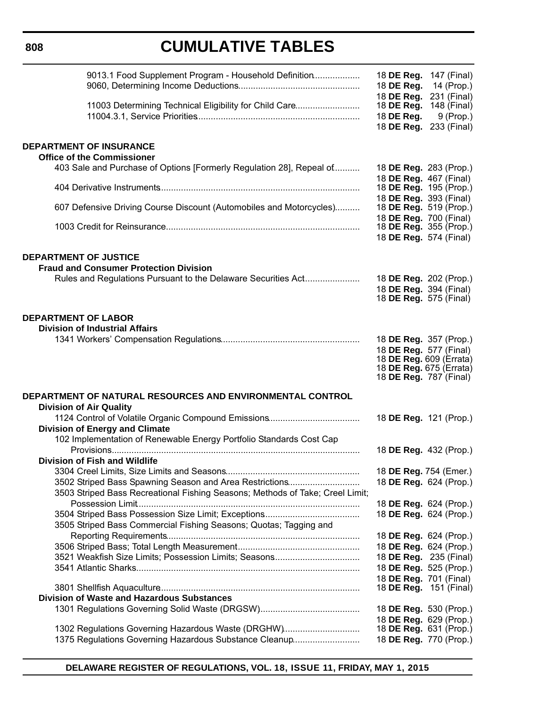#### **808**

# **CUMULATIVE TABLES**

| 9013.1 Food Supplement Program - Household Definition                                                        | 18 <b>DE Reg.</b> 147 (Final)<br>18 DE Reg.<br>14 (Prop.)<br>18 DE Reg. 231 (Final) |
|--------------------------------------------------------------------------------------------------------------|-------------------------------------------------------------------------------------|
| 11003 Determining Technical Eligibility for Child Care                                                       | 18 DE Reg.<br>148 (Final)<br>18 DE Reg.<br>$9$ (Prop.)<br>18 DE Reg. 233 (Final)    |
| <b>DEPARTMENT OF INSURANCE</b><br><b>Office of the Commissioner</b>                                          |                                                                                     |
| 403 Sale and Purchase of Options [Formerly Regulation 28], Repeal of                                         | 18 DE Reg. 283 (Prop.)<br>18 DE Reg. 467 (Final)                                    |
|                                                                                                              | 18 DE Reg. 195 (Prop.)<br>18 DE Reg. 393 (Final)                                    |
| 607 Defensive Driving Course Discount (Automobiles and Motorcycles)                                          | 18 <b>DE Reg.</b> 519 (Prop.)<br>18 DE Reg. 700 (Final)                             |
|                                                                                                              | 18 DE Reg. 355 (Prop.)<br>18 DE Reg. 574 (Final)                                    |
| <b>DEPARTMENT OF JUSTICE</b>                                                                                 |                                                                                     |
| <b>Fraud and Consumer Protection Division</b>                                                                |                                                                                     |
| Rules and Regulations Pursuant to the Delaware Securities Act                                                | 18 DE Reg. 202 (Prop.)                                                              |
|                                                                                                              | 18 DE Reg. 394 (Final)<br>18 DE Reg. 575 (Final)                                    |
|                                                                                                              |                                                                                     |
| <b>DEPARTMENT OF LABOR</b><br><b>Division of Industrial Affairs</b>                                          |                                                                                     |
|                                                                                                              | 18 DE Reg. 357 (Prop.)                                                              |
|                                                                                                              | 18 DE Reg. 577 (Final)                                                              |
|                                                                                                              | 18 DE Reg. 609 (Errata)<br>18 DE Reg. 675 (Errata)                                  |
|                                                                                                              | 18 <b>DE Reg.</b> 787 (Final)                                                       |
| DEPARTMENT OF NATURAL RESOURCES AND ENVIRONMENTAL CONTROL                                                    |                                                                                     |
| <b>Division of Air Quality</b>                                                                               |                                                                                     |
|                                                                                                              |                                                                                     |
|                                                                                                              | 18 DE Reg. 121 (Prop.)                                                              |
| <b>Division of Energy and Climate</b>                                                                        |                                                                                     |
| 102 Implementation of Renewable Energy Portfolio Standards Cost Cap                                          |                                                                                     |
| Division of Fish and Wildlife                                                                                | 18 DE Reg. 432 (Prop.)                                                              |
|                                                                                                              | 18 DE Reg. 754 (Emer.)                                                              |
| 3502 Striped Bass Spawning Season and Area Restrictions                                                      | 18 DE Reg. 624 (Prop.)                                                              |
| 3503 Striped Bass Recreational Fishing Seasons; Methods of Take; Creel Limit;                                |                                                                                     |
|                                                                                                              | 18 DE Reg. 624 (Prop.)                                                              |
| 3505 Striped Bass Commercial Fishing Seasons; Quotas; Tagging and                                            | 18 DE Reg. 624 (Prop.)                                                              |
|                                                                                                              | 18 DE Reg. 624 (Prop.)                                                              |
|                                                                                                              | 18 DE Reg. 624 (Prop.)                                                              |
| 3521 Weakfish Size Limits; Possession Limits; Seasons                                                        | 18 DE Reg. 235 (Final)                                                              |
|                                                                                                              | 18 DE Reg. 525 (Prop.)                                                              |
|                                                                                                              | 18 DE Reg. 701 (Final)<br>18 <b>DE Reg.</b> 151 (Final)                             |
| <b>Division of Waste and Hazardous Substances</b>                                                            |                                                                                     |
|                                                                                                              | 18 DE Reg. 530 (Prop.)                                                              |
|                                                                                                              | 18 DE Reg. 629 (Prop.)                                                              |
| 1302 Regulations Governing Hazardous Waste (DRGHW)<br>1375 Regulations Governing Hazardous Substance Cleanup | 18 <b>DE Reg.</b> 631 (Prop.)<br>18 DE Reg. 770 (Prop.)                             |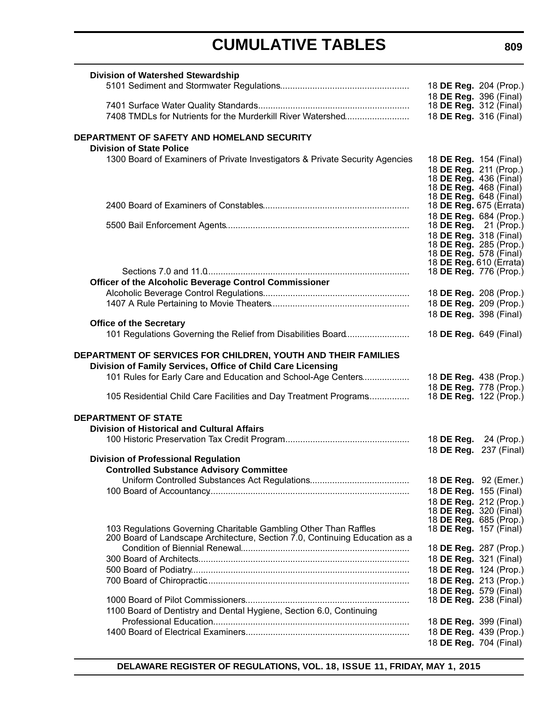| <b>Division of Watershed Stewardship</b>                                      | 18 DE Reg. 204 (Prop.)                                  |
|-------------------------------------------------------------------------------|---------------------------------------------------------|
|                                                                               | 18 DE Reg. 396 (Final)                                  |
|                                                                               | 18 DE Reg. 312 (Final)                                  |
| 7408 TMDLs for Nutrients for the Murderkill River Watershed                   | 18 DE Reg. 316 (Final)                                  |
| DEPARTMENT OF SAFETY AND HOMELAND SECURITY<br><b>Division of State Police</b> |                                                         |
| 1300 Board of Examiners of Private Investigators & Private Security Agencies  | 18 DE Reg. 154 (Final)                                  |
|                                                                               | 18 DE Reg. 211 (Prop.)                                  |
|                                                                               | 18 <b>DE Reg.</b> 436 (Final)                           |
|                                                                               | 18 <b>DE Reg.</b> 468 (Final)                           |
|                                                                               | 18 <b>DE Reg.</b> 648 (Final)                           |
|                                                                               | 18 DE Reg. 675 (Errata)                                 |
|                                                                               | 18 DE Reg. 684 (Prop.)                                  |
|                                                                               | 18 <b>DE Reg.</b> 21 (Prop.)                            |
|                                                                               | 18 DE Reg. 318 (Final)<br>18 <b>DE Reg.</b> 285 (Prop.) |
|                                                                               | 18 <b>DE Reg.</b> 578 (Final)                           |
|                                                                               | 18 DE Reg. 610 (Errata)                                 |
|                                                                               | 18 <b>DE Reg.</b> 776 (Prop.)                           |
| Officer of the Alcoholic Beverage Control Commissioner                        |                                                         |
|                                                                               | 18 DE Reg. 208 (Prop.)                                  |
|                                                                               | 18 DE Reg. 209 (Prop.)                                  |
|                                                                               | 18 DE Reg. 398 (Final)                                  |
| <b>Office of the Secretary</b>                                                |                                                         |
| 101 Regulations Governing the Relief from Disabilities Board                  | 18 DE Reg. 649 (Final)                                  |
| DEPARTMENT OF SERVICES FOR CHILDREN, YOUTH AND THEIR FAMILIES                 |                                                         |
| Division of Family Services, Office of Child Care Licensing                   |                                                         |
| 101 Rules for Early Care and Education and School-Age Centers                 | 18 DE Reg. 438 (Prop.)                                  |
|                                                                               | 18 DE Reg. 778 (Prop.)                                  |
| 105 Residential Child Care Facilities and Day Treatment Programs              | 18 <b>DE Reg.</b> 122 (Prop.)                           |
| <b>DEPARTMENT OF STATE</b>                                                    |                                                         |
| <b>Division of Historical and Cultural Affairs</b>                            |                                                         |
|                                                                               | 18 <b>DE Reg.</b> 24 (Prop.)                            |
|                                                                               | 18 DE Reg. 237 (Final)                                  |
| <b>Division of Professional Regulation</b>                                    |                                                         |
| <b>Controlled Substance Advisory Committee</b>                                |                                                         |
|                                                                               | 18 DE Reg. 92 (Emer.)                                   |
|                                                                               | 18 DE Reg. 155 (Final)                                  |
|                                                                               | 18 DE Reg. 212 (Prop.)                                  |
|                                                                               | 18 <b>DE Reg.</b> 320 (Final)                           |
| 103 Regulations Governing Charitable Gambling Other Than Raffles              | 18 DE Reg. 685 (Prop.)<br>18 <b>DE Reg.</b> 157 (Final) |
| 200 Board of Landscape Architecture, Section 7.0, Continuing Education as a   |                                                         |
|                                                                               | 18 DE Reg. 287 (Prop.)                                  |
|                                                                               | 18 <b>DE Reg.</b> 321 (Final)                           |
|                                                                               | 18 DE Reg. 124 (Prop.)                                  |
|                                                                               | 18 DE Reg. 213 (Prop.)                                  |
|                                                                               | 18 DE Reg. 579 (Final)                                  |
|                                                                               | 18 <b>DE Reg.</b> 238 (Final)                           |
| 1100 Board of Dentistry and Dental Hygiene, Section 6.0, Continuing           |                                                         |
|                                                                               | 18 DE Reg. 399 (Final)                                  |
|                                                                               | 18 DE Reg. 439 (Prop.)                                  |
|                                                                               | 18 DE Reg. 704 (Final)                                  |
|                                                                               |                                                         |

**DELAWARE REGISTER OF REGULATIONS, VOL. 18, ISSUE 11, FRIDAY, MAY 1, 2015**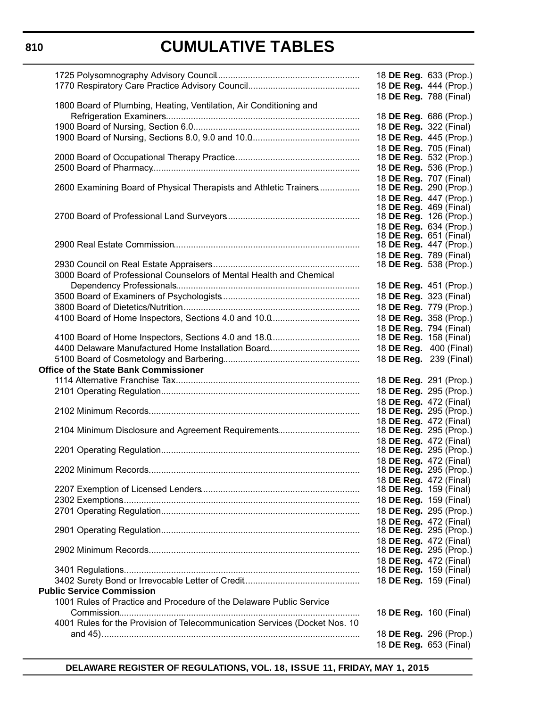### **810**

# **CUMULATIVE TABLES**

|                                                                            | 18 DE Reg. 633 (Prop.)<br>18 DE Reg. 444 (Prop.)        |
|----------------------------------------------------------------------------|---------------------------------------------------------|
| 1800 Board of Plumbing, Heating, Ventilation, Air Conditioning and         | 18 DE Reg. 788 (Final)                                  |
|                                                                            | 18 DE Reg. 686 (Prop.)                                  |
|                                                                            | 18 DE Reg. 322 (Final)                                  |
|                                                                            | 18 DE Reg. 445 (Prop.)                                  |
|                                                                            | 18 DE Reg. 705 (Final)                                  |
|                                                                            | 18 DE Reg. 532 (Prop.)                                  |
|                                                                            | 18 DE Reg. 536 (Prop.)                                  |
|                                                                            | 18 DE Reg. 707 (Final)                                  |
| 2600 Examining Board of Physical Therapists and Athletic Trainers          | 18 <b>DE Reg.</b> 290 (Prop.)                           |
|                                                                            | 18 DE Reg. 447 (Prop.)                                  |
|                                                                            | 18 <b>DE Reg.</b> 469 (Final)                           |
|                                                                            | 18 <b>DE Reg.</b> 126 (Prop.)                           |
|                                                                            | 18 DE Reg. 634 (Prop.)                                  |
|                                                                            | 18 <b>DE Reg.</b> 651 (Final)                           |
|                                                                            | 18 <b>DE Reg.</b> 447 (Prop.)                           |
|                                                                            | 18 DE Reg. 789 (Final)                                  |
|                                                                            | 18 <b>DE Reg.</b> 538 (Prop.)                           |
| 3000 Board of Professional Counselors of Mental Health and Chemical        |                                                         |
|                                                                            | 18 DE Reg. 451 (Prop.)                                  |
|                                                                            | 18 DE Reg. 323 (Final)                                  |
|                                                                            | 18 DE Reg. 779 (Prop.)                                  |
|                                                                            | 18 DE Reg. 358 (Prop.)                                  |
|                                                                            | 18 DE Reg. 794 (Final)                                  |
|                                                                            | 18 DE Reg. 158 (Final)                                  |
|                                                                            | 18 DE Reg. 400 (Final)                                  |
|                                                                            | 18 DE Reg. 239 (Final)                                  |
| <b>Office of the State Bank Commissioner</b>                               |                                                         |
|                                                                            | 18 DE Reg. 291 (Prop.)                                  |
|                                                                            | 18 DE Reg. 295 (Prop.)                                  |
|                                                                            |                                                         |
|                                                                            | 18 DE Reg. 472 (Final)<br>18 <b>DE Reg.</b> 295 (Prop.) |
|                                                                            | 18 DE Reg. 472 (Final)                                  |
| 2104 Minimum Disclosure and Agreement Requirements                         | 18 DE Reg. 295 (Prop.)                                  |
|                                                                            | 18 DE Reg. 472 (Final)                                  |
|                                                                            | 18 <b>DE Reg.</b> 295 (Prop.)                           |
|                                                                            | 18 DE Reg. 472 (Final)                                  |
|                                                                            | 18 <b>DE Reg.</b> 295 (Prop.)                           |
|                                                                            | 18 <b>DE Reg.</b> 472 (Final)                           |
|                                                                            | 18 DE Reg. 159 (Final)                                  |
|                                                                            | 18 DE Reg. 159 (Final)                                  |
|                                                                            | 18 DE Reg. 295 (Prop.)                                  |
|                                                                            | 18 DE Reg. 472 (Final)                                  |
|                                                                            | 18 <b>DE Reg.</b> 295 (Prop.)                           |
|                                                                            | 18 DE Reg. 472 (Final)                                  |
|                                                                            | 18 <b>DE Reg.</b> 295 (Prop.)                           |
|                                                                            | 18 DE Reg. 472 (Final)                                  |
|                                                                            | 18 <b>DE Reg.</b> 159 (Final)                           |
|                                                                            | 18 DE Reg. 159 (Final)                                  |
| <b>Public Service Commission</b>                                           |                                                         |
| 1001 Rules of Practice and Procedure of the Delaware Public Service        |                                                         |
|                                                                            | 18 <b>DE Reg.</b> 160 (Final)                           |
| 4001 Rules for the Provision of Telecommunication Services (Docket Nos. 10 |                                                         |
|                                                                            |                                                         |
|                                                                            | 18 DE Reg. 296 (Prop.)                                  |
|                                                                            | 18 DE Reg. 653 (Final)                                  |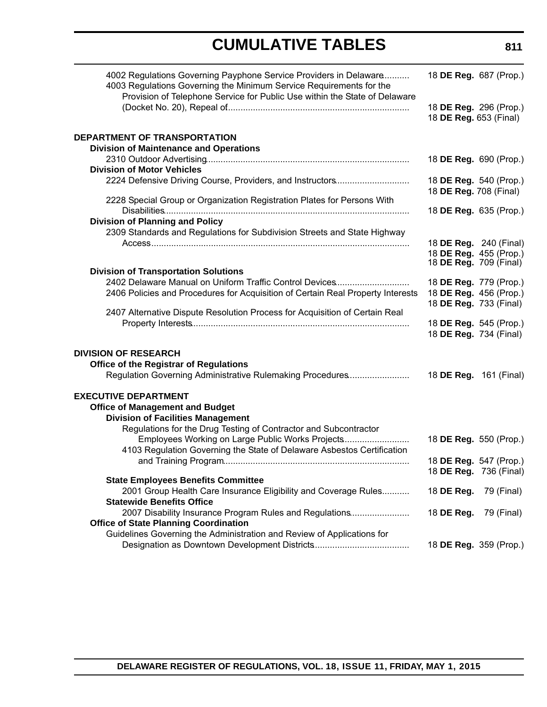| 4002 Regulations Governing Payphone Service Providers in Delaware<br>4003 Regulations Governing the Minimum Service Requirements for the<br>Provision of Telephone Service for Public Use within the State of Delaware |                                                  | 18 DE Reg. 687 (Prop.) |
|------------------------------------------------------------------------------------------------------------------------------------------------------------------------------------------------------------------------|--------------------------------------------------|------------------------|
|                                                                                                                                                                                                                        | 18 DE Reg. 653 (Final)                           | 18 DE Reg. 296 (Prop.) |
| DEPARTMENT OF TRANSPORTATION                                                                                                                                                                                           |                                                  |                        |
| <b>Division of Maintenance and Operations</b>                                                                                                                                                                          |                                                  |                        |
|                                                                                                                                                                                                                        | 18 DE Reg. 690 (Prop.)                           |                        |
| <b>Division of Motor Vehicles</b>                                                                                                                                                                                      |                                                  |                        |
| 2224 Defensive Driving Course, Providers, and Instructors                                                                                                                                                              | 18 DE Reg. 540 (Prop.)<br>18 DE Reg. 708 (Final) |                        |
| 2228 Special Group or Organization Registration Plates for Persons With                                                                                                                                                | 18 DE Reg. 635 (Prop.)                           |                        |
| <b>Division of Planning and Policy</b>                                                                                                                                                                                 |                                                  |                        |
| 2309 Standards and Regulations for Subdivision Streets and State Highway                                                                                                                                               |                                                  |                        |
|                                                                                                                                                                                                                        | 18 DE Reg. 240 (Final)                           |                        |
|                                                                                                                                                                                                                        | 18 DE Reg. 455 (Prop.)                           |                        |
| <b>Division of Transportation Solutions</b>                                                                                                                                                                            | 18 <b>DE Reg.</b> 709 (Final)                    |                        |
| 2402 Delaware Manual on Uniform Traffic Control Devices                                                                                                                                                                | 18 DE Reg. 779 (Prop.)                           |                        |
| 2406 Policies and Procedures for Acquisition of Certain Real Property Interests                                                                                                                                        |                                                  | 18 DE Reg. 456 (Prop.) |
|                                                                                                                                                                                                                        | 18 DE Reg. 733 (Final)                           |                        |
| 2407 Alternative Dispute Resolution Process for Acquisition of Certain Real                                                                                                                                            |                                                  |                        |
|                                                                                                                                                                                                                        |                                                  | 18 DE Reg. 545 (Prop.) |
|                                                                                                                                                                                                                        | 18 DE Reg. 734 (Final)                           |                        |
| <b>DIVISION OF RESEARCH</b>                                                                                                                                                                                            |                                                  |                        |
| <b>Office of the Registrar of Regulations</b>                                                                                                                                                                          |                                                  |                        |
| Regulation Governing Administrative Rulemaking Procedures                                                                                                                                                              | 18 DE Reg. 161 (Final)                           |                        |
|                                                                                                                                                                                                                        |                                                  |                        |
| <b>EXECUTIVE DEPARTMENT</b>                                                                                                                                                                                            |                                                  |                        |
| <b>Office of Management and Budget</b>                                                                                                                                                                                 |                                                  |                        |
| <b>Division of Facilities Management</b>                                                                                                                                                                               |                                                  |                        |
| Regulations for the Drug Testing of Contractor and Subcontractor                                                                                                                                                       |                                                  |                        |
| Employees Working on Large Public Works Projects                                                                                                                                                                       | 18 DE Reg. 550 (Prop.)                           |                        |
| 4103 Regulation Governing the State of Delaware Asbestos Certification                                                                                                                                                 | 18 DE Reg. 547 (Prop.)                           |                        |
|                                                                                                                                                                                                                        |                                                  | 18 DE Reg. 736 (Final) |
| <b>State Employees Benefits Committee</b>                                                                                                                                                                              |                                                  |                        |
| 2001 Group Health Care Insurance Eligibility and Coverage Rules                                                                                                                                                        | 18 DE Reg.                                       | 79 (Final)             |
| <b>Statewide Benefits Office</b>                                                                                                                                                                                       |                                                  |                        |
| 2007 Disability Insurance Program Rules and Regulations                                                                                                                                                                | 18 DE Reg.                                       | 79 (Final)             |
| <b>Office of State Planning Coordination</b>                                                                                                                                                                           |                                                  |                        |
| Guidelines Governing the Administration and Review of Applications for                                                                                                                                                 |                                                  |                        |
|                                                                                                                                                                                                                        |                                                  | 18 DE Reg. 359 (Prop.) |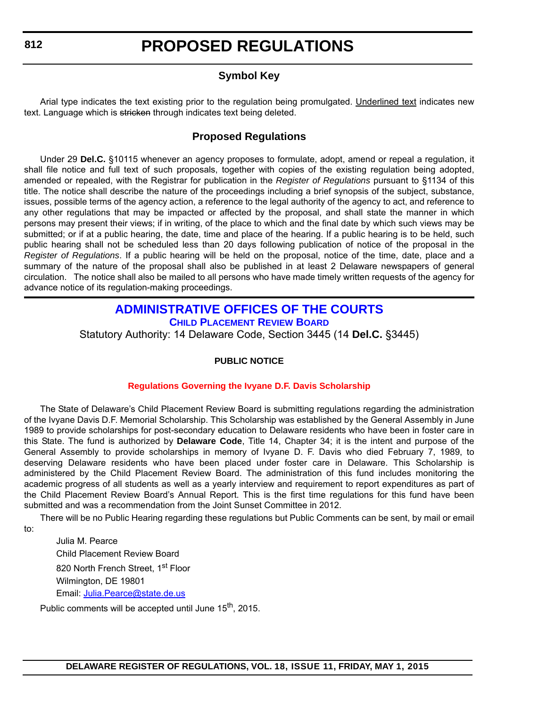### **Symbol Key**

<span id="page-12-0"></span>Arial type indicates the text existing prior to the regulation being promulgated. Underlined text indicates new text. Language which is stricken through indicates text being deleted.

### **Proposed Regulations**

Under 29 **Del.C.** §10115 whenever an agency proposes to formulate, adopt, amend or repeal a regulation, it shall file notice and full text of such proposals, together with copies of the existing regulation being adopted, amended or repealed, with the Registrar for publication in the *Register of Regulations* pursuant to §1134 of this title. The notice shall describe the nature of the proceedings including a brief synopsis of the subject, substance, issues, possible terms of the agency action, a reference to the legal authority of the agency to act, and reference to any other regulations that may be impacted or affected by the proposal, and shall state the manner in which persons may present their views; if in writing, of the place to which and the final date by which such views may be submitted; or if at a public hearing, the date, time and place of the hearing. If a public hearing is to be held, such public hearing shall not be scheduled less than 20 days following publication of notice of the proposal in the *Register of Regulations*. If a public hearing will be held on the proposal, notice of the time, date, place and a summary of the nature of the proposal shall also be published in at least 2 Delaware newspapers of general circulation. The notice shall also be mailed to all persons who have made timely written requests of the agency for advance notice of its regulation-making proceedings.

#### **[ADMINISTRATIVE OFFICES OF THE COURTS](http://courts.delaware.gov/AOC/) [CHILD PLACEMENT REVIEW BOARD](http://courts.delaware.gov/cprb/)**

Statutory Authority: 14 Delaware Code, Section 3445 (14 **Del.C.** §3445)

#### **PUBLIC NOTICE**

#### **[Regulations Governing the Ivyane D.F. Davis Scholarship](#page-3-0)**

The State of Delaware's Child Placement Review Board is submitting regulations regarding the administration of the Ivyane Davis D.F. Memorial Scholarship. This Scholarship was established by the General Assembly in June 1989 to provide scholarships for post-secondary education to Delaware residents who have been in foster care in this State. The fund is authorized by **Delaware Code**, Title 14, Chapter 34; it is the intent and purpose of the General Assembly to provide scholarships in memory of Ivyane D. F. Davis who died February 7, 1989, to deserving Delaware residents who have been placed under foster care in Delaware. This Scholarship is administered by the Child Placement Review Board. The administration of this fund includes monitoring the academic progress of all students as well as a yearly interview and requirement to report expenditures as part of the Child Placement Review Board's Annual Report. This is the first time regulations for this fund have been submitted and was a recommendation from the Joint Sunset Committee in 2012.

There will be no Public Hearing regarding these regulations but Public Comments can be sent, by mail or email

to:

Julia M. Pearce Child Placement Review Board 820 North French Street, 1st Floor Wilmington, DE 19801 Email: [Julia.Pearce@state.de.us](mailto:Julia.Pearce@state.de.us)

Public comments will be accepted until June 15<sup>th</sup>, 2015.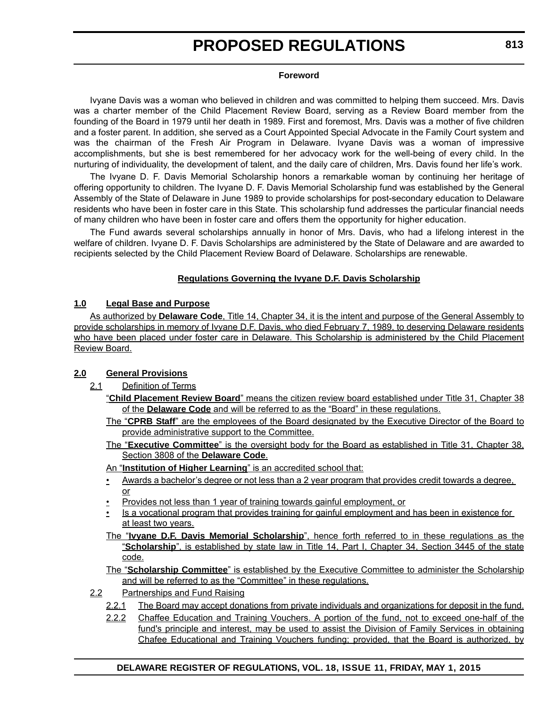#### **Foreword**

Ivyane Davis was a woman who believed in children and was committed to helping them succeed. Mrs. Davis was a charter member of the Child Placement Review Board, serving as a Review Board member from the founding of the Board in 1979 until her death in 1989. First and foremost, Mrs. Davis was a mother of five children and a foster parent. In addition, she served as a Court Appointed Special Advocate in the Family Court system and was the chairman of the Fresh Air Program in Delaware. Ivyane Davis was a woman of impressive accomplishments, but she is best remembered for her advocacy work for the well-being of every child. In the nurturing of individuality, the development of talent, and the daily care of children, Mrs. Davis found her life's work.

The Ivyane D. F. Davis Memorial Scholarship honors a remarkable woman by continuing her heritage of offering opportunity to children. The Ivyane D. F. Davis Memorial Scholarship fund was established by the General Assembly of the State of Delaware in June 1989 to provide scholarships for post-secondary education to Delaware residents who have been in foster care in this State. This scholarship fund addresses the particular financial needs of many children who have been in foster care and offers them the opportunity for higher education.

The Fund awards several scholarships annually in honor of Mrs. Davis, who had a lifelong interest in the welfare of children. Ivyane D. F. Davis Scholarships are administered by the State of Delaware and are awarded to recipients selected by the Child Placement Review Board of Delaware. Scholarships are renewable.

#### **Regulations Governing the Ivyane D.F. Davis Scholarship**

#### **1.0 Legal Base and Purpose**

As authorized by **Delaware Code**, Title 14, Chapter 34, it is the intent and purpose of the General Assembly to provide scholarships in memory of Ivyane D.F. Davis, who died February 7, 1989, to deserving Delaware residents who have been placed under foster care in Delaware. This Scholarship is administered by the Child Placement Review Board.

#### **2.0 General Provisions**

- 2.1 Definition of Terms
	- "**Child Placement Review Board**" means the citizen review board established under Title 31, Chapter 38 of the **Delaware Code** and will be referred to as the "Board" in these regulations.
	- The "**CPRB Staff**" are the employees of the Board designated by the Executive Director of the Board to provide administrative support to the Committee.
	- The "**Executive Committee**" is the oversight body for the Board as established in Title 31, Chapter 38, Section 3808 of the **Delaware Code**.
	- An "**Institution of Higher Learning**" is an accredited school that:
	- Awards a bachelor's degree or not less than a 2 year program that provides credit towards a degree, or
	- Provides not less than 1 year of training towards gainful employment, or
	- Is a vocational program that provides training for gainful employment and has been in existence for at least two years.
	- The "**Ivyane D.F. Davis Memorial Scholarship**", hence forth referred to in these regulations as the "**Scholarship**", is established by state law in Title 14, Part I, Chapter 34, Section 3445 of the state code.

The "**Scholarship Committee**" is established by the Executive Committee to administer the Scholarship and will be referred to as the "Committee" in these regulations.

- 2.2 Partnerships and Fund Raising
	- 2.2.1 The Board may accept donations from private individuals and organizations for deposit in the fund.
	- 2.2.2 Chaffee Education and Training Vouchers. A portion of the fund, not to exceed one-half of the fund's principle and interest, may be used to assist the Division of Family Services in obtaining Chafee Educational and Training Vouchers funding; provided, that the Board is authorized, by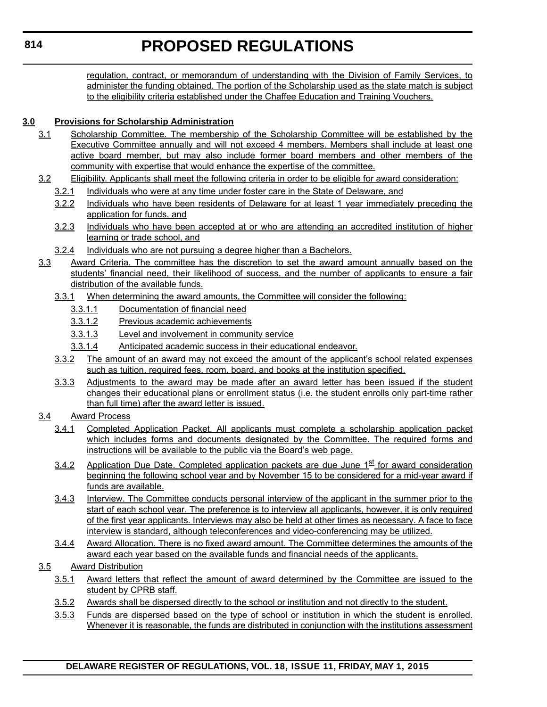regulation, contract, or memorandum of understanding with the Division of Family Services, to administer the funding obtained. The portion of the Scholarship used as the state match is subject to the eligibility criteria established under the Chaffee Education and Training Vouchers.

#### **3.0 Provisions for Scholarship Administration**

- 3.1 Scholarship Committee. The membership of the Scholarship Committee will be established by the Executive Committee annually and will not exceed 4 members. Members shall include at least one active board member, but may also include former board members and other members of the community with expertise that would enhance the expertise of the committee.
- 3.2 Eligibility. Applicants shall meet the following criteria in order to be eligible for award consideration:
	- 3.2.1 Individuals who were at any time under foster care in the State of Delaware, and
	- 3.2.2 Individuals who have been residents of Delaware for at least 1 year immediately preceding the application for funds, and
	- 3.2.3 Individuals who have been accepted at or who are attending an accredited institution of higher learning or trade school, and
	- 3.2.4 Individuals who are not pursuing a degree higher than a Bachelors.
- 3.3 Award Criteria. The committee has the discretion to set the award amount annually based on the students' financial need, their likelihood of success, and the number of applicants to ensure a fair distribution of the available funds.
	- 3.3.1 When determining the award amounts, the Committee will consider the following:
		- 3.3.1.1 Documentation of financial need
		- 3.3.1.2 Previous academic achievements
		- 3.3.1.3 Level and involvement in community service
		- 3.3.1.4 Anticipated academic success in their educational endeavor.
	- 3.3.2 The amount of an award may not exceed the amount of the applicant's school related expenses such as tuition, required fees, room, board, and books at the institution specified.
	- 3.3.3 Adjustments to the award may be made after an award letter has been issued if the student changes their educational plans or enrollment status (i.e. the student enrolls only part-time rather than full time) after the award letter is issued.
- 3.4 Award Process
	- 3.4.1 Completed Application Packet. All applicants must complete a scholarship application packet which includes forms and documents designated by the Committee. The required forms and instructions will be available to the public via the Board's web page.
	- 3.4.2 Application Due Date. Completed application packets are due June  $1^{st}$  for award consideration beginning the following school year and by November 15 to be considered for a mid-year award if funds are available.
	- 3.4.3 Interview. The Committee conducts personal interview of the applicant in the summer prior to the start of each school year. The preference is to interview all applicants, however, it is only required of the first year applicants. Interviews may also be held at other times as necessary. A face to face interview is standard, although teleconferences and video-conferencing may be utilized.
	- 3.4.4 Award Allocation. There is no fixed award amount. The Committee determines the amounts of the award each year based on the available funds and financial needs of the applicants.
- 3.5 Award Distribution
	- 3.5.1 Award letters that reflect the amount of award determined by the Committee are issued to the student by CPRB staff.
	- 3.5.2 Awards shall be dispersed directly to the school or institution and not directly to the student.
	- 3.5.3 Funds are dispersed based on the type of school or institution in which the student is enrolled. Whenever it is reasonable, the funds are distributed in conjunction with the institutions assessment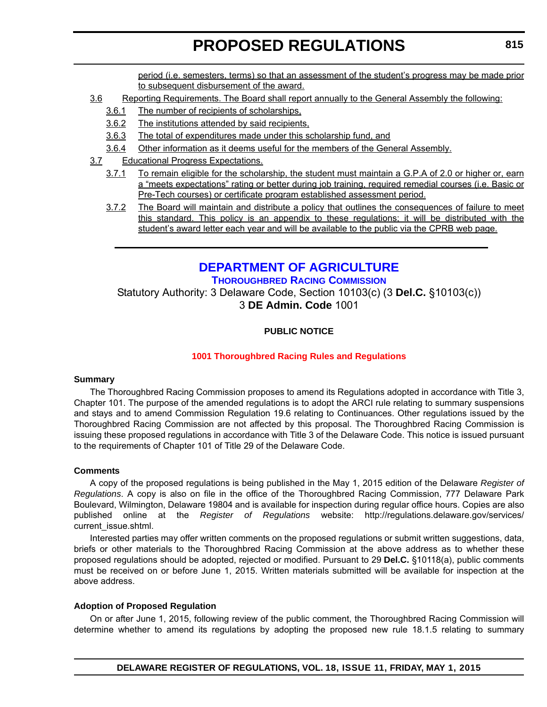period (i.e. semesters, terms) so that an assessment of the student's progress may be made prior to subsequent disbursement of the award.

- <span id="page-15-0"></span>3.6 Reporting Requirements. The Board shall report annually to the General Assembly the following:
	- 3.6.1 The number of recipients of scholarships,
	- 3.6.2 The institutions attended by said recipients,
	- 3.6.3 The total of expenditures made under this scholarship fund, and
	- 3.6.4 Other information as it deems useful for the members of the General Assembly.
- 3.7 Educational Progress Expectations.
	- 3.7.1 To remain eligible for the scholarship, the student must maintain a G.P.A of 2.0 or higher or, earn a "meets expectations" rating or better during job training, required remedial courses (i.e. Basic or Pre-Tech courses) or certificate program established assessment period.
	- 3.7.2 The Board will maintain and distribute a policy that outlines the consequences of failure to meet this standard. This policy is an appendix to these regulations; it will be distributed with the student's award letter each year and will be available to the public via the CPRB web page.

### **[DEPARTMENT OF AGRICULTURE](http://dda.delaware.gov/thoroughbred/)**

**THOROUGHBRED RACING COMMISSION**

Statutory Authority: 3 Delaware Code, Section 10103(c) (3 **Del.C.** §10103(c)) 3 **DE Admin. Code** 1001

#### **PUBLIC NOTICE**

#### **[1001 Thoroughbred Racing Rules and Regulations](#page-3-0)**

#### **Summary**

The Thoroughbred Racing Commission proposes to amend its Regulations adopted in accordance with Title 3, Chapter 101. The purpose of the amended regulations is to adopt the ARCI rule relating to summary suspensions and stays and to amend Commission Regulation 19.6 relating to Continuances. Other regulations issued by the Thoroughbred Racing Commission are not affected by this proposal. The Thoroughbred Racing Commission is issuing these proposed regulations in accordance with Title 3 of the Delaware Code. This notice is issued pursuant to the requirements of Chapter 101 of Title 29 of the Delaware Code.

#### **Comments**

A copy of the proposed regulations is being published in the May 1, 2015 edition of the Delaware *Register of Regulations*. A copy is also on file in the office of the Thoroughbred Racing Commission, 777 Delaware Park Boulevard, Wilmington, Delaware 19804 and is available for inspection during regular office hours. Copies are also published online at the *Register of Regulations* website: http://regulations.delaware.gov/services/ current\_issue.shtml.

Interested parties may offer written comments on the proposed regulations or submit written suggestions, data, briefs or other materials to the Thoroughbred Racing Commission at the above address as to whether these proposed regulations should be adopted, rejected or modified. Pursuant to 29 **Del.C.** §10118(a), public comments must be received on or before June 1, 2015. Written materials submitted will be available for inspection at the above address.

#### **Adoption of Proposed Regulation**

On or after June 1, 2015, following review of the public comment, the Thoroughbred Racing Commission will determine whether to amend its regulations by adopting the proposed new rule 18.1.5 relating to summary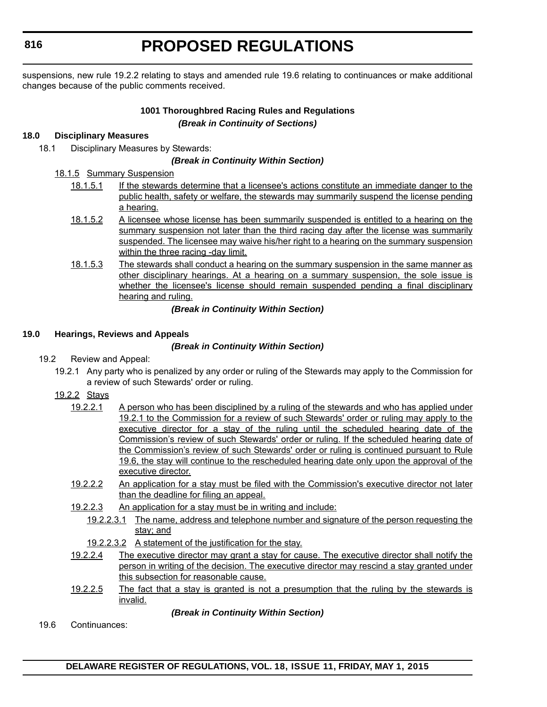**816**

# **PROPOSED REGULATIONS**

suspensions, new rule 19.2.2 relating to stays and amended rule 19.6 relating to continuances or make additional changes because of the public comments received.

#### **1001 Thoroughbred Racing Rules and Regulations** *(Break in Continuity of Sections)*

#### **18.0 Disciplinary Measures**

18.1 Disciplinary Measures by Stewards:

#### *(Break in Continuity Within Section)*

- 18.1.5 Summary Suspension
	- 18.1.5.1 If the stewards determine that a licensee's actions constitute an immediate danger to the public health, safety or welfare, the stewards may summarily suspend the license pending a hearing.
	- 18.1.5.2 A licensee whose license has been summarily suspended is entitled to a hearing on the summary suspension not later than the third racing day after the license was summarily suspended. The licensee may waive his/her right to a hearing on the summary suspension within the three racing -day limit.
	- 18.1.5.3 The stewards shall conduct a hearing on the summary suspension in the same manner as other disciplinary hearings. At a hearing on a summary suspension, the sole issue is whether the licensee's license should remain suspended pending a final disciplinary hearing and ruling.

#### *(Break in Continuity Within Section)*

#### **19.0 Hearings, Reviews and Appeals**

#### *(Break in Continuity Within Section)*

- 19.2 Review and Appeal:
	- 19.2.1 Any party who is penalized by any order or ruling of the Stewards may apply to the Commission for a review of such Stewards' order or ruling.
	- 19.2.2 Stays
		- 19.2.2.1 A person who has been disciplined by a ruling of the stewards and who has applied under 19.2.1 to the Commission for a review of such Stewards' order or ruling may apply to the executive director for a stay of the ruling until the scheduled hearing date of the Commission's review of such Stewards' order or ruling. If the scheduled hearing date of the Commission's review of such Stewards' order or ruling is continued pursuant to Rule 19.6, the stay will continue to the rescheduled hearing date only upon the approval of the executive director.
		- 19.2.2.2 An application for a stay must be filed with the Commission's executive director not later than the deadline for filing an appeal.
		- 19.2.2.3 An application for a stay must be in writing and include:
			- 19.2.2.3.1 The name, address and telephone number and signature of the person requesting the stay; and
			- 19.2.2.3.2 A statement of the justification for the stay.
		- 19.2.2.4 The executive director may grant a stay for cause. The executive director shall notify the person in writing of the decision. The executive director may rescind a stay granted under this subsection for reasonable cause.
		- 19.2.2.5 The fact that a stay is granted is not a presumption that the ruling by the stewards is invalid.

*(Break in Continuity Within Section)*

19.6 Continuances: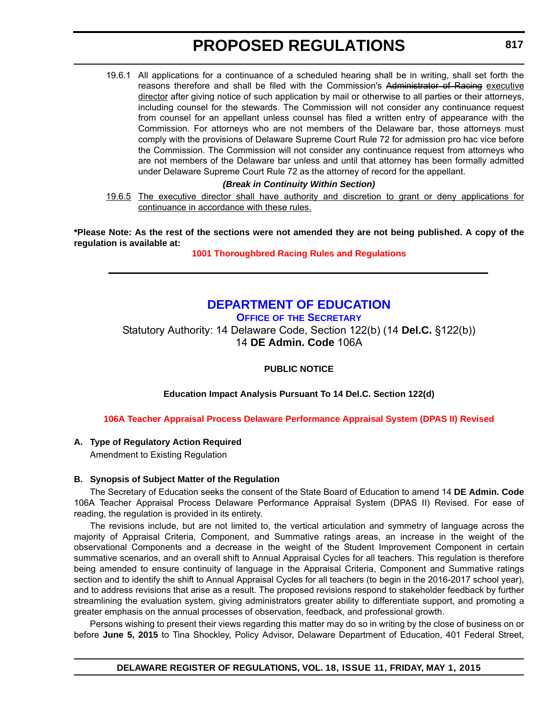<span id="page-17-0"></span>19.6.1 All applications for a continuance of a scheduled hearing shall be in writing, shall set forth the reasons therefore and shall be filed with the Commission's Administrator of Racing executive director after giving notice of such application by mail or otherwise to all parties or their attorneys, including counsel for the stewards. The Commission will not consider any continuance request from counsel for an appellant unless counsel has filed a written entry of appearance with the Commission. For attorneys who are not members of the Delaware bar, those attorneys must comply with the provisions of Delaware Supreme Court Rule 72 for admission pro hac vice before the Commission. The Commission will not consider any continuance request from attorneys who are not members of the Delaware bar unless and until that attorney has been formally admitted under Delaware Supreme Court Rule 72 as the attorney of record for the appellant.

#### *(Break in Continuity Within Section)*

19.6.5 The executive director shall have authority and discretion to grant or deny applications for continuance in accordance with these rules.

**\*Please Note: As the rest of the sections were not amended they are not being published. A copy of the regulation is available at:**

**[1001 Thoroughbred Racing Rules and Regulations](http://regulations.delaware.gov/register/may2015/proposed/18 DE Reg 815 05-01-15.htm)**

### **[DEPARTMENT OF EDUCATION](http://www.doe.k12.de.us/site/default.aspx?PageID=1)**

**OFFICE OF THE SECRETARY**

Statutory Authority: 14 Delaware Code, Section 122(b) (14 **Del.C.** §122(b)) 14 **DE Admin. Code** 106A

**PUBLIC NOTICE**

**Education Impact Analysis Pursuant To 14 Del.C. Section 122(d)**

#### **[106A Teacher Appraisal Process Delaware Performance Appraisal System \(DPAS II\) Revised](#page-3-0)**

#### **A. Type of Regulatory Action Required**

Amendment to Existing Regulation

#### **B. Synopsis of Subject Matter of the Regulation**

The Secretary of Education seeks the consent of the State Board of Education to amend 14 **DE Admin. Code** 106A Teacher Appraisal Process Delaware Performance Appraisal System (DPAS II) Revised. For ease of reading, the regulation is provided in its entirety.

The revisions include, but are not limited to, the vertical articulation and symmetry of language across the majority of Appraisal Criteria, Component, and Summative ratings areas, an increase in the weight of the observational Components and a decrease in the weight of the Student Improvement Component in certain summative scenarios, and an overall shift to Annual Appraisal Cycles for all teachers. This regulation is therefore being amended to ensure continuity of language in the Appraisal Criteria, Component and Summative ratings section and to identify the shift to Annual Appraisal Cycles for all teachers (to begin in the 2016-2017 school year), and to address revisions that arise as a result. The proposed revisions respond to stakeholder feedback by further streamlining the evaluation system, giving administrators greater ability to differentiate support, and promoting a greater emphasis on the annual processes of observation, feedback, and professional growth.

Persons wishing to present their views regarding this matter may do so in writing by the close of business on or before **June 5, 2015** to Tina Shockley, Policy Advisor, Delaware Department of Education, 401 Federal Street,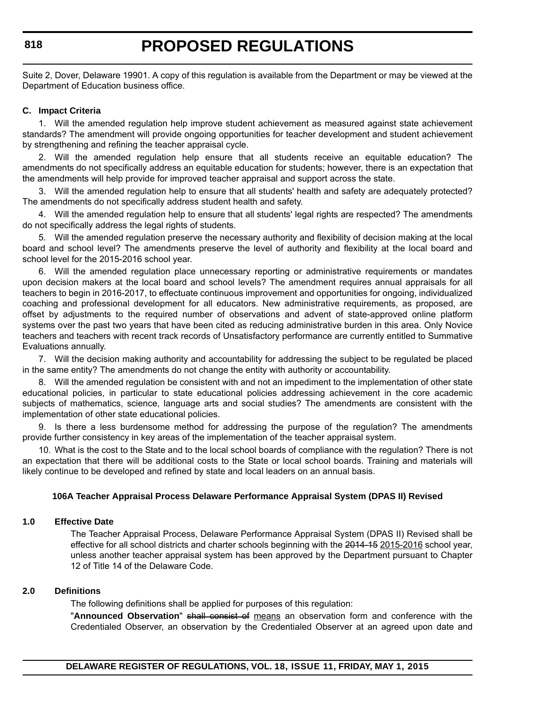Suite 2, Dover, Delaware 19901. A copy of this regulation is available from the Department or may be viewed at the Department of Education business office.

#### **C. Impact Criteria**

1. Will the amended regulation help improve student achievement as measured against state achievement standards? The amendment will provide ongoing opportunities for teacher development and student achievement by strengthening and refining the teacher appraisal cycle.

2. Will the amended regulation help ensure that all students receive an equitable education? The amendments do not specifically address an equitable education for students; however, there is an expectation that the amendments will help provide for improved teacher appraisal and support across the state.

3. Will the amended regulation help to ensure that all students' health and safety are adequately protected? The amendments do not specifically address student health and safety.

4. Will the amended regulation help to ensure that all students' legal rights are respected? The amendments do not specifically address the legal rights of students.

5. Will the amended regulation preserve the necessary authority and flexibility of decision making at the local board and school level? The amendments preserve the level of authority and flexibility at the local board and school level for the 2015-2016 school year.

6. Will the amended regulation place unnecessary reporting or administrative requirements or mandates upon decision makers at the local board and school levels? The amendment requires annual appraisals for all teachers to begin in 2016-2017, to effectuate continuous improvement and opportunities for ongoing, individualized coaching and professional development for all educators. New administrative requirements, as proposed, are offset by adjustments to the required number of observations and advent of state-approved online platform systems over the past two years that have been cited as reducing administrative burden in this area. Only Novice teachers and teachers with recent track records of Unsatisfactory performance are currently entitled to Summative Evaluations annually.

7. Will the decision making authority and accountability for addressing the subject to be regulated be placed in the same entity? The amendments do not change the entity with authority or accountability.

8. Will the amended regulation be consistent with and not an impediment to the implementation of other state educational policies, in particular to state educational policies addressing achievement in the core academic subjects of mathematics, science, language arts and social studies? The amendments are consistent with the implementation of other state educational policies.

9. Is there a less burdensome method for addressing the purpose of the regulation? The amendments provide further consistency in key areas of the implementation of the teacher appraisal system.

10. What is the cost to the State and to the local school boards of compliance with the regulation? There is not an expectation that there will be additional costs to the State or local school boards. Training and materials will likely continue to be developed and refined by state and local leaders on an annual basis.

#### **106A Teacher Appraisal Process Delaware Performance Appraisal System (DPAS II) Revised**

#### **1.0 Effective Date**

The Teacher Appraisal Process, Delaware Performance Appraisal System (DPAS II) Revised shall be effective for all school districts and charter schools beginning with the 2014-15 2015-2016 school year, unless another teacher appraisal system has been approved by the Department pursuant to Chapter 12 of Title 14 of the Delaware Code.

#### **2.0 Definitions**

The following definitions shall be applied for purposes of this regulation:

"**Announced Observation**" shall consist of means an observation form and conference with the Credentialed Observer, an observation by the Credentialed Observer at an agreed upon date and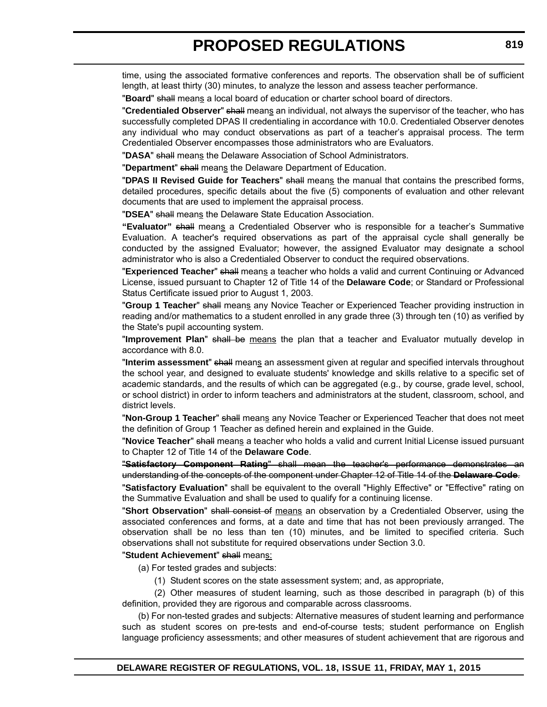time, using the associated formative conferences and reports. The observation shall be of sufficient length, at least thirty (30) minutes, to analyze the lesson and assess teacher performance.

"**Board**" shall means a local board of education or charter school board of directors.

"**Credentialed Observer**" shall means an individual, not always the supervisor of the teacher, who has successfully completed DPAS II credentialing in accordance with 10.0. Credentialed Observer denotes any individual who may conduct observations as part of a teacher's appraisal process. The term Credentialed Observer encompasses those administrators who are Evaluators.

"**DASA**" shall means the Delaware Association of School Administrators.

"**Department**" shall means the Delaware Department of Education.

"**DPAS II Revised Guide for Teachers**" shall means the manual that contains the prescribed forms, detailed procedures, specific details about the five (5) components of evaluation and other relevant documents that are used to implement the appraisal process.

"**DSEA**" shall means the Delaware State Education Association.

**"Evaluator"** shall means a Credentialed Observer who is responsible for a teacher's Summative Evaluation. A teacher's required observations as part of the appraisal cycle shall generally be conducted by the assigned Evaluator; however, the assigned Evaluator may designate a school administrator who is also a Credentialed Observer to conduct the required observations.

"**Experienced Teacher**" shall means a teacher who holds a valid and current Continuing or Advanced License, issued pursuant to Chapter 12 of Title 14 of the **Delaware Code**; or Standard or Professional Status Certificate issued prior to August 1, 2003.

"**Group 1 Teacher**" shall means any Novice Teacher or Experienced Teacher providing instruction in reading and/or mathematics to a student enrolled in any grade three (3) through ten (10) as verified by the State's pupil accounting system.

"**Improvement Plan**" shall be means the plan that a teacher and Evaluator mutually develop in accordance with 8.0.

"**Interim assessment**" shall means an assessment given at regular and specified intervals throughout the school year, and designed to evaluate students' knowledge and skills relative to a specific set of academic standards, and the results of which can be aggregated (e.g., by course, grade level, school, or school district) in order to inform teachers and administrators at the student, classroom, school, and district levels.

"**Non-Group 1 Teacher**" shall means any Novice Teacher or Experienced Teacher that does not meet the definition of Group 1 Teacher as defined herein and explained in the Guide.

"**Novice Teacher**" shall means a teacher who holds a valid and current Initial License issued pursuant to Chapter 12 of Title 14 of the **Delaware Code**.

"**Satisfactory Component Rating**" shall mean the teacher's performance demonstrates an understanding of the concepts of the component under Chapter 12 of Title 14 of the **Delaware Code**.

"**Satisfactory Evaluation**" shall be equivalent to the overall "Highly Effective" or "Effective" rating on the Summative Evaluation and shall be used to qualify for a continuing license.

"**Short Observation**" shall consist of means an observation by a Credentialed Observer, using the associated conferences and forms, at a date and time that has not been previously arranged. The observation shall be no less than ten (10) minutes, and be limited to specified criteria. Such observations shall not substitute for required observations under Section 3.0.

"**Student Achievement**" shall means:

(a) For tested grades and subjects:

(1) Student scores on the state assessment system; and, as appropriate,

(2) Other measures of student learning, such as those described in paragraph (b) of this definition, provided they are rigorous and comparable across classrooms.

(b) For non-tested grades and subjects: Alternative measures of student learning and performance such as student scores on pre-tests and end-of-course tests; student performance on English language proficiency assessments; and other measures of student achievement that are rigorous and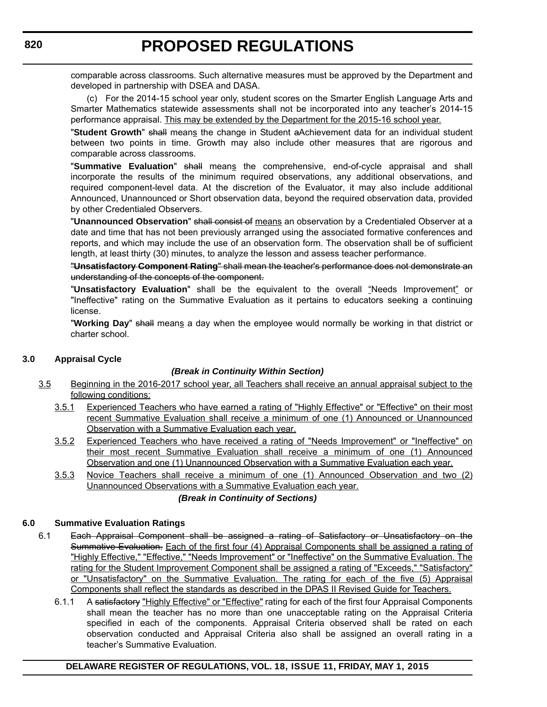comparable across classrooms. Such alternative measures must be approved by the Department and developed in partnership with DSEA and DASA.

(c) For the 2014-15 school year only, student scores on the Smarter English Language Arts and Smarter Mathematics statewide assessments shall not be incorporated into any teacher's 2014-15 performance appraisal. This may be extended by the Department for the 2015-16 school year.

"**Student Growth**" shall means the change in Student aAchievement data for an individual student between two points in time. Growth may also include other measures that are rigorous and comparable across classrooms.

"**Summative Evaluation**" shall means the comprehensive, end-of-cycle appraisal and shall incorporate the results of the minimum required observations, any additional observations, and required component-level data. At the discretion of the Evaluator, it may also include additional Announced, Unannounced or Short observation data, beyond the required observation data, provided by other Credentialed Observers.

"**Unannounced Observation**" shall consist of means an observation by a Credentialed Observer at a date and time that has not been previously arranged using the associated formative conferences and reports, and which may include the use of an observation form. The observation shall be of sufficient length, at least thirty (30) minutes, to analyze the lesson and assess teacher performance.

"**Unsatisfactory Component Rating**" shall mean the teacher's performance does not demonstrate an understanding of the concepts of the component.

"**Unsatisfactory Evaluation**" shall be the equivalent to the overall "Needs Improvement" or "Ineffective" rating on the Summative Evaluation as it pertains to educators seeking a continuing license.

"**Working Day**" shall means a day when the employee would normally be working in that district or charter school.

#### **3.0 Appraisal Cycle**

#### *(Break in Continuity Within Section)*

- 3.5 Beginning in the 2016-2017 school year, all Teachers shall receive an annual appraisal subject to the following conditions:
	- 3.5.1 Experienced Teachers who have earned a rating of "Highly Effective" or "Effective" on their most recent Summative Evaluation shall receive a minimum of one (1) Announced or Unannounced Observation with a Summative Evaluation each year.
	- 3.5.2 Experienced Teachers who have received a rating of "Needs Improvement" or "Ineffective" on their most recent Summative Evaluation shall receive a minimum of one (1) Announced Observation and one (1) Unannounced Observation with a Summative Evaluation each year.
	- 3.5.3 Novice Teachers shall receive a minimum of one (1) Announced Observation and two (2) Unannounced Observations with a Summative Evaluation each year.

#### *(Break in Continuity of Sections)*

#### **6.0 Summative Evaluation Ratings**

- 6.1 Each Appraisal Component shall be assigned a rating of Satisfactory or Unsatisfactory on the Summative Evaluation. Each of the first four (4) Appraisal Components shall be assigned a rating of "Highly Effective," "Effective," "Needs Improvement" or "Ineffective" on the Summative Evaluation. The rating for the Student Improvement Component shall be assigned a rating of "Exceeds," "Satisfactory" or "Unsatisfactory" on the Summative Evaluation. The rating for each of the five (5) Appraisal Components shall reflect the standards as described in the DPAS II Revised Guide for Teachers.
	- 6.1.1 A satisfactory "Highly Effective" or "Effective" rating for each of the first four Appraisal Components shall mean the teacher has no more than one unacceptable rating on the Appraisal Criteria specified in each of the components. Appraisal Criteria observed shall be rated on each observation conducted and Appraisal Criteria also shall be assigned an overall rating in a teacher's Summative Evaluation.

#### **DELAWARE REGISTER OF REGULATIONS, VOL. 18, ISSUE 11, FRIDAY, MAY 1, 2015**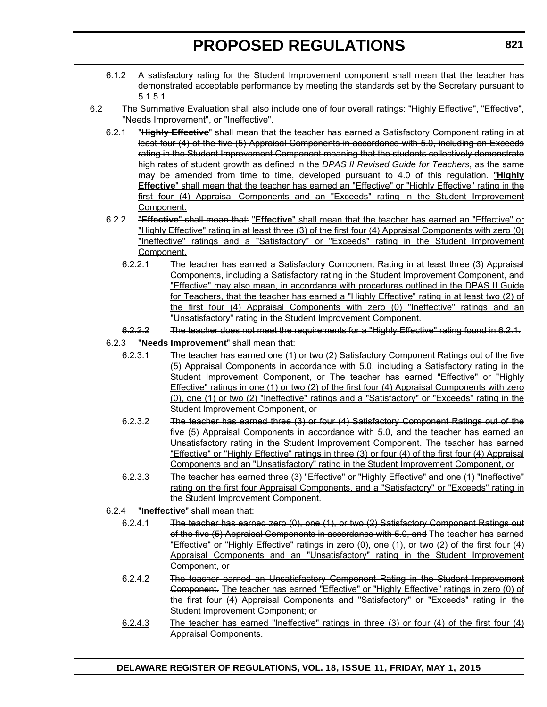- 6.1.2 A satisfactory rating for the Student Improvement component shall mean that the teacher has demonstrated acceptable performance by meeting the standards set by the Secretary pursuant to 5.1.5.1.
- 6.2 The Summative Evaluation shall also include one of four overall ratings: "Highly Effective", "Effective", "Needs Improvement", or "Ineffective".
	- 6.2.1 "**Highly Effective**" shall mean that the teacher has earned a Satisfactory Component rating in at least four (4) of the five (5) Appraisal Components in accordance with 5.0, including an Exceeds rating in the Student Improvement Component meaning that the students collectively demonstrate high rates of student growth as defined in the *DPAS II Revised Guide for Teachers*, as the same may be amended from time to time, developed pursuant to 4.0 of this regulation. "**Highly Effective**" shall mean that the teacher has earned an "Effective" or "Highly Effective" rating in the first four (4) Appraisal Components and an "Exceeds" rating in the Student Improvement Component.
	- 6.2.2 "**Effective**" shall mean that: "**Effective**" shall mean that the teacher has earned an "Effective" or "Highly Effective" rating in at least three (3) of the first four (4) Appraisal Components with zero (0) "Ineffective" ratings and a "Satisfactory" or "Exceeds" rating in the Student Improvement Component.
		- 6.2.2.1 The teacher has earned a Satisfactory Component Rating in at least three (3) Appraisal Components, including a Satisfactory rating in the Student Improvement Component, and "Effective" may also mean, in accordance with procedures outlined in the DPAS II Guide for Teachers, that the teacher has earned a "Highly Effective" rating in at least two (2) of the first four (4) Appraisal Components with zero (0) "Ineffective" ratings and an "Unsatisfactory" rating in the Student Improvement Component.
		- 6.2.2.2 The teacher does not meet the requirements for a "Highly Effective" rating found in 6.2.1.
	- 6.2.3 "**Needs Improvement**" shall mean that:
		- 6.2.3.1 The teacher has earned one (1) or two (2) Satisfactory Component Ratings out of the five (5) Appraisal Components in accordance with 5.0, including a Satisfactory rating in the Student Improvement Component, or The teacher has earned "Effective" or "Highly Effective" ratings in one (1) or two (2) of the first four (4) Appraisal Components with zero (0), one (1) or two (2) "Ineffective" ratings and a "Satisfactory" or "Exceeds" rating in the Student Improvement Component, or
		- 6.2.3.2 The teacher has earned three (3) or four (4) Satisfactory Component Ratings out of the five (5) Appraisal Components in accordance with 5.0, and the teacher has earned an Unsatisfactory rating in the Student Improvement Component. The teacher has earned "Effective" or "Highly Effective" ratings in three (3) or four (4) of the first four (4) Appraisal Components and an "Unsatisfactory" rating in the Student Improvement Component, or
		- 6.2.3.3 The teacher has earned three (3) "Effective" or "Highly Effective" and one (1) "Ineffective" rating on the first four Appraisal Components, and a "Satisfactory" or "Exceeds" rating in the Student Improvement Component.
	- 6.2.4 "**Ineffective**" shall mean that:
		- 6.2.4.1 The teacher has earned zero (0), one (1), or two (2) Satisfactory Component Ratings out of the five (5) Appraisal Components in accordance with 5.0, and The teacher has earned "Effective" or "Highly Effective" ratings in zero (0), one (1), or two (2) of the first four (4) Appraisal Components and an "Unsatisfactory" rating in the Student Improvement Component, or
		- 6.2.4.2 The teacher earned an Unsatisfactory Component Rating in the Student Improvement Component. The teacher has earned "Effective" or "Highly Effective" ratings in zero (0) of the first four (4) Appraisal Components and "Satisfactory" or "Exceeds" rating in the Student Improvement Component; or
		- 6.2.4.3 The teacher has earned "Ineffective" ratings in three (3) or four (4) of the first four (4) Appraisal Components.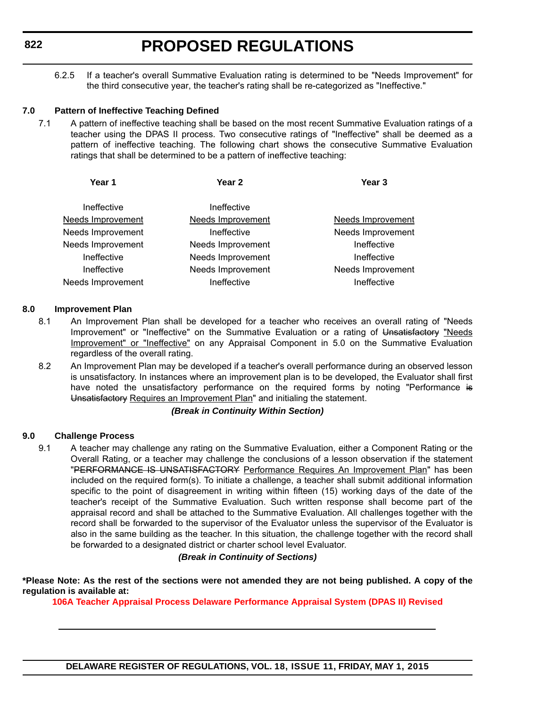6.2.5 If a teacher's overall Summative Evaluation rating is determined to be "Needs Improvement" for the third consecutive year, the teacher's rating shall be re-categorized as "Ineffective."

#### **7.0 Pattern of Ineffective Teaching Defined**

7.1 A pattern of ineffective teaching shall be based on the most recent Summative Evaluation ratings of a teacher using the DPAS II process. Two consecutive ratings of "Ineffective" shall be deemed as a pattern of ineffective teaching. The following chart shows the consecutive Summative Evaluation ratings that shall be determined to be a pattern of ineffective teaching:

| Year 1                   | Year 2                   | Year <sub>3</sub>        |
|--------------------------|--------------------------|--------------------------|
| Ineffective              | Ineffective              |                          |
| <b>Needs Improvement</b> | <b>Needs Improvement</b> | <b>Needs Improvement</b> |
| Needs Improvement        | Ineffective              | Needs Improvement        |
| Needs Improvement        | Needs Improvement        | Ineffective              |
| Ineffective              | Needs Improvement        | Ineffective              |
| Ineffective              | Needs Improvement        | Needs Improvement        |
| Needs Improvement        | Ineffective              | Ineffective              |
|                          |                          |                          |

#### **8.0 Improvement Plan**

- 8.1 An Improvement Plan shall be developed for a teacher who receives an overall rating of "Needs Improvement" or "Ineffective" on the Summative Evaluation or a rating of Unsatisfactory "Needs Improvement" or "Ineffective" on any Appraisal Component in 5.0 on the Summative Evaluation regardless of the overall rating.
- 8.2 An Improvement Plan may be developed if a teacher's overall performance during an observed lesson is unsatisfactory. In instances where an improvement plan is to be developed, the Evaluator shall first have noted the unsatisfactory performance on the required forms by noting "Performance is Unsatisfactory Requires an Improvement Plan" and initialing the statement.

#### *(Break in Continuity Within Section)*

#### **9.0 Challenge Process**

9.1 A teacher may challenge any rating on the Summative Evaluation, either a Component Rating or the Overall Rating, or a teacher may challenge the conclusions of a lesson observation if the statement "PERFORMANCE IS UNSATISFACTORY Performance Requires An Improvement Plan" has been included on the required form(s). To initiate a challenge, a teacher shall submit additional information specific to the point of disagreement in writing within fifteen (15) working days of the date of the teacher's receipt of the Summative Evaluation. Such written response shall become part of the appraisal record and shall be attached to the Summative Evaluation. All challenges together with the record shall be forwarded to the supervisor of the Evaluator unless the supervisor of the Evaluator is also in the same building as the teacher. In this situation, the challenge together with the record shall be forwarded to a designated district or charter school level Evaluator.

#### *(Break in Continuity of Sections)*

**\*Please Note: As the rest of the sections were not amended they are not being published. A copy of the regulation is available at:**

**[106A Teacher Appraisal Process Delaware Performance Appraisal System \(DPAS II\) Revised](http://regulations.delaware.gov/register/may2015/proposed/18 DE Reg 817 05-01-15.htm)**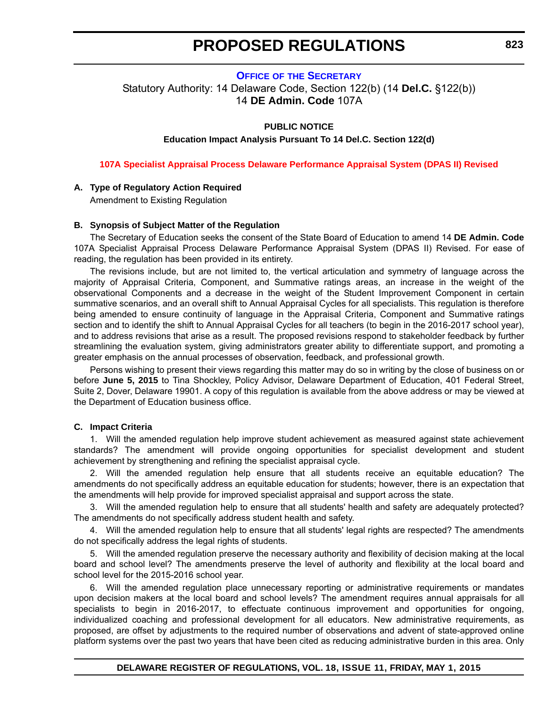**OFFICE OF [THE SECRETARY](http://www.doe.k12.de.us/site/default.aspx?PageID=1)**

<span id="page-23-0"></span>Statutory Authority: 14 Delaware Code, Section 122(b) (14 **Del.C.** §122(b)) 14 **DE Admin. Code** 107A

#### **PUBLIC NOTICE**

**Education Impact Analysis Pursuant To 14 Del.C. Section 122(d)**

**[107A Specialist Appraisal Process Delaware Performance Appraisal System \(DPAS II\) Revised](#page-3-0)**

#### **A. Type of Regulatory Action Required**

Amendment to Existing Regulation

#### **B. Synopsis of Subject Matter of the Regulation**

The Secretary of Education seeks the consent of the State Board of Education to amend 14 **DE Admin. Code** 107A Specialist Appraisal Process Delaware Performance Appraisal System (DPAS II) Revised. For ease of reading, the regulation has been provided in its entirety.

The revisions include, but are not limited to, the vertical articulation and symmetry of language across the majority of Appraisal Criteria, Component, and Summative ratings areas, an increase in the weight of the observational Components and a decrease in the weight of the Student Improvement Component in certain summative scenarios, and an overall shift to Annual Appraisal Cycles for all specialists. This regulation is therefore being amended to ensure continuity of language in the Appraisal Criteria, Component and Summative ratings section and to identify the shift to Annual Appraisal Cycles for all teachers (to begin in the 2016-2017 school year), and to address revisions that arise as a result. The proposed revisions respond to stakeholder feedback by further streamlining the evaluation system, giving administrators greater ability to differentiate support, and promoting a greater emphasis on the annual processes of observation, feedback, and professional growth.

Persons wishing to present their views regarding this matter may do so in writing by the close of business on or before **June 5, 2015** to Tina Shockley, Policy Advisor, Delaware Department of Education, 401 Federal Street, Suite 2, Dover, Delaware 19901. A copy of this regulation is available from the above address or may be viewed at the Department of Education business office.

#### **C. Impact Criteria**

1. Will the amended regulation help improve student achievement as measured against state achievement standards? The amendment will provide ongoing opportunities for specialist development and student achievement by strengthening and refining the specialist appraisal cycle.

2. Will the amended regulation help ensure that all students receive an equitable education? The amendments do not specifically address an equitable education for students; however, there is an expectation that the amendments will help provide for improved specialist appraisal and support across the state.

Will the amended regulation help to ensure that all students' health and safety are adequately protected? The amendments do not specifically address student health and safety.

4. Will the amended regulation help to ensure that all students' legal rights are respected? The amendments do not specifically address the legal rights of students.

5. Will the amended regulation preserve the necessary authority and flexibility of decision making at the local board and school level? The amendments preserve the level of authority and flexibility at the local board and school level for the 2015-2016 school year.

6. Will the amended regulation place unnecessary reporting or administrative requirements or mandates upon decision makers at the local board and school levels? The amendment requires annual appraisals for all specialists to begin in 2016-2017, to effectuate continuous improvement and opportunities for ongoing, individualized coaching and professional development for all educators. New administrative requirements, as proposed, are offset by adjustments to the required number of observations and advent of state-approved online platform systems over the past two years that have been cited as reducing administrative burden in this area. Only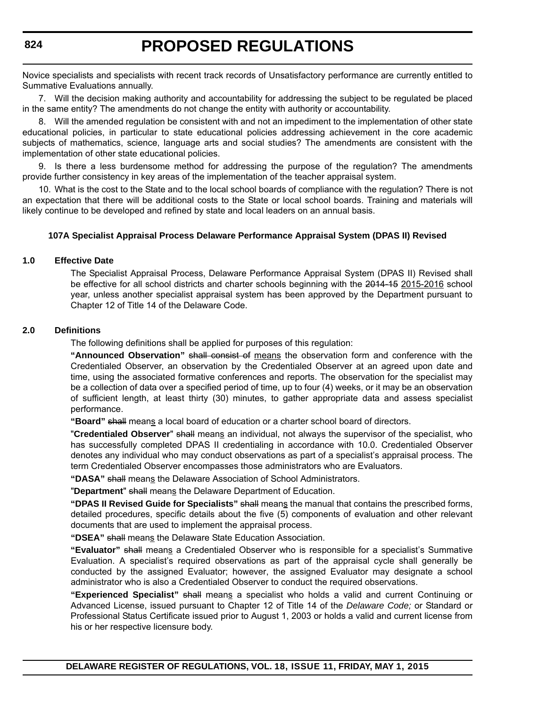Novice specialists and specialists with recent track records of Unsatisfactory performance are currently entitled to Summative Evaluations annually.

7. Will the decision making authority and accountability for addressing the subject to be regulated be placed in the same entity? The amendments do not change the entity with authority or accountability.

8. Will the amended regulation be consistent with and not an impediment to the implementation of other state educational policies, in particular to state educational policies addressing achievement in the core academic subjects of mathematics, science, language arts and social studies? The amendments are consistent with the implementation of other state educational policies.

9. Is there a less burdensome method for addressing the purpose of the regulation? The amendments provide further consistency in key areas of the implementation of the teacher appraisal system.

10. What is the cost to the State and to the local school boards of compliance with the regulation? There is not an expectation that there will be additional costs to the State or local school boards. Training and materials will likely continue to be developed and refined by state and local leaders on an annual basis.

#### **107A Specialist Appraisal Process Delaware Performance Appraisal System (DPAS II) Revised**

#### **1.0 Effective Date**

The Specialist Appraisal Process, Delaware Performance Appraisal System (DPAS II) Revised shall be effective for all school districts and charter schools beginning with the 2014-15 2015-2016 school year, unless another specialist appraisal system has been approved by the Department pursuant to Chapter 12 of Title 14 of the Delaware Code.

#### **2.0 Definitions**

The following definitions shall be applied for purposes of this regulation:

**"Announced Observation"** shall consist of means the observation form and conference with the Credentialed Observer, an observation by the Credentialed Observer at an agreed upon date and time, using the associated formative conferences and reports. The observation for the specialist may be a collection of data over a specified period of time, up to four (4) weeks, or it may be an observation of sufficient length, at least thirty (30) minutes, to gather appropriate data and assess specialist performance.

**"Board"** shall means a local board of education or a charter school board of directors.

"**Credentialed Observer**" shall means an individual, not always the supervisor of the specialist, who has successfully completed DPAS II credentialing in accordance with 10.0. Credentialed Observer denotes any individual who may conduct observations as part of a specialist's appraisal process. The term Credentialed Observer encompasses those administrators who are Evaluators.

"DASA" shall means the Delaware Association of School Administrators.

"**Department**" shall means the Delaware Department of Education.

**"DPAS II Revised Guide for Specialists"** shall means the manual that contains the prescribed forms, detailed procedures, specific details about the five (5) components of evaluation and other relevant documents that are used to implement the appraisal process.

**"DSEA"** shall means the Delaware State Education Association.

**"Evaluator"** shall means a Credentialed Observer who is responsible for a specialist's Summative Evaluation. A specialist's required observations as part of the appraisal cycle shall generally be conducted by the assigned Evaluator; however, the assigned Evaluator may designate a school administrator who is also a Credentialed Observer to conduct the required observations.

**"Experienced Specialist"** shall means a specialist who holds a valid and current Continuing or Advanced License, issued pursuant to Chapter 12 of Title 14 of the *Delaware Code;* or Standard or Professional Status Certificate issued prior to August 1, 2003 or holds a valid and current license from his or her respective licensure body.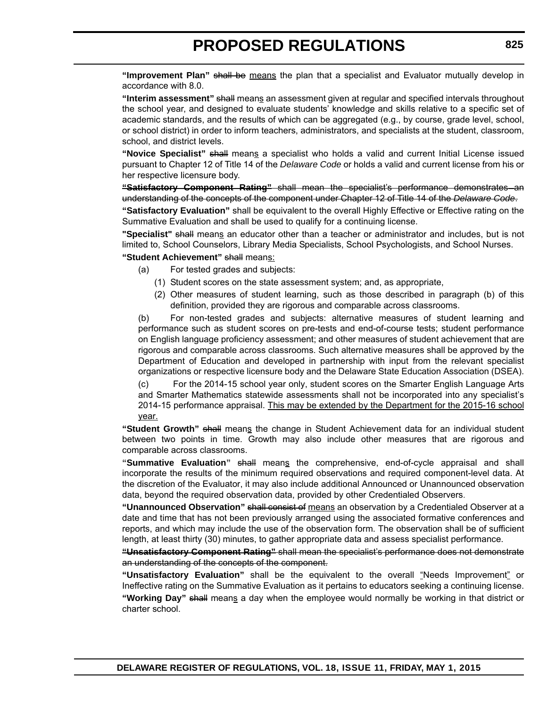**"Improvement Plan"** shall be means the plan that a specialist and Evaluator mutually develop in accordance with 8.0.

**"Interim assessment"** shall means an assessment given at regular and specified intervals throughout the school year, and designed to evaluate students' knowledge and skills relative to a specific set of academic standards, and the results of which can be aggregated (e.g., by course, grade level, school, or school district) in order to inform teachers, administrators, and specialists at the student, classroom, school, and district levels.

**"Novice Specialist"** shall means a specialist who holds a valid and current Initial License issued pursuant to Chapter 12 of Title 14 of the *Delaware Code* or holds a valid and current license from his or her respective licensure body.

**"Satisfactory Component Rating"** shall mean the specialist's performance demonstrates an understanding of the concepts of the component under Chapter 12 of Title 14 of the *Delaware Code*.

**"Satisfactory Evaluation"** shall be equivalent to the overall Highly Effective or Effective rating on the Summative Evaluation and shall be used to qualify for a continuing license.

**"Specialist"** shall means an educator other than a teacher or administrator and includes, but is not limited to, School Counselors, Library Media Specialists, School Psychologists, and School Nurses.

**"Student Achievement"** shall means:

- (a) For tested grades and subjects:
	- (1) Student scores on the state assessment system; and, as appropriate,
	- (2) Other measures of student learning, such as those described in paragraph (b) of this definition, provided they are rigorous and comparable across classrooms.

(b) For non-tested grades and subjects: alternative measures of student learning and performance such as student scores on pre-tests and end-of-course tests; student performance on English language proficiency assessment; and other measures of student achievement that are rigorous and comparable across classrooms. Such alternative measures shall be approved by the Department of Education and developed in partnership with input from the relevant specialist organizations or respective licensure body and the Delaware State Education Association (DSEA). (c) For the 2014-15 school year only, student scores on the Smarter English Language Arts and Smarter Mathematics statewide assessments shall not be incorporated into any specialist's 2014-15 performance appraisal. This may be extended by the Department for the 2015-16 school year.

**"Student Growth"** shall means the change in Student Achievement data for an individual student between two points in time. Growth may also include other measures that are rigorous and comparable across classrooms.

**"Summative Evaluation"** shall means the comprehensive, end-of-cycle appraisal and shall incorporate the results of the minimum required observations and required component-level data. At the discretion of the Evaluator, it may also include additional Announced or Unannounced observation data, beyond the required observation data, provided by other Credentialed Observers.

**"Unannounced Observation"** shall consist of means an observation by a Credentialed Observer at a date and time that has not been previously arranged using the associated formative conferences and reports, and which may include the use of the observation form. The observation shall be of sufficient length, at least thirty (30) minutes, to gather appropriate data and assess specialist performance.

**"Unsatisfactory Component Rating"** shall mean the specialist's performance does not demonstrate an understanding of the concepts of the component.

**"Unsatisfactory Evaluation"** shall be the equivalent to the overall "Needs Improvement" or Ineffective rating on the Summative Evaluation as it pertains to educators seeking a continuing license. **"Working Day"** shall means a day when the employee would normally be working in that district or charter school.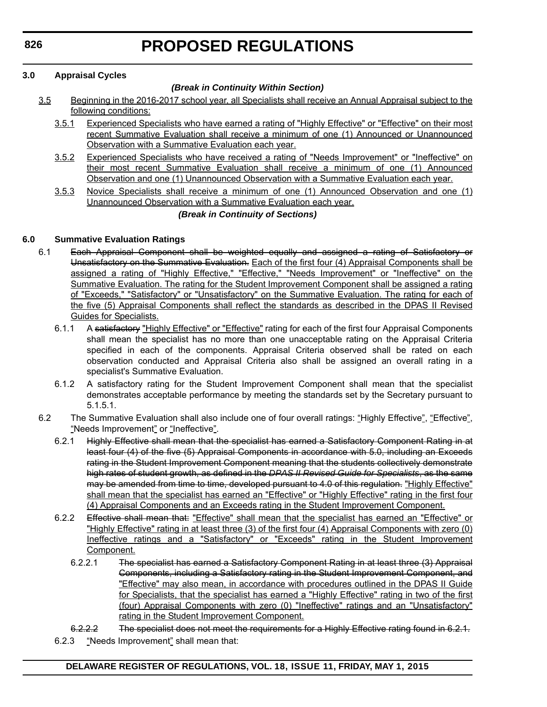#### **3.0 Appraisal Cycles**

#### *(Break in Continuity Within Section)*

- 3.5 Beginning in the 2016-2017 school year, all Specialists shall receive an Annual Appraisal subject to the following conditions:
	- 3.5.1 Experienced Specialists who have earned a rating of "Highly Effective" or "Effective" on their most recent Summative Evaluation shall receive a minimum of one (1) Announced or Unannounced Observation with a Summative Evaluation each year.
	- 3.5.2 Experienced Specialists who have received a rating of "Needs Improvement" or "Ineffective" on their most recent Summative Evaluation shall receive a minimum of one (1) Announced Observation and one (1) Unannounced Observation with a Summative Evaluation each year.
	- 3.5.3 Novice Specialists shall receive a minimum of one (1) Announced Observation and one (1) Unannounced Observation with a Summative Evaluation each year.

#### *(Break in Continuity of Sections)*

#### **6.0 Summative Evaluation Ratings**

- 6.1 Each Appraisal Component shall be weighted equally and assigned a rating of Satisfactory or Unsatisfactory on the Summative Evaluation. Each of the first four (4) Appraisal Components shall be assigned a rating of "Highly Effective," "Effective," "Needs Improvement" or "Ineffective" on the Summative Evaluation. The rating for the Student Improvement Component shall be assigned a rating of "Exceeds," "Satisfactory" or "Unsatisfactory" on the Summative Evaluation. The rating for each of the five (5) Appraisal Components shall reflect the standards as described in the DPAS II Revised Guides for Specialists.
	- 6.1.1 A satisfactory "Highly Effective" or "Effective" rating for each of the first four Appraisal Components shall mean the specialist has no more than one unacceptable rating on the Appraisal Criteria specified in each of the components. Appraisal Criteria observed shall be rated on each observation conducted and Appraisal Criteria also shall be assigned an overall rating in a specialist's Summative Evaluation.
	- 6.1.2 A satisfactory rating for the Student Improvement Component shall mean that the specialist demonstrates acceptable performance by meeting the standards set by the Secretary pursuant to 5.1.5.1.
- 6.2 The Summative Evaluation shall also include one of four overall ratings: "Highly Effective", "Effective", "Needs Improvement" or "Ineffective".
	- 6.2.1 Highly Effective shall mean that the specialist has earned a Satisfactory Component Rating in at least four (4) of the five (5) Appraisal Components in accordance with 5.0, including an Exceeds rating in the Student Improvement Component meaning that the students collectively demonstrate high rates of student growth, as defined in the *DPAS II Revised Guide for Specialists*, as the same may be amended from time to time, developed pursuant to 4.0 of this regulation. "Highly Effective" shall mean that the specialist has earned an "Effective" or "Highly Effective" rating in the first four (4) Appraisal Components and an Exceeds rating in the Student Improvement Component.
	- 6.2.2 Effective shall mean that: "Effective" shall mean that the specialist has earned an "Effective" or "Highly Effective" rating in at least three (3) of the first four (4) Appraisal Components with zero (0) Ineffective ratings and a "Satisfactory" or "Exceeds" rating in the Student Improvement Component.
		- 6.2.2.1 The specialist has earned a Satisfactory Component Rating in at least three (3) Appraisal Components, including a Satisfactory rating in the Student Improvement Component, and "Effective" may also mean, in accordance with procedures outlined in the DPAS II Guide for Specialists, that the specialist has earned a "Highly Effective" rating in two of the first (four) Appraisal Components with zero (0) "Ineffective" ratings and an "Unsatisfactory" rating in the Student Improvement Component.
	- 6.2.2.2 The specialist does not meet the requirements for a Highly Effective rating found in 6.2.1.
	- 6.2.3 "Needs Improvement" shall mean that: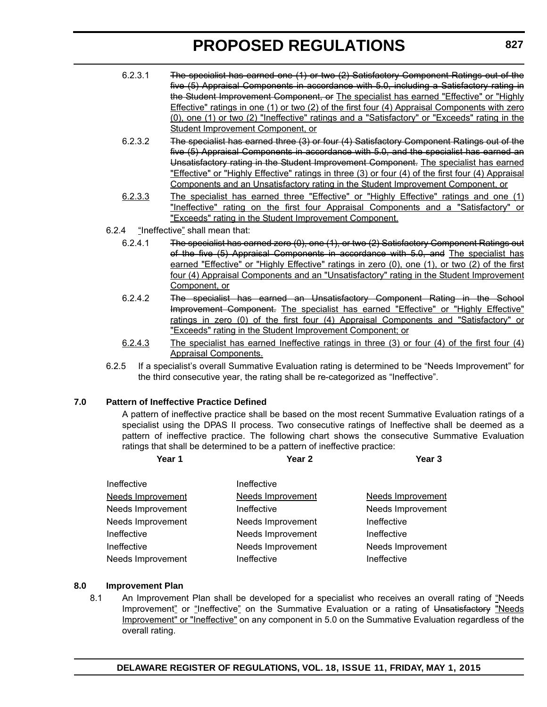- 6.2.3.1 The specialist has earned one (1) or two (2) Satisfactory Component Ratings out of the five (5) Appraisal Components in accordance with 5.0, including a Satisfactory rating in the Student Improvement Component, or The specialist has earned "Effective" or "Highly Effective" ratings in one (1) or two (2) of the first four (4) Appraisal Components with zero (0), one (1) or two (2) "Ineffective" ratings and a "Satisfactory" or "Exceeds" rating in the Student Improvement Component, or
- 6.2.3.2 The specialist has earned three (3) or four (4) Satisfactory Component Ratings out of the five (5) Appraisal Components in accordance with 5.0, and the specialist has earned an Unsatisfactory rating in the Student Improvement Component. The specialist has earned "Effective" or "Highly Effective" ratings in three (3) or four (4) of the first four (4) Appraisal Components and an Unsatisfactory rating in the Student Improvement Component, or
- 6.2.3.3 The specialist has earned three "Effective" or "Highly Effective" ratings and one (1) "Ineffective" rating on the first four Appraisal Components and a "Satisfactory" or "Exceeds" rating in the Student Improvement Component.
- 6.2.4 "Ineffective" shall mean that:
	- 6.2.4.1 The specialist has earned zero (0), one (1), or two (2) Satisfactory Component Ratings out of the five (5) Appraisal Components in accordance with 5.0, and The specialist has earned "Effective" or "Highly Effective" ratings in zero (0), one (1), or two (2) of the first four (4) Appraisal Components and an "Unsatisfactory" rating in the Student Improvement Component, or
	- 6.2.4.2 The specialist has earned an Unsatisfactory Component Rating in the School Improvement Component. The specialist has earned "Effective" or "Highly Effective" ratings in zero (0) of the first four (4) Appraisal Components and "Satisfactory" or "Exceeds" rating in the Student Improvement Component; or
	- 6.2.4.3 The specialist has earned Ineffective ratings in three (3) or four (4) of the first four (4) Appraisal Components.
- 6.2.5 If a specialist's overall Summative Evaluation rating is determined to be "Needs Improvement" for the third consecutive year, the rating shall be re-categorized as "Ineffective".

#### **7.0 Pattern of Ineffective Practice Defined**

A pattern of ineffective practice shall be based on the most recent Summative Evaluation ratings of a specialist using the DPAS II process. Two consecutive ratings of Ineffective shall be deemed as a pattern of ineffective practice. The following chart shows the consecutive Summative Evaluation ratings that shall be determined to be a pattern of ineffective practice:

| Year 1                   | Year <sub>2</sub>        | Year <sub>3</sub>        |
|--------------------------|--------------------------|--------------------------|
| Ineffective              | Ineffective              |                          |
| <b>Needs Improvement</b> | <b>Needs Improvement</b> | <b>Needs Improvement</b> |
| Needs Improvement        | Ineffective              | Needs Improvement        |
| Needs Improvement        | Needs Improvement        | Ineffective              |
| Ineffective              | Needs Improvement        | Ineffective              |
| Ineffective              | Needs Improvement        | Needs Improvement        |
| Needs Improvement        | Ineffective              | Ineffective              |

#### **8.0 Improvement Plan**

8.1 An Improvement Plan shall be developed for a specialist who receives an overall rating of "Needs Improvement" or "Ineffective" on the Summative Evaluation or a rating of Unsatisfactory "Needs Improvement" or "Ineffective" on any component in 5.0 on the Summative Evaluation regardless of the overall rating.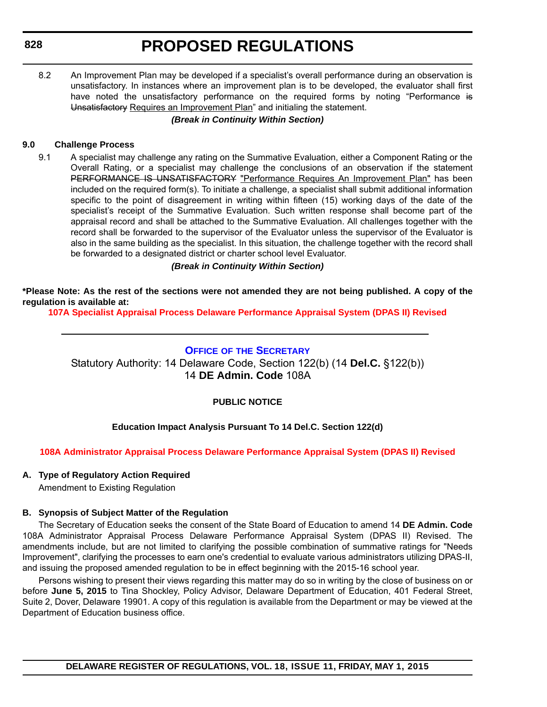<span id="page-28-0"></span>8.2 An Improvement Plan may be developed if a specialist's overall performance during an observation is unsatisfactory. In instances where an improvement plan is to be developed, the evaluator shall first have noted the unsatisfactory performance on the required forms by noting "Performance is Unsatisfactory Requires an Improvement Plan" and initialing the statement.

#### *(Break in Continuity Within Section)*

#### **9.0 Challenge Process**

9.1 A specialist may challenge any rating on the Summative Evaluation, either a Component Rating or the Overall Rating, or a specialist may challenge the conclusions of an observation if the statement PERFORMANCE IS UNSATISFACTORY "Performance Requires An Improvement Plan" has been included on the required form(s). To initiate a challenge, a specialist shall submit additional information specific to the point of disagreement in writing within fifteen (15) working days of the date of the specialist's receipt of the Summative Evaluation. Such written response shall become part of the appraisal record and shall be attached to the Summative Evaluation. All challenges together with the record shall be forwarded to the supervisor of the Evaluator unless the supervisor of the Evaluator is also in the same building as the specialist. In this situation, the challenge together with the record shall be forwarded to a designated district or charter school level Evaluator.

*(Break in Continuity Within Section)*

**\*Please Note: As the rest of the sections were not amended they are not being published. A copy of the regulation is available at:**

**[107A Specialist Appraisal Process Delaware Performance Appraisal System \(DPAS II\) Revised](http://regulations.delaware.gov/register/may2015/proposed/18 DE Reg 823 05-01-15.htm)**

#### **OFFICE OF [THE SECRETARY](http://www.doe.k12.de.us/site/default.aspx?PageID=1)**

Statutory Authority: 14 Delaware Code, Section 122(b) (14 **Del.C.** §122(b)) 14 **DE Admin. Code** 108A

#### **PUBLIC NOTICE**

#### **Education Impact Analysis Pursuant To 14 Del.C. Section 122(d)**

#### **[108A Administrator Appraisal Process Delaware Performance Appraisal System \(DPAS II\) Revised](#page-3-0)**

#### **A. Type of Regulatory Action Required**

Amendment to Existing Regulation

### **B. Synopsis of Subject Matter of the Regulation**

The Secretary of Education seeks the consent of the State Board of Education to amend 14 **DE Admin. Code** 108A Administrator Appraisal Process Delaware Performance Appraisal System (DPAS II) Revised. The amendments include, but are not limited to clarifying the possible combination of summative ratings for "Needs Improvement", clarifying the processes to earn one's credential to evaluate various administrators utilizing DPAS-II, and issuing the proposed amended regulation to be in effect beginning with the 2015-16 school year.

Persons wishing to present their views regarding this matter may do so in writing by the close of business on or before **June 5, 2015** to Tina Shockley, Policy Advisor, Delaware Department of Education, 401 Federal Street, Suite 2, Dover, Delaware 19901. A copy of this regulation is available from the Department or may be viewed at the Department of Education business office.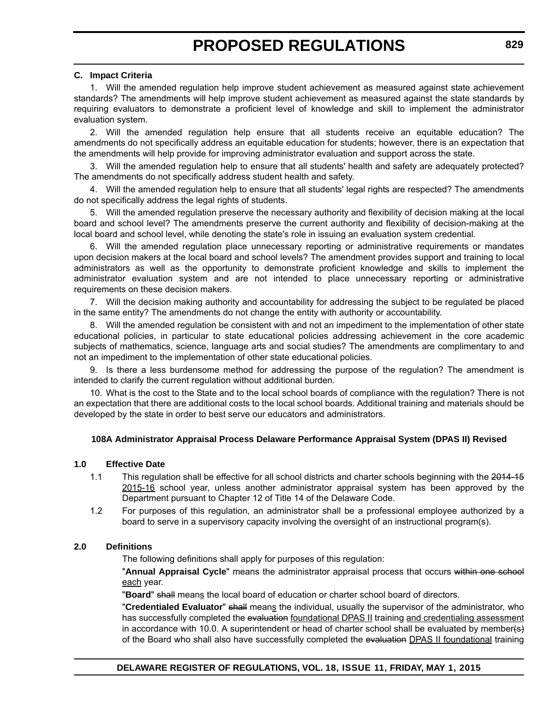#### **C. Impact Criteria**

1. Will the amended regulation help improve student achievement as measured against state achievement standards? The amendments will help improve student achievement as measured against the state standards by requiring evaluators to demonstrate a proficient level of knowledge and skill to implement the administrator evaluation system.

2. Will the amended regulation help ensure that all students receive an equitable education? The amendments do not specifically address an equitable education for students; however, there is an expectation that the amendments will help provide for improving administrator evaluation and support across the state.

3. Will the amended regulation help to ensure that all students' health and safety are adequately protected? The amendments do not specifically address student health and safety.

4. Will the amended regulation help to ensure that all students' legal rights are respected? The amendments do not specifically address the legal rights of students.

5. Will the amended regulation preserve the necessary authority and flexibility of decision making at the local board and school level? The amendments preserve the current authority and flexibility of decision-making at the local board and school level, while denoting the state's role in issuing an evaluation system credential.

6. Will the amended regulation place unnecessary reporting or administrative requirements or mandates upon decision makers at the local board and school levels? The amendment provides support and training to local administrators as well as the opportunity to demonstrate proficient knowledge and skills to implement the administrator evaluation system and are not intended to place unnecessary reporting or administrative requirements on these decision makers.

7. Will the decision making authority and accountability for addressing the subject to be regulated be placed in the same entity? The amendments do not change the entity with authority or accountability.

8. Will the amended regulation be consistent with and not an impediment to the implementation of other state educational policies, in particular to state educational policies addressing achievement in the core academic subjects of mathematics, science, language arts and social studies? The amendments are complimentary to and not an impediment to the implementation of other state educational policies.

9. Is there a less burdensome method for addressing the purpose of the regulation? The amendment is intended to clarify the current regulation without additional burden.

10. What is the cost to the State and to the local school boards of compliance with the regulation? There is not an expectation that there are additional costs to the local school boards. Additional training and materials should be developed by the state in order to best serve our educators and administrators.

#### **108A Administrator Appraisal Process Delaware Performance Appraisal System (DPAS II) Revised**

#### **1.0 Effective Date**

- 1.1 This regulation shall be effective for all school districts and charter schools beginning with the 2014-15 2015-16 school year, unless another administrator appraisal system has been approved by the Department pursuant to Chapter 12 of Title 14 of the Delaware Code.
- 1.2 For purposes of this regulation, an administrator shall be a professional employee authorized by a board to serve in a supervisory capacity involving the oversight of an instructional program(s).

#### **2.0 Definitions**

The following definitions shall apply for purposes of this regulation:

"**Annual Appraisal Cycle**" means the administrator appraisal process that occurs within one school each year.

"**Board**" shall means the local board of education or charter school board of directors.

"**Credentialed Evaluator**" shall means the individual, usually the supervisor of the administrator, who has successfully completed the evaluation foundational DPAS II training and credentialing assessment in accordance with 10.0. A superintendent or head of charter school shall be evaluated by member( $s$ ) of the Board who shall also have successfully completed the evaluation DPAS II foundational training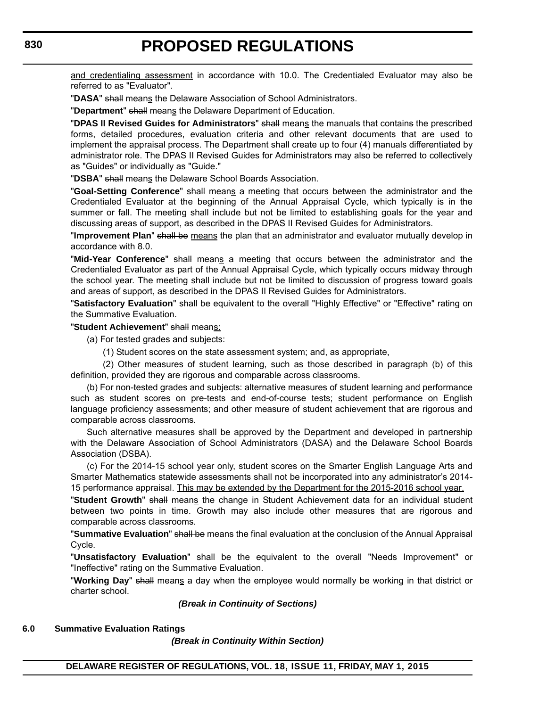and credentialing assessment in accordance with 10.0. The Credentialed Evaluator may also be referred to as "Evaluator".

"**DASA**" shall means the Delaware Association of School Administrators.

"**Department**" shall means the Delaware Department of Education.

"**DPAS II Revised Guides for Administrators**" shall means the manuals that contains the prescribed forms, detailed procedures, evaluation criteria and other relevant documents that are used to implement the appraisal process. The Department shall create up to four (4) manuals differentiated by administrator role. The DPAS II Revised Guides for Administrators may also be referred to collectively as "Guides" or individually as "Guide."

"**DSBA**" shall means the Delaware School Boards Association.

"**Goal-Setting Conference**" shall means a meeting that occurs between the administrator and the Credentialed Evaluator at the beginning of the Annual Appraisal Cycle, which typically is in the summer or fall. The meeting shall include but not be limited to establishing goals for the year and discussing areas of support, as described in the DPAS II Revised Guides for Administrators.

"**Improvement Plan**" shall be means the plan that an administrator and evaluator mutually develop in accordance with 8.0.

"**Mid-Year Conference**" shall means a meeting that occurs between the administrator and the Credentialed Evaluator as part of the Annual Appraisal Cycle, which typically occurs midway through the school year. The meeting shall include but not be limited to discussion of progress toward goals and areas of support, as described in the DPAS II Revised Guides for Administrators.

"**Satisfactory Evaluation**" shall be equivalent to the overall "Highly Effective" or "Effective" rating on the Summative Evaluation.

"**Student Achievement**" shall means:

(a) For tested grades and subjects:

(1) Student scores on the state assessment system; and, as appropriate,

(2) Other measures of student learning, such as those described in paragraph (b) of this definition, provided they are rigorous and comparable across classrooms.

(b) For non-tested grades and subjects: alternative measures of student learning and performance such as student scores on pre-tests and end-of-course tests; student performance on English language proficiency assessments; and other measure of student achievement that are rigorous and comparable across classrooms.

Such alternative measures shall be approved by the Department and developed in partnership with the Delaware Association of School Administrators (DASA) and the Delaware School Boards Association (DSBA).

(c) For the 2014-15 school year only, student scores on the Smarter English Language Arts and Smarter Mathematics statewide assessments shall not be incorporated into any administrator's 2014- 15 performance appraisal. This may be extended by the Department for the 2015-2016 school year.

"Student Growth" shall means the change in Student Achievement data for an individual student between two points in time. Growth may also include other measures that are rigorous and comparable across classrooms.

"**Summative Evaluation**" shall be means the final evaluation at the conclusion of the Annual Appraisal Cycle.

"**Unsatisfactory Evaluation**" shall be the equivalent to the overall "Needs Improvement" or "Ineffective" rating on the Summative Evaluation.

"**Working Day**" shall means a day when the employee would normally be working in that district or charter school.

#### *(Break in Continuity of Sections)*

#### **6.0 Summative Evaluation Ratings**

*(Break in Continuity Within Section)*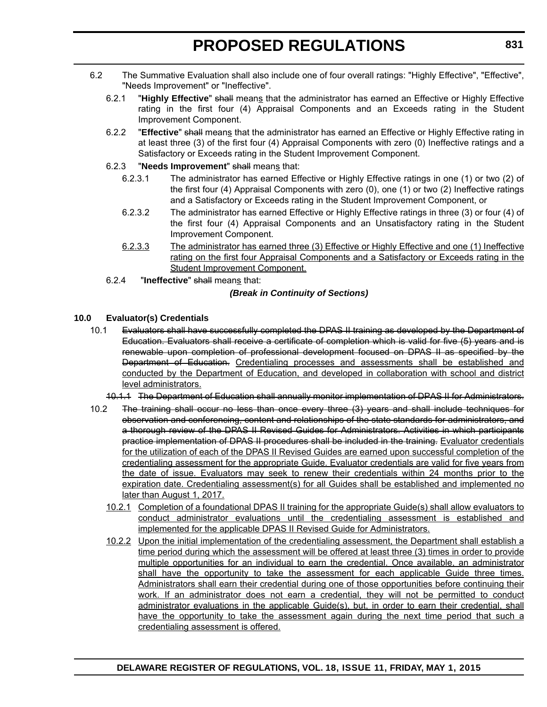- 6.2 The Summative Evaluation shall also include one of four overall ratings: "Highly Effective", "Effective", "Needs Improvement" or "Ineffective".
	- 6.2.1 "**Highly Effective**" shall means that the administrator has earned an Effective or Highly Effective rating in the first four (4) Appraisal Components and an Exceeds rating in the Student Improvement Component.
	- 6.2.2 "**Effective**" shall means that the administrator has earned an Effective or Highly Effective rating in at least three (3) of the first four (4) Appraisal Components with zero (0) Ineffective ratings and a Satisfactory or Exceeds rating in the Student Improvement Component.
	- 6.2.3 "**Needs Improvement**" shall means that:
		- 6.2.3.1 The administrator has earned Effective or Highly Effective ratings in one (1) or two (2) of the first four (4) Appraisal Components with zero (0), one (1) or two (2) Ineffective ratings and a Satisfactory or Exceeds rating in the Student Improvement Component, or
		- 6.2.3.2 The administrator has earned Effective or Highly Effective ratings in three (3) or four (4) of the first four (4) Appraisal Components and an Unsatisfactory rating in the Student Improvement Component.
		- 6.2.3.3 The administrator has earned three (3) Effective or Highly Effective and one (1) Ineffective rating on the first four Appraisal Components and a Satisfactory or Exceeds rating in the Student Improvement Component.
	- 6.2.4 "**Ineffective**" shall means that:

#### *(Break in Continuity of Sections)*

#### **10.0 Evaluator(s) Credentials**

- 10.1 Evaluators shall have successfully completed the DPAS II training as developed by the Department of Education. Evaluators shall receive a certificate of completion which is valid for five (5) years and is renewable upon completion of professional development focused on DPAS II as specified by the Department of Education. Credentialing processes and assessments shall be established and conducted by the Department of Education, and developed in collaboration with school and district level administrators.
	- 10.1.1 The Department of Education shall annually monitor implementation of DPAS II for Administrators.
- 10.2 The training shall occur no less than once every three (3) years and shall include techniques for observation and conferencing, content and relationships of the state standards for administrators, and a thorough review of the DPAS II Revised Guides for Administrators. Activities in which participants practice implementation of DPAS II procedures shall be included in the training. Evaluator credentials for the utilization of each of the DPAS II Revised Guides are earned upon successful completion of the credentialing assessment for the appropriate Guide. Evaluator credentials are valid for five years from the date of issue. Evaluators may seek to renew their credentials within 24 months prior to the expiration date. Credentialing assessment(s) for all Guides shall be established and implemented no later than August 1, 2017.
	- 10.2.1 Completion of a foundational DPAS II training for the appropriate Guide(s) shall allow evaluators to conduct administrator evaluations until the credentialing assessment is established and implemented for the applicable DPAS II Revised Guide for Administrators.
	- 10.2.2 Upon the initial implementation of the credentialing assessment, the Department shall establish a time period during which the assessment will be offered at least three (3) times in order to provide multiple opportunities for an individual to earn the credential. Once available, an administrator shall have the opportunity to take the assessment for each applicable Guide three times. Administrators shall earn their credential during one of those opportunities before continuing their work. If an administrator does not earn a credential, they will not be permitted to conduct administrator evaluations in the applicable Guide(s), but, in order to earn their credential, shall have the opportunity to take the assessment again during the next time period that such a credentialing assessment is offered.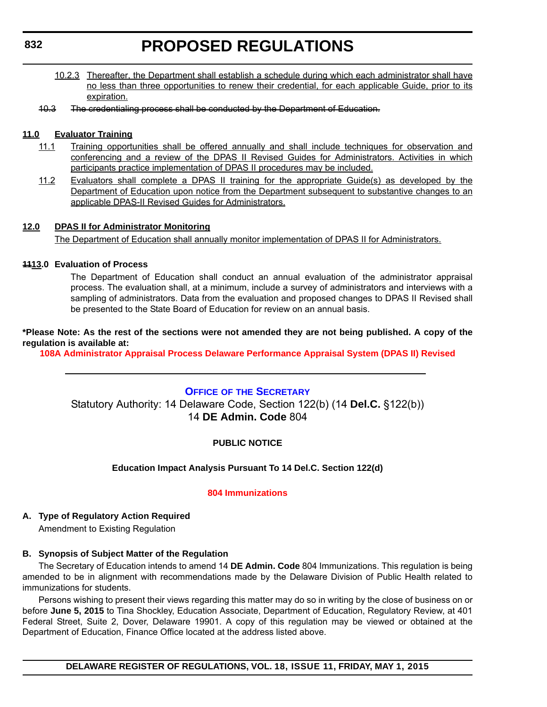- <span id="page-32-0"></span>10.2.3 Thereafter, the Department shall establish a schedule during which each administrator shall have no less than three opportunities to renew their credential, for each applicable Guide, prior to its expiration.
- 10.3 The credentialing process shall be conducted by the Department of Education.

#### **11.0 Evaluator Training**

- 11.1 Training opportunities shall be offered annually and shall include techniques for observation and conferencing and a review of the DPAS II Revised Guides for Administrators. Activities in which participants practice implementation of DPAS II procedures may be included.
- 11.2 Evaluators shall complete a DPAS II training for the appropriate Guide(s) as developed by the Department of Education upon notice from the Department subsequent to substantive changes to an applicable DPAS-II Revised Guides for Administrators.

#### **12.0 DPAS II for Administrator Monitoring**

The Department of Education shall annually monitor implementation of DPAS II for Administrators.

#### **1113.0 Evaluation of Process**

The Department of Education shall conduct an annual evaluation of the administrator appraisal process. The evaluation shall, at a minimum, include a survey of administrators and interviews with a sampling of administrators. Data from the evaluation and proposed changes to DPAS II Revised shall be presented to the State Board of Education for review on an annual basis.

#### **\*Please Note: As the rest of the sections were not amended they are not being published. A copy of the regulation is available at:**

**[108A Administrator Appraisal Process Delaware Performance Appraisal System \(DPAS II\) Revised](http://regulations.delaware.gov/register/may2015/proposed/18 DE Reg 828 05-01-15.htm)**

#### **OFFICE OF [THE SECRETARY](http://www.doe.k12.de.us/site/default.aspx?PageID=1)**

Statutory Authority: 14 Delaware Code, Section 122(b) (14 **Del.C.** §122(b)) 14 **DE Admin. Code** 804

#### **PUBLIC NOTICE**

#### **Education Impact Analysis Pursuant To 14 Del.C. Section 122(d)**

#### **[804 Immunizations](#page-3-0)**

**A. Type of Regulatory Action Required** Amendment to Existing Regulation

### **B. Synopsis of Subject Matter of the Regulation**

The Secretary of Education intends to amend 14 **DE Admin. Code** 804 Immunizations. This regulation is being amended to be in alignment with recommendations made by the Delaware Division of Public Health related to immunizations for students.

Persons wishing to present their views regarding this matter may do so in writing by the close of business on or before **June 5, 2015** to Tina Shockley, Education Associate, Department of Education, Regulatory Review, at 401 Federal Street, Suite 2, Dover, Delaware 19901. A copy of this regulation may be viewed or obtained at the Department of Education, Finance Office located at the address listed above.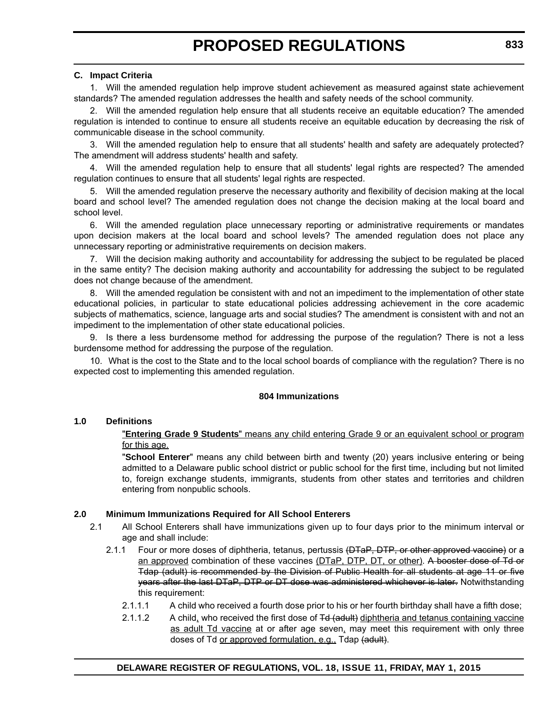#### **C. Impact Criteria**

1. Will the amended regulation help improve student achievement as measured against state achievement standards? The amended regulation addresses the health and safety needs of the school community.

2. Will the amended regulation help ensure that all students receive an equitable education? The amended regulation is intended to continue to ensure all students receive an equitable education by decreasing the risk of communicable disease in the school community.

3. Will the amended regulation help to ensure that all students' health and safety are adequately protected? The amendment will address students' health and safety.

4. Will the amended regulation help to ensure that all students' legal rights are respected? The amended regulation continues to ensure that all students' legal rights are respected.

5. Will the amended regulation preserve the necessary authority and flexibility of decision making at the local board and school level? The amended regulation does not change the decision making at the local board and school level.

6. Will the amended regulation place unnecessary reporting or administrative requirements or mandates upon decision makers at the local board and school levels? The amended regulation does not place any unnecessary reporting or administrative requirements on decision makers.

7. Will the decision making authority and accountability for addressing the subject to be regulated be placed in the same entity? The decision making authority and accountability for addressing the subject to be regulated does not change because of the amendment.

8. Will the amended regulation be consistent with and not an impediment to the implementation of other state educational policies, in particular to state educational policies addressing achievement in the core academic subjects of mathematics, science, language arts and social studies? The amendment is consistent with and not an impediment to the implementation of other state educational policies.

9. Is there a less burdensome method for addressing the purpose of the regulation? There is not a less burdensome method for addressing the purpose of the regulation.

10. What is the cost to the State and to the local school boards of compliance with the regulation? There is no expected cost to implementing this amended regulation.

#### **804 Immunizations**

#### **1.0 Definitions**

"**Entering Grade 9 Students**" means any child entering Grade 9 or an equivalent school or program for this age.

"**School Enterer**" means any child between birth and twenty (20) years inclusive entering or being admitted to a Delaware public school district or public school for the first time, including but not limited to, foreign exchange students, immigrants, students from other states and territories and children entering from nonpublic schools.

#### **2.0 Minimum Immunizations Required for All School Enterers**

- 2.1 All School Enterers shall have immunizations given up to four days prior to the minimum interval or age and shall include:
	- 2.1.1 Four or more doses of diphtheria, tetanus, pertussis (DTaP, DTP, or other approved vaccine) or a an approved combination of these vaccines (DTaP, DTP, DT, or other). A booster dose of Td or Tdap (adult) is recommended by the Division of Public Health for all students at age 11 or five years after the last DTaP, DTP or DT dose was administered whichever is later. Notwithstanding this requirement:
		- 2.1.1.1 A child who received a fourth dose prior to his or her fourth birthday shall have a fifth dose;
		- 2.1.1.2 A child, who received the first dose of Td (adult) diphtheria and tetanus containing vaccine as adult Td vaccine at or after age seven, may meet this requirement with only three doses of Td or approved formulation, e.g., Tdap (adult).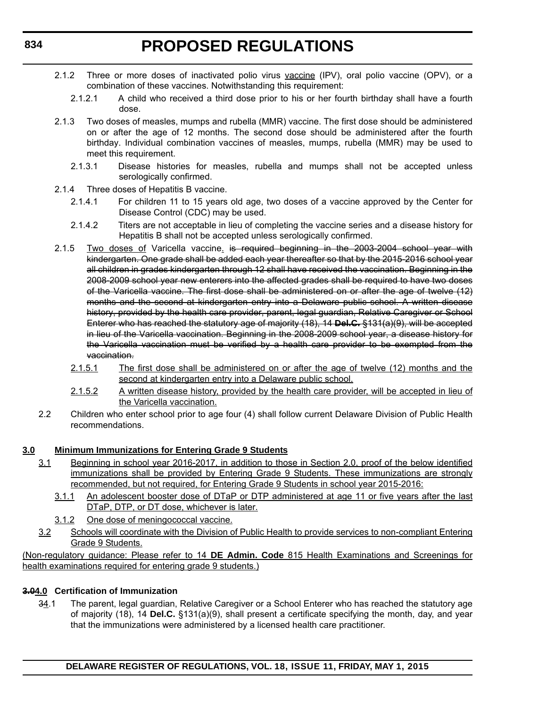- 2.1.2 Three or more doses of inactivated polio virus vaccine (IPV), oral polio vaccine (OPV), or a combination of these vaccines. Notwithstanding this requirement:
	- 2.1.2.1 A child who received a third dose prior to his or her fourth birthday shall have a fourth dose.
- 2.1.3 Two doses of measles, mumps and rubella (MMR) vaccine. The first dose should be administered on or after the age of 12 months. The second dose should be administered after the fourth birthday. Individual combination vaccines of measles, mumps, rubella (MMR) may be used to meet this requirement.
	- 2.1.3.1 Disease histories for measles, rubella and mumps shall not be accepted unless serologically confirmed.
- 2.1.4 Three doses of Hepatitis B vaccine.
	- 2.1.4.1 For children 11 to 15 years old age, two doses of a vaccine approved by the Center for Disease Control (CDC) may be used.
	- 2.1.4.2 Titers are not acceptable in lieu of completing the vaccine series and a disease history for Hepatitis B shall not be accepted unless serologically confirmed.
- 2.1.5 Two doses of Varicella vaccine. is required beginning in the 2003-2004 school year with kindergarten. One grade shall be added each year thereafter so that by the 2015-2016 school year all children in grades kindergarten through 12 shall have received the vaccination. Beginning in the 2008-2009 school year new enterers into the affected grades shall be required to have two doses of the Varicella vaccine. The first dose shall be administered on or after the age of twelve (12) months and the second at kindergarten entry into a Delaware public school. A written disease history, provided by the health care provider, parent, legal guardian, Relative Caregiver or School Enterer who has reached the statutory age of majority (18), 14 **Del.C.** §131(a)(9), will be accepted in lieu of the Varicella vaccination. Beginning in the 2008-2009 school year, a disease history for the Varicella vaccination must be verified by a health care provider to be exempted from the vaccination.
	- 2.1.5.1 The first dose shall be administered on or after the age of twelve (12) months and the second at kindergarten entry into a Delaware public school.
	- 2.1.5.2 A written disease history, provided by the health care provider, will be accepted in lieu of the Varicella vaccination.
- 2.2 Children who enter school prior to age four (4) shall follow current Delaware Division of Public Health recommendations.

#### **3.0 Minimum Immunizations for Entering Grade 9 Students**

- 3.1 Beginning in school year 2016-2017, in addition to those in Section 2.0, proof of the below identified immunizations shall be provided by Entering Grade 9 Students. These immunizations are strongly recommended, but not required, for Entering Grade 9 Students in school year 2015-2016:
	- 3.1.1 An adolescent booster dose of DTaP or DTP administered at age 11 or five years after the last DTaP, DTP, or DT dose, whichever is later.
	- 3.1.2 One dose of meningococcal vaccine.
- 3.2 Schools will coordinate with the Division of Public Health to provide services to non-compliant Entering Grade 9 Students.

(Non-regulatory guidance: Please refer to 14 **DE Admin. Code** 815 Health Examinations and Screenings for health examinations required for entering grade 9 students.)

#### **3.04.0 Certification of Immunization**

34.1 The parent, legal guardian, Relative Caregiver or a School Enterer who has reached the statutory age of majority (18), 14 **Del.C.** §131(a)(9), shall present a certificate specifying the month, day, and year that the immunizations were administered by a licensed health care practitioner.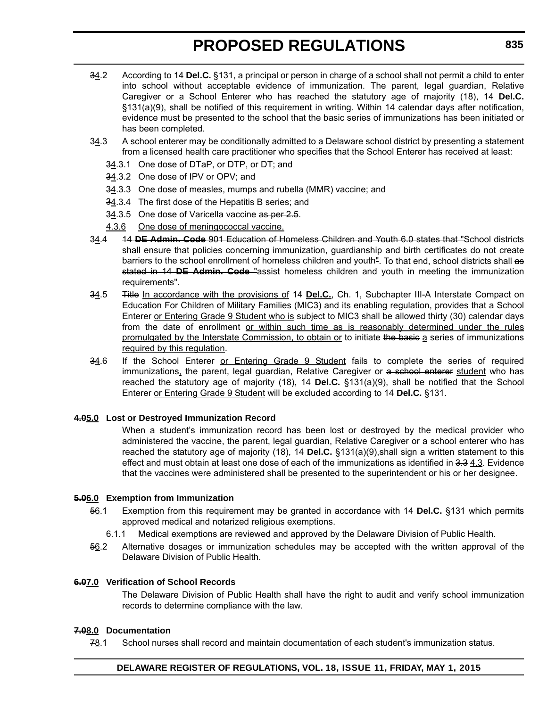- 34.2 According to 14 **Del.C.** §131, a principal or person in charge of a school shall not permit a child to enter into school without acceptable evidence of immunization. The parent, legal guardian, Relative Caregiver or a School Enterer who has reached the statutory age of majority (18), 14 **Del.C.** §131(a)(9), shall be notified of this requirement in writing. Within 14 calendar days after notification, evidence must be presented to the school that the basic series of immunizations has been initiated or has been completed.
- $34.3$  A school enterer may be conditionally admitted to a Delaware school district by presenting a statement from a licensed health care practitioner who specifies that the School Enterer has received at least:
	- 34.3.1 One dose of DTaP, or DTP, or DT; and
	- 34.3.2 One dose of IPV or OPV; and
	- 34.3.3 One dose of measles, mumps and rubella (MMR) vaccine; and
	- 34.3.4 The first dose of the Hepatitis B series; and
	- 34.3.5 One dose of Varicella vaccine as per 2.5.
	- 4.3.6 One dose of meningococcal vaccine.
- 34.4 14 **DE Admin. Code** 901 Education of Homeless Children and Youth 6.0 states that "School districts shall ensure that policies concerning immunization, guardianship and birth certificates do not create barriers to the school enrollment of homeless children and youth". To that end, school districts shall as stated in 14 **DE Admin. Code** "assist homeless children and youth in meeting the immunization requirements".
- 34.5 Title In accordance with the provisions of 14 **Del.C.**, Ch. 1, Subchapter III-A Interstate Compact on Education For Children of Military Families (MIC3) and its enabling regulation, provides that a School Enterer or Entering Grade 9 Student who is subject to MIC3 shall be allowed thirty (30) calendar days from the date of enrollment or within such time as is reasonably determined under the rules promulgated by the Interstate Commission, to obtain or to initiate the basic a series of immunizations required by this regulation.
- 34.6 If the School Enterer or Entering Grade 9 Student fails to complete the series of required immunizations, the parent, legal guardian, Relative Caregiver or a school enterer student who has reached the statutory age of majority (18), 14 **Del.C.** §131(a)(9), shall be notified that the School Enterer or Entering Grade 9 Student will be excluded according to 14 **Del.C.** §131.

#### **4.05.0 Lost or Destroyed Immunization Record**

When a student's immunization record has been lost or destroyed by the medical provider who administered the vaccine, the parent, legal guardian, Relative Caregiver or a school enterer who has reached the statutory age of majority (18), 14 **Del.C.** §131(a)(9),shall sign a written statement to this effect and must obtain at least one dose of each of the immunizations as identified in  $3.3$   $4.3$ . Evidence that the vaccines were administered shall be presented to the superintendent or his or her designee.

#### **5.06.0 Exemption from Immunization**

- 56.1 Exemption from this requirement may be granted in accordance with 14 **Del.C.** §131 which permits approved medical and notarized religious exemptions.
	- 6.1.1 Medical exemptions are reviewed and approved by the Delaware Division of Public Health.
- 56.2 Alternative dosages or immunization schedules may be accepted with the written approval of the Delaware Division of Public Health.

#### **6.07.0 Verification of School Records**

The Delaware Division of Public Health shall have the right to audit and verify school immunization records to determine compliance with the law.

#### **7.08.0 Documentation**

 $78.1$  School nurses shall record and maintain documentation of each student's immunization status.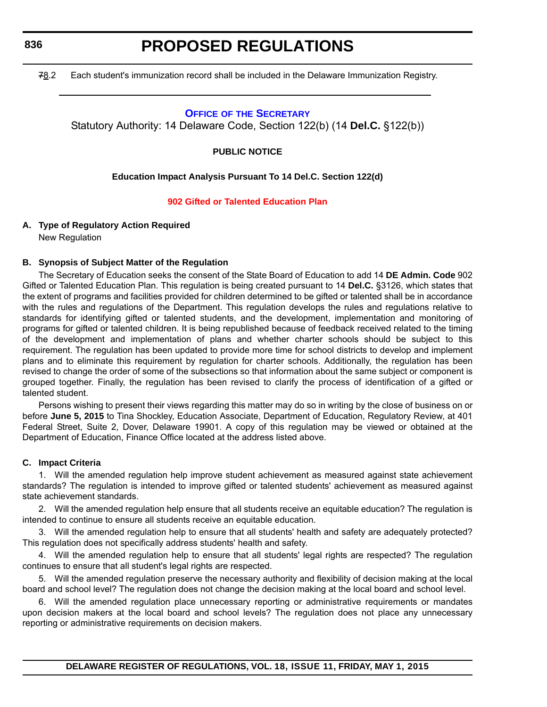**836**

# **PROPOSED REGULATIONS**

78.2 Each student's immunization record shall be included in the Delaware Immunization Registry.

## **OFFICE OF [THE SECRETARY](http://www.doe.k12.de.us/site/default.aspx?PageID=1)**

Statutory Authority: 14 Delaware Code, Section 122(b) (14 **Del.C.** §122(b))

## **PUBLIC NOTICE**

## **Education Impact Analysis Pursuant To 14 Del.C. Section 122(d)**

## **[902 Gifted or Talented Education Plan](#page-3-0)**

## **A. Type of Regulatory Action Required**

New Regulation

## **B. Synopsis of Subject Matter of the Regulation**

The Secretary of Education seeks the consent of the State Board of Education to add 14 **DE Admin. Code** 902 Gifted or Talented Education Plan. This regulation is being created pursuant to 14 **Del.C.** §3126, which states that the extent of programs and facilities provided for children determined to be gifted or talented shall be in accordance with the rules and regulations of the Department. This regulation develops the rules and regulations relative to standards for identifying gifted or talented students, and the development, implementation and monitoring of programs for gifted or talented children. It is being republished because of feedback received related to the timing of the development and implementation of plans and whether charter schools should be subject to this requirement. The regulation has been updated to provide more time for school districts to develop and implement plans and to eliminate this requirement by regulation for charter schools. Additionally, the regulation has been revised to change the order of some of the subsections so that information about the same subject or component is grouped together. Finally, the regulation has been revised to clarify the process of identification of a gifted or talented student.

Persons wishing to present their views regarding this matter may do so in writing by the close of business on or before **June 5, 2015** to Tina Shockley, Education Associate, Department of Education, Regulatory Review, at 401 Federal Street, Suite 2, Dover, Delaware 19901. A copy of this regulation may be viewed or obtained at the Department of Education, Finance Office located at the address listed above.

## **C. Impact Criteria**

1. Will the amended regulation help improve student achievement as measured against state achievement standards? The regulation is intended to improve gifted or talented students' achievement as measured against state achievement standards.

2. Will the amended regulation help ensure that all students receive an equitable education? The regulation is intended to continue to ensure all students receive an equitable education.

3. Will the amended regulation help to ensure that all students' health and safety are adequately protected? This regulation does not specifically address students' health and safety.

4. Will the amended regulation help to ensure that all students' legal rights are respected? The regulation continues to ensure that all student's legal rights are respected.

5. Will the amended regulation preserve the necessary authority and flexibility of decision making at the local board and school level? The regulation does not change the decision making at the local board and school level.

6. Will the amended regulation place unnecessary reporting or administrative requirements or mandates upon decision makers at the local board and school levels? The regulation does not place any unnecessary reporting or administrative requirements on decision makers.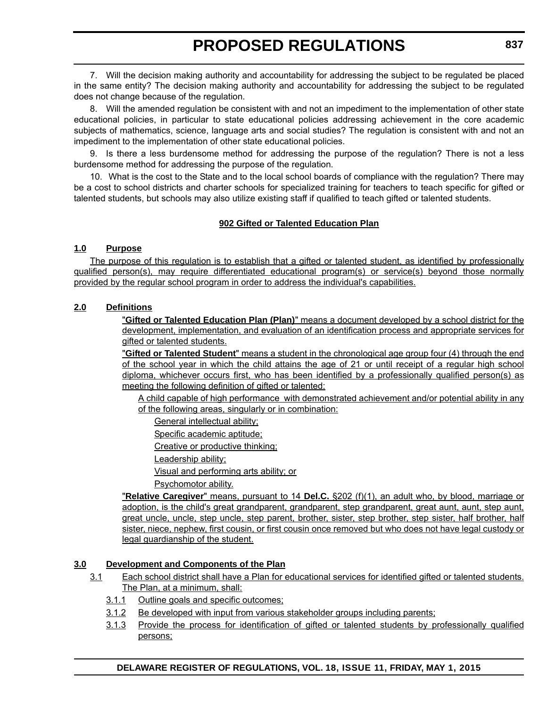7. Will the decision making authority and accountability for addressing the subject to be regulated be placed in the same entity? The decision making authority and accountability for addressing the subject to be regulated does not change because of the regulation.

8. Will the amended regulation be consistent with and not an impediment to the implementation of other state educational policies, in particular to state educational policies addressing achievement in the core academic subjects of mathematics, science, language arts and social studies? The regulation is consistent with and not an impediment to the implementation of other state educational policies.

9. Is there a less burdensome method for addressing the purpose of the regulation? There is not a less burdensome method for addressing the purpose of the regulation.

10. What is the cost to the State and to the local school boards of compliance with the regulation? There may be a cost to school districts and charter schools for specialized training for teachers to teach specific for gifted or talented students, but schools may also utilize existing staff if qualified to teach gifted or talented students.

## **902 Gifted or Talented Education Plan**

## **1.0 Purpose**

The purpose of this regulation is to establish that a gifted or talented student, as identified by professionally qualified person(s), may require differentiated educational program(s) or service(s) beyond those normally provided by the regular school program in order to address the individual's capabilities.

## **2.0 Definitions**

"**Gifted or Talented Education Plan (Plan)**" means a document developed by a school district for the development, implementation, and evaluation of an identification process and appropriate services for gifted or talented students.

"**Gifted or Talented Student**" means a student in the chronological age group four (4) through the end of the school year in which the child attains the age of 21 or until receipt of a regular high school diploma, whichever occurs first, who has been identified by a professionally qualified person(s) as meeting the following definition of gifted or talented:

A child capable of high performance with demonstrated achievement and/or potential ability in any of the following areas, singularly or in combination:

General intellectual ability;

Specific academic aptitude;

Creative or productive thinking;

Leadership ability;

Visual and performing arts ability; or

Psychomotor ability.

"**Relative Caregiver**" means, pursuant to 14 **Del.C.** §202 (f)(1), an adult who, by blood, marriage or adoption, is the child's great grandparent, grandparent, step grandparent, great aunt, aunt, step aunt, great uncle, uncle, step uncle, step parent, brother, sister, step brother, step sister, half brother, half sister, niece, nephew, first cousin, or first cousin once removed but who does not have legal custody or legal guardianship of the student.

## **3.0 Development and Components of the Plan**

- 3.1 Each school district shall have a Plan for educational services for identified gifted or talented students. The Plan, at a minimum, shall:
	- 3.1.1 Outline goals and specific outcomes;
	- 3.1.2 Be developed with input from various stakeholder groups including parents;
	- 3.1.3 Provide the process for identification of gifted or talented students by professionally qualified persons;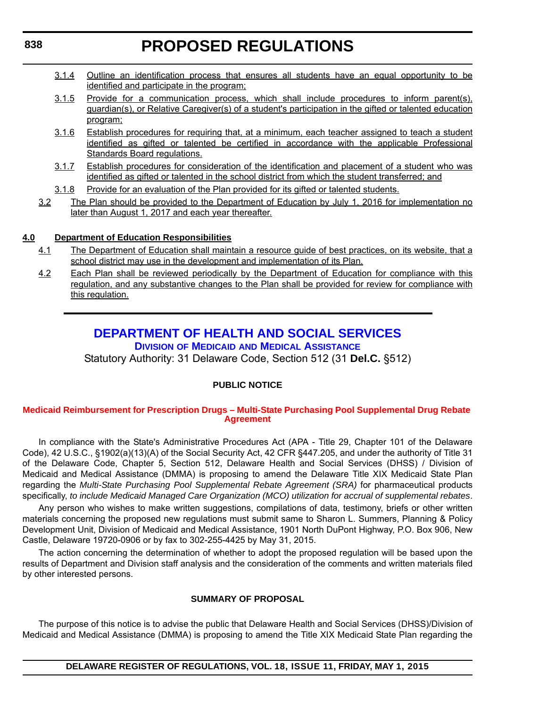- 3.1.4 Outline an identification process that ensures all students have an equal opportunity to be identified and participate in the program;
- 3.1.5 Provide for a communication process, which shall include procedures to inform parent(s), guardian(s), or Relative Caregiver(s) of a student's participation in the gifted or talented education program;
- 3.1.6 Establish procedures for requiring that, at a minimum, each teacher assigned to teach a student identified as gifted or talented be certified in accordance with the applicable Professional Standards Board regulations.
- 3.1.7 Establish procedures for consideration of the identification and placement of a student who was identified as gifted or talented in the school district from which the student transferred; and
- 3.1.8 Provide for an evaluation of the Plan provided for its gifted or talented students.
- 3.2 The Plan should be provided to the Department of Education by July 1, 2016 for implementation no later than August 1, 2017 and each year thereafter.

## **4.0 Department of Education Responsibilities**

- 4.1 The Department of Education shall maintain a resource guide of best practices, on its website, that a school district may use in the development and implementation of its Plan.
- 4.2 Each Plan shall be reviewed periodically by the Department of Education for compliance with this regulation, and any substantive changes to the Plan shall be provided for review for compliance with this regulation.

## **[DEPARTMENT OF HEALTH AND SOCIAL SERVICES](http://www.dhss.delaware.gov/dhss/dmma/) DIVISION OF MEDICAID AND MEDICAL ASSISTANCE**

Statutory Authority: 31 Delaware Code, Section 512 (31 **Del.C.** §512)

## **PUBLIC NOTICE**

## **[Medicaid Reimbursement for Prescription Drugs – Multi-State Purchasing Pool Supplemental Drug Rebate](#page-3-0)  Agreement**

In compliance with the State's Administrative Procedures Act (APA - Title 29, Chapter 101 of the Delaware Code), 42 U.S.C., §1902(a)(13)(A) of the Social Security Act, 42 CFR §447.205, and under the authority of Title 31 of the Delaware Code, Chapter 5, Section 512, Delaware Health and Social Services (DHSS) / Division of Medicaid and Medical Assistance (DMMA) is proposing to amend the Delaware Title XIX Medicaid State Plan regarding the *Multi-State Purchasing Pool Supplemental Rebate Agreement (SRA)* for pharmaceutical products specifically, *to include Medicaid Managed Care Organization (MCO) utilization for accrual of supplemental rebates*.

Any person who wishes to make written suggestions, compilations of data, testimony, briefs or other written materials concerning the proposed new regulations must submit same to Sharon L. Summers, Planning & Policy Development Unit, Division of Medicaid and Medical Assistance, 1901 North DuPont Highway, P.O. Box 906, New Castle, Delaware 19720-0906 or by fax to 302-255-4425 by May 31, 2015.

The action concerning the determination of whether to adopt the proposed regulation will be based upon the results of Department and Division staff analysis and the consideration of the comments and written materials filed by other interested persons.

## **SUMMARY OF PROPOSAL**

The purpose of this notice is to advise the public that Delaware Health and Social Services (DHSS)/Division of Medicaid and Medical Assistance (DMMA) is proposing to amend the Title XIX Medicaid State Plan regarding the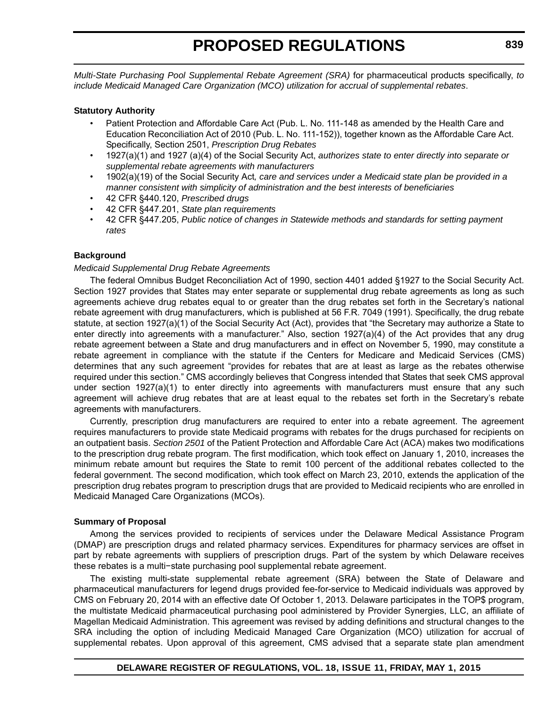*Multi-State Purchasing Pool Supplemental Rebate Agreement (SRA)* for pharmaceutical products specifically, *to include Medicaid Managed Care Organization (MCO) utilization for accrual of supplemental rebates*.

#### **Statutory Authority**

- Patient Protection and Affordable Care Act (Pub. L. No. 111-148 as amended by the Health Care and Education Reconciliation Act of 2010 (Pub. L. No. 111-152)), together known as the Affordable Care Act. Specifically, Section 2501, *Prescription Drug Rebates*
- 1927(a)(1) and 1927 (a)(4) of the Social Security Act, *authorizes state to enter directly into separate or supplemental rebate agreements with manufacturers*
- 1902(a)(19) of the Social Security Act*, care and services under a Medicaid state plan be provided in a manner consistent with simplicity of administration and the best interests of beneficiaries*
- 42 CFR §440.120, *Prescribed drugs*
- 42 CFR §447.201, *State plan requirements*
- 42 CFR §447.205, *Public notice of changes in Statewide methods and standards for setting payment rates*

## **Background**

#### *Medicaid Supplemental Drug Rebate Agreements*

The federal Omnibus Budget Reconciliation Act of 1990, section 4401 added §1927 to the Social Security Act. Section 1927 provides that States may enter separate or supplemental drug rebate agreements as long as such agreements achieve drug rebates equal to or greater than the drug rebates set forth in the Secretary's national rebate agreement with drug manufacturers, which is published at 56 F.R. 7049 (1991). Specifically, the drug rebate statute, at section 1927(a)(1) of the Social Security Act (Act), provides that "the Secretary may authorize a State to enter directly into agreements with a manufacturer." Also, section 1927(a)(4) of the Act provides that any drug rebate agreement between a State and drug manufacturers and in effect on November 5, 1990, may constitute a rebate agreement in compliance with the statute if the Centers for Medicare and Medicaid Services (CMS) determines that any such agreement "provides for rebates that are at least as large as the rebates otherwise required under this section." CMS accordingly believes that Congress intended that States that seek CMS approval under section 1927(a)(1) to enter directly into agreements with manufacturers must ensure that any such agreement will achieve drug rebates that are at least equal to the rebates set forth in the Secretary's rebate agreements with manufacturers.

Currently, prescription drug manufacturers are required to enter into a rebate agreement. The agreement requires manufacturers to provide state Medicaid programs with rebates for the drugs purchased for recipients on an outpatient basis. *Section 2501* of the Patient Protection and Affordable Care Act (ACA) makes two modifications to the prescription drug rebate program. The first modification, which took effect on January 1, 2010, increases the minimum rebate amount but requires the State to remit 100 percent of the additional rebates collected to the federal government. The second modification, which took effect on March 23, 2010, extends the application of the prescription drug rebates program to prescription drugs that are provided to Medicaid recipients who are enrolled in Medicaid Managed Care Organizations (MCOs).

#### **Summary of Proposal**

Among the services provided to recipients of services under the Delaware Medical Assistance Program (DMAP) are prescription drugs and related pharmacy services. Expenditures for pharmacy services are offset in part by rebate agreements with suppliers of prescription drugs. Part of the system by which Delaware receives these rebates is a multi−state purchasing pool supplemental rebate agreement.

The existing multi-state supplemental rebate agreement (SRA) between the State of Delaware and pharmaceutical manufacturers for legend drugs provided fee-for-service to Medicaid individuals was approved by CMS on February 20, 2014 with an effective date Of October 1, 2013. Delaware participates in the TOP\$ program, the multistate Medicaid pharmaceutical purchasing pool administered by Provider Synergies, LLC, an affiliate of Magellan Medicaid Administration. This agreement was revised by adding definitions and structural changes to the SRA including the option of including Medicaid Managed Care Organization (MCO) utilization for accrual of supplemental rebates. Upon approval of this agreement, CMS advised that a separate state plan amendment

## **DELAWARE REGISTER OF REGULATIONS, VOL. 18, ISSUE 11, FRIDAY, MAY 1, 2015**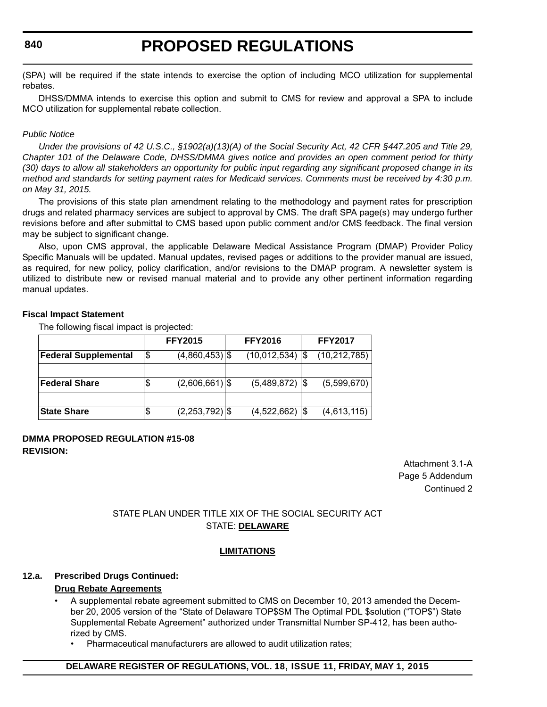## **840**

# **PROPOSED REGULATIONS**

(SPA) will be required if the state intends to exercise the option of including MCO utilization for supplemental rebates.

DHSS/DMMA intends to exercise this option and submit to CMS for review and approval a SPA to include MCO utilization for supplemental rebate collection.

#### *Public Notice*

*Under the provisions of 42 U.S.C., §1902(a)(13)(A) of the Social Security Act, 42 CFR §447.205 and Title 29, Chapter 101 of the Delaware Code, DHSS/DMMA gives notice and provides an open comment period for thirty (30) days to allow all stakeholders an opportunity for public input regarding any significant proposed change in its method and standards for setting payment rates for Medicaid services. Comments must be received by 4:30 p.m. on May 31, 2015.*

The provisions of this state plan amendment relating to the methodology and payment rates for prescription drugs and related pharmacy services are subject to approval by CMS. The draft SPA page(s) may undergo further revisions before and after submittal to CMS based upon public comment and/or CMS feedback. The final version may be subject to significant change.

Also, upon CMS approval, the applicable Delaware Medical Assistance Program (DMAP) Provider Policy Specific Manuals will be updated. Manual updates, revised pages or additions to the provider manual are issued, as required, for new policy, policy clarification, and/or revisions to the DMAP program. A newsletter system is utilized to distribute new or revised manual material and to provide any other pertinent information regarding manual updates.

#### **Fiscal Impact Statement**

The following fiscal impact is projected:

|                             |     | <b>FFY2015</b>   | <b>FFY2016</b>   |     | <b>FFY2017</b> |
|-----------------------------|-----|------------------|------------------|-----|----------------|
| <b>Federal Supplemental</b> | Ι\$ | $(4,860,453)$ \$ | (10,012,534)     | I\$ | (10, 212, 785) |
|                             |     |                  |                  |     |                |
| <b>Federal Share</b>        | S   | $(2,606,661)$ \$ | $(5,489,872)$ \$ |     | (5,599,670)    |
|                             |     |                  |                  |     |                |
| <b>State Share</b>          | \$  | $(2,253,792)$ \$ | $(4,522,662)$ \$ |     | (4,613,115)    |

## **DMMA PROPOSED REGULATION #15-08 REVISION:**

Attachment 3.1-A Page 5 Addendum Continued 2

## STATE PLAN UNDER TITLE XIX OF THE SOCIAL SECURITY ACT STATE: **DELAWARE**

## **LIMITATIONS**

## **12.a. Prescribed Drugs Continued:**

## **Drug Rebate Agreements**

- A supplemental rebate agreement submitted to CMS on December 10, 2013 amended the December 20, 2005 version of the "State of Delaware TOP\$SM The Optimal PDL \$solution ("TOP\$") State Supplemental Rebate Agreement" authorized under Transmittal Number SP-412, has been authorized by CMS.
	- Pharmaceutical manufacturers are allowed to audit utilization rates;

## **DELAWARE REGISTER OF REGULATIONS, VOL. 18, ISSUE 11, FRIDAY, MAY 1, 2015**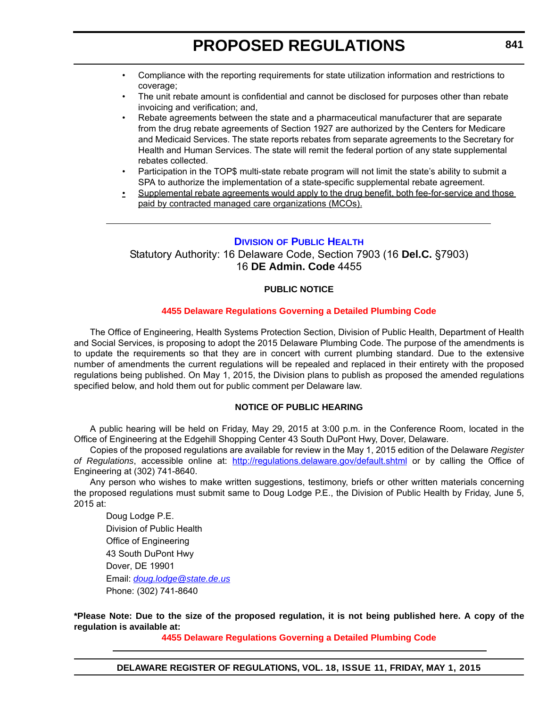- Compliance with the reporting requirements for state utilization information and restrictions to coverage;
- The unit rebate amount is confidential and cannot be disclosed for purposes other than rebate invoicing and verification; and,
- Rebate agreements between the state and a pharmaceutical manufacturer that are separate from the drug rebate agreements of Section 1927 are authorized by the Centers for Medicare and Medicaid Services. The state reports rebates from separate agreements to the Secretary for Health and Human Services. The state will remit the federal portion of any state supplemental rebates collected.
- Participation in the TOP\$ multi-state rebate program will not limit the state's ability to submit a SPA to authorize the implementation of a state-specific supplemental rebate agreement.
- Supplemental rebate agreements would apply to the drug benefit, both fee-for-service and those paid by contracted managed care organizations (MCOs).

## **DIVISION [OF PUBLIC HEALTH](http://www.dhss.delaware.gov/dhss/dph/index.html)**

Statutory Authority: 16 Delaware Code, Section 7903 (16 **Del.C.** §7903) 16 **DE Admin. Code** 4455

## **PUBLIC NOTICE**

#### **[4455 Delaware Regulations Governing a Detailed Plumbing Code](#page-3-0)**

The Office of Engineering, Health Systems Protection Section, Division of Public Health, Department of Health and Social Services, is proposing to adopt the 2015 Delaware Plumbing Code. The purpose of the amendments is to update the requirements so that they are in concert with current plumbing standard. Due to the extensive number of amendments the current regulations will be repealed and replaced in their entirety with the proposed regulations being published. On May 1, 2015, the Division plans to publish as proposed the amended regulations specified below, and hold them out for public comment per Delaware law.

## **NOTICE OF PUBLIC HEARING**

A public hearing will be held on Friday, May 29, 2015 at 3:00 p.m. in the Conference Room, located in the Office of Engineering at the Edgehill Shopping Center 43 South DuPont Hwy, Dover, Delaware.

Copies of the proposed regulations are available for review in the May 1, 2015 edition of the Delaware *Register of Regulations*, accessible online at: <http://regulations.delaware.gov/default.shtml>or by calling the Office of Engineering at (302) 741-8640.

Any person who wishes to make written suggestions, testimony, briefs or other written materials concerning the proposed regulations must submit same to Doug Lodge P.E., the Division of Public Health by Friday, June 5, 2015 at:

Doug Lodge P.E. Division of Public Health Office of Engineering 43 South DuPont Hwy Dover, DE 19901 Email: *[doug.lodge@state.de.us](mailto:doug.lodge@state.de.us)* Phone: (302) 741-8640

**\*Please Note: Due to the size of the proposed regulation, it is not being published here. A copy of the regulation is available at:**

**[4455 Delaware Regulations Governing a Detailed Plumbing Code](http://regulations.delaware.gov/register/may2015/proposed/18 DE Reg 841 05-01-15.htm)**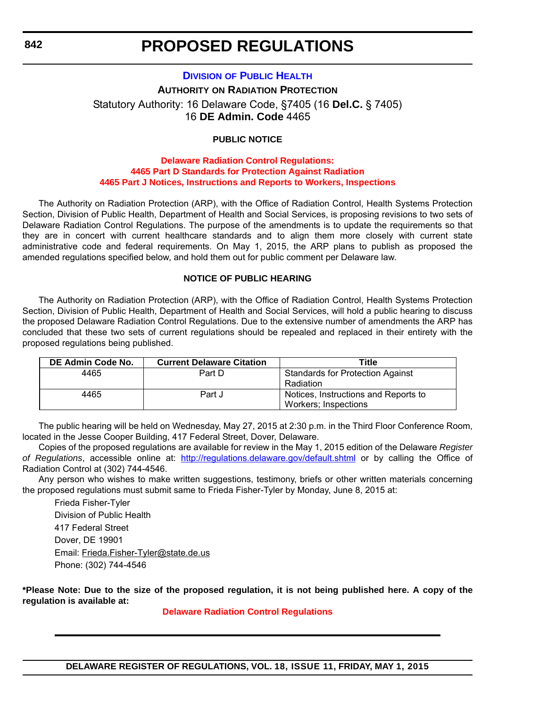### **DIVISION [OF PUBLIC HEALTH](http://www.dhss.delaware.gov/dhss/dph/index.html)**

**AUTHORITY ON RADIATION PROTECTION** Statutory Authority: 16 Delaware Code, §7405 (16 **Del.C.** § 7405) 16 **DE Admin. Code** 4465

#### **PUBLIC NOTICE**

#### **Delaware Radiation Control Regulations: 4465 Part D Standards for Protection Against Radiation [4465 Part J Notices, Instructions and Reports to Workers, Inspections](#page-3-0)**

The Authority on Radiation Protection (ARP), with the Office of Radiation Control, Health Systems Protection Section, Division of Public Health, Department of Health and Social Services, is proposing revisions to two sets of Delaware Radiation Control Regulations. The purpose of the amendments is to update the requirements so that they are in concert with current healthcare standards and to align them more closely with current state administrative code and federal requirements. On May 1, 2015, the ARP plans to publish as proposed the amended regulations specified below, and hold them out for public comment per Delaware law.

#### **NOTICE OF PUBLIC HEARING**

The Authority on Radiation Protection (ARP), with the Office of Radiation Control, Health Systems Protection Section, Division of Public Health, Department of Health and Social Services, will hold a public hearing to discuss the proposed Delaware Radiation Control Regulations. Due to the extensive number of amendments the ARP has concluded that these two sets of current regulations should be repealed and replaced in their entirety with the proposed regulations being published.

| DE Admin Code No. | <b>Current Delaware Citation</b> | Title                                   |
|-------------------|----------------------------------|-----------------------------------------|
| 4465              | Part D                           | <b>Standards for Protection Against</b> |
|                   |                                  | Radiation                               |
| 4465              | Part J                           | Notices, Instructions and Reports to    |
|                   |                                  | Workers; Inspections                    |

The public hearing will be held on Wednesday, May 27, 2015 at 2:30 p.m. in the Third Floor Conference Room, located in the Jesse Cooper Building, 417 Federal Street, Dover, Delaware.

Copies of the proposed regulations are available for review in the May 1, 2015 edition of the Delaware *Register of Regulations*, accessible online at: <http://regulations.delaware.gov/default.shtml> or by calling the Office of Radiation Control at (302) 744-4546.

Any person who wishes to make written suggestions, testimony, briefs or other written materials concerning the proposed regulations must submit same to Frieda Fisher-Tyler by Monday, June 8, 2015 at:

Frieda Fisher-Tyler Division of Public Health 417 Federal Street Dover, DE 19901 Email: [Frieda.Fisher-Tyler@state.de.us](mailto:Frieda.Fisher-Tyler@state.de.us) Phone: (302) 744-4546

**\*Please Note: Due to the size of the proposed regulation, it is not being published here. A copy of the regulation is available at:**

**[Delaware Radiation Control Regulations](http://regulations.delaware.gov/register/may2015/proposed/18 DE Reg 842 05-01-15.htm)**

**DELAWARE REGISTER OF REGULATIONS, VOL. 18, ISSUE 11, FRIDAY, MAY 1, 2015**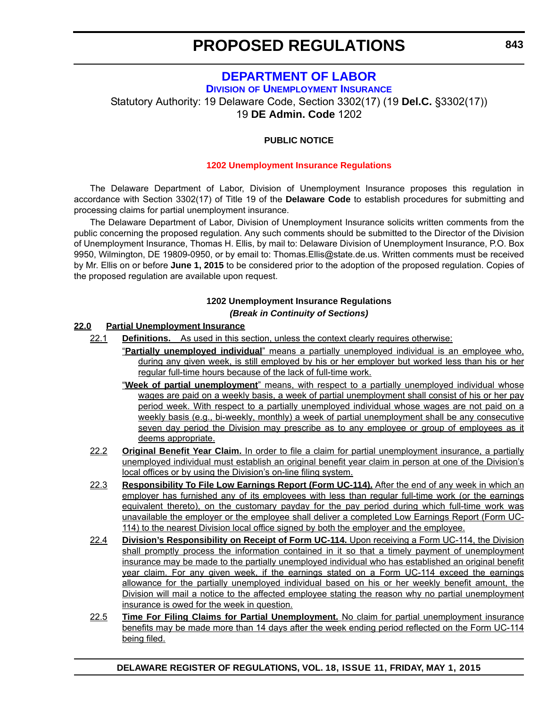## **[DEPARTMENT OF LABOR](http://ui.delawareworks.com/)**

**DIVISION OF UNEMPLOYMENT INSURANCE**

Statutory Authority: 19 Delaware Code, Section 3302(17) (19 **Del.C.** §3302(17))

19 **DE Admin. Code** 1202

## **PUBLIC NOTICE**

#### **[1202 Unemployment Insurance Regulations](#page-3-0)**

The Delaware Department of Labor, Division of Unemployment Insurance proposes this regulation in accordance with Section 3302(17) of Title 19 of the **Delaware Code** to establish procedures for submitting and processing claims for partial unemployment insurance.

The Delaware Department of Labor, Division of Unemployment Insurance solicits written comments from the public concerning the proposed regulation. Any such comments should be submitted to the Director of the Division of Unemployment Insurance, Thomas H. Ellis, by mail to: Delaware Division of Unemployment Insurance, P.O. Box 9950, Wilmington, DE 19809-0950, or by email to: Thomas.Ellis@state.de.us. Written comments must be received by Mr. Ellis on or before **June 1, 2015** to be considered prior to the adoption of the proposed regulation. Copies of the proposed regulation are available upon request.

### **1202 Unemployment Insurance Regulations** *(Break in Continuity of Sections)*

#### **22.0 Partial Unemployment Insurance**

- 22.1 **Definitions.** As used in this section, unless the context clearly requires otherwise:
	- "**Partially unemployed individual**" means a partially unemployed individual is an employee who, during any given week, is still employed by his or her employer but worked less than his or her regular full-time hours because of the lack of full-time work.
		- "**Week of partial unemployment**" means, with respect to a partially unemployed individual whose wages are paid on a weekly basis, a week of partial unemployment shall consist of his or her pay period week. With respect to a partially unemployed individual whose wages are not paid on a weekly basis (e.g., bi-weekly, monthly) a week of partial unemployment shall be any consecutive seven day period the Division may prescribe as to any employee or group of employees as it deems appropriate.
	- 22.2 **Original Benefit Year Claim.** In order to file a claim for partial unemployment insurance, a partially unemployed individual must establish an original benefit year claim in person at one of the Division's local offices or by using the Division's on-line filing system.
	- 22.3 **Responsibility To File Low Earnings Report (Form UC-114).** After the end of any week in which an employer has furnished any of its employees with less than regular full-time work (or the earnings equivalent thereto), on the customary payday for the pay period during which full-time work was unavailable the employer or the employee shall deliver a completed Low Earnings Report (Form UC-114) to the nearest Division local office signed by both the employer and the employee.
	- 22.4 **Division's Responsibility on Receipt of Form UC-114.** Upon receiving a Form UC-114, the Division shall promptly process the information contained in it so that a timely payment of unemployment insurance may be made to the partially unemployed individual who has established an original benefit year claim. For any given week, if the earnings stated on a Form UC-114 exceed the earnings allowance for the partially unemployed individual based on his or her weekly benefit amount, the Division will mail a notice to the affected employee stating the reason why no partial unemployment insurance is owed for the week in question.
	- 22.5 **Time For Filing Claims for Partial Unemployment.** No claim for partial unemployment insurance benefits may be made more than 14 days after the week ending period reflected on the Form UC-114 being filed.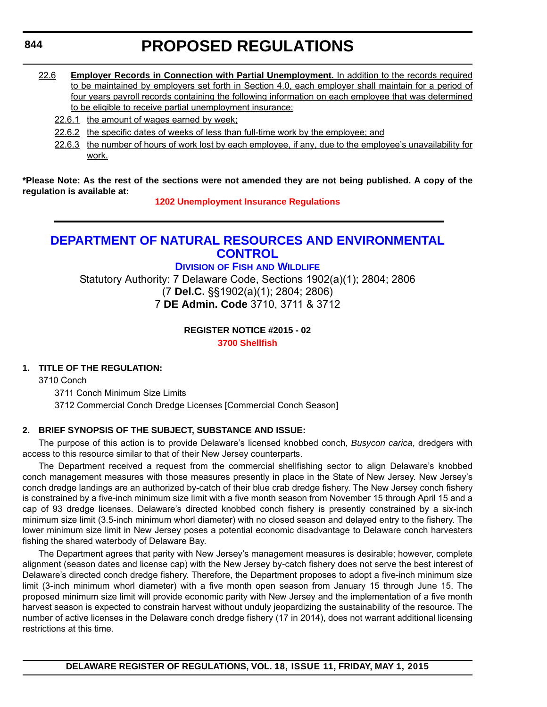## 22.6 **Employer Records in Connection with Partial Unemployment.** In addition to the records required to be maintained by employers set forth in Section 4.0, each employer shall maintain for a period of four years payroll records containing the following information on each employee that was determined to be eligible to receive partial unemployment insurance:

- 22.6.1 the amount of wages earned by week;
- 22.6.2 the specific dates of weeks of less than full-time work by the employee; and
- 22.6.3 the number of hours of work lost by each employee, if any, due to the employee's unavailability for work.

**\*Please Note: As the rest of the sections were not amended they are not being published. A copy of the regulation is available at:**

**[1202 Unemployment Insurance Regulations](http://regulations.delaware.gov/register/may2015/proposed/18 DE Reg 843 05-01-15.htm)**

## **[DEPARTMENT OF NATURAL RESOURCES AND ENVIRONMENTAL](http://www.dnrec.delaware.gov/fw/Pages/FWPortal.aspx) CONTROL**

## **DIVISION OF FISH AND WILDLIFE**

Statutory Authority: 7 Delaware Code, Sections 1902(a)(1); 2804; 2806 (7 **Del.C.** §§1902(a)(1); 2804; 2806) 7 **DE Admin. Code** 3710, 3711 & 3712

**REGISTER NOTICE #2015 - 02**

## **[3700 Shellfish](#page-3-0)**

## **1. TITLE OF THE REGULATION:**

3710 Conch

3711 Conch Minimum Size Limits 3712 Commercial Conch Dredge Licenses [Commercial Conch Season]

## **2. BRIEF SYNOPSIS OF THE SUBJECT, SUBSTANCE AND ISSUE:**

The purpose of this action is to provide Delaware's licensed knobbed conch, *Busycon carica*, dredgers with access to this resource similar to that of their New Jersey counterparts.

The Department received a request from the commercial shellfishing sector to align Delaware's knobbed conch management measures with those measures presently in place in the State of New Jersey. New Jersey's conch dredge landings are an authorized by-catch of their blue crab dredge fishery. The New Jersey conch fishery is constrained by a five-inch minimum size limit with a five month season from November 15 through April 15 and a cap of 93 dredge licenses. Delaware's directed knobbed conch fishery is presently constrained by a six-inch minimum size limit (3.5-inch minimum whorl diameter) with no closed season and delayed entry to the fishery. The lower minimum size limit in New Jersey poses a potential economic disadvantage to Delaware conch harvesters fishing the shared waterbody of Delaware Bay.

The Department agrees that parity with New Jersey's management measures is desirable; however, complete alignment (season dates and license cap) with the New Jersey by-catch fishery does not serve the best interest of Delaware's directed conch dredge fishery. Therefore, the Department proposes to adopt a five-inch minimum size limit (3-inch minimum whorl diameter) with a five month open season from January 15 through June 15. The proposed minimum size limit will provide economic parity with New Jersey and the implementation of a five month harvest season is expected to constrain harvest without unduly jeopardizing the sustainability of the resource. The number of active licenses in the Delaware conch dredge fishery (17 in 2014), does not warrant additional licensing restrictions at this time.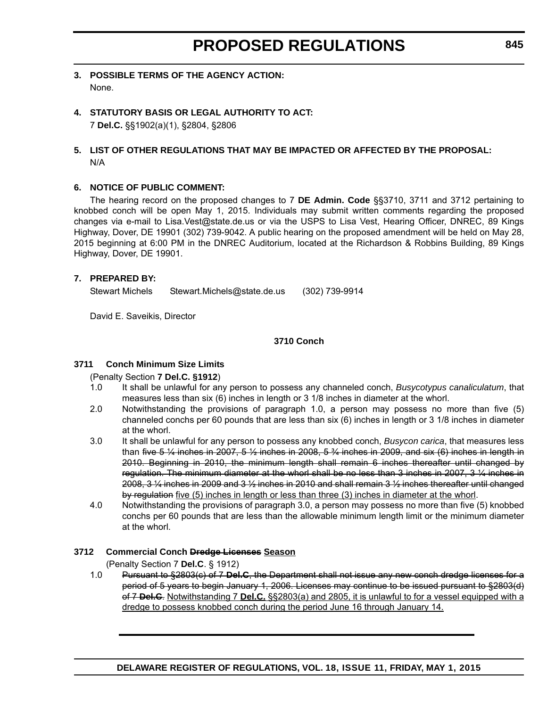- **3. POSSIBLE TERMS OF THE AGENCY ACTION:** None.
- **4. STATUTORY BASIS OR LEGAL AUTHORITY TO ACT:** 7 **Del.C.** §§1902(a)(1), §2804, §2806

## **5. LIST OF OTHER REGULATIONS THAT MAY BE IMPACTED OR AFFECTED BY THE PROPOSAL:** N/A

#### **6. NOTICE OF PUBLIC COMMENT:**

The hearing record on the proposed changes to 7 **DE Admin. Code** §§3710, 3711 and 3712 pertaining to knobbed conch will be open May 1, 2015. Individuals may submit written comments regarding the proposed changes via e-mail to Lisa.Vest@state.de.us or via the USPS to Lisa Vest, Hearing Officer, DNREC, 89 Kings Highway, Dover, DE 19901 (302) 739-9042. A public hearing on the proposed amendment will be held on May 28, 2015 beginning at 6:00 PM in the DNREC Auditorium, located at the Richardson & Robbins Building, 89 Kings Highway, Dover, DE 19901.

#### **7. PREPARED BY:**

Stewart Michels Stewart.Michels@state.de.us (302) 739-9914

David E. Saveikis, Director

#### **3710 Conch**

#### **3711 Conch Minimum Size Limits**

(Penalty Section **7 Del.C. §1912**)

- 1.0 It shall be unlawful for any person to possess any channeled conch, *Busycotypus canaliculatum*, that measures less than six (6) inches in length or 3 1/8 inches in diameter at the whorl.
- 2.0 Notwithstanding the provisions of paragraph 1.0, a person may possess no more than five (5) channeled conchs per 60 pounds that are less than six (6) inches in length or 3 1/8 inches in diameter at the whorl.
- 3.0 It shall be unlawful for any person to possess any knobbed conch, *Busycon carica*, that measures less than five 5  $\frac{1}{4}$  inches in 2007, 5  $\frac{1}{2}$  inches in 2008, 5  $\frac{3}{4}$  inches in 2009, and six (6) inches in length in 2010. Beginning in 2010, the minimum length shall remain 6 inches thereafter until changed by regulation. The minimum diameter at the whorl shall be no less than 3 inches in 2007, 3 ¼ inches in 2008, 3 ¼ inches in 2009 and 3 ½ inches in 2010 and shall remain 3 ½ inches thereafter until changed by regulation five (5) inches in length or less than three (3) inches in diameter at the whorl.
- 4.0 Notwithstanding the provisions of paragraph 3.0, a person may possess no more than five (5) knobbed conchs per 60 pounds that are less than the allowable minimum length limit or the minimum diameter at the whorl.

#### **3712 Commercial Conch Dredge Licenses Season**

(Penalty Section 7 **Del.C**. § 1912)

1.0 Pursuant to §2803(c) of 7 **Del.C**, the Department shall not issue any new conch dredge licenses for a period of 5 years to begin January 1, 2006. Licenses may continue to be issued pursuant to §2803(d) of 7 **Del.C**. Notwithstanding 7 **Del.C.** §§2803(a) and 2805, it is unlawful to for a vessel equipped with a dredge to possess knobbed conch during the period June 16 through January 14.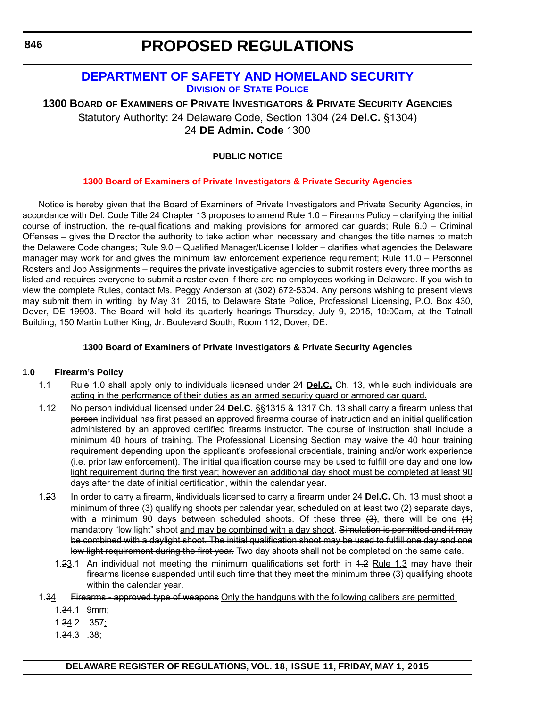## **[DEPARTMENT OF SAFETY AND HOMELAND SECURITY](http://dsp.delaware.gov/) DIVISION OF STATE POLICE**

## **1300 BOARD OF EXAMINERS OF PRIVATE INVESTIGATORS & PRIVATE SECURITY AGENCIES** Statutory Authority: 24 Delaware Code, Section 1304 (24 **Del.C.** §1304) 24 **DE Admin. Code** 1300

## **PUBLIC NOTICE**

## **[1300 Board of Examiners of Private Investigators & Private Security Agencies](#page-3-0)**

Notice is hereby given that the Board of Examiners of Private Investigators and Private Security Agencies, in accordance with Del. Code Title 24 Chapter 13 proposes to amend Rule 1.0 – Firearms Policy – clarifying the initial course of instruction, the re-qualifications and making provisions for armored car guards; Rule 6.0 – Criminal Offenses – gives the Director the authority to take action when necessary and changes the title names to match the Delaware Code changes; Rule 9.0 – Qualified Manager/License Holder – clarifies what agencies the Delaware manager may work for and gives the minimum law enforcement experience requirement; Rule 11.0 – Personnel Rosters and Job Assignments – requires the private investigative agencies to submit rosters every three months as listed and requires everyone to submit a roster even if there are no employees working in Delaware. If you wish to view the complete Rules, contact Ms. Peggy Anderson at (302) 672-5304. Any persons wishing to present views may submit them in writing, by May 31, 2015, to Delaware State Police, Professional Licensing, P.O. Box 430, Dover, DE 19903. The Board will hold its quarterly hearings Thursday, July 9, 2015, 10:00am, at the Tatnall Building, 150 Martin Luther King, Jr. Boulevard South, Room 112, Dover, DE.

#### **1300 Board of Examiners of Private Investigators & Private Security Agencies**

#### **1.0 Firearm's Policy**

- 1.1 Rule 1.0 shall apply only to individuals licensed under 24 **Del.C.** Ch. 13, while such individuals are acting in the performance of their duties as an armed security guard or armored car guard.
- 1.12 No person individual licensed under 24 **Del.C.** §§1315 & 1317 Ch. 13 shall carry a firearm unless that person individual has first passed an approved firearms course of instruction and an initial qualification administered by an approved certified firearms instructor. The course of instruction shall include a minimum 40 hours of training. The Professional Licensing Section may waive the 40 hour training requirement depending upon the applicant's professional credentials, training and/or work experience (i.e. prior law enforcement). The initial qualification course may be used to fulfill one day and one low light requirement during the first year; however an additional day shoot must be completed at least 90 days after the date of initial certification, within the calendar year.
- 1.23 In order to carry a firearm, Iindividuals licensed to carry a firearm under 24 **Del.C.** Ch. 13 must shoot a minimum of three  $(3)$  qualifying shoots per calendar year, scheduled on at least two  $(2)$  separate days, with a minimum 90 days between scheduled shoots. Of these three  $(3)$ , there will be one  $(1)$ mandatory "low light" shoot and may be combined with a day shoot. Simulation is permitted and it may be combined with a daylight shoot. The initial qualification shoot may be used to fulfill one day and one low light requirement during the first year. Two day shoots shall not be completed on the same date.
	- 1.23.1 An individual not meeting the minimum qualifications set forth in 1.2 Rule 1.3 may have their firearms license suspended until such time that they meet the minimum three (3) qualifying shoots within the calendar year.
- 1.34 Firearms approved type of weapons Only the handguns with the following calibers are permitted:
	- 1.34.1 9mm;
	- 1.34.2 .357;
	- 1.34.3 .38;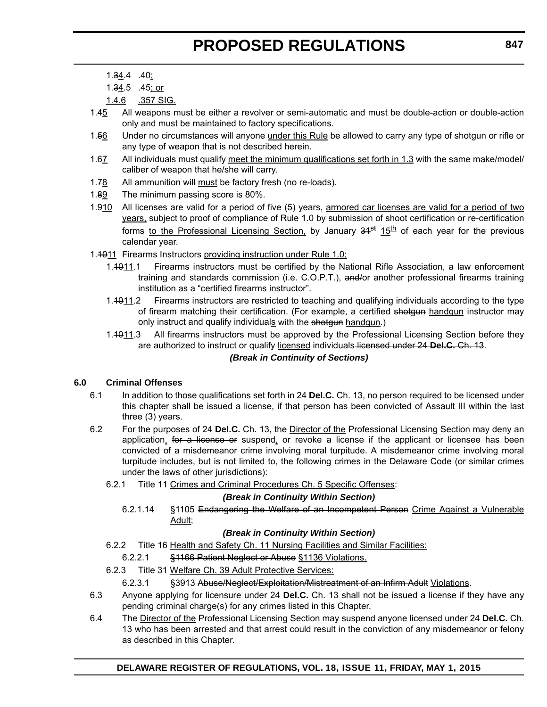- 1.34.4 .40;
- 1.34.5 .45; or
- 1.4.6 .357 SIG.
- 1.45 All weapons must be either a revolver or semi-automatic and must be double-action or double-action only and must be maintained to factory specifications.
- 1.56 Under no circumstances will anyone under this Rule be allowed to carry any type of shotgun or rifle or any type of weapon that is not described herein.
- 1.67 All individuals must qualify meet the minimum qualifications set forth in 1.3 with the same make/model/ caliber of weapon that he/she will carry.
- 1.78 All ammunition will must be factory fresh (no re-loads).
- 1.89 The minimum passing score is 80%.
- 1.910 All licenses are valid for a period of five  $(5)$  years, armored car licenses are valid for a period of two years, subject to proof of compliance of Rule 1.0 by submission of shoot certification or re-certification forms to the Professional Licensing Section, by January  $34<sup>st</sup> 15<sup>th</sup>$  of each year for the previous calendar year.
- 1.1011 Firearms Instructors providing instruction under Rule 1.0;
	- 1.1011.1 Firearms instructors must be certified by the National Rifle Association, a law enforcement training and standards commission (i.e. C.O.P.T.), and/or another professional firearms training institution as a "certified firearms instructor".
	- 1.4011.2 Firearms instructors are restricted to teaching and qualifying individuals according to the type of firearm matching their certification. (For example, a certified shotgun handgun instructor may only instruct and qualify individuals with the shotgun handgun.)
	- 1.1011.3 All firearms instructors must be approved by the Professional Licensing Section before they are authorized to instruct or qualify licensed individuals licensed under 24 **Del.C.** Ch. 13.

## *(Break in Continuity of Sections)*

## **6.0 Criminal Offenses**

- 6.1 In addition to those qualifications set forth in 24 **Del.C.** Ch. 13, no person required to be licensed under this chapter shall be issued a license, if that person has been convicted of Assault III within the last three (3) years.
- 6.2 For the purposes of 24 **Del.C.** Ch. 13, the Director of the Professional Licensing Section may deny an application, for a license or suspend, or revoke a license if the applicant or licensee has been convicted of a misdemeanor crime involving moral turpitude. A misdemeanor crime involving moral turpitude includes, but is not limited to, the following crimes in the Delaware Code (or similar crimes under the laws of other jurisdictions):
	- 6.2.1 Title 11 Crimes and Criminal Procedures Ch. 5 Specific Offenses:

## *(Break in Continuity Within Section)*

6.2.1.14 §1105 Endangering the Welfare of an Incompetent Person Crime Against a Vulnerable Adult;

## *(Break in Continuity Within Section)*

- 6.2.2 Title 16 Health and Safety Ch. 11 Nursing Facilities and Similar Facilities:
	- 6.2.2.1 §1166 Patient Neglect or Abuse §1136 Violations.
- 6.2.3 Title 31 Welfare Ch. 39 Adult Protective Services:
	- 6.2.3.1 §3913 Abuse/Neglect/Exploitation/Mistreatment of an Infirm Adult Violations.
- 6.3 Anyone applying for licensure under 24 **Del.C.** Ch. 13 shall not be issued a license if they have any pending criminal charge(s) for any crimes listed in this Chapter.
- 6.4 The Director of the Professional Licensing Section may suspend anyone licensed under 24 **Del.C.** Ch. 13 who has been arrested and that arrest could result in the conviction of any misdemeanor or felony as described in this Chapter.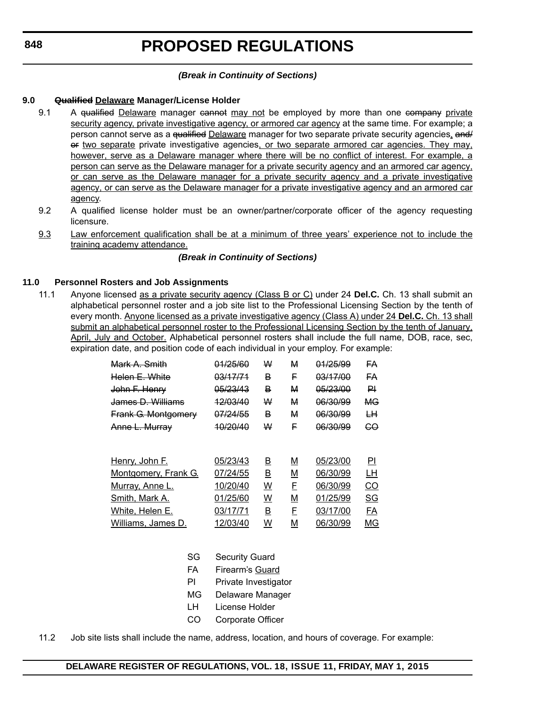## *(Break in Continuity of Sections)*

## **9.0 Qualified Delaware Manager/License Holder**

- 9.1 A qualified Delaware manager cannot may not be employed by more than one company private security agency, private investigative agency, or armored car agency at the same time. For example; a person cannot serve as a <del>qualified</del> Delaware manager for two separate private security agencies, and i or two separate private investigative agencies, or two separate armored car agencies. They may, however, serve as a Delaware manager where there will be no conflict of interest. For example, a person can serve as the Delaware manager for a private security agency and an armored car agency, or can serve as the Delaware manager for a private security agency and a private investigative agency, or can serve as the Delaware manager for a private investigative agency and an armored car agency.
- 9.2 A qualified license holder must be an owner/partner/corporate officer of the agency requesting licensure.
- 9.3 Law enforcement qualification shall be at a minimum of three years' experience not to include the training academy attendance.

## *(Break in Continuity of Sections)*

## **11.0 Personnel Rosters and Job Assignments**

11.1 Anyone licensed as a private security agency (Class B or C) under 24 **Del.C.** Ch. 13 shall submit an alphabetical personnel roster and a job site list to the Professional Licensing Section by the tenth of every month. Anyone licensed as a private investigative agency (Class A) under 24 **Del.C.** Ch. 13 shall submit an alphabetical personnel roster to the Professional Licensing Section by the tenth of January, April, July and October. Alphabetical personnel rosters shall include the full name, DOB, race, sec, expiration date, and position code of each individual in your employ. For example:

| Mark A. Smith               | 01/25/60            | w        | м | 01/25/99            | FA        |
|-----------------------------|---------------------|----------|---|---------------------|-----------|
| Helen E. White              | <del>03/17/71</del> | в        | F | <del>03/17/00</del> | FA        |
| John F. Henry               | 05/23/43            | В        | м | 05/23/00            | ᄆ         |
| James D. Williams           | <del>12/03/40</del> | w        | м | 06/30/99            | <b>MG</b> |
| <b>Frank G. Montgomery</b>  | 07/24/55            | в        | м | 06/30/99            | ₩         |
| Anne L. Murray              | <u>40/20/40</u>     | w        | F | 06/30/99            | GО        |
|                             |                     |          |   |                     |           |
| <u>Henry, John F.</u>       | 05/23/43            | B        | M | 05/23/00            | ΡI        |
| <b>Montgomery, Frank G.</b> | 07/24/55            | <u>B</u> | M | 06/30/99            | LН        |
| <u>Murray, Anne L.</u>      | 10/20/40            | w        | F | 06/30/99            | CO        |
| Smith, Mark A.              | 01/25/60            | W        | M | 01/25/99            | SG        |
| White, Helen E.             | 03/17/71            | <u>B</u> | F | 03/17/00            | FA        |
| Williams, James D.          | 12/03/40            | W        | М | 06/30/99            | ΜG        |

- SG Security Guard
- FA Firearm's Guard
- PI Private Investigator
- MG Delaware Manager
- LH License Holder
- CO Corporate Officer
- 11.2 Job site lists shall include the name, address, location, and hours of coverage. For example: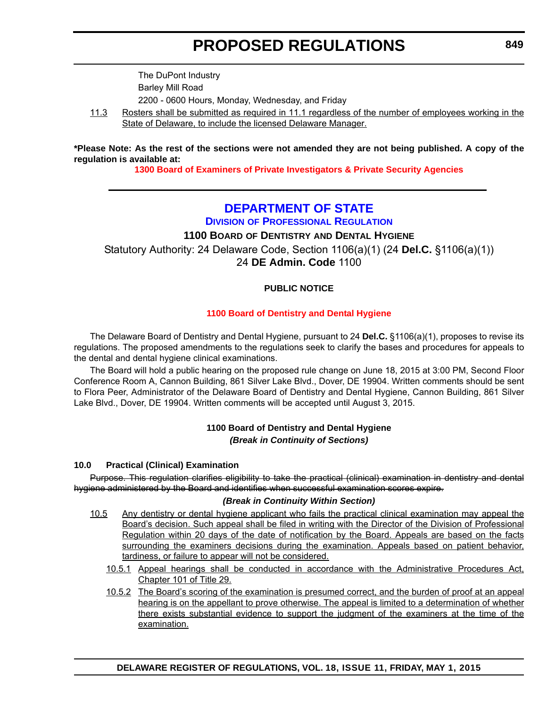The DuPont Industry Barley Mill Road 2200 - 0600 Hours, Monday, Wednesday, and Friday

11.3 Rosters shall be submitted as required in 11.1 regardless of the number of employees working in the State of Delaware, to include the licensed Delaware Manager.

**\*Please Note: As the rest of the sections were not amended they are not being published. A copy of the regulation is available at:**

**[1300 Board of Examiners of Private Investigators & Private Security Agencies](http://regulations.delaware.gov/register/may2015/proposed/18 DE Reg 846 05-01-15.htm)**

## **[DEPARTMENT OF STATE](http://dpr.delaware.gov/)**

**DIVISION OF PROFESSIONAL REGULATION**

## **1100 BOARD OF DENTISTRY AND DENTAL HYGIENE**

Statutory Authority: 24 Delaware Code, Section 1106(a)(1) (24 **Del.C.** §1106(a)(1)) 24 **DE Admin. Code** 1100

## **PUBLIC NOTICE**

## **[1100 Board of Dentistry and Dental Hygiene](#page-3-0)**

The Delaware Board of Dentistry and Dental Hygiene, pursuant to 24 **Del.C.** §1106(a)(1), proposes to revise its regulations. The proposed amendments to the regulations seek to clarify the bases and procedures for appeals to the dental and dental hygiene clinical examinations.

The Board will hold a public hearing on the proposed rule change on June 18, 2015 at 3:00 PM, Second Floor Conference Room A, Cannon Building, 861 Silver Lake Blvd., Dover, DE 19904. Written comments should be sent to Flora Peer, Administrator of the Delaware Board of Dentistry and Dental Hygiene, Cannon Building, 861 Silver Lake Blvd., Dover, DE 19904. Written comments will be accepted until August 3, 2015.

## **1100 Board of Dentistry and Dental Hygiene** *(Break in Continuity of Sections)*

## **10.0 Practical (Clinical) Examination**

Purpose. This regulation clarifies eligibility to take the practical (clinical) examination in dentistry and dental hygiene administered by the Board and identifies when successful examination scores expire.

## *(Break in Continuity Within Section)*

- 10.5 Any dentistry or dental hygiene applicant who fails the practical clinical examination may appeal the Board's decision. Such appeal shall be filed in writing with the Director of the Division of Professional Regulation within 20 days of the date of notification by the Board. Appeals are based on the facts surrounding the examiners decisions during the examination. Appeals based on patient behavior, tardiness, or failure to appear will not be considered.
	- 10.5.1 Appeal hearings shall be conducted in accordance with the Administrative Procedures Act, Chapter 101 of Title 29.
	- 10.5.2 The Board's scoring of the examination is presumed correct, and the burden of proof at an appeal hearing is on the appellant to prove otherwise. The appeal is limited to a determination of whether there exists substantial evidence to support the judgment of the examiners at the time of the examination.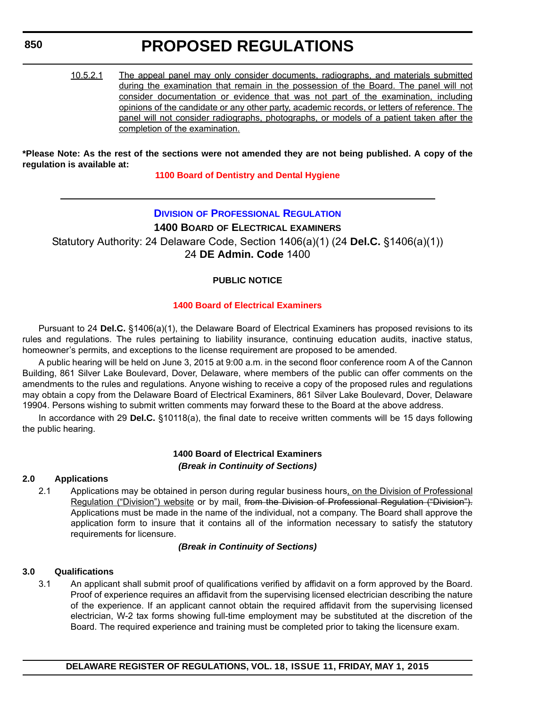## **850**

# **PROPOSED REGULATIONS**

10.5.2.1 The appeal panel may only consider documents, radiographs, and materials submitted during the examination that remain in the possession of the Board. The panel will not consider documentation or evidence that was not part of the examination, including opinions of the candidate or any other party, academic records, or letters of reference. The panel will not consider radiographs, photographs, or models of a patient taken after the completion of the examination.

#### **\*Please Note: As the rest of the sections were not amended they are not being published. A copy of the regulation is available at:**

## **[1100 Board of Dentistry and Dental Hygiene](http://regulations.delaware.gov/register/may2015/proposed/18 DE Reg 849 05-01-15.htm)**

## **DIVISION [OF PROFESSIONAL REGULATION](http://dpr.delaware.gov/)**

**1400 BOARD OF ELECTRICAL EXAMINERS**

Statutory Authority: 24 Delaware Code, Section 1406(a)(1) (24 **Del.C.** §1406(a)(1)) 24 **DE Admin. Code** 1400

## **PUBLIC NOTICE**

## **[1400 Board of Electrical Examiners](#page-3-0)**

Pursuant to 24 **Del.C.** §1406(a)(1), the Delaware Board of Electrical Examiners has proposed revisions to its rules and regulations. The rules pertaining to liability insurance, continuing education audits, inactive status, homeowner's permits, and exceptions to the license requirement are proposed to be amended.

A public hearing will be held on June 3, 2015 at 9:00 a.m. in the second floor conference room A of the Cannon Building, 861 Silver Lake Boulevard, Dover, Delaware, where members of the public can offer comments on the amendments to the rules and regulations. Anyone wishing to receive a copy of the proposed rules and regulations may obtain a copy from the Delaware Board of Electrical Examiners, 861 Silver Lake Boulevard, Dover, Delaware 19904. Persons wishing to submit written comments may forward these to the Board at the above address.

In accordance with 29 **Del.C.** §10118(a), the final date to receive written comments will be 15 days following the public hearing.

## **1400 Board of Electrical Examiners** *(Break in Continuity of Sections)*

## **2.0 Applications**

2.1 Applications may be obtained in person during regular business hours, on the Division of Professional Regulation ("Division") website or by mail. from the Division of Professional Regulation ("Division"). Applications must be made in the name of the individual, not a company. The Board shall approve the application form to insure that it contains all of the information necessary to satisfy the statutory requirements for licensure.

## *(Break in Continuity of Sections)*

## **3.0 Qualifications**

3.1 An applicant shall submit proof of qualifications verified by affidavit on a form approved by the Board. Proof of experience requires an affidavit from the supervising licensed electrician describing the nature of the experience. If an applicant cannot obtain the required affidavit from the supervising licensed electrician, W-2 tax forms showing full-time employment may be substituted at the discretion of the Board. The required experience and training must be completed prior to taking the licensure exam.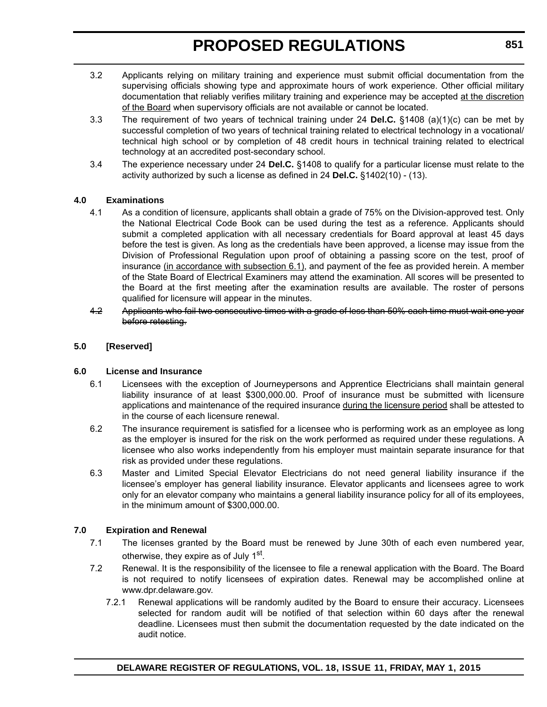- 3.2 Applicants relying on military training and experience must submit official documentation from the supervising officials showing type and approximate hours of work experience. Other official military documentation that reliably verifies military training and experience may be accepted at the discretion of the Board when supervisory officials are not available or cannot be located.
- 3.3 The requirement of two years of technical training under 24 **Del.C.** §1408 (a)(1)(c) can be met by successful completion of two years of technical training related to electrical technology in a vocational/ technical high school or by completion of 48 credit hours in technical training related to electrical technology at an accredited post-secondary school.
- 3.4 The experience necessary under 24 **Del.C.** §1408 to qualify for a particular license must relate to the activity authorized by such a license as defined in 24 **Del.C.** §1402(10) - (13).

#### **4.0 Examinations**

- 4.1 As a condition of licensure, applicants shall obtain a grade of 75% on the Division-approved test. Only the National Electrical Code Book can be used during the test as a reference. Applicants should submit a completed application with all necessary credentials for Board approval at least 45 days before the test is given. As long as the credentials have been approved, a license may issue from the Division of Professional Regulation upon proof of obtaining a passing score on the test, proof of insurance (in accordance with subsection 6.1), and payment of the fee as provided herein. A member of the State Board of Electrical Examiners may attend the examination. All scores will be presented to the Board at the first meeting after the examination results are available. The roster of persons qualified for licensure will appear in the minutes.
- 4.2 Applicants who fail two consecutive times with a grade of less than 50% each time must wait one year before retesting.

#### **5.0 [Reserved]**

#### **6.0 License and Insurance**

- 6.1 Licensees with the exception of Journeypersons and Apprentice Electricians shall maintain general liability insurance of at least \$300,000.00. Proof of insurance must be submitted with licensure applications and maintenance of the required insurance during the licensure period shall be attested to in the course of each licensure renewal.
- 6.2 The insurance requirement is satisfied for a licensee who is performing work as an employee as long as the employer is insured for the risk on the work performed as required under these regulations. A licensee who also works independently from his employer must maintain separate insurance for that risk as provided under these regulations.
- 6.3 Master and Limited Special Elevator Electricians do not need general liability insurance if the licensee's employer has general liability insurance. Elevator applicants and licensees agree to work only for an elevator company who maintains a general liability insurance policy for all of its employees, in the minimum amount of \$300,000.00.

## **7.0 Expiration and Renewal**

- 7.1 The licenses granted by the Board must be renewed by June 30th of each even numbered year, otherwise, they expire as of July 1<sup>st</sup>.
- 7.2 Renewal. It is the responsibility of the licensee to file a renewal application with the Board. The Board is not required to notify licensees of expiration dates. Renewal may be accomplished online at [www.dpr.delaware.gov.](http://www.dpr.delaware.gov)
	- 7.2.1 Renewal applications will be randomly audited by the Board to ensure their accuracy. Licensees selected for random audit will be notified of that selection within 60 days after the renewal deadline. Licensees must then submit the documentation requested by the date indicated on the audit notice.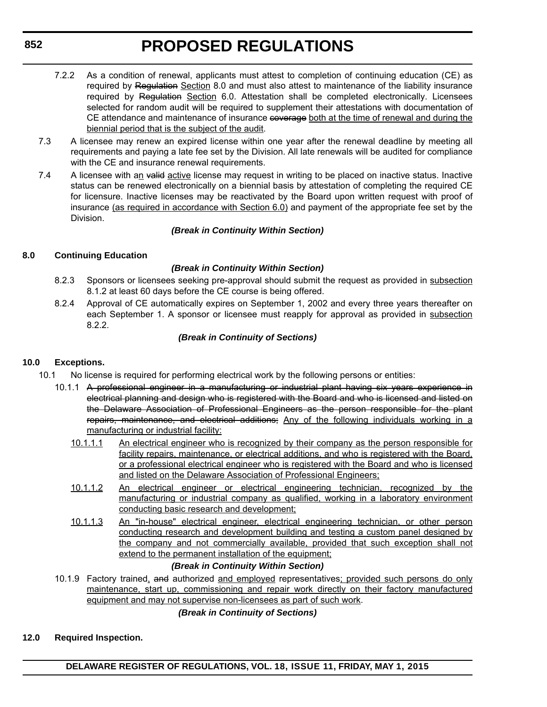- 7.2.2 As a condition of renewal, applicants must attest to completion of continuing education (CE) as required by Regulation Section 8.0 and must also attest to maintenance of the liability insurance required by Regulation Section 6.0. Attestation shall be completed electronically. Licensees selected for random audit will be required to supplement their attestations with documentation of CE attendance and maintenance of insurance coverage both at the time of renewal and during the biennial period that is the subject of the audit.
- 7.3 A licensee may renew an expired license within one year after the renewal deadline by meeting all requirements and paying a late fee set by the Division. All late renewals will be audited for compliance with the CE and insurance renewal requirements.
- 7.4 A licensee with an valid active license may request in writing to be placed on inactive status. Inactive status can be renewed electronically on a biennial basis by attestation of completing the required CE for licensure. Inactive licenses may be reactivated by the Board upon written request with proof of insurance (as required in accordance with Section 6.0) and payment of the appropriate fee set by the Division.

## *(Break in Continuity Within Section)*

## **8.0 Continuing Education**

## *(Break in Continuity Within Section)*

- 8.2.3 Sponsors or licensees seeking pre-approval should submit the request as provided in subsection 8.1.2 at least 60 days before the CE course is being offered.
- 8.2.4 Approval of CE automatically expires on September 1, 2002 and every three years thereafter on each September 1. A sponsor or licensee must reapply for approval as provided in subsection 8.2.2.

## *(Break in Continuity of Sections)*

## **10.0 Exceptions.**

- 10.1 No license is required for performing electrical work by the following persons or entities:
	- 10.1.1 A professional engineer in a manufacturing or industrial plant having six years experience in electrical planning and design who is registered with the Board and who is licensed and listed on the Delaware Association of Professional Engineers as the person responsible for the plant repairs, maintenance, and electrical additions; Any of the following individuals working in a manufacturing or industrial facility:
		- 10.1.1.1 An electrical engineer who is recognized by their company as the person responsible for facility repairs, maintenance, or electrical additions, and who is registered with the Board, or a professional electrical engineer who is registered with the Board and who is licensed and listed on the Delaware Association of Professional Engineers;
		- 10.1.1.2 An electrical engineer or electrical engineering technician, recognized by the manufacturing or industrial company as qualified, working in a laboratory environment conducting basic research and development;
		- 10.1.1.3 An "in-house" electrical engineer, electrical engineering technician, or other person conducting research and development building and testing a custom panel designed by the company and not commercially available, provided that such exception shall not extend to the permanent installation of the equipment;

## *(Break in Continuity Within Section)*

10.1.9 Factory trained, and authorized and employed representatives; provided such persons do only maintenance, start up, commissioning and repair work directly on their factory manufactured equipment and may not supervise non-licensees as part of such work.

## *(Break in Continuity of Sections)*

## **12.0 Required Inspection.**

**DELAWARE REGISTER OF REGULATIONS, VOL. 18, ISSUE 11, FRIDAY, MAY 1, 2015**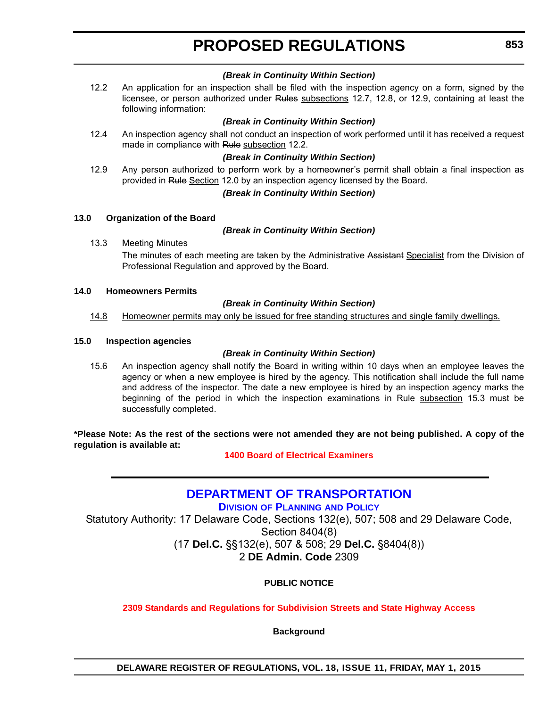#### *(Break in Continuity Within Section)*

12.2 An application for an inspection shall be filed with the inspection agency on a form, signed by the licensee, or person authorized under Rules subsections 12.7, 12.8, or 12.9, containing at least the following information:

#### *(Break in Continuity Within Section)*

12.4 An inspection agency shall not conduct an inspection of work performed until it has received a request made in compliance with Rule subsection 12.2.

#### *(Break in Continuity Within Section)*

12.9 Any person authorized to perform work by a homeowner's permit shall obtain a final inspection as provided in Rule Section 12.0 by an inspection agency licensed by the Board.

#### *(Break in Continuity Within Section)*

#### **13.0 Organization of the Board**

#### *(Break in Continuity Within Section)*

13.3 Meeting Minutes

The minutes of each meeting are taken by the Administrative Assistant Specialist from the Division of Professional Regulation and approved by the Board.

#### **14.0 Homeowners Permits**

#### *(Break in Continuity Within Section)*

14.8 Homeowner permits may only be issued for free standing structures and single family dwellings.

#### **15.0 Inspection agencies**

#### *(Break in Continuity Within Section)*

15.6 An inspection agency shall notify the Board in writing within 10 days when an employee leaves the agency or when a new employee is hired by the agency. This notification shall include the full name and address of the inspector. The date a new employee is hired by an inspection agency marks the beginning of the period in which the inspection examinations in Rule subsection 15.3 must be successfully completed.

**\*Please Note: As the rest of the sections were not amended they are not being published. A copy of the regulation is available at:**

#### **[1400 Board of Electrical Examiners](http://regulations.delaware.gov/register/may2015/proposed/18 DE Reg 850 05-01-15.htm)**

## **[DEPARTMENT OF TRANSPORTATION](http://www.deldot.gov/home/divisions/)**

**DIVISION OF PLANNING AND POLICY**

Statutory Authority: 17 Delaware Code, Sections 132(e), 507; 508 and 29 Delaware Code, Section 8404(8) (17 **Del.C.** §§132(e), 507 & 508; 29 **Del.C.** §8404(8)) 2 **DE Admin. Code** 2309

## **PUBLIC NOTICE**

#### **[2309 Standards and Regulations for Subdivision Streets and State Highway Access](#page-3-0)**

**Background**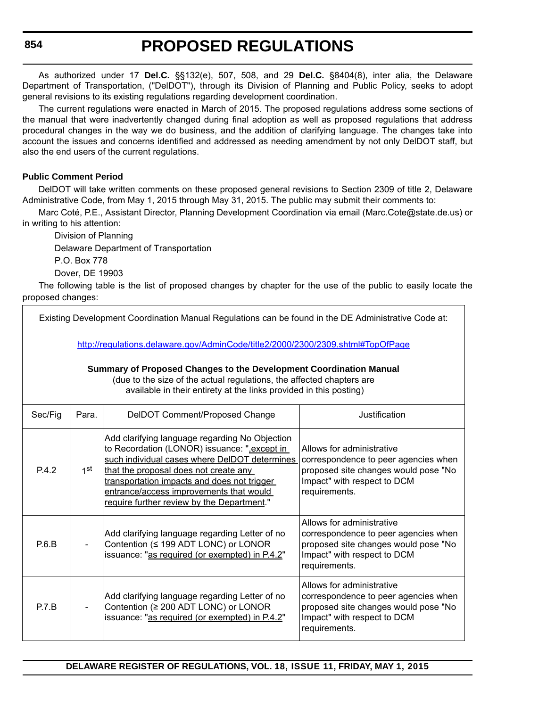**854**

# **PROPOSED REGULATIONS**

As authorized under 17 **Del.C.** §§132(e), 507, 508, and 29 **Del.C.** §8404(8), inter alia, the Delaware Department of Transportation, ("DelDOT"), through its Division of Planning and Public Policy, seeks to adopt general revisions to its existing regulations regarding development coordination.

The current regulations were enacted in March of 2015. The proposed regulations address some sections of the manual that were inadvertently changed during final adoption as well as proposed regulations that address procedural changes in the way we do business, and the addition of clarifying language. The changes take into account the issues and concerns identified and addressed as needing amendment by not only DelDOT staff, but also the end users of the current regulations.

## **Public Comment Period**

DelDOT will take written comments on these proposed general revisions to Section 2309 of title 2, Delaware Administrative Code, from May 1, 2015 through May 31, 2015. The public may submit their comments to:

Marc Coté, P.E., Assistant Director, Planning Development Coordination via email (Marc.Cote@state.de.us) or in writing to his attention:

Division of Planning Delaware Department of Transportation P.O. Box 778 Dover, DE 19903

The following table is the list of proposed changes by chapter for the use of the public to easily locate the proposed changes:

| Existing Development Coordination Manual Regulations can be found in the DE Administrative Code at:                                                                                                               |                 |                                                                                                                                                                                                                                                                                                                                  |                                                                                                                                                           |  |
|-------------------------------------------------------------------------------------------------------------------------------------------------------------------------------------------------------------------|-----------------|----------------------------------------------------------------------------------------------------------------------------------------------------------------------------------------------------------------------------------------------------------------------------------------------------------------------------------|-----------------------------------------------------------------------------------------------------------------------------------------------------------|--|
| http://regulations.delaware.gov/AdminCode/title2/2000/2300/2309.shtml#TopOfPage                                                                                                                                   |                 |                                                                                                                                                                                                                                                                                                                                  |                                                                                                                                                           |  |
| Summary of Proposed Changes to the Development Coordination Manual<br>(due to the size of the actual regulations, the affected chapters are<br>available in their entirety at the links provided in this posting) |                 |                                                                                                                                                                                                                                                                                                                                  |                                                                                                                                                           |  |
| Sec/Fig                                                                                                                                                                                                           | Para.           | DeIDOT Comment/Proposed Change                                                                                                                                                                                                                                                                                                   | Justification                                                                                                                                             |  |
| P.4.2                                                                                                                                                                                                             | 1 <sup>st</sup> | Add clarifying language regarding No Objection<br>to Recordation (LONOR) issuance: ",except in<br>such individual cases where DelDOT determines<br>that the proposal does not create any<br>transportation impacts and does not trigger<br>entrance/access improvements that would<br>require further review by the Department." | Allows for administrative<br>correspondence to peer agencies when<br>proposed site changes would pose "No<br>Impact" with respect to DCM<br>requirements. |  |
| P.6.B                                                                                                                                                                                                             |                 | Add clarifying language regarding Letter of no<br>Contention (≤ 199 ADT LONC) or LONOR<br>issuance: "as required (or exempted) in P.4.2"                                                                                                                                                                                         | Allows for administrative<br>correspondence to peer agencies when<br>proposed site changes would pose "No<br>Impact" with respect to DCM<br>requirements. |  |
| P.7.B                                                                                                                                                                                                             |                 | Add clarifying language regarding Letter of no<br>Contention (≥ 200 ADT LONC) or LONOR<br>issuance: "as required (or exempted) in P.4.2"                                                                                                                                                                                         | Allows for administrative<br>correspondence to peer agencies when<br>proposed site changes would pose "No<br>Impact" with respect to DCM<br>requirements. |  |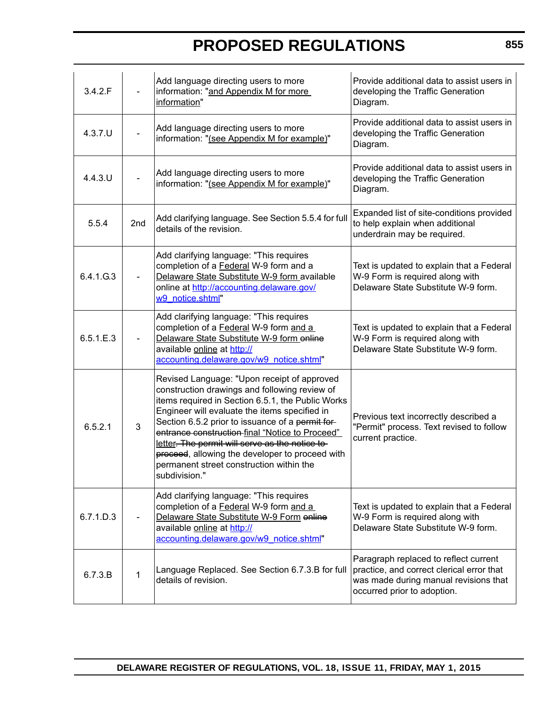| 3.4.2.F    |     | Add language directing users to more<br>information: "and Appendix M for more<br>information"                                                                                                                                                                                                                                                                                                                                                                               | Provide additional data to assist users in<br>developing the Traffic Generation<br>Diagram.                                                                |
|------------|-----|-----------------------------------------------------------------------------------------------------------------------------------------------------------------------------------------------------------------------------------------------------------------------------------------------------------------------------------------------------------------------------------------------------------------------------------------------------------------------------|------------------------------------------------------------------------------------------------------------------------------------------------------------|
| $4.3.7.$ U |     | Add language directing users to more<br>information: "(see Appendix M for example)"                                                                                                                                                                                                                                                                                                                                                                                         | Provide additional data to assist users in<br>developing the Traffic Generation<br>Diagram.                                                                |
| $4.4.3$ .U |     | Add language directing users to more<br>information: "(see Appendix M for example)"                                                                                                                                                                                                                                                                                                                                                                                         | Provide additional data to assist users in<br>developing the Traffic Generation<br>Diagram.                                                                |
| 5.5.4      | 2nd | Add clarifying language. See Section 5.5.4 for full<br>details of the revision.                                                                                                                                                                                                                                                                                                                                                                                             | Expanded list of site-conditions provided<br>to help explain when additional<br>underdrain may be required.                                                |
| 6.4.1.G.3  |     | Add clarifying language: "This requires<br>completion of a Federal W-9 form and a<br>Delaware State Substitute W-9 form available<br>online at http://accounting.delaware.gov/<br>w9 notice.shtml"                                                                                                                                                                                                                                                                          | Text is updated to explain that a Federal<br>W-9 Form is required along with<br>Delaware State Substitute W-9 form.                                        |
| 6.5.1.E.3  |     | Add clarifying language: "This requires<br>completion of a Federal W-9 form and a<br>Delaware State Substitute W-9 form online<br>available online at http://<br>accounting.delaware.gov/w9 notice.shtml"                                                                                                                                                                                                                                                                   | Text is updated to explain that a Federal<br>W-9 Form is required along with<br>Delaware State Substitute W-9 form.                                        |
| 6.5.2.1    | 3   | Revised Language: "Upon receipt of approved<br>construction drawings and following review of<br>items required in Section 6.5.1, the Public Works<br>Engineer will evaluate the items specified in<br>Section 6.5.2 prior to issuance of a permit for-<br>entrance construction-final "Notice to Proceed"<br>letter. The permit will serve as the notice to<br>proceed, allowing the developer to proceed with<br>permanent street construction within the<br>subdivision." | Previous text incorrectly described a<br>"Permit" process. Text revised to follow<br>current practice.                                                     |
| 6.7.1.D.3  |     | Add clarifying language: "This requires<br>completion of a Federal W-9 form and a<br>Delaware State Substitute W-9 Form enline<br>available online at http://<br>accounting.delaware.gov/w9 notice.shtml"                                                                                                                                                                                                                                                                   | Text is updated to explain that a Federal<br>W-9 Form is required along with<br>Delaware State Substitute W-9 form.                                        |
| 6.7.3.B    | 1   | Language Replaced. See Section 6.7.3.B for full<br>details of revision.                                                                                                                                                                                                                                                                                                                                                                                                     | Paragraph replaced to reflect current<br>practice, and correct clerical error that<br>was made during manual revisions that<br>occurred prior to adoption. |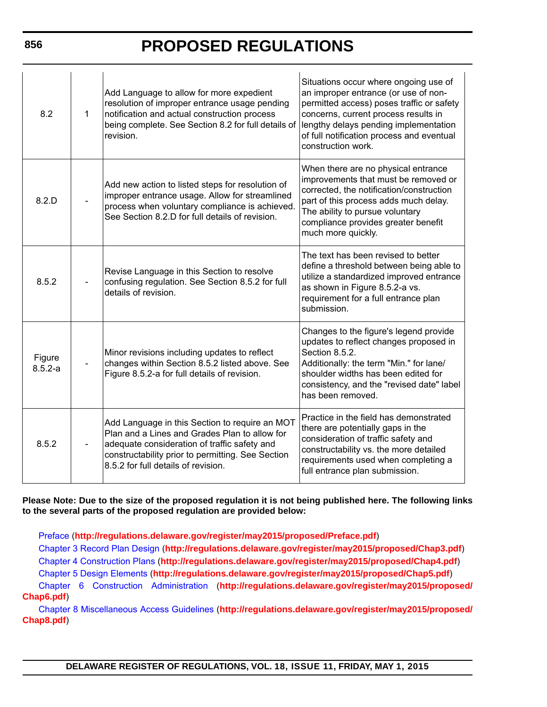| 8.2                   | $\mathbf{1}$ | Add Language to allow for more expedient<br>resolution of improper entrance usage pending<br>notification and actual construction process<br>being complete. See Section 8.2 for full details of<br>revision.                               | Situations occur where ongoing use of<br>an improper entrance (or use of non-<br>permitted access) poses traffic or safety<br>concerns, current process results in<br>lengthy delays pending implementation<br>of full notification process and eventual<br>construction work. |
|-----------------------|--------------|---------------------------------------------------------------------------------------------------------------------------------------------------------------------------------------------------------------------------------------------|--------------------------------------------------------------------------------------------------------------------------------------------------------------------------------------------------------------------------------------------------------------------------------|
| 8.2.D                 |              | Add new action to listed steps for resolution of<br>improper entrance usage. Allow for streamlined<br>process when voluntary compliance is achieved.<br>See Section 8.2.D for full details of revision.                                     | When there are no physical entrance<br>improvements that must be removed or<br>corrected, the notification/construction<br>part of this process adds much delay.<br>The ability to pursue voluntary<br>compliance provides greater benefit<br>much more quickly.               |
| 8.5.2                 |              | Revise Language in this Section to resolve<br>confusing regulation. See Section 8.5.2 for full<br>details of revision.                                                                                                                      | The text has been revised to better<br>define a threshold between being able to<br>utilize a standardized improved entrance<br>as shown in Figure 8.5.2-a vs.<br>requirement for a full entrance plan<br>submission.                                                           |
| Figure<br>$8.5.2 - a$ |              | Minor revisions including updates to reflect<br>changes within Section 8.5.2 listed above. See<br>Figure 8.5.2-a for full details of revision.                                                                                              | Changes to the figure's legend provide<br>updates to reflect changes proposed in<br>Section 8.5.2.<br>Additionally: the term "Min." for lane/<br>shoulder widths has been edited for<br>consistency, and the "revised date" label<br>has been removed.                         |
| 8.5.2                 |              | Add Language in this Section to require an MOT<br>Plan and a Lines and Grades Plan to allow for<br>adequate consideration of traffic safety and<br>constructability prior to permitting. See Section<br>8.5.2 for full details of revision. | Practice in the field has demonstrated<br>there are potentially gaps in the<br>consideration of traffic safety and<br>constructability vs. the more detailed<br>requirements used when completing a<br>full entrance plan submission.                                          |

**Please Note: Due to the size of the proposed regulation it is not being published here. The following links to the several parts of the proposed regulation are provided below:**

[Preface](http://regulations.delaware.gov/register/may2015/proposed/Preface.pdf) (**http://regulations.delaware.gov/register/may2015/proposed/Preface.pdf**)

[Chapter 3 Record Plan Design](http://regulations.delaware.gov/register/may2015/proposed/Chap3.pdf) (**http://regulations.delaware.gov/register/may2015/proposed/Chap3.pdf**) [Chapter 4 Construction Plans](http://regulations.delaware.gov/register/may2015/proposed/Chap4.pdf) (**http://regulations.delaware.gov/register/may2015/proposed/Chap4.pdf**)

[Chapter 5 Design Elements](http://regulations.delaware.gov/register/may2015/proposed/Chap5.pdf) (**http://regulations.delaware.gov/register/may2015/proposed/Chap5.pdf**)

[Chapter 6 Construction Administration](http://regulations.delaware.gov/register/may2015/proposed/Chap6.pdf) (**http://regulations.delaware.gov/register/may2015/proposed/ Chap6.pdf**)

[Chapter 8 Miscellaneous Access Guidelines](http://regulations.delaware.gov/register/may2015/proposed/Chap8.pdf) (**http://regulations.delaware.gov/register/may2015/proposed/ Chap8.pdf**)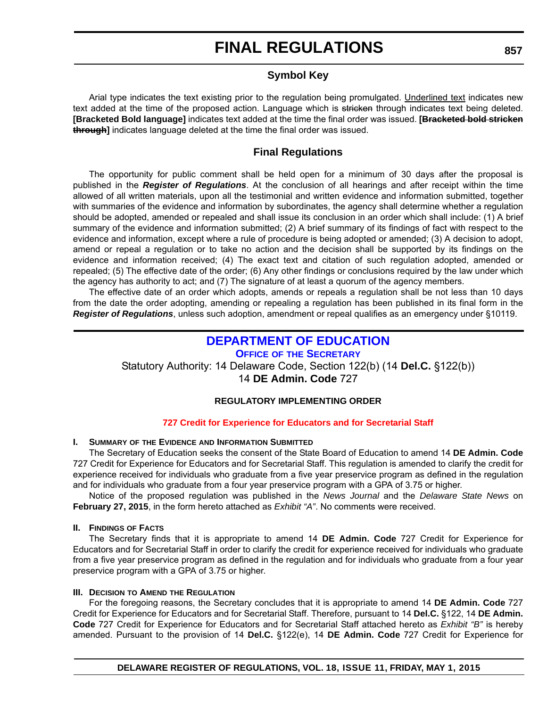## **Symbol Key**

Arial type indicates the text existing prior to the regulation being promulgated. Underlined text indicates new text added at the time of the proposed action. Language which is stricken through indicates text being deleted. **[Bracketed Bold language]** indicates text added at the time the final order was issued. **[Bracketed bold stricken through]** indicates language deleted at the time the final order was issued.

## **Final Regulations**

The opportunity for public comment shall be held open for a minimum of 30 days after the proposal is published in the *Register of Regulations*. At the conclusion of all hearings and after receipt within the time allowed of all written materials, upon all the testimonial and written evidence and information submitted, together with summaries of the evidence and information by subordinates, the agency shall determine whether a regulation should be adopted, amended or repealed and shall issue its conclusion in an order which shall include: (1) A brief summary of the evidence and information submitted; (2) A brief summary of its findings of fact with respect to the evidence and information, except where a rule of procedure is being adopted or amended; (3) A decision to adopt, amend or repeal a regulation or to take no action and the decision shall be supported by its findings on the evidence and information received; (4) The exact text and citation of such regulation adopted, amended or repealed; (5) The effective date of the order; (6) Any other findings or conclusions required by the law under which the agency has authority to act; and (7) The signature of at least a quorum of the agency members.

The effective date of an order which adopts, amends or repeals a regulation shall be not less than 10 days from the date the order adopting, amending or repealing a regulation has been published in its final form in the *Register of Regulations*, unless such adoption, amendment or repeal qualifies as an emergency under §10119.

## **[DEPARTMENT OF EDUCATION](http://www.doe.k12.de.us/site/default.aspx?PageID=1)**

**OFFICE OF THE SECRETARY**

Statutory Authority: 14 Delaware Code, Section 122(b) (14 **Del.C.** §122(b))

14 **DE Admin. Code** 727

## **REGULATORY IMPLEMENTING ORDER**

## **[727 Credit for Experience for Educators and for Secretarial Staff](#page-4-0)**

## **I. SUMMARY OF THE EVIDENCE AND INFORMATION SUBMITTED**

The Secretary of Education seeks the consent of the State Board of Education to amend 14 **DE Admin. Code** 727 Credit for Experience for Educators and for Secretarial Staff. This regulation is amended to clarify the credit for experience received for individuals who graduate from a five year preservice program as defined in the regulation and for individuals who graduate from a four year preservice program with a GPA of 3.75 or higher.

Notice of the proposed regulation was published in the *News Journal* and the *Delaware State News* on **February 27, 2015**, in the form hereto attached as *Exhibit "A"*. No comments were received.

## **II. FINDINGS OF FACTS**

The Secretary finds that it is appropriate to amend 14 **DE Admin. Code** 727 Credit for Experience for Educators and for Secretarial Staff in order to clarify the credit for experience received for individuals who graduate from a five year preservice program as defined in the regulation and for individuals who graduate from a four year preservice program with a GPA of 3.75 or higher.

## **III. DECISION TO AMEND THE REGULATION**

For the foregoing reasons, the Secretary concludes that it is appropriate to amend 14 **DE Admin. Code** 727 Credit for Experience for Educators and for Secretarial Staff. Therefore, pursuant to 14 **Del.C.** §122, 14 **DE Admin. Code** 727 Credit for Experience for Educators and for Secretarial Staff attached hereto as *Exhibit "B"* is hereby amended. Pursuant to the provision of 14 **Del.C.** §122(e), 14 **DE Admin. Code** 727 Credit for Experience for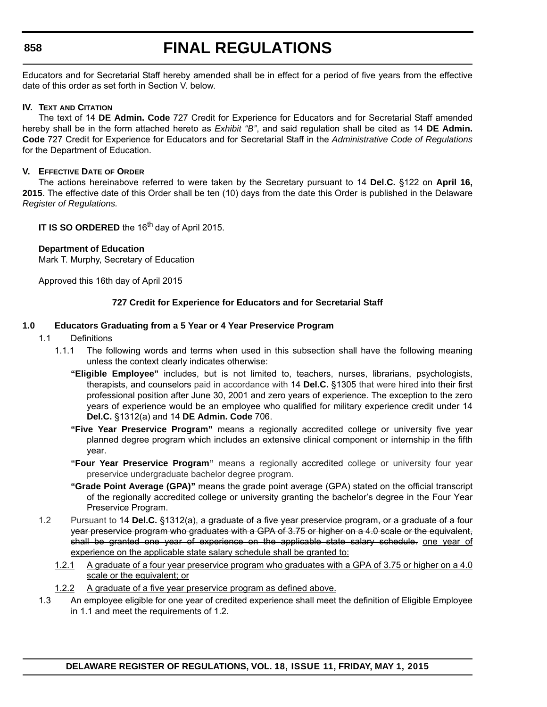## **858**

# **FINAL REGULATIONS**

Educators and for Secretarial Staff hereby amended shall be in effect for a period of five years from the effective date of this order as set forth in Section V. below.

#### **IV. TEXT AND CITATION**

The text of 14 **DE Admin. Code** 727 Credit for Experience for Educators and for Secretarial Staff amended hereby shall be in the form attached hereto as *Exhibit "B"*, and said regulation shall be cited as 14 **DE Admin. Code** 727 Credit for Experience for Educators and for Secretarial Staff in the *Administrative Code of Regulations* for the Department of Education.

#### **V. EFFECTIVE DATE OF ORDER**

The actions hereinabove referred to were taken by the Secretary pursuant to 14 **Del.C.** §122 on **April 16, 2015**. The effective date of this Order shall be ten (10) days from the date this Order is published in the Delaware *Register of Regulations.*

**IT IS SO ORDERED** the 16<sup>th</sup> day of April 2015.

#### **Department of Education**

Mark T. Murphy, Secretary of Education

Approved this 16th day of April 2015

#### **727 Credit for Experience for Educators and for Secretarial Staff**

#### **1.0 Educators Graduating from a 5 Year or 4 Year Preservice Program**

- 1.1 Definitions
	- 1.1.1 The following words and terms when used in this subsection shall have the following meaning unless the context clearly indicates otherwise:
		- **"Eligible Employee"** includes, but is not limited to, teachers, nurses, librarians, psychologists, therapists, and counselors paid in accordance with 14 **Del.C.** §1305 that were hired into their first professional position after June 30, 2001 and zero years of experience. The exception to the zero years of experience would be an employee who qualified for military experience credit under 14 **Del.C.** §1312(a) and 14 **DE Admin. Code** 706.
		- **"Five Year Preservice Program"** means a regionally accredited college or university five year planned degree program which includes an extensive clinical component or internship in the fifth year.
		- **"Four Year Preservice Program"** means a regionally accredited college or university four year preservice undergraduate bachelor degree program.
		- **"Grade Point Average (GPA)"** means the grade point average (GPA) stated on the official transcript of the regionally accredited college or university granting the bachelor's degree in the Four Year Preservice Program.
- 1.2 Pursuant to 14 **Del.C.** §1312(a), a graduate of a five year preservice program, or a graduate of a four year preservice program who graduates with a GPA of 3.75 or higher on a 4.0 scale or the equivalent, shall be granted one year of experience on the applicable state salary schedule. one year of experience on the applicable state salary schedule shall be granted to:
	- 1.2.1 A graduate of a four year preservice program who graduates with a GPA of 3.75 or higher on a 4.0 scale or the equivalent; or
	- 1.2.2 A graduate of a five year preservice program as defined above.
- 1.3 An employee eligible for one year of credited experience shall meet the definition of Eligible Employee in 1.1 and meet the requirements of 1.2.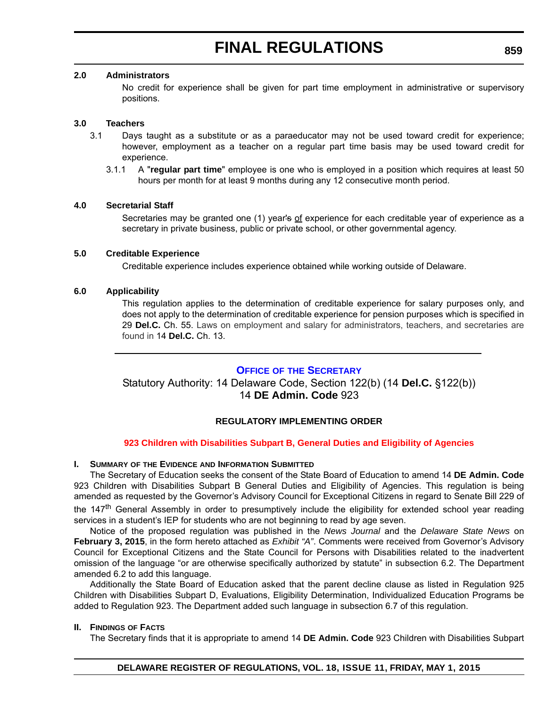#### **2.0 Administrators**

No credit for experience shall be given for part time employment in administrative or supervisory positions.

### **3.0 Teachers**

- 3.1 Days taught as a substitute or as a paraeducator may not be used toward credit for experience; however, employment as a teacher on a regular part time basis may be used toward credit for experience.
	- 3.1.1 A "**regular part time**" employee is one who is employed in a position which requires at least 50 hours per month for at least 9 months during any 12 consecutive month period.

#### **4.0 Secretarial Staff**

Secretaries may be granted one (1) year's of experience for each creditable year of experience as a secretary in private business, public or private school, or other governmental agency.

#### **5.0 Creditable Experience**

Creditable experience includes experience obtained while working outside of Delaware.

#### **6.0 Applicability**

This regulation applies to the determination of creditable experience for salary purposes only, and does not apply to the determination of creditable experience for pension purposes which is specified in 29 **Del.C.** Ch. 55. Laws on employment and salary for administrators, teachers, and secretaries are found in 14 **Del.C.** Ch. 13.

#### **OFFICE OF [THE SECRETARY](http://www.doe.k12.de.us/site/default.aspx?PageID=1)**

Statutory Authority: 14 Delaware Code, Section 122(b) (14 **Del.C.** §122(b)) 14 **DE Admin. Code** 923

## **REGULATORY IMPLEMENTING ORDER**

## **[923 Children with Disabilities Subpart B, General Duties and Eligibility of Agencies](#page-4-0)**

#### **I. SUMMARY OF THE EVIDENCE AND INFORMATION SUBMITTED**

The Secretary of Education seeks the consent of the State Board of Education to amend 14 **DE Admin. Code** 923 Children with Disabilities Subpart B General Duties and Eligibility of Agencies. This regulation is being amended as requested by the Governor's Advisory Council for Exceptional Citizens in regard to Senate Bill 229 of the 147<sup>th</sup> General Assembly in order to presumptively include the eligibility for extended school year reading services in a student's IEP for students who are not beginning to read by age seven.

Notice of the proposed regulation was published in the *News Journal* and the *Delaware State News* on **February 3, 2015**, in the form hereto attached as *Exhibit "A"*. Comments were received from Governor's Advisory Council for Exceptional Citizens and the State Council for Persons with Disabilities related to the inadvertent omission of the language "or are otherwise specifically authorized by statute" in subsection 6.2. The Department amended 6.2 to add this language.

Additionally the State Board of Education asked that the parent decline clause as listed in Regulation 925 Children with Disabilities Subpart D, Evaluations, Eligibility Determination, Individualized Education Programs be added to Regulation 923. The Department added such language in subsection 6.7 of this regulation.

#### **II. FINDINGS OF FACTS**

The Secretary finds that it is appropriate to amend 14 **DE Admin. Code** 923 Children with Disabilities Subpart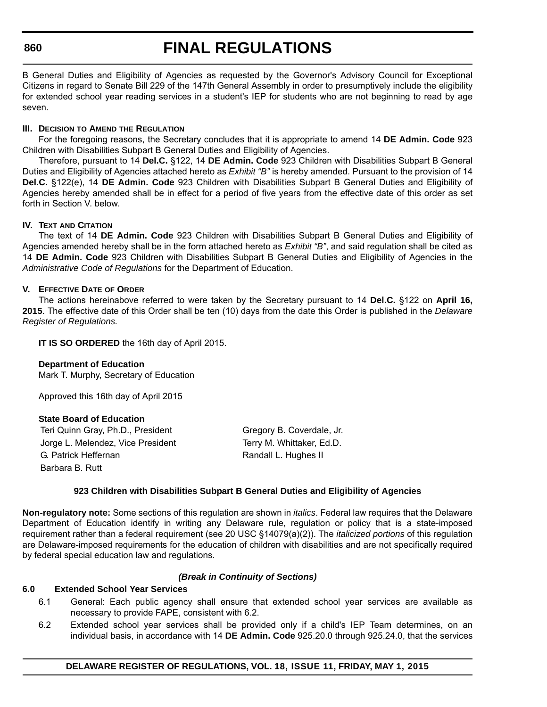#### **860**

# **FINAL REGULATIONS**

B General Duties and Eligibility of Agencies as requested by the Governor's Advisory Council for Exceptional Citizens in regard to Senate Bill 229 of the 147th General Assembly in order to presumptively include the eligibility for extended school year reading services in a student's IEP for students who are not beginning to read by age seven.

#### **III. DECISION TO AMEND THE REGULATION**

For the foregoing reasons, the Secretary concludes that it is appropriate to amend 14 **DE Admin. Code** 923 Children with Disabilities Subpart B General Duties and Eligibility of Agencies.

Therefore, pursuant to 14 **Del.C.** §122, 14 **DE Admin. Code** 923 Children with Disabilities Subpart B General Duties and Eligibility of Agencies attached hereto as *Exhibit "B"* is hereby amended. Pursuant to the provision of 14 **Del.C.** §122(e), 14 **DE Admin. Code** 923 Children with Disabilities Subpart B General Duties and Eligibility of Agencies hereby amended shall be in effect for a period of five years from the effective date of this order as set forth in Section V. below.

#### **IV. TEXT AND CITATION**

The text of 14 **DE Admin. Code** 923 Children with Disabilities Subpart B General Duties and Eligibility of Agencies amended hereby shall be in the form attached hereto as *Exhibit "B"*, and said regulation shall be cited as 14 **DE Admin. Code** 923 Children with Disabilities Subpart B General Duties and Eligibility of Agencies in the *Administrative Code of Regulations* for the Department of Education.

## **V. EFFECTIVE DATE OF ORDER**

The actions hereinabove referred to were taken by the Secretary pursuant to 14 **Del.C.** §122 on **April 16, 2015**. The effective date of this Order shall be ten (10) days from the date this Order is published in the *Delaware Register of Regulations.*

**IT IS SO ORDERED** the 16th day of April 2015.

#### **Department of Education**

Mark T. Murphy, Secretary of Education

Approved this 16th day of April 2015

## **State Board of Education**

Teri Quinn Gray, Ph.D., President Gregory B. Coverdale, Jr. Jorge L. Melendez, Vice President Terry M. Whittaker, Ed.D. G. Patrick Heffernan Randall L. Hughes II Barbara B. Rutt

## **923 Children with Disabilities Subpart B General Duties and Eligibility of Agencies**

**Non-regulatory note:** Some sections of this regulation are shown in *italics*. Federal law requires that the Delaware Department of Education identify in writing any Delaware rule, regulation or policy that is a state-imposed requirement rather than a federal requirement (see 20 USC §14079(a)(2)). The *italicized portions* of this regulation are Delaware-imposed requirements for the education of children with disabilities and are not specifically required by federal special education law and regulations.

## *(Break in Continuity of Sections)*

#### **6.0 Extended School Year Services**

- 6.1 General: Each public agency shall ensure that extended school year services are available as necessary to provide FAPE, consistent with 6.2.
- 6.2 Extended school year services shall be provided only if a child's IEP Team determines, on an individual basis, in accordance with 14 **DE Admin. Code** 925.20.0 through 925.24.0, that the services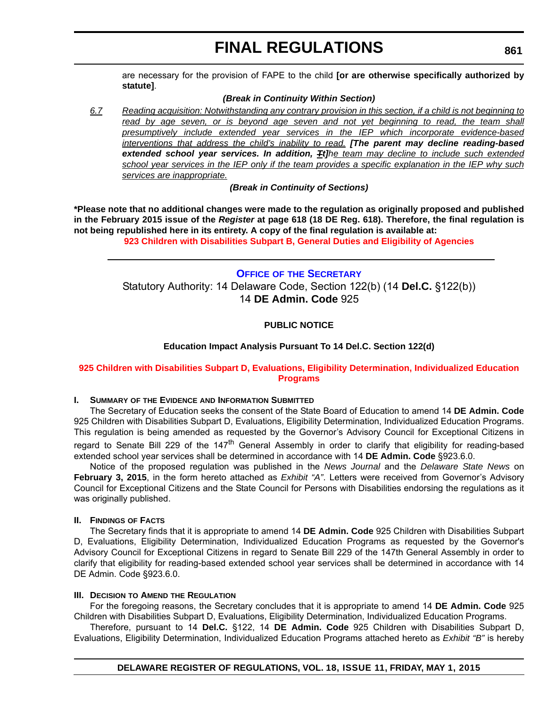are necessary for the provision of FAPE to the child **[or are otherwise specifically authorized by statute]**.

## *(Break in Continuity Within Section)*

*6.7 Reading acquisition: Notwithstanding any contrary provision in this section, if a child is not beginning to* read by age seven, or is beyond age seven and not yet beginning to read, the team shall *presumptively include extended year services in the IEP which incorporate evidence-based interventions that address the child's inability to read. [The parent may decline reading-based extended school year services. In addition, Tt]he team may decline to include such extended school year services in the IEP only if the team provides a specific explanation in the IEP why such services are inappropriate.*

*(Break in Continuity of Sections)*

**\*Please note that no additional changes were made to the regulation as originally proposed and published in the February 2015 issue of the** *Register* **at page 618 (18 DE Reg. 618). Therefore, the final regulation is not being republished here in its entirety. A copy of the final regulation is available at:**

**[923 Children with Disabilities Subpart B, General Duties and Eligibility of Agencies](http://regulations.delaware.gov/register/may2015/final/18 DE Reg 859 05-01-15.htm)**

## **OFFICE OF [THE SECRETARY](http://www.doe.k12.de.us/site/default.aspx?PageID=1)** Statutory Authority: 14 Delaware Code, Section 122(b) (14 **Del.C.** §122(b)) 14 **DE Admin. Code** 925

## **PUBLIC NOTICE**

#### **Education Impact Analysis Pursuant To 14 Del.C. Section 122(d)**

## **[925 Children with Disabilities Subpart D, Evaluations, Eligibility Determination, Individualized Education](#page-4-0)  Programs**

#### **I. SUMMARY OF THE EVIDENCE AND INFORMATION SUBMITTED**

The Secretary of Education seeks the consent of the State Board of Education to amend 14 **DE Admin. Code** 925 Children with Disabilities Subpart D, Evaluations, Eligibility Determination, Individualized Education Programs. This regulation is being amended as requested by the Governor's Advisory Council for Exceptional Citizens in regard to Senate Bill 229 of the 147<sup>th</sup> General Assembly in order to clarify that eligibility for reading-based extended school year services shall be determined in accordance with 14 **DE Admin. Code** §923.6.0.

Notice of the proposed regulation was published in the *News Journal* and the *Delaware State News* on **February 3, 2015**, in the form hereto attached as *Exhibit "A"*. Letters were received from Governor's Advisory Council for Exceptional Citizens and the State Council for Persons with Disabilities endorsing the regulations as it was originally published.

#### **II. FINDINGS OF FACTS**

The Secretary finds that it is appropriate to amend 14 **DE Admin. Code** 925 Children with Disabilities Subpart D, Evaluations, Eligibility Determination, Individualized Education Programs as requested by the Governor's Advisory Council for Exceptional Citizens in regard to Senate Bill 229 of the 147th General Assembly in order to clarify that eligibility for reading-based extended school year services shall be determined in accordance with 14 DE Admin. Code §923.6.0.

#### **III. DECISION TO AMEND THE REGULATION**

For the foregoing reasons, the Secretary concludes that it is appropriate to amend 14 **DE Admin. Code** 925 Children with Disabilities Subpart D, Evaluations, Eligibility Determination, Individualized Education Programs.

Therefore, pursuant to 14 **Del.C.** §122, 14 **DE Admin. Code** 925 Children with Disabilities Subpart D, Evaluations, Eligibility Determination, Individualized Education Programs attached hereto as *Exhibit "B"* is hereby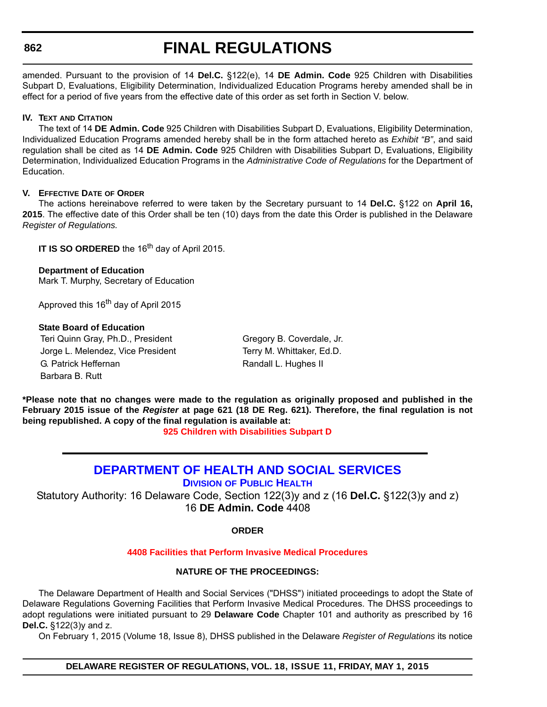#### **862**

## **FINAL REGULATIONS**

amended. Pursuant to the provision of 14 **Del.C.** §122(e), 14 **DE Admin. Code** 925 Children with Disabilities Subpart D, Evaluations, Eligibility Determination, Individualized Education Programs hereby amended shall be in effect for a period of five years from the effective date of this order as set forth in Section V. below.

## **IV. TEXT AND CITATION**

The text of 14 **DE Admin. Code** 925 Children with Disabilities Subpart D, Evaluations, Eligibility Determination, Individualized Education Programs amended hereby shall be in the form attached hereto as *Exhibit "B"*, and said regulation shall be cited as 14 **DE Admin. Code** 925 Children with Disabilities Subpart D, Evaluations, Eligibility Determination, Individualized Education Programs in the *Administrative Code of Regulations* for the Department of Education.

#### **V. EFFECTIVE DATE OF ORDER**

The actions hereinabove referred to were taken by the Secretary pursuant to 14 **Del.C.** §122 on **April 16, 2015**. The effective date of this Order shall be ten (10) days from the date this Order is published in the Delaware *Register of Regulations.*

**IT IS SO ORDERED** the 16<sup>th</sup> day of April 2015.

#### **Department of Education**

Mark T. Murphy, Secretary of Education

Approved this 16<sup>th</sup> day of April 2015

#### **State Board of Education**

Teri Quinn Gray, Ph.D., President Gregory B. Coverdale, Jr. Jorge L. Melendez, Vice President Terry M. Whittaker, Ed.D. G. Patrick Heffernan Randall L. Hughes II Barbara B. Rutt

**\*Please note that no changes were made to the regulation as originally proposed and published in the February 2015 issue of the** *Register* **at page 621 (18 DE Reg. 621). Therefore, the final regulation is not being republished. A copy of the final regulation is available at:**

**[925 Children with Disabilities Subpart D](http://regulations.delaware.gov/register/may2015/final/18 DE Reg 861 05-01-15.htm)**

## **[DEPARTMENT OF HEALTH AND SOCIAL SERVICES](http://www.dhss.delaware.gov/dhss/dph/index.html)**

**DIVISION OF PUBLIC HEALTH**

Statutory Authority: 16 Delaware Code, Section 122(3)y and z (16 **Del.C.** §122(3)y and z) 16 **DE Admin. Code** 4408

## **ORDER**

## **[4408 Facilities that Perform Invasive Medical Procedures](#page-4-0)**

## **NATURE OF THE PROCEEDINGS:**

The Delaware Department of Health and Social Services ("DHSS") initiated proceedings to adopt the State of Delaware Regulations Governing Facilities that Perform Invasive Medical Procedures. The DHSS proceedings to adopt regulations were initiated pursuant to 29 **Delaware Code** Chapter 101 and authority as prescribed by 16 **Del.C.** §122(3)y and z.

On February 1, 2015 (Volume 18, Issue 8), DHSS published in the Delaware *Register of Regulations* its notice

**DELAWARE REGISTER OF REGULATIONS, VOL. 18, ISSUE 11, FRIDAY, MAY 1, 2015**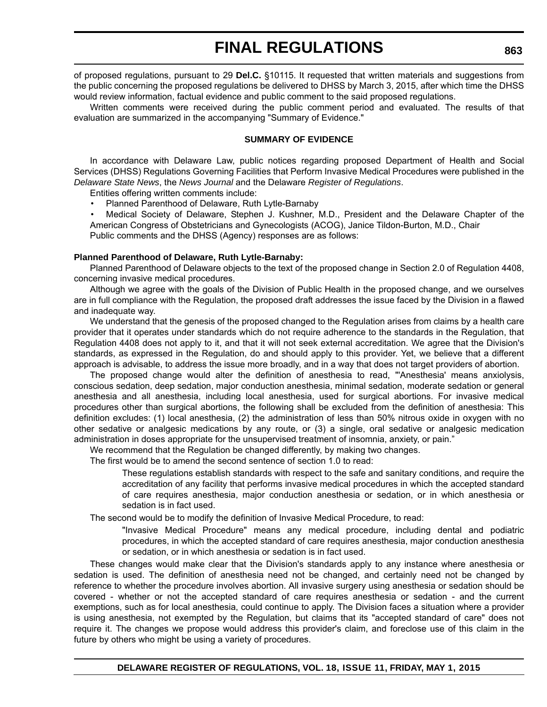of proposed regulations, pursuant to 29 **Del.C.** §10115. It requested that written materials and suggestions from the public concerning the proposed regulations be delivered to DHSS by March 3, 2015, after which time the DHSS would review information, factual evidence and public comment to the said proposed regulations.

Written comments were received during the public comment period and evaluated. The results of that evaluation are summarized in the accompanying "Summary of Evidence."

#### **SUMMARY OF EVIDENCE**

In accordance with Delaware Law, public notices regarding proposed Department of Health and Social Services (DHSS) Regulations Governing Facilities that Perform Invasive Medical Procedures were published in the *Delaware State News*, the *News Journal* and the Delaware *Register of Regulations*.

Entities offering written comments include:

• Planned Parenthood of Delaware, Ruth Lytle-Barnaby

• Medical Society of Delaware, Stephen J. Kushner, M.D., President and the Delaware Chapter of the American Congress of Obstetricians and Gynecologists (ACOG), Janice Tildon-Burton, M.D., Chair Public comments and the DHSS (Agency) responses are as follows:

#### **Planned Parenthood of Delaware, Ruth Lytle-Barnaby:**

Planned Parenthood of Delaware objects to the text of the proposed change in Section 2.0 of Regulation 4408, concerning invasive medical procedures.

Although we agree with the goals of the Division of Public Health in the proposed change, and we ourselves are in full compliance with the Regulation, the proposed draft addresses the issue faced by the Division in a flawed and inadequate way.

We understand that the genesis of the proposed changed to the Regulation arises from claims by a health care provider that it operates under standards which do not require adherence to the standards in the Regulation, that Regulation 4408 does not apply to it, and that it will not seek external accreditation. We agree that the Division's standards, as expressed in the Regulation, do and should apply to this provider. Yet, we believe that a different approach is advisable, to address the issue more broadly, and in a way that does not target providers of abortion.

The proposed change would alter the definition of anesthesia to read, "'Anesthesia' means anxiolysis, conscious sedation, deep sedation, major conduction anesthesia, minimal sedation, moderate sedation or general anesthesia and all anesthesia, including local anesthesia, used for surgical abortions. For invasive medical procedures other than surgical abortions, the following shall be excluded from the definition of anesthesia: This definition excludes: (1) local anesthesia, (2) the administration of less than 50% nitrous oxide in oxygen with no other sedative or analgesic medications by any route, or (3) a single, oral sedative or analgesic medication administration in doses appropriate for the unsupervised treatment of insomnia, anxiety, or pain."

We recommend that the Regulation be changed differently, by making two changes.

The first would be to amend the second sentence of section 1.0 to read:

These regulations establish standards with respect to the safe and sanitary conditions, and require the accreditation of any facility that performs invasive medical procedures in which the accepted standard of care requires anesthesia, major conduction anesthesia or sedation, or in which anesthesia or sedation is in fact used.

The second would be to modify the definition of Invasive Medical Procedure, to read:

"Invasive Medical Procedure" means any medical procedure, including dental and podiatric procedures, in which the accepted standard of care requires anesthesia, major conduction anesthesia or sedation, or in which anesthesia or sedation is in fact used.

These changes would make clear that the Division's standards apply to any instance where anesthesia or sedation is used. The definition of anesthesia need not be changed, and certainly need not be changed by reference to whether the procedure involves abortion. All invasive surgery using anesthesia or sedation should be covered - whether or not the accepted standard of care requires anesthesia or sedation - and the current exemptions, such as for local anesthesia, could continue to apply. The Division faces a situation where a provider is using anesthesia, not exempted by the Regulation, but claims that its "accepted standard of care" does not require it. The changes we propose would address this provider's claim, and foreclose use of this claim in the future by others who might be using a variety of procedures.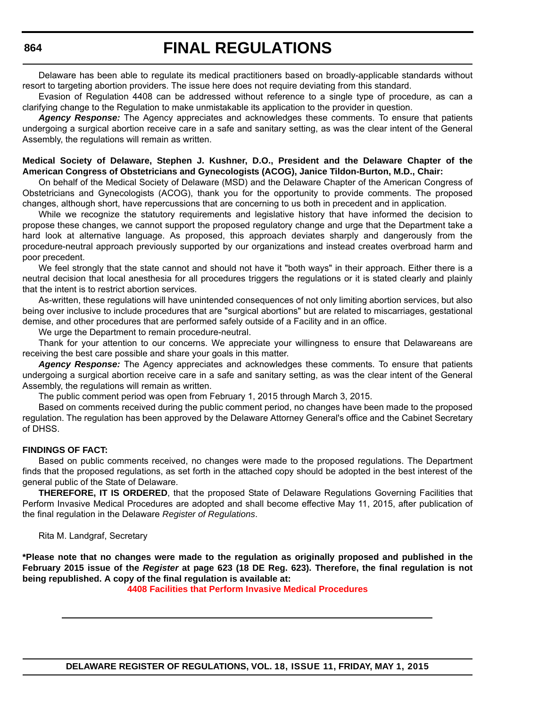Delaware has been able to regulate its medical practitioners based on broadly-applicable standards without resort to targeting abortion providers. The issue here does not require deviating from this standard.

Evasion of Regulation 4408 can be addressed without reference to a single type of procedure, as can a clarifying change to the Regulation to make unmistakable its application to the provider in question.

*Agency Response:* The Agency appreciates and acknowledges these comments. To ensure that patients undergoing a surgical abortion receive care in a safe and sanitary setting, as was the clear intent of the General Assembly, the regulations will remain as written.

#### **Medical Society of Delaware, Stephen J. Kushner, D.O., President and the Delaware Chapter of the American Congress of Obstetricians and Gynecologists (ACOG), Janice Tildon-Burton, M.D., Chair:**

On behalf of the Medical Society of Delaware (MSD) and the Delaware Chapter of the American Congress of Obstetricians and Gynecologists (ACOG), thank you for the opportunity to provide comments. The proposed changes, although short, have repercussions that are concerning to us both in precedent and in application.

While we recognize the statutory requirements and legislative history that have informed the decision to propose these changes, we cannot support the proposed regulatory change and urge that the Department take a hard look at alternative language. As proposed, this approach deviates sharply and dangerously from the procedure-neutral approach previously supported by our organizations and instead creates overbroad harm and poor precedent.

We feel strongly that the state cannot and should not have it "both ways" in their approach. Either there is a neutral decision that local anesthesia for all procedures triggers the regulations or it is stated clearly and plainly that the intent is to restrict abortion services.

As-written, these regulations will have unintended consequences of not only limiting abortion services, but also being over inclusive to include procedures that are "surgical abortions" but are related to miscarriages, gestational demise, and other procedures that are performed safely outside of a Facility and in an office.

We urge the Department to remain procedure-neutral.

Thank for your attention to our concerns. We appreciate your willingness to ensure that Delawareans are receiving the best care possible and share your goals in this matter.

*Agency Response:* The Agency appreciates and acknowledges these comments. To ensure that patients undergoing a surgical abortion receive care in a safe and sanitary setting, as was the clear intent of the General Assembly, the regulations will remain as written.

The public comment period was open from February 1, 2015 through March 3, 2015.

Based on comments received during the public comment period, no changes have been made to the proposed regulation. The regulation has been approved by the Delaware Attorney General's office and the Cabinet Secretary of DHSS.

#### **FINDINGS OF FACT:**

Based on public comments received, no changes were made to the proposed regulations. The Department finds that the proposed regulations, as set forth in the attached copy should be adopted in the best interest of the general public of the State of Delaware.

**THEREFORE, IT IS ORDERED**, that the proposed State of Delaware Regulations Governing Facilities that Perform Invasive Medical Procedures are adopted and shall become effective May 11, 2015, after publication of the final regulation in the Delaware *Register of Regulations*.

Rita M. Landgraf, Secretary

**\*Please note that no changes were made to the regulation as originally proposed and published in the February 2015 issue of the** *Register* **at page 623 (18 DE Reg. 623). Therefore, the final regulation is not being republished. A copy of the final regulation is available at:**

**[4408 Facilities that Perform Invasive Medical Procedures](http://regulations.delaware.gov/register/may2015/final/18 DE Reg 862 05-01-15.htm)**

**DELAWARE REGISTER OF REGULATIONS, VOL. 18, ISSUE 11, FRIDAY, MAY 1, 2015**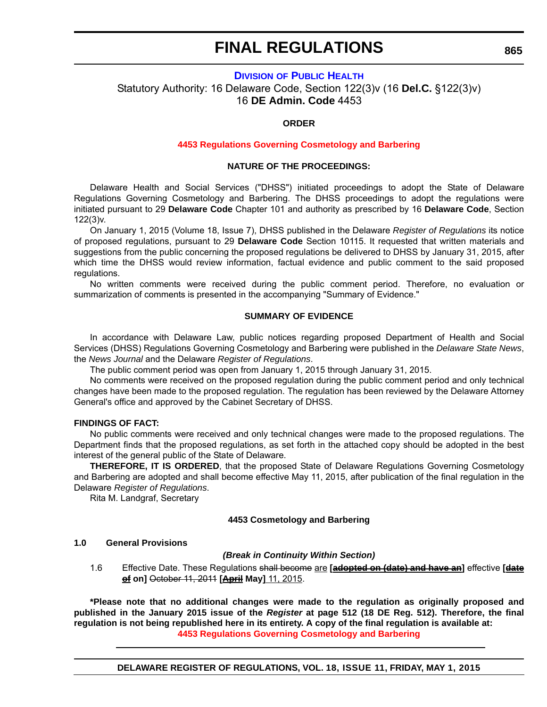## **DIVISION [OF PUBLIC HEALTH](http://www.dhss.delaware.gov/dhss/dph/index.html)** Statutory Authority: 16 Delaware Code, Section 122(3)v (16 **Del.C.** §122(3)v) 16 **DE Admin. Code** 4453

## **ORDER**

#### **[4453 Regulations Governing Cosmetology and Barbering](#page-4-0)**

#### **NATURE OF THE PROCEEDINGS:**

Delaware Health and Social Services ("DHSS") initiated proceedings to adopt the State of Delaware Regulations Governing Cosmetology and Barbering. The DHSS proceedings to adopt the regulations were initiated pursuant to 29 **Delaware Code** Chapter 101 and authority as prescribed by 16 **Delaware Code**, Section 122(3)v.

On January 1, 2015 (Volume 18, Issue 7), DHSS published in the Delaware *Register of Regulations* its notice of proposed regulations, pursuant to 29 **Delaware Code** Section 10115. It requested that written materials and suggestions from the public concerning the proposed regulations be delivered to DHSS by January 31, 2015, after which time the DHSS would review information, factual evidence and public comment to the said proposed regulations.

No written comments were received during the public comment period. Therefore, no evaluation or summarization of comments is presented in the accompanying "Summary of Evidence."

#### **SUMMARY OF EVIDENCE**

In accordance with Delaware Law, public notices regarding proposed Department of Health and Social Services (DHSS) Regulations Governing Cosmetology and Barbering were published in the *Delaware State News*, the *News Journal* and the Delaware *Register of Regulations*.

The public comment period was open from January 1, 2015 through January 31, 2015.

No comments were received on the proposed regulation during the public comment period and only technical changes have been made to the proposed regulation. The regulation has been reviewed by the Delaware Attorney General's office and approved by the Cabinet Secretary of DHSS.

#### **FINDINGS OF FACT:**

No public comments were received and only technical changes were made to the proposed regulations. The Department finds that the proposed regulations, as set forth in the attached copy should be adopted in the best interest of the general public of the State of Delaware.

**THEREFORE, IT IS ORDERED**, that the proposed State of Delaware Regulations Governing Cosmetology and Barbering are adopted and shall become effective May 11, 2015, after publication of the final regulation in the Delaware *Register of Regulations*.

Rita M. Landgraf, Secretary

#### **4453 Cosmetology and Barbering**

#### **1.0 General Provisions**

#### *(Break in Continuity Within Section)*

1.6 Effective Date. These Regulations shall become are **[adopted on (date) and have an]** effective **[date of on]** October 11, 2011 **[April May]** 11, 2015.

**\*Please note that no additional changes were made to the regulation as originally proposed and published in the January 2015 issue of the** *Register* **at page 512 (18 DE Reg. 512). Therefore, the final regulation is not being republished here in its entirety. A copy of the final regulation is available at: [4453 Regulations Governing Cosmetology and Barbering](http://regulations.delaware.gov/register/may2015/final/18 DE Reg 865 05-01-15.htm)**

**DELAWARE REGISTER OF REGULATIONS, VOL. 18, ISSUE 11, FRIDAY, MAY 1, 2015**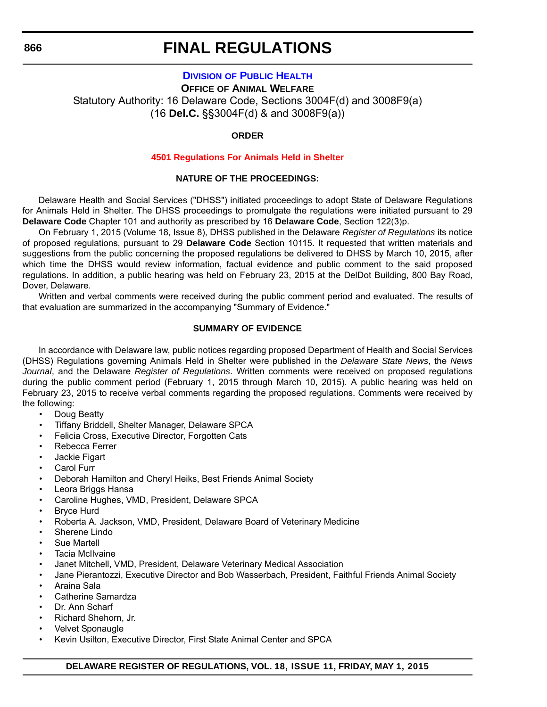## **DIVISION [OF PUBLIC HEALTH](http://www.dhss.delaware.gov/dhss/dph/index.html)**

**OFFICE OF ANIMAL WELFARE** Statutory Authority: 16 Delaware Code, Sections 3004F(d) and 3008F9(a) (16 **Del.C.** §§3004F(d) & and 3008F9(a))

#### **ORDER**

#### **[4501 Regulations For Animals Held in Shelter](#page-4-0)**

#### **NATURE OF THE PROCEEDINGS:**

Delaware Health and Social Services ("DHSS") initiated proceedings to adopt State of Delaware Regulations for Animals Held in Shelter. The DHSS proceedings to promulgate the regulations were initiated pursuant to 29 **Delaware Code** Chapter 101 and authority as prescribed by 16 **Delaware Code**, Section 122(3)p.

On February 1, 2015 (Volume 18, Issue 8), DHSS published in the Delaware *Register of Regulations* its notice of proposed regulations, pursuant to 29 **Delaware Code** Section 10115. It requested that written materials and suggestions from the public concerning the proposed regulations be delivered to DHSS by March 10, 2015, after which time the DHSS would review information, factual evidence and public comment to the said proposed regulations. In addition, a public hearing was held on February 23, 2015 at the DelDot Building, 800 Bay Road, Dover, Delaware.

Written and verbal comments were received during the public comment period and evaluated. The results of that evaluation are summarized in the accompanying "Summary of Evidence."

## **SUMMARY OF EVIDENCE**

In accordance with Delaware law, public notices regarding proposed Department of Health and Social Services (DHSS) Regulations governing Animals Held in Shelter were published in the *Delaware State News*, the *News Journal*, and the Delaware *Register of Regulations*. Written comments were received on proposed regulations during the public comment period (February 1, 2015 through March 10, 2015). A public hearing was held on February 23, 2015 to receive verbal comments regarding the proposed regulations. Comments were received by the following:

- Doug Beatty
- Tiffany Briddell, Shelter Manager, Delaware SPCA
- Felicia Cross, Executive Director, Forgotten Cats
- Rebecca Ferrer
- Jackie Figart
- Carol Furr
- Deborah Hamilton and Cheryl Heiks, Best Friends Animal Society
- Leora Briggs Hansa
- Caroline Hughes, VMD, President, Delaware SPCA
- Bryce Hurd
- Roberta A. Jackson, VMD, President, Delaware Board of Veterinary Medicine
- Sherene Lindo
- Sue Martell
- Tacia McIlvaine
- Janet Mitchell, VMD, President, Delaware Veterinary Medical Association
- Jane Pierantozzi, Executive Director and Bob Wasserbach, President, Faithful Friends Animal Society
- Araina Sala
- Catherine Samardza
- Dr. Ann Scharf
- Richard Shehorn, Jr.
- Velvet Sponaugle
- Kevin Usilton, Executive Director, First State Animal Center and SPCA

## **DELAWARE REGISTER OF REGULATIONS, VOL. 18, ISSUE 11, FRIDAY, MAY 1, 2015**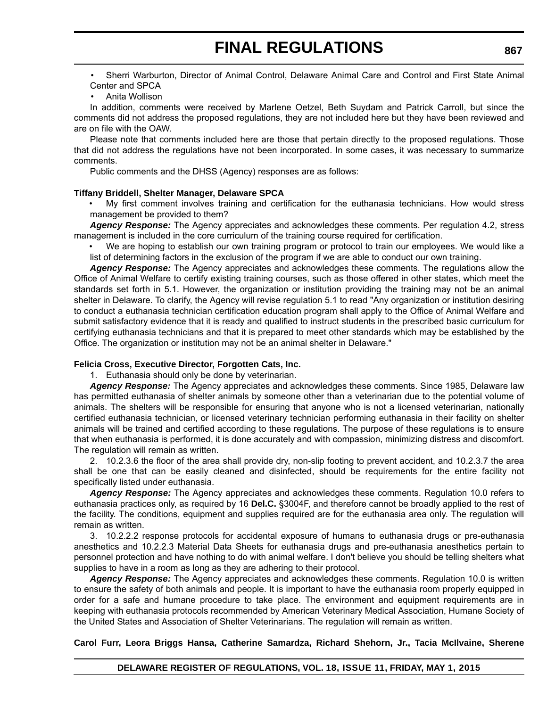• Sherri Warburton, Director of Animal Control, Delaware Animal Care and Control and First State Animal Center and SPCA

#### • Anita Wollison

In addition, comments were received by Marlene Oetzel, Beth Suydam and Patrick Carroll, but since the comments did not address the proposed regulations, they are not included here but they have been reviewed and are on file with the OAW.

Please note that comments included here are those that pertain directly to the proposed regulations. Those that did not address the regulations have not been incorporated. In some cases, it was necessary to summarize comments.

Public comments and the DHSS (Agency) responses are as follows:

#### **Tiffany Briddell, Shelter Manager, Delaware SPCA**

• My first comment involves training and certification for the euthanasia technicians. How would stress management be provided to them?

*Agency Response:* The Agency appreciates and acknowledges these comments. Per regulation 4.2, stress management is included in the core curriculum of the training course required for certification.

We are hoping to establish our own training program or protocol to train our employees. We would like a list of determining factors in the exclusion of the program if we are able to conduct our own training.

*Agency Response:* The Agency appreciates and acknowledges these comments. The regulations allow the Office of Animal Welfare to certify existing training courses, such as those offered in other states, which meet the standards set forth in 5.1. However, the organization or institution providing the training may not be an animal shelter in Delaware. To clarify, the Agency will revise regulation 5.1 to read "Any organization or institution desiring to conduct a euthanasia technician certification education program shall apply to the Office of Animal Welfare and submit satisfactory evidence that it is ready and qualified to instruct students in the prescribed basic curriculum for certifying euthanasia technicians and that it is prepared to meet other standards which may be established by the Office. The organization or institution may not be an animal shelter in Delaware."

#### **Felicia Cross, Executive Director, Forgotten Cats, Inc.**

1. Euthanasia should only be done by veterinarian.

*Agency Response:* The Agency appreciates and acknowledges these comments. Since 1985, Delaware law has permitted euthanasia of shelter animals by someone other than a veterinarian due to the potential volume of animals. The shelters will be responsible for ensuring that anyone who is not a licensed veterinarian, nationally certified euthanasia technician, or licensed veterinary technician performing euthanasia in their facility on shelter animals will be trained and certified according to these regulations. The purpose of these regulations is to ensure that when euthanasia is performed, it is done accurately and with compassion, minimizing distress and discomfort. The regulation will remain as written.

2. 10.2.3.6 the floor of the area shall provide dry, non-slip footing to prevent accident, and 10.2.3.7 the area shall be one that can be easily cleaned and disinfected, should be requirements for the entire facility not specifically listed under euthanasia.

*Agency Response:* The Agency appreciates and acknowledges these comments. Regulation 10.0 refers to euthanasia practices only, as required by 16 **Del.C.** §3004F, and therefore cannot be broadly applied to the rest of the facility. The conditions, equipment and supplies required are for the euthanasia area only. The regulation will remain as written.

3. 10.2.2.2 response protocols for accidental exposure of humans to euthanasia drugs or pre-euthanasia anesthetics and 10.2.2.3 Material Data Sheets for euthanasia drugs and pre-euthanasia anesthetics pertain to personnel protection and have nothing to do with animal welfare. I don't believe you should be telling shelters what supplies to have in a room as long as they are adhering to their protocol.

*Agency Response:* The Agency appreciates and acknowledges these comments. Regulation 10.0 is written to ensure the safety of both animals and people. It is important to have the euthanasia room properly equipped in order for a safe and humane procedure to take place. The environment and equipment requirements are in keeping with euthanasia protocols recommended by American Veterinary Medical Association, Humane Society of the United States and Association of Shelter Veterinarians. The regulation will remain as written.

## **Carol Furr, Leora Briggs Hansa, Catherine Samardza, Richard Shehorn, Jr., Tacia McIlvaine, Sherene**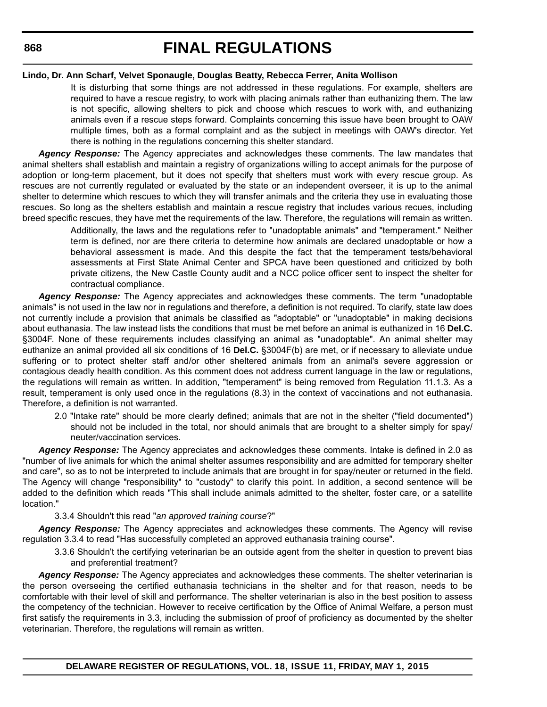#### **Lindo, Dr. Ann Scharf, Velvet Sponaugle, Douglas Beatty, Rebecca Ferrer, Anita Wollison**

It is disturbing that some things are not addressed in these regulations. For example, shelters are required to have a rescue registry, to work with placing animals rather than euthanizing them. The law is not specific, allowing shelters to pick and choose which rescues to work with, and euthanizing animals even if a rescue steps forward. Complaints concerning this issue have been brought to OAW multiple times, both as a formal complaint and as the subject in meetings with OAW's director. Yet there is nothing in the regulations concerning this shelter standard.

*Agency Response:* The Agency appreciates and acknowledges these comments. The law mandates that animal shelters shall establish and maintain a registry of organizations willing to accept animals for the purpose of adoption or long-term placement, but it does not specify that shelters must work with every rescue group. As rescues are not currently regulated or evaluated by the state or an independent overseer, it is up to the animal shelter to determine which rescues to which they will transfer animals and the criteria they use in evaluating those rescues. So long as the shelters establish and maintain a rescue registry that includes various recues, including breed specific rescues, they have met the requirements of the law. Therefore, the regulations will remain as written.

> Additionally, the laws and the regulations refer to "unadoptable animals" and "temperament." Neither term is defined, nor are there criteria to determine how animals are declared unadoptable or how a behavioral assessment is made. And this despite the fact that the temperament tests/behavioral assessments at First State Animal Center and SPCA have been questioned and criticized by both private citizens, the New Castle County audit and a NCC police officer sent to inspect the shelter for contractual compliance.

*Agency Response:* The Agency appreciates and acknowledges these comments. The term "unadoptable animals" is not used in the law nor in regulations and therefore, a definition is not required. To clarify, state law does not currently include a provision that animals be classified as "adoptable" or "unadoptable" in making decisions about euthanasia. The law instead lists the conditions that must be met before an animal is euthanized in 16 **Del.C.** §3004F. None of these requirements includes classifying an animal as "unadoptable". An animal shelter may euthanize an animal provided all six conditions of 16 **Del.C.** §3004F(b) are met, or if necessary to alleviate undue suffering or to protect shelter staff and/or other sheltered animals from an animal's severe aggression or contagious deadly health condition. As this comment does not address current language in the law or regulations, the regulations will remain as written. In addition, "temperament" is being removed from Regulation 11.1.3. As a result, temperament is only used once in the regulations (8.3) in the context of vaccinations and not euthanasia. Therefore, a definition is not warranted.

2.0 "Intake rate" should be more clearly defined; animals that are not in the shelter ("field documented") should not be included in the total, nor should animals that are brought to a shelter simply for spay/ neuter/vaccination services.

*Agency Response:* The Agency appreciates and acknowledges these comments. Intake is defined in 2.0 as "number of live animals for which the animal shelter assumes responsibility and are admitted for temporary shelter and care", so as to not be interpreted to include animals that are brought in for spay/neuter or returned in the field. The Agency will change "responsibility" to "custody" to clarify this point. In addition, a second sentence will be added to the definition which reads "This shall include animals admitted to the shelter, foster care, or a satellite location."

## 3.3.4 Shouldn't this read "*an approved training course*?"

*Agency Response:* The Agency appreciates and acknowledges these comments. The Agency will revise regulation 3.3.4 to read "Has successfully completed an approved euthanasia training course".

3.3.6 Shouldn't the certifying veterinarian be an outside agent from the shelter in question to prevent bias and preferential treatment?

*Agency Response:* The Agency appreciates and acknowledges these comments. The shelter veterinarian is the person overseeing the certified euthanasia technicians in the shelter and for that reason, needs to be comfortable with their level of skill and performance. The shelter veterinarian is also in the best position to assess the competency of the technician. However to receive certification by the Office of Animal Welfare, a person must first satisfy the requirements in 3.3, including the submission of proof of proficiency as documented by the shelter veterinarian. Therefore, the regulations will remain as written.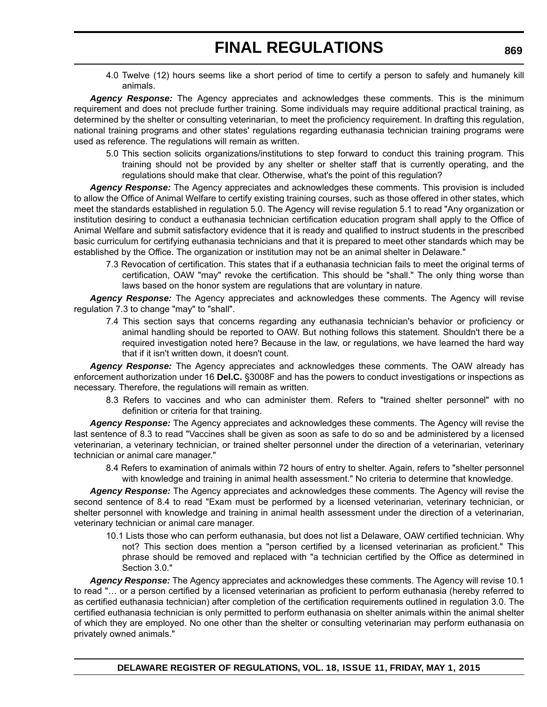4.0 Twelve (12) hours seems like a short period of time to certify a person to safely and humanely kill animals.

*Agency Response:* The Agency appreciates and acknowledges these comments. This is the minimum requirement and does not preclude further training. Some individuals may require additional practical training, as determined by the shelter or consulting veterinarian, to meet the proficiency requirement. In drafting this regulation, national training programs and other states' regulations regarding euthanasia technician training programs were used as reference. The regulations will remain as written.

5.0 This section solicits organizations/institutions to step forward to conduct this training program. This training should not be provided by any shelter or shelter staff that is currently operating, and the regulations should make that clear. Otherwise, what's the point of this regulation?

*Agency Response:* The Agency appreciates and acknowledges these comments. This provision is included to allow the Office of Animal Welfare to certify existing training courses, such as those offered in other states, which meet the standards established in regulation 5.0. The Agency will revise regulation 5.1 to read "Any organization or institution desiring to conduct a euthanasia technician certification education program shall apply to the Office of Animal Welfare and submit satisfactory evidence that it is ready and qualified to instruct students in the prescribed basic curriculum for certifying euthanasia technicians and that it is prepared to meet other standards which may be established by the Office. The organization or institution may not be an animal shelter in Delaware."

7.3 Revocation of certification. This states that if a euthanasia technician fails to meet the original terms of certification, OAW "may" revoke the certification. This should be "shall." The only thing worse than laws based on the honor system are regulations that are voluntary in nature.

*Agency Response:* The Agency appreciates and acknowledges these comments. The Agency will revise regulation 7.3 to change "may" to "shall".

7.4 This section says that concerns regarding any euthanasia technician's behavior or proficiency or animal handling should be reported to OAW. But nothing follows this statement. Shouldn't there be a required investigation noted here? Because in the law, or regulations, we have learned the hard way that if it isn't written down, it doesn't count.

*Agency Response:* The Agency appreciates and acknowledges these comments. The OAW already has enforcement authorization under 16 **Del.C.** §3008F and has the powers to conduct investigations or inspections as necessary. Therefore, the regulations will remain as written.

8.3 Refers to vaccines and who can administer them. Refers to "trained shelter personnel" with no definition or criteria for that training.

*Agency Response:* The Agency appreciates and acknowledges these comments. The Agency will revise the last sentence of 8.3 to read "Vaccines shall be given as soon as safe to do so and be administered by a licensed veterinarian, a veterinary technician, or trained shelter personnel under the direction of a veterinarian, veterinary technician or animal care manager."

8.4 Refers to examination of animals within 72 hours of entry to shelter. Again, refers to "shelter personnel with knowledge and training in animal health assessment." No criteria to determine that knowledge.

*Agency Response:* The Agency appreciates and acknowledges these comments. The Agency will revise the second sentence of 8.4 to read "Exam must be performed by a licensed veterinarian, veterinary technician, or shelter personnel with knowledge and training in animal health assessment under the direction of a veterinarian, veterinary technician or animal care manager.

10.1 Lists those who can perform euthanasia, but does not list a Delaware, OAW certified technician. Why not? This section does mention a "person certified by a licensed veterinarian as proficient." This phrase should be removed and replaced with "a technician certified by the Office as determined in Section 3.0."

*Agency Response:* The Agency appreciates and acknowledges these comments. The Agency will revise 10.1 to read "… or a person certified by a licensed veterinarian as proficient to perform euthanasia (hereby referred to as certified euthanasia technician) after completion of the certification requirements outlined in regulation 3.0. The certified euthanasia technician is only permitted to perform euthanasia on shelter animals within the animal shelter of which they are employed. No one other than the shelter or consulting veterinarian may perform euthanasia on privately owned animals."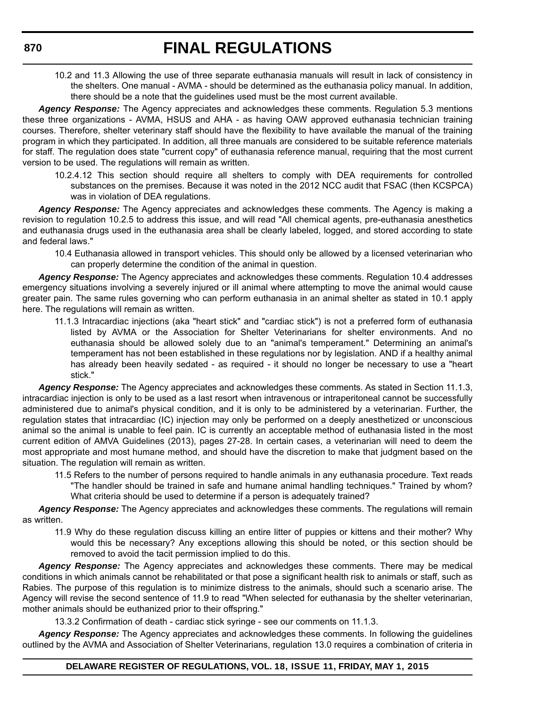10.2 and 11.3 Allowing the use of three separate euthanasia manuals will result in lack of consistency in the shelters. One manual - AVMA - should be determined as the euthanasia policy manual. In addition, there should be a note that the guidelines used must be the most current available.

*Agency Response:* The Agency appreciates and acknowledges these comments. Regulation 5.3 mentions these three organizations - AVMA, HSUS and AHA - as having OAW approved euthanasia technician training courses. Therefore, shelter veterinary staff should have the flexibility to have available the manual of the training program in which they participated. In addition, all three manuals are considered to be suitable reference materials for staff. The regulation does state "current copy" of euthanasia reference manual, requiring that the most current version to be used. The regulations will remain as written.

10.2.4.12 This section should require all shelters to comply with DEA requirements for controlled substances on the premises. Because it was noted in the 2012 NCC audit that FSAC (then KCSPCA) was in violation of DEA regulations.

*Agency Response:* The Agency appreciates and acknowledges these comments. The Agency is making a revision to regulation 10.2.5 to address this issue, and will read "All chemical agents, pre-euthanasia anesthetics and euthanasia drugs used in the euthanasia area shall be clearly labeled, logged, and stored according to state and federal laws."

10.4 Euthanasia allowed in transport vehicles. This should only be allowed by a licensed veterinarian who can properly determine the condition of the animal in question.

*Agency Response:* The Agency appreciates and acknowledges these comments. Regulation 10.4 addresses emergency situations involving a severely injured or ill animal where attempting to move the animal would cause greater pain. The same rules governing who can perform euthanasia in an animal shelter as stated in 10.1 apply here. The regulations will remain as written.

11.1.3 Intracardiac injections (aka "heart stick" and "cardiac stick") is not a preferred form of euthanasia listed by AVMA or the Association for Shelter Veterinarians for shelter environments. And no euthanasia should be allowed solely due to an "animal's temperament." Determining an animal's temperament has not been established in these regulations nor by legislation. AND if a healthy animal has already been heavily sedated - as required - it should no longer be necessary to use a "heart stick."

*Agency Response:* The Agency appreciates and acknowledges these comments. As stated in Section 11.1.3, intracardiac injection is only to be used as a last resort when intravenous or intraperitoneal cannot be successfully administered due to animal's physical condition, and it is only to be administered by a veterinarian. Further, the regulation states that intracardiac (IC) injection may only be performed on a deeply anesthetized or unconscious animal so the animal is unable to feel pain. IC is currently an acceptable method of euthanasia listed in the most current edition of AMVA Guidelines (2013), pages 27-28. In certain cases, a veterinarian will need to deem the most appropriate and most humane method, and should have the discretion to make that judgment based on the situation. The regulation will remain as written.

11.5 Refers to the number of persons required to handle animals in any euthanasia procedure. Text reads "The handler should be trained in safe and humane animal handling techniques." Trained by whom? What criteria should be used to determine if a person is adequately trained?

*Agency Response:* The Agency appreciates and acknowledges these comments. The regulations will remain as written.

11.9 Why do these regulation discuss killing an entire litter of puppies or kittens and their mother? Why would this be necessary? Any exceptions allowing this should be noted, or this section should be removed to avoid the tacit permission implied to do this.

*Agency Response:* The Agency appreciates and acknowledges these comments. There may be medical conditions in which animals cannot be rehabilitated or that pose a significant health risk to animals or staff, such as Rabies. The purpose of this regulation is to minimize distress to the animals, should such a scenario arise. The Agency will revise the second sentence of 11.9 to read "When selected for euthanasia by the shelter veterinarian, mother animals should be euthanized prior to their offspring."

13.3.2 Confirmation of death - cardiac stick syringe - see our comments on 11.1.3.

*Agency Response:* The Agency appreciates and acknowledges these comments. In following the guidelines outlined by the AVMA and Association of Shelter Veterinarians, regulation 13.0 requires a combination of criteria in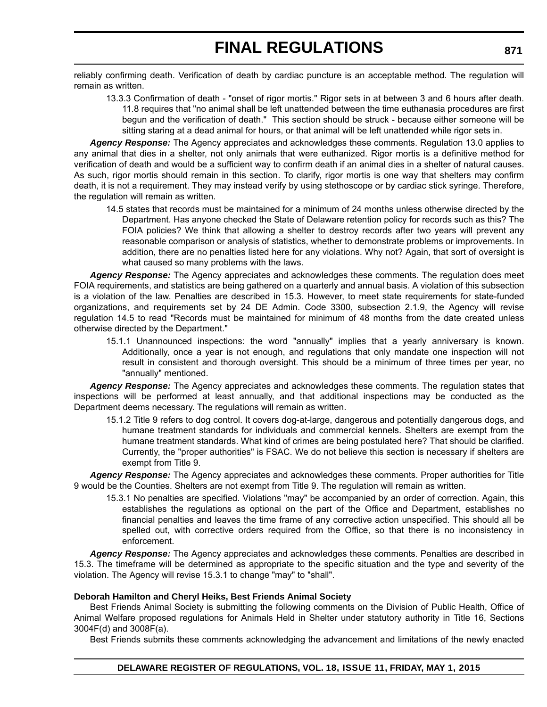reliably confirming death. Verification of death by cardiac puncture is an acceptable method. The regulation will remain as written.

13.3.3 Confirmation of death - "onset of rigor mortis." Rigor sets in at between 3 and 6 hours after death. 11.8 requires that "no animal shall be left unattended between the time euthanasia procedures are first begun and the verification of death." This section should be struck - because either someone will be sitting staring at a dead animal for hours, or that animal will be left unattended while rigor sets in.

*Agency Response:* The Agency appreciates and acknowledges these comments. Regulation 13.0 applies to any animal that dies in a shelter, not only animals that were euthanized. Rigor mortis is a definitive method for verification of death and would be a sufficient way to confirm death if an animal dies in a shelter of natural causes. As such, rigor mortis should remain in this section. To clarify, rigor mortis is one way that shelters may confirm death, it is not a requirement. They may instead verify by using stethoscope or by cardiac stick syringe. Therefore, the regulation will remain as written.

14.5 states that records must be maintained for a minimum of 24 months unless otherwise directed by the Department. Has anyone checked the State of Delaware retention policy for records such as this? The FOIA policies? We think that allowing a shelter to destroy records after two years will prevent any reasonable comparison or analysis of statistics, whether to demonstrate problems or improvements. In addition, there are no penalties listed here for any violations. Why not? Again, that sort of oversight is what caused so many problems with the laws.

*Agency Response:* The Agency appreciates and acknowledges these comments. The regulation does meet FOIA requirements, and statistics are being gathered on a quarterly and annual basis. A violation of this subsection is a violation of the law. Penalties are described in 15.3. However, to meet state requirements for state-funded organizations, and requirements set by 24 DE Admin. Code 3300, subsection 2.1.9, the Agency will revise regulation 14.5 to read "Records must be maintained for minimum of 48 months from the date created unless otherwise directed by the Department."

15.1.1 Unannounced inspections: the word "annually" implies that a yearly anniversary is known. Additionally, once a year is not enough, and regulations that only mandate one inspection will not result in consistent and thorough oversight. This should be a minimum of three times per year, no "annually" mentioned.

*Agency Response:* The Agency appreciates and acknowledges these comments. The regulation states that inspections will be performed at least annually, and that additional inspections may be conducted as the Department deems necessary. The regulations will remain as written.

15.1.2 Title 9 refers to dog control. It covers dog-at-large, dangerous and potentially dangerous dogs, and humane treatment standards for individuals and commercial kennels. Shelters are exempt from the humane treatment standards. What kind of crimes are being postulated here? That should be clarified. Currently, the "proper authorities" is FSAC. We do not believe this section is necessary if shelters are exempt from Title 9.

*Agency Response:* The Agency appreciates and acknowledges these comments. Proper authorities for Title 9 would be the Counties. Shelters are not exempt from Title 9. The regulation will remain as written.

15.3.1 No penalties are specified. Violations "may" be accompanied by an order of correction. Again, this establishes the regulations as optional on the part of the Office and Department, establishes no financial penalties and leaves the time frame of any corrective action unspecified. This should all be spelled out, with corrective orders required from the Office, so that there is no inconsistency in enforcement.

*Agency Response:* The Agency appreciates and acknowledges these comments. Penalties are described in 15.3. The timeframe will be determined as appropriate to the specific situation and the type and severity of the violation. The Agency will revise 15.3.1 to change "may" to "shall".

## **Deborah Hamilton and Cheryl Heiks, Best Friends Animal Society**

Best Friends Animal Society is submitting the following comments on the Division of Public Health, Office of Animal Welfare proposed regulations for Animals Held in Shelter under statutory authority in Title 16, Sections 3004F(d) and 3008F(a).

Best Friends submits these comments acknowledging the advancement and limitations of the newly enacted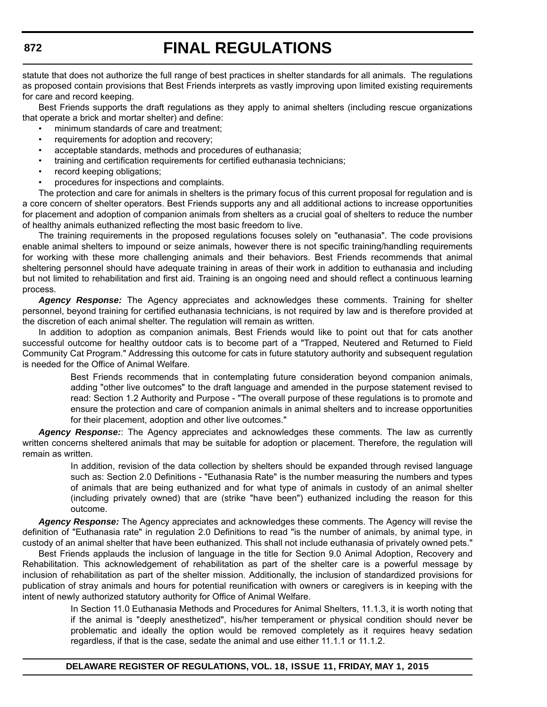statute that does not authorize the full range of best practices in shelter standards for all animals. The regulations as proposed contain provisions that Best Friends interprets as vastly improving upon limited existing requirements for care and record keeping.

Best Friends supports the draft regulations as they apply to animal shelters (including rescue organizations that operate a brick and mortar shelter) and define:

- minimum standards of care and treatment;
- requirements for adoption and recovery:
- acceptable standards, methods and procedures of euthanasia;
- training and certification requirements for certified euthanasia technicians;
- record keeping obligations;
- procedures for inspections and complaints.

The protection and care for animals in shelters is the primary focus of this current proposal for regulation and is a core concern of shelter operators. Best Friends supports any and all additional actions to increase opportunities for placement and adoption of companion animals from shelters as a crucial goal of shelters to reduce the number of healthy animals euthanized reflecting the most basic freedom to live.

The training requirements in the proposed regulations focuses solely on "euthanasia". The code provisions enable animal shelters to impound or seize animals, however there is not specific training/handling requirements for working with these more challenging animals and their behaviors. Best Friends recommends that animal sheltering personnel should have adequate training in areas of their work in addition to euthanasia and including but not limited to rehabilitation and first aid. Training is an ongoing need and should reflect a continuous learning process.

*Agency Response:* The Agency appreciates and acknowledges these comments. Training for shelter personnel, beyond training for certified euthanasia technicians, is not required by law and is therefore provided at the discretion of each animal shelter. The regulation will remain as written.

In addition to adoption as companion animals, Best Friends would like to point out that for cats another successful outcome for healthy outdoor cats is to become part of a "Trapped, Neutered and Returned to Field Community Cat Program." Addressing this outcome for cats in future statutory authority and subsequent regulation is needed for the Office of Animal Welfare.

> Best Friends recommends that in contemplating future consideration beyond companion animals, adding "other live outcomes" to the draft language and amended in the purpose statement revised to read: Section 1.2 Authority and Purpose - "The overall purpose of these regulations is to promote and ensure the protection and care of companion animals in animal shelters and to increase opportunities for their placement, adoption and other live outcomes."

*Agency Response:*: The Agency appreciates and acknowledges these comments. The law as currently written concerns sheltered animals that may be suitable for adoption or placement. Therefore, the regulation will remain as written.

> In addition, revision of the data collection by shelters should be expanded through revised language such as: Section 2.0 Definitions - "Euthanasia Rate" is the number measuring the numbers and types of animals that are being euthanized and for what type of animals in custody of an animal shelter (including privately owned) that are (strike "have been") euthanized including the reason for this outcome.

*Agency Response:* The Agency appreciates and acknowledges these comments. The Agency will revise the definition of "Euthanasia rate" in regulation 2.0 Definitions to read "is the number of animals, by animal type, in custody of an animal shelter that have been euthanized. This shall not include euthanasia of privately owned pets."

Best Friends applauds the inclusion of language in the title for Section 9.0 Animal Adoption, Recovery and Rehabilitation. This acknowledgement of rehabilitation as part of the shelter care is a powerful message by inclusion of rehabilitation as part of the shelter mission. Additionally, the inclusion of standardized provisions for publication of stray animals and hours for potential reunification with owners or caregivers is in keeping with the intent of newly authorized statutory authority for Office of Animal Welfare.

> In Section 11.0 Euthanasia Methods and Procedures for Animal Shelters, 11.1.3, it is worth noting that if the animal is "deeply anesthetized", his/her temperament or physical condition should never be problematic and ideally the option would be removed completely as it requires heavy sedation regardless, if that is the case, sedate the animal and use either 11.1.1 or 11.1.2.

### **DELAWARE REGISTER OF REGULATIONS, VOL. 18, ISSUE 11, FRIDAY, MAY 1, 2015**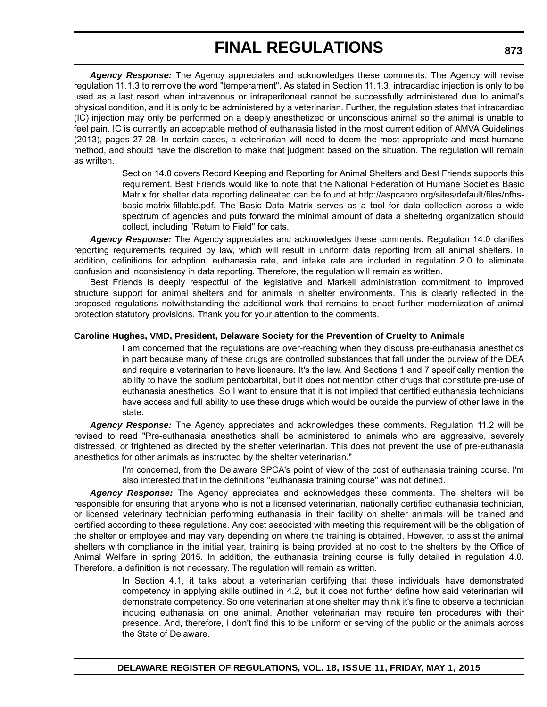*Agency Response:* The Agency appreciates and acknowledges these comments. The Agency will revise regulation 11.1.3 to remove the word "temperament". As stated in Section 11.1.3, intracardiac injection is only to be used as a last resort when intravenous or intraperitoneal cannot be successfully administered due to animal's physical condition, and it is only to be administered by a veterinarian. Further, the regulation states that intracardiac (IC) injection may only be performed on a deeply anesthetized or unconscious animal so the animal is unable to feel pain. IC is currently an acceptable method of euthanasia listed in the most current edition of AMVA Guidelines (2013), pages 27-28. In certain cases, a veterinarian will need to deem the most appropriate and most humane method, and should have the discretion to make that judgment based on the situation. The regulation will remain as written.

> Section 14.0 covers Record Keeping and Reporting for Animal Shelters and Best Friends supports this requirement. Best Friends would like to note that the National Federation of Humane Societies Basic Matrix for shelter data reporting delineated can be found at http://aspcapro.org/sites/default/files/nfhsbasic-matrix-fillable.pdf. The Basic Data Matrix serves as a tool for data collection across a wide spectrum of agencies and puts forward the minimal amount of data a sheltering organization should collect, including "Return to Field" for cats.

*Agency Response:* The Agency appreciates and acknowledges these comments. Regulation 14.0 clarifies reporting requirements required by law, which will result in uniform data reporting from all animal shelters. In addition, definitions for adoption, euthanasia rate, and intake rate are included in regulation 2.0 to eliminate confusion and inconsistency in data reporting. Therefore, the regulation will remain as written.

Best Friends is deeply respectful of the legislative and Markell administration commitment to improved structure support for animal shelters and for animals in shelter environments. This is clearly reflected in the proposed regulations notwithstanding the additional work that remains to enact further modernization of animal protection statutory provisions. Thank you for your attention to the comments.

### **Caroline Hughes, VMD, President, Delaware Society for the Prevention of Cruelty to Animals**

I am concerned that the regulations are over-reaching when they discuss pre-euthanasia anesthetics in part because many of these drugs are controlled substances that fall under the purview of the DEA and require a veterinarian to have licensure. It's the law. And Sections 1 and 7 specifically mention the ability to have the sodium pentobarbital, but it does not mention other drugs that constitute pre-use of euthanasia anesthetics. So I want to ensure that it is not implied that certified euthanasia technicians have access and full ability to use these drugs which would be outside the purview of other laws in the state.

*Agency Response:* The Agency appreciates and acknowledges these comments. Regulation 11.2 will be revised to read "Pre-euthanasia anesthetics shall be administered to animals who are aggressive, severely distressed, or frightened as directed by the shelter veterinarian. This does not prevent the use of pre-euthanasia anesthetics for other animals as instructed by the shelter veterinarian."

I'm concerned, from the Delaware SPCA's point of view of the cost of euthanasia training course. I'm also interested that in the definitions "euthanasia training course" was not defined.

*Agency Response:* The Agency appreciates and acknowledges these comments. The shelters will be responsible for ensuring that anyone who is not a licensed veterinarian, nationally certified euthanasia technician, or licensed veterinary technician performing euthanasia in their facility on shelter animals will be trained and certified according to these regulations. Any cost associated with meeting this requirement will be the obligation of the shelter or employee and may vary depending on where the training is obtained. However, to assist the animal shelters with compliance in the initial year, training is being provided at no cost to the shelters by the Office of Animal Welfare in spring 2015. In addition, the euthanasia training course is fully detailed in regulation 4.0. Therefore, a definition is not necessary. The regulation will remain as written.

> In Section 4.1, it talks about a veterinarian certifying that these individuals have demonstrated competency in applying skills outlined in 4.2, but it does not further define how said veterinarian will demonstrate competency. So one veterinarian at one shelter may think it's fine to observe a technician inducing euthanasia on one animal. Another veterinarian may require ten procedures with their presence. And, therefore, I don't find this to be uniform or serving of the public or the animals across the State of Delaware.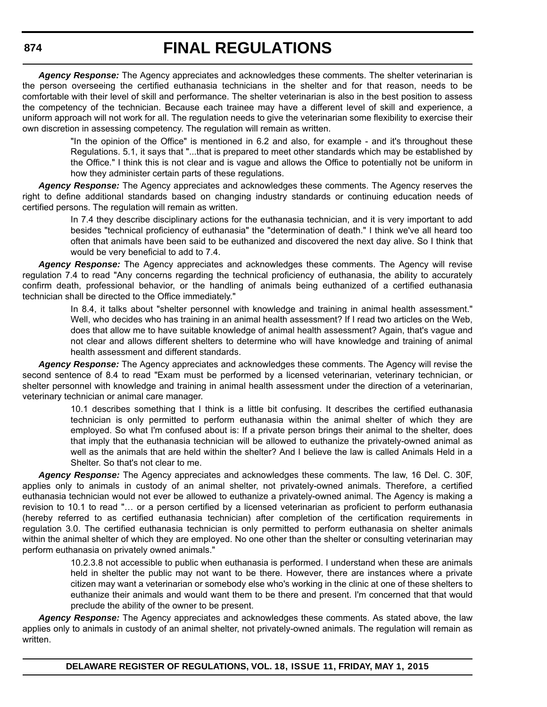*Agency Response:* The Agency appreciates and acknowledges these comments. The shelter veterinarian is the person overseeing the certified euthanasia technicians in the shelter and for that reason, needs to be comfortable with their level of skill and performance. The shelter veterinarian is also in the best position to assess the competency of the technician. Because each trainee may have a different level of skill and experience, a uniform approach will not work for all. The regulation needs to give the veterinarian some flexibility to exercise their own discretion in assessing competency. The regulation will remain as written.

> "In the opinion of the Office" is mentioned in 6.2 and also, for example - and it's throughout these Regulations. 5.1, it says that "...that is prepared to meet other standards which may be established by the Office." I think this is not clear and is vague and allows the Office to potentially not be uniform in how they administer certain parts of these regulations.

*Agency Response:* The Agency appreciates and acknowledges these comments. The Agency reserves the right to define additional standards based on changing industry standards or continuing education needs of certified persons. The regulation will remain as written.

> In 7.4 they describe disciplinary actions for the euthanasia technician, and it is very important to add besides "technical proficiency of euthanasia" the "determination of death." I think we've all heard too often that animals have been said to be euthanized and discovered the next day alive. So I think that would be very beneficial to add to 7.4.

Agency Response: The Agency appreciates and acknowledges these comments. The Agency will revise regulation 7.4 to read "Any concerns regarding the technical proficiency of euthanasia, the ability to accurately confirm death, professional behavior, or the handling of animals being euthanized of a certified euthanasia technician shall be directed to the Office immediately."

> In 8.4, it talks about "shelter personnel with knowledge and training in animal health assessment." Well, who decides who has training in an animal health assessment? If I read two articles on the Web, does that allow me to have suitable knowledge of animal health assessment? Again, that's vague and not clear and allows different shelters to determine who will have knowledge and training of animal health assessment and different standards.

*Agency Response:* The Agency appreciates and acknowledges these comments. The Agency will revise the second sentence of 8.4 to read "Exam must be performed by a licensed veterinarian, veterinary technician, or shelter personnel with knowledge and training in animal health assessment under the direction of a veterinarian, veterinary technician or animal care manager.

> 10.1 describes something that I think is a little bit confusing. It describes the certified euthanasia technician is only permitted to perform euthanasia within the animal shelter of which they are employed. So what I'm confused about is: If a private person brings their animal to the shelter, does that imply that the euthanasia technician will be allowed to euthanize the privately-owned animal as well as the animals that are held within the shelter? And I believe the law is called Animals Held in a Shelter. So that's not clear to me.

*Agency Response:* The Agency appreciates and acknowledges these comments. The law, 16 Del. C. 30F, applies only to animals in custody of an animal shelter, not privately-owned animals. Therefore, a certified euthanasia technician would not ever be allowed to euthanize a privately-owned animal. The Agency is making a revision to 10.1 to read "… or a person certified by a licensed veterinarian as proficient to perform euthanasia (hereby referred to as certified euthanasia technician) after completion of the certification requirements in regulation 3.0. The certified euthanasia technician is only permitted to perform euthanasia on shelter animals within the animal shelter of which they are employed. No one other than the shelter or consulting veterinarian may perform euthanasia on privately owned animals."

> 10.2.3.8 not accessible to public when euthanasia is performed. I understand when these are animals held in shelter the public may not want to be there. However, there are instances where a private citizen may want a veterinarian or somebody else who's working in the clinic at one of these shelters to euthanize their animals and would want them to be there and present. I'm concerned that that would preclude the ability of the owner to be present.

*Agency Response:* The Agency appreciates and acknowledges these comments. As stated above, the law applies only to animals in custody of an animal shelter, not privately-owned animals. The regulation will remain as written.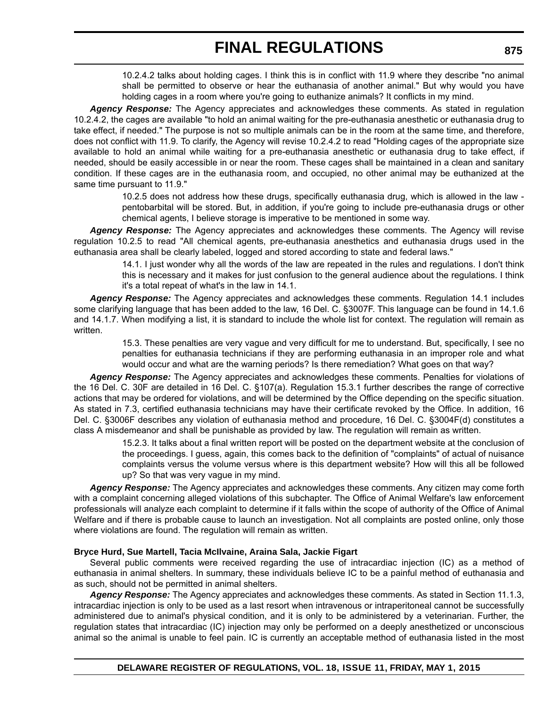10.2.4.2 talks about holding cages. I think this is in conflict with 11.9 where they describe "no animal shall be permitted to observe or hear the euthanasia of another animal." But why would you have holding cages in a room where you're going to euthanize animals? It conflicts in my mind.

*Agency Response:* The Agency appreciates and acknowledges these comments. As stated in regulation 10.2.4.2, the cages are available "to hold an animal waiting for the pre-euthanasia anesthetic or euthanasia drug to take effect, if needed." The purpose is not so multiple animals can be in the room at the same time, and therefore, does not conflict with 11.9. To clarify, the Agency will revise 10.2.4.2 to read "Holding cages of the appropriate size available to hold an animal while waiting for a pre-euthanasia anesthetic or euthanasia drug to take effect, if needed, should be easily accessible in or near the room. These cages shall be maintained in a clean and sanitary condition. If these cages are in the euthanasia room, and occupied, no other animal may be euthanized at the same time pursuant to 11.9."

> 10.2.5 does not address how these drugs, specifically euthanasia drug, which is allowed in the law pentobarbital will be stored. But, in addition, if you're going to include pre-euthanasia drugs or other chemical agents, I believe storage is imperative to be mentioned in some way.

*Agency Response:* The Agency appreciates and acknowledges these comments. The Agency will revise regulation 10.2.5 to read "All chemical agents, pre-euthanasia anesthetics and euthanasia drugs used in the euthanasia area shall be clearly labeled, logged and stored according to state and federal laws."

> 14.1. I just wonder why all the words of the law are repeated in the rules and regulations. I don't think this is necessary and it makes for just confusion to the general audience about the regulations. I think it's a total repeat of what's in the law in 14.1.

*Agency Response:* The Agency appreciates and acknowledges these comments. Regulation 14.1 includes some clarifying language that has been added to the law, 16 Del. C. §3007F. This language can be found in 14.1.6 and 14.1.7. When modifying a list, it is standard to include the whole list for context. The regulation will remain as written.

> 15.3. These penalties are very vague and very difficult for me to understand. But, specifically, I see no penalties for euthanasia technicians if they are performing euthanasia in an improper role and what would occur and what are the warning periods? Is there remediation? What goes on that way?

*Agency Response:* The Agency appreciates and acknowledges these comments. Penalties for violations of the 16 Del. C. 30F are detailed in 16 Del. C. §107(a). Regulation 15.3.1 further describes the range of corrective actions that may be ordered for violations, and will be determined by the Office depending on the specific situation. As stated in 7.3, certified euthanasia technicians may have their certificate revoked by the Office. In addition, 16 Del. C. §3006F describes any violation of euthanasia method and procedure, 16 Del. C. §3004F(d) constitutes a class A misdemeanor and shall be punishable as provided by law. The regulation will remain as written.

> 15.2.3. It talks about a final written report will be posted on the department website at the conclusion of the proceedings. I guess, again, this comes back to the definition of "complaints" of actual of nuisance complaints versus the volume versus where is this department website? How will this all be followed up? So that was very vague in my mind.

*Agency Response:* The Agency appreciates and acknowledges these comments. Any citizen may come forth with a complaint concerning alleged violations of this subchapter. The Office of Animal Welfare's law enforcement professionals will analyze each complaint to determine if it falls within the scope of authority of the Office of Animal Welfare and if there is probable cause to launch an investigation. Not all complaints are posted online, only those where violations are found. The regulation will remain as written.

### **Bryce Hurd, Sue Martell, Tacia McIlvaine, Araina Sala, Jackie Figart**

Several public comments were received regarding the use of intracardiac injection (IC) as a method of euthanasia in animal shelters. In summary, these individuals believe IC to be a painful method of euthanasia and as such, should not be permitted in animal shelters.

*Agency Response:* The Agency appreciates and acknowledges these comments. As stated in Section 11.1.3, intracardiac injection is only to be used as a last resort when intravenous or intraperitoneal cannot be successfully administered due to animal's physical condition, and it is only to be administered by a veterinarian. Further, the regulation states that intracardiac (IC) injection may only be performed on a deeply anesthetized or unconscious animal so the animal is unable to feel pain. IC is currently an acceptable method of euthanasia listed in the most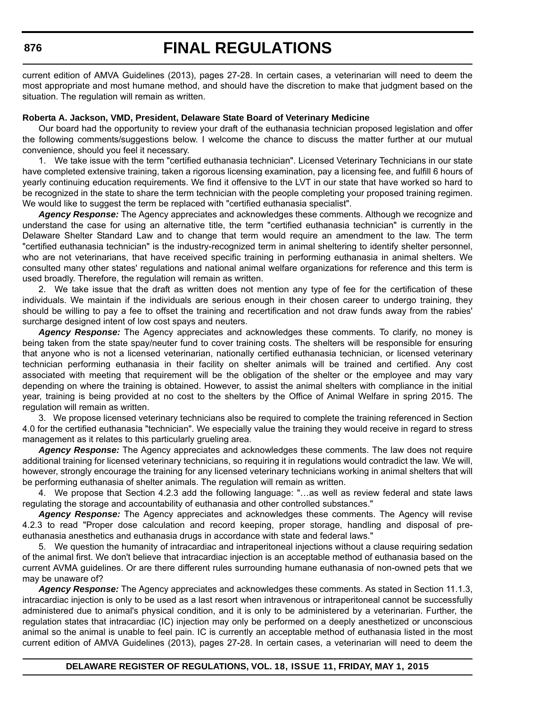### **876**

# **FINAL REGULATIONS**

current edition of AMVA Guidelines (2013), pages 27-28. In certain cases, a veterinarian will need to deem the most appropriate and most humane method, and should have the discretion to make that judgment based on the situation. The regulation will remain as written.

#### **Roberta A. Jackson, VMD, President, Delaware State Board of Veterinary Medicine**

Our board had the opportunity to review your draft of the euthanasia technician proposed legislation and offer the following comments/suggestions below. I welcome the chance to discuss the matter further at our mutual convenience, should you feel it necessary.

1. We take issue with the term "certified euthanasia technician". Licensed Veterinary Technicians in our state have completed extensive training, taken a rigorous licensing examination, pay a licensing fee, and fulfill 6 hours of yearly continuing education requirements. We find it offensive to the LVT in our state that have worked so hard to be recognized in the state to share the term technician with the people completing your proposed training regimen. We would like to suggest the term be replaced with "certified euthanasia specialist".

*Agency Response:* The Agency appreciates and acknowledges these comments. Although we recognize and understand the case for using an alternative title, the term "certified euthanasia technician" is currently in the Delaware Shelter Standard Law and to change that term would require an amendment to the law. The term "certified euthanasia technician" is the industry-recognized term in animal sheltering to identify shelter personnel, who are not veterinarians, that have received specific training in performing euthanasia in animal shelters. We consulted many other states' regulations and national animal welfare organizations for reference and this term is used broadly. Therefore, the regulation will remain as written.

2. We take issue that the draft as written does not mention any type of fee for the certification of these individuals. We maintain if the individuals are serious enough in their chosen career to undergo training, they should be willing to pay a fee to offset the training and recertification and not draw funds away from the rabies' surcharge designed intent of low cost spays and neuters.

*Agency Response:* The Agency appreciates and acknowledges these comments. To clarify, no money is being taken from the state spay/neuter fund to cover training costs. The shelters will be responsible for ensuring that anyone who is not a licensed veterinarian, nationally certified euthanasia technician, or licensed veterinary technician performing euthanasia in their facility on shelter animals will be trained and certified. Any cost associated with meeting that requirement will be the obligation of the shelter or the employee and may vary depending on where the training is obtained. However, to assist the animal shelters with compliance in the initial year, training is being provided at no cost to the shelters by the Office of Animal Welfare in spring 2015. The regulation will remain as written.

3. We propose licensed veterinary technicians also be required to complete the training referenced in Section 4.0 for the certified euthanasia "technician". We especially value the training they would receive in regard to stress management as it relates to this particularly grueling area.

*Agency Response:* The Agency appreciates and acknowledges these comments. The law does not require additional training for licensed veterinary technicians, so requiring it in regulations would contradict the law. We will, however, strongly encourage the training for any licensed veterinary technicians working in animal shelters that will be performing euthanasia of shelter animals. The regulation will remain as written.

4. We propose that Section 4.2.3 add the following language: "…as well as review federal and state laws regulating the storage and accountability of euthanasia and other controlled substances."

*Agency Response:* The Agency appreciates and acknowledges these comments. The Agency will revise 4.2.3 to read "Proper dose calculation and record keeping, proper storage, handling and disposal of preeuthanasia anesthetics and euthanasia drugs in accordance with state and federal laws."

5. We question the humanity of intracardiac and intraperitoneal injections without a clause requiring sedation of the animal first. We don't believe that intracardiac injection is an acceptable method of euthanasia based on the current AVMA guidelines. Or are there different rules surrounding humane euthanasia of non-owned pets that we may be unaware of?

*Agency Response:* The Agency appreciates and acknowledges these comments. As stated in Section 11.1.3, intracardiac injection is only to be used as a last resort when intravenous or intraperitoneal cannot be successfully administered due to animal's physical condition, and it is only to be administered by a veterinarian. Further, the regulation states that intracardiac (IC) injection may only be performed on a deeply anesthetized or unconscious animal so the animal is unable to feel pain. IC is currently an acceptable method of euthanasia listed in the most current edition of AMVA Guidelines (2013), pages 27-28. In certain cases, a veterinarian will need to deem the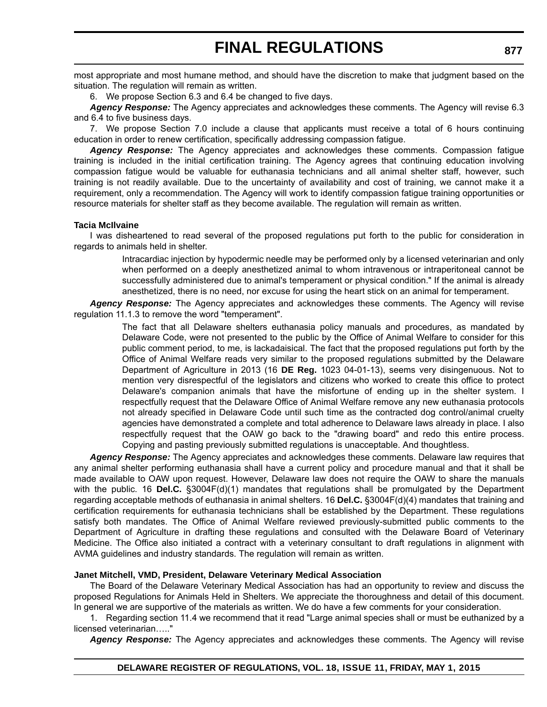most appropriate and most humane method, and should have the discretion to make that judgment based on the situation. The regulation will remain as written.

6. We propose Section 6.3 and 6.4 be changed to five days.

*Agency Response:* The Agency appreciates and acknowledges these comments. The Agency will revise 6.3 and 6.4 to five business days.

7. We propose Section 7.0 include a clause that applicants must receive a total of 6 hours continuing education in order to renew certification, specifically addressing compassion fatigue.

*Agency Response:* The Agency appreciates and acknowledges these comments. Compassion fatigue training is included in the initial certification training. The Agency agrees that continuing education involving compassion fatigue would be valuable for euthanasia technicians and all animal shelter staff, however, such training is not readily available. Due to the uncertainty of availability and cost of training, we cannot make it a requirement, only a recommendation. The Agency will work to identify compassion fatigue training opportunities or resource materials for shelter staff as they become available. The regulation will remain as written.

#### **Tacia McIlvaine**

I was disheartened to read several of the proposed regulations put forth to the public for consideration in regards to animals held in shelter.

> Intracardiac injection by hypodermic needle may be performed only by a licensed veterinarian and only when performed on a deeply anesthetized animal to whom intravenous or intraperitoneal cannot be successfully administered due to animal's temperament or physical condition." If the animal is already anesthetized, there is no need, nor excuse for using the heart stick on an animal for temperament.

*Agency Response:* The Agency appreciates and acknowledges these comments. The Agency will revise regulation 11.1.3 to remove the word "temperament".

> The fact that all Delaware shelters euthanasia policy manuals and procedures, as mandated by Delaware Code, were not presented to the public by the Office of Animal Welfare to consider for this public comment period, to me, is lackadaisical. The fact that the proposed regulations put forth by the Office of Animal Welfare reads very similar to the proposed regulations submitted by the Delaware Department of Agriculture in 2013 (16 **DE Reg.** 1023 04-01-13), seems very disingenuous. Not to mention very disrespectful of the legislators and citizens who worked to create this office to protect Delaware's companion animals that have the misfortune of ending up in the shelter system. I respectfully request that the Delaware Office of Animal Welfare remove any new euthanasia protocols not already specified in Delaware Code until such time as the contracted dog control/animal cruelty agencies have demonstrated a complete and total adherence to Delaware laws already in place. I also respectfully request that the OAW go back to the "drawing board" and redo this entire process. Copying and pasting previously submitted regulations is unacceptable. And thoughtless.

*Agency Response:* The Agency appreciates and acknowledges these comments. Delaware law requires that any animal shelter performing euthanasia shall have a current policy and procedure manual and that it shall be made available to OAW upon request. However, Delaware law does not require the OAW to share the manuals with the public. 16 **Del.C.** §3004F(d)(1) mandates that regulations shall be promulgated by the Department regarding acceptable methods of euthanasia in animal shelters. 16 **Del.C.** §3004F(d)(4) mandates that training and certification requirements for euthanasia technicians shall be established by the Department. These regulations satisfy both mandates. The Office of Animal Welfare reviewed previously-submitted public comments to the Department of Agriculture in drafting these regulations and consulted with the Delaware Board of Veterinary Medicine. The Office also initiated a contract with a veterinary consultant to draft regulations in alignment with AVMA guidelines and industry standards. The regulation will remain as written.

#### **Janet Mitchell, VMD, President, Delaware Veterinary Medical Association**

The Board of the Delaware Veterinary Medical Association has had an opportunity to review and discuss the proposed Regulations for Animals Held in Shelters. We appreciate the thoroughness and detail of this document. In general we are supportive of the materials as written. We do have a few comments for your consideration.

1. Regarding section 11.4 we recommend that it read "Large animal species shall or must be euthanized by a licensed veterinarian….."

*Agency Response:* The Agency appreciates and acknowledges these comments. The Agency will revise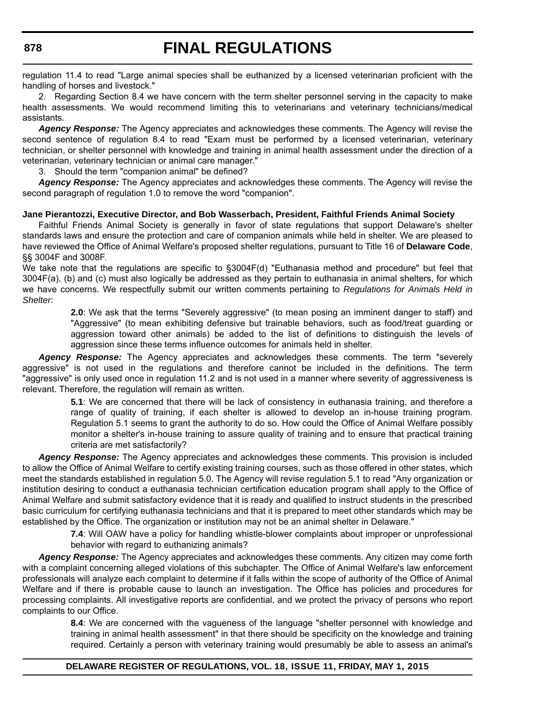regulation 11.4 to read "Large animal species shall be euthanized by a licensed veterinarian proficient with the handling of horses and livestock."

2. Regarding Section 8.4 we have concern with the term shelter personnel serving in the capacity to make health assessments. We would recommend limiting this to veterinarians and veterinary technicians/medical assistants.

*Agency Response:* The Agency appreciates and acknowledges these comments. The Agency will revise the second sentence of regulation 8.4 to read "Exam must be performed by a licensed veterinarian, veterinary technician, or shelter personnel with knowledge and training in animal health assessment under the direction of a veterinarian, veterinary technician or animal care manager."

3. Should the term "companion animal" be defined?

*Agency Response:* The Agency appreciates and acknowledges these comments. The Agency will revise the second paragraph of regulation 1.0 to remove the word "companion".

#### **Jane Pierantozzi, Executive Director, and Bob Wasserbach, President, Faithful Friends Animal Society**

Faithful Friends Animal Society is generally in favor of state regulations that support Delaware's shelter standards laws and ensure the protection and care of companion animals while held in shelter. We are pleased to have reviewed the Office of Animal Welfare's proposed shelter regulations, pursuant to Title 16 of **Delaware Code**, §§ 3004F and 3008F.

We take note that the regulations are specific to §3004F(d) "Euthanasia method and procedure" but feel that 3004F(a), (b) and (c) must also logically be addressed as they pertain to euthanasia in animal shelters, for which we have concerns. We respectfully submit our written comments pertaining to *Regulations for Animals Held in Shelter*:

> **2.0**: We ask that the terms "Severely aggressive" (to mean posing an imminent danger to staff) and "Aggressive" (to mean exhibiting defensive but trainable behaviors, such as food/treat guarding or aggression toward other animals) be added to the list of definitions to distinguish the levels of aggression since these terms influence outcomes for animals held in shelter.

*Agency Response:* The Agency appreciates and acknowledges these comments. The term "severely aggressive" is not used in the regulations and therefore cannot be included in the definitions. The term "aggressive" is only used once in regulation 11.2 and is not used in a manner where severity of aggressiveness is relevant. Therefore, the regulation will remain as written.

> **5.1**: We are concerned that there will be lack of consistency in euthanasia training, and therefore a range of quality of training, if each shelter is allowed to develop an in-house training program. Regulation 5.1 seems to grant the authority to do so. How could the Office of Animal Welfare possibly monitor a shelter's in-house training to assure quality of training and to ensure that practical training criteria are met satisfactorily?

*Agency Response:* The Agency appreciates and acknowledges these comments. This provision is included to allow the Office of Animal Welfare to certify existing training courses, such as those offered in other states, which meet the standards established in regulation 5.0. The Agency will revise regulation 5.1 to read "Any organization or institution desiring to conduct a euthanasia technician certification education program shall apply to the Office of Animal Welfare and submit satisfactory evidence that it is ready and qualified to instruct students in the prescribed basic curriculum for certifying euthanasia technicians and that it is prepared to meet other standards which may be established by the Office. The organization or institution may not be an animal shelter in Delaware."

> **7.4**: Will OAW have a policy for handling whistle-blower complaints about improper or unprofessional behavior with regard to euthanizing animals?

*Agency Response:* The Agency appreciates and acknowledges these comments. Any citizen may come forth with a complaint concerning alleged violations of this subchapter. The Office of Animal Welfare's law enforcement professionals will analyze each complaint to determine if it falls within the scope of authority of the Office of Animal Welfare and if there is probable cause to launch an investigation. The Office has policies and procedures for processing complaints. All investigative reports are confidential, and we protect the privacy of persons who report complaints to our Office.

> **8.4**: We are concerned with the vagueness of the language "shelter personnel with knowledge and training in animal health assessment" in that there should be specificity on the knowledge and training required. Certainly a person with veterinary training would presumably be able to assess an animal's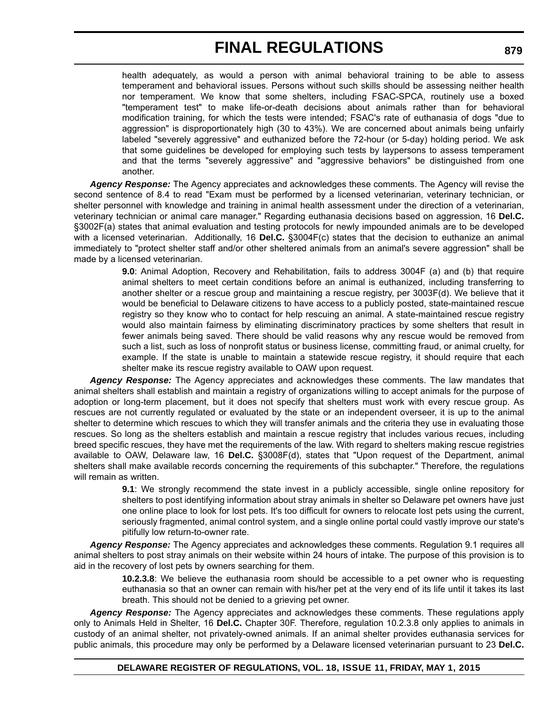health adequately, as would a person with animal behavioral training to be able to assess temperament and behavioral issues. Persons without such skills should be assessing neither health nor temperament. We know that some shelters, including FSAC-SPCA, routinely use a boxed "temperament test" to make life-or-death decisions about animals rather than for behavioral modification training, for which the tests were intended; FSAC's rate of euthanasia of dogs "due to aggression" is disproportionately high (30 to 43%). We are concerned about animals being unfairly labeled "severely aggressive" and euthanized before the 72-hour (or 5-day) holding period. We ask that some guidelines be developed for employing such tests by laypersons to assess temperament and that the terms "severely aggressive" and "aggressive behaviors" be distinguished from one another.

*Agency Response:* The Agency appreciates and acknowledges these comments. The Agency will revise the second sentence of 8.4 to read "Exam must be performed by a licensed veterinarian, veterinary technician, or shelter personnel with knowledge and training in animal health assessment under the direction of a veterinarian, veterinary technician or animal care manager." Regarding euthanasia decisions based on aggression, 16 **Del.C.** §3002F(a) states that animal evaluation and testing protocols for newly impounded animals are to be developed with a licensed veterinarian. Additionally, 16 **Del.C.** §3004F(c) states that the decision to euthanize an animal immediately to "protect shelter staff and/or other sheltered animals from an animal's severe aggression" shall be made by a licensed veterinarian.

> **9.0**: Animal Adoption, Recovery and Rehabilitation, fails to address 3004F (a) and (b) that require animal shelters to meet certain conditions before an animal is euthanized, including transferring to another shelter or a rescue group and maintaining a rescue registry, per 3003F(d). We believe that it would be beneficial to Delaware citizens to have access to a publicly posted, state-maintained rescue registry so they know who to contact for help rescuing an animal. A state-maintained rescue registry would also maintain fairness by eliminating discriminatory practices by some shelters that result in fewer animals being saved. There should be valid reasons why any rescue would be removed from such a list, such as loss of nonprofit status or business license, committing fraud, or animal cruelty, for example. If the state is unable to maintain a statewide rescue registry, it should require that each shelter make its rescue registry available to OAW upon request.

*Agency Response:* The Agency appreciates and acknowledges these comments. The law mandates that animal shelters shall establish and maintain a registry of organizations willing to accept animals for the purpose of adoption or long-term placement, but it does not specify that shelters must work with every rescue group. As rescues are not currently regulated or evaluated by the state or an independent overseer, it is up to the animal shelter to determine which rescues to which they will transfer animals and the criteria they use in evaluating those rescues. So long as the shelters establish and maintain a rescue registry that includes various recues, including breed specific rescues, they have met the requirements of the law. With regard to shelters making rescue registries available to OAW, Delaware law, 16 **Del.C.** §3008F(d), states that "Upon request of the Department, animal shelters shall make available records concerning the requirements of this subchapter." Therefore, the regulations will remain as written.

> **9.1**: We strongly recommend the state invest in a publicly accessible, single online repository for shelters to post identifying information about stray animals in shelter so Delaware pet owners have just one online place to look for lost pets. It's too difficult for owners to relocate lost pets using the current, seriously fragmented, animal control system, and a single online portal could vastly improve our state's pitifully low return-to-owner rate.

*Agency Response:* The Agency appreciates and acknowledges these comments. Regulation 9.1 requires all animal shelters to post stray animals on their website within 24 hours of intake. The purpose of this provision is to aid in the recovery of lost pets by owners searching for them.

> **10.2.3.8**: We believe the euthanasia room should be accessible to a pet owner who is requesting euthanasia so that an owner can remain with his/her pet at the very end of its life until it takes its last breath. This should not be denied to a grieving pet owner.

*Agency Response:* The Agency appreciates and acknowledges these comments. These regulations apply only to Animals Held in Shelter, 16 **Del.C.** Chapter 30F. Therefore, regulation 10.2.3.8 only applies to animals in custody of an animal shelter, not privately-owned animals. If an animal shelter provides euthanasia services for public animals, this procedure may only be performed by a Delaware licensed veterinarian pursuant to 23 **Del.C.**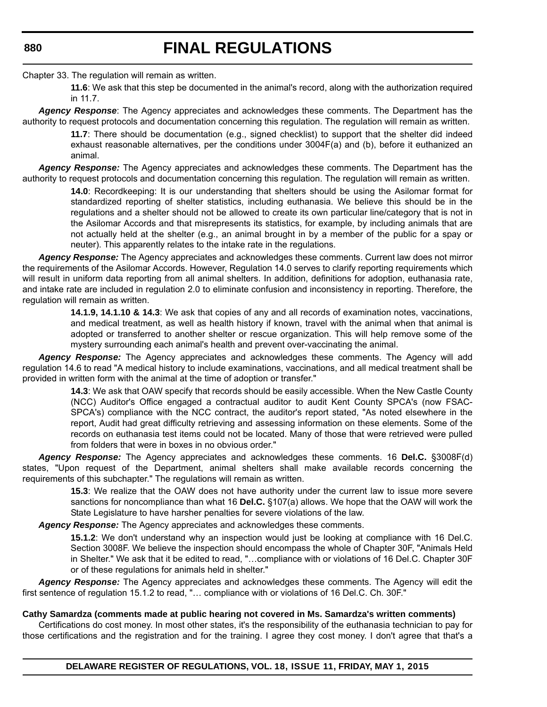Chapter 33. The regulation will remain as written.

**11.6**: We ask that this step be documented in the animal's record, along with the authorization required in 11.7.

*Agency Response*: The Agency appreciates and acknowledges these comments. The Department has the authority to request protocols and documentation concerning this regulation. The regulation will remain as written.

> **11.7**: There should be documentation (e.g., signed checklist) to support that the shelter did indeed exhaust reasonable alternatives, per the conditions under 3004F(a) and (b), before it euthanized an animal.

*Agency Response:* The Agency appreciates and acknowledges these comments. The Department has the authority to request protocols and documentation concerning this regulation. The regulation will remain as written.

> **14.0**: Recordkeeping: It is our understanding that shelters should be using the Asilomar format for standardized reporting of shelter statistics, including euthanasia. We believe this should be in the regulations and a shelter should not be allowed to create its own particular line/category that is not in the Asilomar Accords and that misrepresents its statistics, for example, by including animals that are not actually held at the shelter (e.g., an animal brought in by a member of the public for a spay or neuter). This apparently relates to the intake rate in the regulations.

*Agency Response:* The Agency appreciates and acknowledges these comments. Current law does not mirror the requirements of the Asilomar Accords. However, Regulation 14.0 serves to clarify reporting requirements which will result in uniform data reporting from all animal shelters. In addition, definitions for adoption, euthanasia rate, and intake rate are included in regulation 2.0 to eliminate confusion and inconsistency in reporting. Therefore, the regulation will remain as written.

> **14.1.9, 14.1.10 & 14.3**: We ask that copies of any and all records of examination notes, vaccinations, and medical treatment, as well as health history if known, travel with the animal when that animal is adopted or transferred to another shelter or rescue organization. This will help remove some of the mystery surrounding each animal's health and prevent over-vaccinating the animal.

*Agency Response:* The Agency appreciates and acknowledges these comments. The Agency will add regulation 14.6 to read "A medical history to include examinations, vaccinations, and all medical treatment shall be provided in written form with the animal at the time of adoption or transfer."

> **14.3**: We ask that OAW specify that records should be easily accessible. When the New Castle County (NCC) Auditor's Office engaged a contractual auditor to audit Kent County SPCA's (now FSAC-SPCA's) compliance with the NCC contract, the auditor's report stated, "As noted elsewhere in the report, Audit had great difficulty retrieving and assessing information on these elements. Some of the records on euthanasia test items could not be located. Many of those that were retrieved were pulled from folders that were in boxes in no obvious order."

*Agency Response:* The Agency appreciates and acknowledges these comments. 16 **Del.C.** §3008F(d) states, "Upon request of the Department, animal shelters shall make available records concerning the requirements of this subchapter." The regulations will remain as written.

> **15.3**: We realize that the OAW does not have authority under the current law to issue more severe sanctions for noncompliance than what 16 **Del.C.** §107(a) allows. We hope that the OAW will work the State Legislature to have harsher penalties for severe violations of the law.

*Agency Response:* The Agency appreciates and acknowledges these comments.

**15.1.2**: We don't understand why an inspection would just be looking at compliance with 16 Del.C. Section 3008F. We believe the inspection should encompass the whole of Chapter 30F, "Animals Held in Shelter." We ask that it be edited to read, "…compliance with or violations of 16 Del.C. Chapter 30F or of these regulations for animals held in shelter."

*Agency Response:* The Agency appreciates and acknowledges these comments. The Agency will edit the first sentence of regulation 15.1.2 to read, "... compliance with or violations of 16 Del.C. Ch. 30F."

#### **Cathy Samardza (comments made at public hearing not covered in Ms. Samardza's written comments)**

Certifications do cost money. In most other states, it's the responsibility of the euthanasia technician to pay for those certifications and the registration and for the training. I agree they cost money. I don't agree that that's a

**DELAWARE REGISTER OF REGULATIONS, VOL. 18, ISSUE 11, FRIDAY, MAY 1, 2015**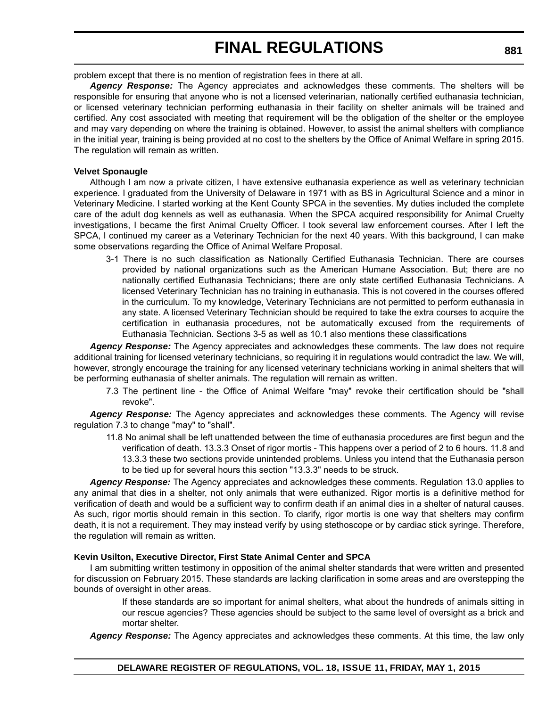problem except that there is no mention of registration fees in there at all.

*Agency Response:* The Agency appreciates and acknowledges these comments. The shelters will be responsible for ensuring that anyone who is not a licensed veterinarian, nationally certified euthanasia technician, or licensed veterinary technician performing euthanasia in their facility on shelter animals will be trained and certified. Any cost associated with meeting that requirement will be the obligation of the shelter or the employee and may vary depending on where the training is obtained. However, to assist the animal shelters with compliance in the initial year, training is being provided at no cost to the shelters by the Office of Animal Welfare in spring 2015. The regulation will remain as written.

### **Velvet Sponaugle**

Although I am now a private citizen, I have extensive euthanasia experience as well as veterinary technician experience. I graduated from the University of Delaware in 1971 with as BS in Agricultural Science and a minor in Veterinary Medicine. I started working at the Kent County SPCA in the seventies. My duties included the complete care of the adult dog kennels as well as euthanasia. When the SPCA acquired responsibility for Animal Cruelty investigations, I became the first Animal Cruelty Officer. I took several law enforcement courses. After I left the SPCA, I continued my career as a Veterinary Technician for the next 40 years. With this background, I can make some observations regarding the Office of Animal Welfare Proposal.

3-1 There is no such classification as Nationally Certified Euthanasia Technician. There are courses provided by national organizations such as the American Humane Association. But; there are no nationally certified Euthanasia Technicians; there are only state certified Euthanasia Technicians. A licensed Veterinary Technician has no training in euthanasia. This is not covered in the courses offered in the curriculum. To my knowledge, Veterinary Technicians are not permitted to perform euthanasia in any state. A licensed Veterinary Technician should be required to take the extra courses to acquire the certification in euthanasia procedures, not be automatically excused from the requirements of Euthanasia Technician. Sections 3-5 as well as 10.1 also mentions these classifications

*Agency Response:* The Agency appreciates and acknowledges these comments. The law does not require additional training for licensed veterinary technicians, so requiring it in regulations would contradict the law. We will, however, strongly encourage the training for any licensed veterinary technicians working in animal shelters that will be performing euthanasia of shelter animals. The regulation will remain as written.

7.3 The pertinent line - the Office of Animal Welfare "may" revoke their certification should be "shall revoke".

*Agency Response:* The Agency appreciates and acknowledges these comments. The Agency will revise regulation 7.3 to change "may" to "shall".

11.8 No animal shall be left unattended between the time of euthanasia procedures are first begun and the verification of death. 13.3.3 Onset of rigor mortis - This happens over a period of 2 to 6 hours. 11.8 and 13.3.3 these two sections provide unintended problems. Unless you intend that the Euthanasia person to be tied up for several hours this section "13.3.3" needs to be struck.

*Agency Response:* The Agency appreciates and acknowledges these comments. Regulation 13.0 applies to any animal that dies in a shelter, not only animals that were euthanized. Rigor mortis is a definitive method for verification of death and would be a sufficient way to confirm death if an animal dies in a shelter of natural causes. As such, rigor mortis should remain in this section. To clarify, rigor mortis is one way that shelters may confirm death, it is not a requirement. They may instead verify by using stethoscope or by cardiac stick syringe. Therefore, the regulation will remain as written.

### **Kevin Usilton, Executive Director, First State Animal Center and SPCA**

I am submitting written testimony in opposition of the animal shelter standards that were written and presented for discussion on February 2015. These standards are lacking clarification in some areas and are overstepping the bounds of oversight in other areas.

> If these standards are so important for animal shelters, what about the hundreds of animals sitting in our rescue agencies? These agencies should be subject to the same level of oversight as a brick and mortar shelter.

*Agency Response:* The Agency appreciates and acknowledges these comments. At this time, the law only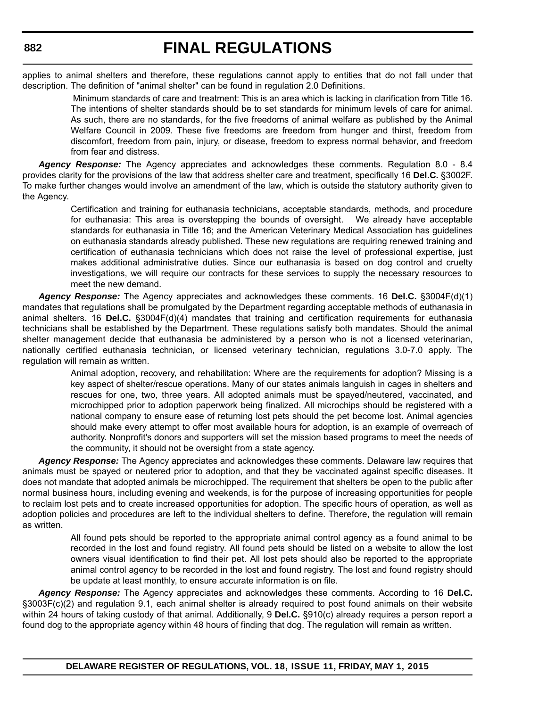applies to animal shelters and therefore, these regulations cannot apply to entities that do not fall under that description. The definition of "animal shelter" can be found in regulation 2.0 Definitions.

> Minimum standards of care and treatment: This is an area which is lacking in clarification from Title 16. The intentions of shelter standards should be to set standards for minimum levels of care for animal. As such, there are no standards, for the five freedoms of animal welfare as published by the Animal Welfare Council in 2009. These five freedoms are freedom from hunger and thirst, freedom from discomfort, freedom from pain, injury, or disease, freedom to express normal behavior, and freedom from fear and distress.

*Agency Response:* The Agency appreciates and acknowledges these comments. Regulation 8.0 - 8.4 provides clarity for the provisions of the law that address shelter care and treatment, specifically 16 **Del.C.** §3002F. To make further changes would involve an amendment of the law, which is outside the statutory authority given to the Agency.

> Certification and training for euthanasia technicians, acceptable standards, methods, and procedure for euthanasia: This area is overstepping the bounds of oversight. We already have acceptable standards for euthanasia in Title 16; and the American Veterinary Medical Association has guidelines on euthanasia standards already published. These new regulations are requiring renewed training and certification of euthanasia technicians which does not raise the level of professional expertise, just makes additional administrative duties. Since our euthanasia is based on dog control and cruelty investigations, we will require our contracts for these services to supply the necessary resources to meet the new demand.

*Agency Response:* The Agency appreciates and acknowledges these comments. 16 **Del.C.** §3004F(d)(1) mandates that regulations shall be promulgated by the Department regarding acceptable methods of euthanasia in animal shelters. 16 **Del.C.** §3004F(d)(4) mandates that training and certification requirements for euthanasia technicians shall be established by the Department. These regulations satisfy both mandates. Should the animal shelter management decide that euthanasia be administered by a person who is not a licensed veterinarian, nationally certified euthanasia technician, or licensed veterinary technician, regulations 3.0-7.0 apply. The regulation will remain as written.

> Animal adoption, recovery, and rehabilitation: Where are the requirements for adoption? Missing is a key aspect of shelter/rescue operations. Many of our states animals languish in cages in shelters and rescues for one, two, three years. All adopted animals must be spayed/neutered, vaccinated, and microchipped prior to adoption paperwork being finalized. All microchips should be registered with a national company to ensure ease of returning lost pets should the pet become lost. Animal agencies should make every attempt to offer most available hours for adoption, is an example of overreach of authority. Nonprofit's donors and supporters will set the mission based programs to meet the needs of the community, it should not be oversight from a state agency.

*Agency Response:* The Agency appreciates and acknowledges these comments. Delaware law requires that animals must be spayed or neutered prior to adoption, and that they be vaccinated against specific diseases. It does not mandate that adopted animals be microchipped. The requirement that shelters be open to the public after normal business hours, including evening and weekends, is for the purpose of increasing opportunities for people to reclaim lost pets and to create increased opportunities for adoption. The specific hours of operation, as well as adoption policies and procedures are left to the individual shelters to define. Therefore, the regulation will remain as written.

> All found pets should be reported to the appropriate animal control agency as a found animal to be recorded in the lost and found registry. All found pets should be listed on a website to allow the lost owners visual identification to find their pet. All lost pets should also be reported to the appropriate animal control agency to be recorded in the lost and found registry. The lost and found registry should be update at least monthly, to ensure accurate information is on file.

*Agency Response:* The Agency appreciates and acknowledges these comments. According to 16 **Del.C.** §3003F(c)(2) and regulation 9.1, each animal shelter is already required to post found animals on their website within 24 hours of taking custody of that animal. Additionally, 9 **Del.C.** §910(c) already requires a person report a found dog to the appropriate agency within 48 hours of finding that dog. The regulation will remain as written.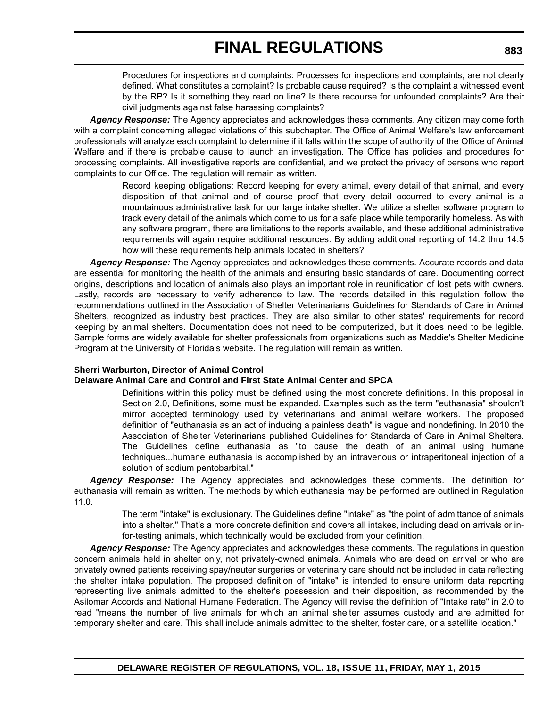Procedures for inspections and complaints: Processes for inspections and complaints, are not clearly defined. What constitutes a complaint? Is probable cause required? Is the complaint a witnessed event by the RP? Is it something they read on line? Is there recourse for unfounded complaints? Are their civil judgments against false harassing complaints?

*Agency Response:* The Agency appreciates and acknowledges these comments. Any citizen may come forth with a complaint concerning alleged violations of this subchapter. The Office of Animal Welfare's law enforcement professionals will analyze each complaint to determine if it falls within the scope of authority of the Office of Animal Welfare and if there is probable cause to launch an investigation. The Office has policies and procedures for processing complaints. All investigative reports are confidential, and we protect the privacy of persons who report complaints to our Office. The regulation will remain as written.

> Record keeping obligations: Record keeping for every animal, every detail of that animal, and every disposition of that animal and of course proof that every detail occurred to every animal is a mountainous administrative task for our large intake shelter. We utilize a shelter software program to track every detail of the animals which come to us for a safe place while temporarily homeless. As with any software program, there are limitations to the reports available, and these additional administrative requirements will again require additional resources. By adding additional reporting of 14.2 thru 14.5 how will these requirements help animals located in shelters?

*Agency Response:* The Agency appreciates and acknowledges these comments. Accurate records and data are essential for monitoring the health of the animals and ensuring basic standards of care. Documenting correct origins, descriptions and location of animals also plays an important role in reunification of lost pets with owners. Lastly, records are necessary to verify adherence to law. The records detailed in this regulation follow the recommendations outlined in the Association of Shelter Veterinarians Guidelines for Standards of Care in Animal Shelters, recognized as industry best practices. They are also similar to other states' requirements for record keeping by animal shelters. Documentation does not need to be computerized, but it does need to be legible. Sample forms are widely available for shelter professionals from organizations such as Maddie's Shelter Medicine Program at the University of Florida's website. The regulation will remain as written.

### **Sherri Warburton, Director of Animal Control**

### **Delaware Animal Care and Control and First State Animal Center and SPCA**

Definitions within this policy must be defined using the most concrete definitions. In this proposal in Section 2.0, Definitions, some must be expanded. Examples such as the term "euthanasia" shouldn't mirror accepted terminology used by veterinarians and animal welfare workers. The proposed definition of "euthanasia as an act of inducing a painless death" is vague and nondefining. In 2010 the Association of Shelter Veterinarians published Guidelines for Standards of Care in Animal Shelters. The Guidelines define euthanasia as "to cause the death of an animal using humane techniques...humane euthanasia is accomplished by an intravenous or intraperitoneal injection of a solution of sodium pentobarbital."

*Agency Response:* The Agency appreciates and acknowledges these comments. The definition for euthanasia will remain as written. The methods by which euthanasia may be performed are outlined in Regulation 11.0.

> The term "intake" is exclusionary. The Guidelines define "intake" as "the point of admittance of animals into a shelter." That's a more concrete definition and covers all intakes, including dead on arrivals or infor-testing animals, which technically would be excluded from your definition.

*Agency Response:* The Agency appreciates and acknowledges these comments. The regulations in question concern animals held in shelter only, not privately-owned animals. Animals who are dead on arrival or who are privately owned patients receiving spay/neuter surgeries or veterinary care should not be included in data reflecting the shelter intake population. The proposed definition of "intake" is intended to ensure uniform data reporting representing live animals admitted to the shelter's possession and their disposition, as recommended by the Asilomar Accords and National Humane Federation. The Agency will revise the definition of "Intake rate" in 2.0 to read "means the number of live animals for which an animal shelter assumes custody and are admitted for temporary shelter and care. This shall include animals admitted to the shelter, foster care, or a satellite location."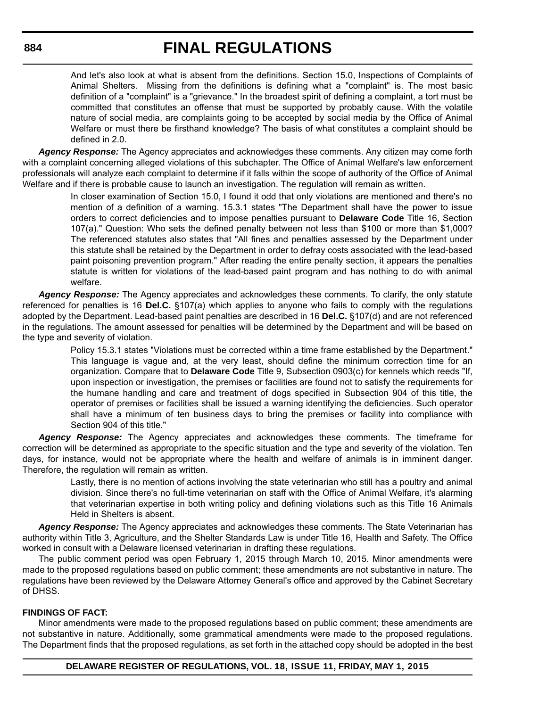And let's also look at what is absent from the definitions. Section 15.0, Inspections of Complaints of Animal Shelters. Missing from the definitions is defining what a "complaint" is. The most basic definition of a "complaint" is a "grievance." In the broadest spirit of defining a complaint, a tort must be committed that constitutes an offense that must be supported by probably cause. With the volatile nature of social media, are complaints going to be accepted by social media by the Office of Animal Welfare or must there be firsthand knowledge? The basis of what constitutes a complaint should be defined in 2.0.

*Agency Response:* The Agency appreciates and acknowledges these comments. Any citizen may come forth with a complaint concerning alleged violations of this subchapter. The Office of Animal Welfare's law enforcement professionals will analyze each complaint to determine if it falls within the scope of authority of the Office of Animal Welfare and if there is probable cause to launch an investigation. The regulation will remain as written.

> In closer examination of Section 15.0, I found it odd that only violations are mentioned and there's no mention of a definition of a warning. 15.3.1 states "The Department shall have the power to issue orders to correct deficiencies and to impose penalties pursuant to **Delaware Code** Title 16, Section 107(a)." Question: Who sets the defined penalty between not less than \$100 or more than \$1,000? The referenced statutes also states that "All fines and penalties assessed by the Department under this statute shall be retained by the Department in order to defray costs associated with the lead-based paint poisoning prevention program." After reading the entire penalty section, it appears the penalties statute is written for violations of the lead-based paint program and has nothing to do with animal welfare.

*Agency Response:* The Agency appreciates and acknowledges these comments. To clarify, the only statute referenced for penalties is 16 **Del.C.** §107(a) which applies to anyone who fails to comply with the regulations adopted by the Department. Lead-based paint penalties are described in 16 **Del.C.** §107(d) and are not referenced in the regulations. The amount assessed for penalties will be determined by the Department and will be based on the type and severity of violation.

> Policy 15.3.1 states "Violations must be corrected within a time frame established by the Department." This language is vague and, at the very least, should define the minimum correction time for an organization. Compare that to **Delaware Code** Title 9, Subsection 0903(c) for kennels which reeds "If, upon inspection or investigation, the premises or facilities are found not to satisfy the requirements for the humane handling and care and treatment of dogs specified in Subsection 904 of this title, the operator of premises or facilities shall be issued a warning identifying the deficiencies. Such operator shall have a minimum of ten business days to bring the premises or facility into compliance with Section 904 of this title."

*Agency Response:* The Agency appreciates and acknowledges these comments. The timeframe for correction will be determined as appropriate to the specific situation and the type and severity of the violation. Ten days, for instance, would not be appropriate where the health and welfare of animals is in imminent danger. Therefore, the regulation will remain as written.

> Lastly, there is no mention of actions involving the state veterinarian who still has a poultry and animal division. Since there's no full-time veterinarian on staff with the Office of Animal Welfare, it's alarming that veterinarian expertise in both writing policy and defining violations such as this Title 16 Animals Held in Shelters is absent.

*Agency Response:* The Agency appreciates and acknowledges these comments. The State Veterinarian has authority within Title 3, Agriculture, and the Shelter Standards Law is under Title 16, Health and Safety. The Office worked in consult with a Delaware licensed veterinarian in drafting these regulations.

The public comment period was open February 1, 2015 through March 10, 2015. Minor amendments were made to the proposed regulations based on public comment; these amendments are not substantive in nature. The regulations have been reviewed by the Delaware Attorney General's office and approved by the Cabinet Secretary of DHSS.

#### **FINDINGS OF FACT:**

Minor amendments were made to the proposed regulations based on public comment; these amendments are not substantive in nature. Additionally, some grammatical amendments were made to the proposed regulations. The Department finds that the proposed regulations, as set forth in the attached copy should be adopted in the best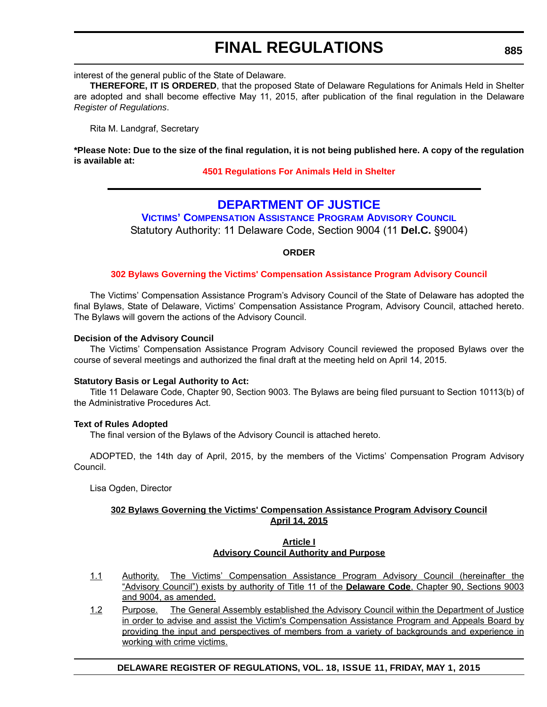interest of the general public of the State of Delaware.

**THEREFORE, IT IS ORDERED**, that the proposed State of Delaware Regulations for Animals Held in Shelter are adopted and shall become effective May 11, 2015, after publication of the final regulation in the Delaware *Register of Regulations*.

Rita M. Landgraf, Secretary

**\*Please Note: Due to the size of the final regulation, it is not being published here. A copy of the regulation is available at:**

### **[4501 Regulations For Animals Held in Shelter](http://regulations.delaware.gov/register/may2015/final/18 DE Reg 866 05-01-15.htm)**

### **DEPARTMENT OF JUSTICE**

**[VICTIMS' COMPENSATION ASSISTANCE PROGRAM ADVISORY COUNCIL](http://attorneygeneral.delaware.gov/VCAP/)** Statutory Authority: 11 Delaware Code, Section 9004 (11 **Del.C.** §9004)

### **ORDER**

#### **[302 Bylaws Governing the Victims' Compensation Assistance Program Advisory Council](#page-4-0)**

The Victims' Compensation Assistance Program's Advisory Council of the State of Delaware has adopted the final Bylaws, State of Delaware, Victims' Compensation Assistance Program, Advisory Council, attached hereto. The Bylaws will govern the actions of the Advisory Council.

#### **Decision of the Advisory Council**

The Victims' Compensation Assistance Program Advisory Council reviewed the proposed Bylaws over the course of several meetings and authorized the final draft at the meeting held on April 14, 2015.

#### **Statutory Basis or Legal Authority to Act:**

Title 11 Delaware Code, Chapter 90, Section 9003. The Bylaws are being filed pursuant to Section 10113(b) of the Administrative Procedures Act.

#### **Text of Rules Adopted**

The final version of the Bylaws of the Advisory Council is attached hereto.

ADOPTED, the 14th day of April, 2015, by the members of the Victims' Compensation Program Advisory Council.

Lisa Ogden, Director

### **302 Bylaws Governing the Victims' Compensation Assistance Program Advisory Council April 14, 2015**

#### **Article I Advisory Council Authority and Purpose**

- 1.1 Authority. The Victims' Compensation Assistance Program Advisory Council (hereinafter the "Advisory Council") exists by authority of Title 11 of the **Delaware Code**, Chapter 90, Sections 9003 and 9004, as amended.
- 1.2 Purpose. The General Assembly established the Advisory Council within the Department of Justice in order to advise and assist the Victim's Compensation Assistance Program and Appeals Board by providing the input and perspectives of members from a variety of backgrounds and experience in working with crime victims.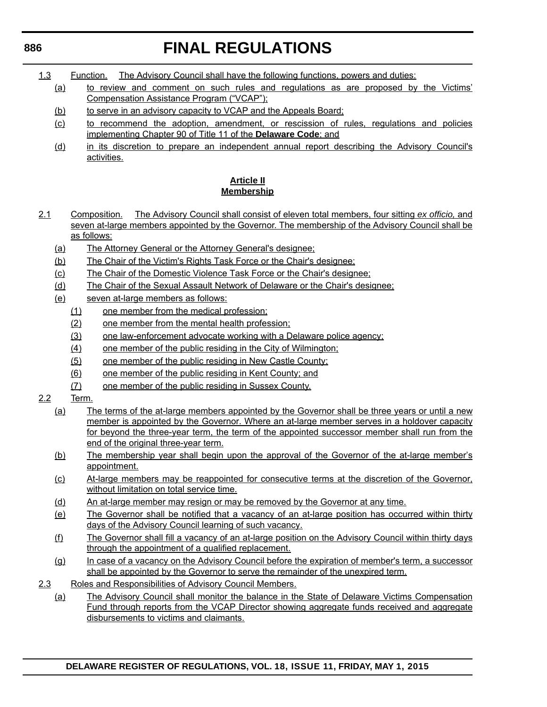1.3 Function. The Advisory Council shall have the following functions, powers and duties:

- (a) to review and comment on such rules and regulations as are proposed by the Victims' Compensation Assistance Program ("VCAP");
- (b) to serve in an advisory capacity to VCAP and the Appeals Board;
- (c) to recommend the adoption, amendment, or rescission of rules, regulations and policies implementing Chapter 90 of Title 11 of the **Delaware Code**; and
- (d) in its discretion to prepare an independent annual report describing the Advisory Council's activities.

### **Article II Membership**

- 2.1 Composition. The Advisory Council shall consist of eleven total members, four sitting *ex officio,* and seven at-large members appointed by the Governor. The membership of the Advisory Council shall be as follows:
	- (a) The Attorney General or the Attorney General's designee;
	- (b) The Chair of the Victim's Rights Task Force or the Chair's designee;
	- (c) The Chair of the Domestic Violence Task Force or the Chair's designee;
	- (d) The Chair of the Sexual Assault Network of Delaware or the Chair's designee;
	- (e) seven at-large members as follows:
		- (1) one member from the medical profession;
		- (2) one member from the mental health profession;
		- (3) one law-enforcement advocate working with a Delaware police agency;
		- (4) one member of the public residing in the City of Wilmington;
		- (5) one member of the public residing in New Castle County;
		- (6) one member of the public residing in Kent County; and
		- (7) one member of the public residing in Sussex County.
- 2.2 Term.
	- (a) The terms of the at-large members appointed by the Governor shall be three years or until a new member is appointed by the Governor. Where an at-large member serves in a holdover capacity for beyond the three-year term, the term of the appointed successor member shall run from the end of the original three-year term.
	- (b) The membership year shall begin upon the approval of the Governor of the at-large member's appointment.
	- (c) At-large members may be reappointed for consecutive terms at the discretion of the Governor, without limitation on total service time.
	- (d) An at-large member may resign or may be removed by the Governor at any time.
	- (e) The Governor shall be notified that a vacancy of an at-large position has occurred within thirty days of the Advisory Council learning of such vacancy.
	- (f) The Governor shall fill a vacancy of an at-large position on the Advisory Council within thirty days through the appointment of a qualified replacement.
	- (g) In case of a vacancy on the Advisory Council before the expiration of member's term, a successor shall be appointed by the Governor to serve the remainder of the unexpired term.
- 2.3 Roles and Responsibilities of Advisory Council Members.
	- (a) The Advisory Council shall monitor the balance in the State of Delaware Victims Compensation Fund through reports from the VCAP Director showing aggregate funds received and aggregate disbursements to victims and claimants.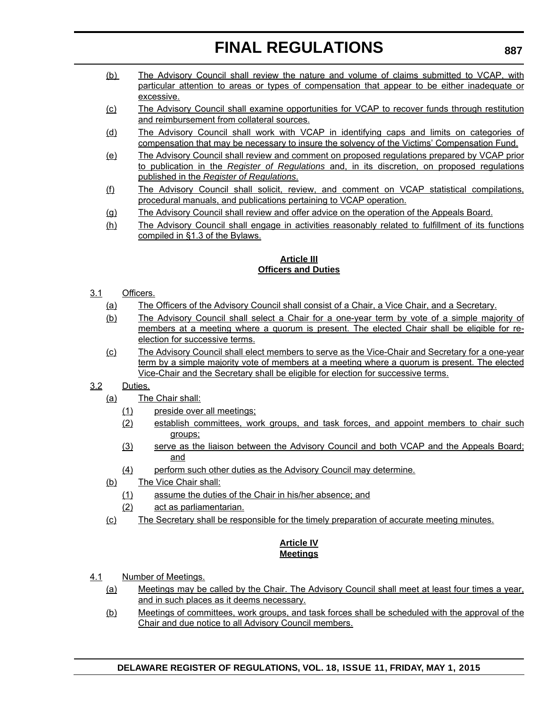- (b) The Advisory Council shall review the nature and volume of claims submitted to VCAP, with particular attention to areas or types of compensation that appear to be either inadequate or excessive.
- (c) The Advisory Council shall examine opportunities for VCAP to recover funds through restitution and reimbursement from collateral sources.
- (d) The Advisory Council shall work with VCAP in identifying caps and limits on categories of compensation that may be necessary to insure the solvency of the Victims' Compensation Fund.
- (e) The Advisory Council shall review and comment on proposed regulations prepared by VCAP prior to publication in the *Register of Regulations* and, in its discretion, on proposed regulations published in the *Register of Regulations*.
- (f) The Advisory Council shall solicit, review, and comment on VCAP statistical compilations, procedural manuals, and publications pertaining to VCAP operation.
- (g) The Advisory Council shall review and offer advice on the operation of the Appeals Board.
- (h) The Advisory Council shall engage in activities reasonably related to fulfillment of its functions compiled in §1.3 of the Bylaws.

### **Article III Officers and Duties**

### 3.1 Officers.

- (a) The Officers of the Advisory Council shall consist of a Chair, a Vice Chair, and a Secretary.
- (b) The Advisory Council shall select a Chair for a one-year term by vote of a simple majority of members at a meeting where a quorum is present. The elected Chair shall be eligible for reelection for successive terms.
- (c) The Advisory Council shall elect members to serve as the Vice-Chair and Secretary for a one-year term by a simple majority vote of members at a meeting where a quorum is present. The elected Vice-Chair and the Secretary shall be eligible for election for successive terms.

### 3.2 Duties.

- (a) The Chair shall:
	- (1) preside over all meetings;
	- (2) establish committees, work groups, and task forces, and appoint members to chair such groups;
	- (3) serve as the liaison between the Advisory Council and both VCAP and the Appeals Board; and
	- (4) perform such other duties as the Advisory Council may determine.
- (b) The Vice Chair shall:
	- (1) assume the duties of the Chair in his/her absence; and
	- (2) act as parliamentarian.
- (c) The Secretary shall be responsible for the timely preparation of accurate meeting minutes.

### **Article IV Meetings**

- 4.1 Number of Meetings.
	- (a) Meetings may be called by the Chair. The Advisory Council shall meet at least four times a year, and in such places as it deems necessary.
	- (b) Meetings of committees, work groups, and task forces shall be scheduled with the approval of the Chair and due notice to all Advisory Council members.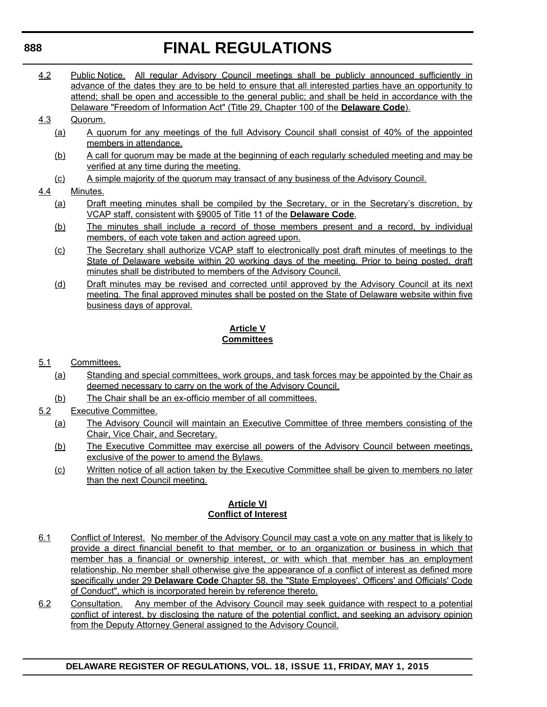4.2 Public Notice. All regular Advisory Council meetings shall be publicly announced sufficiently in advance of the dates they are to be held to ensure that all interested parties have an opportunity to attend; shall be open and accessible to the general public; and shall be held in accordance with the Delaware "Freedom of Information Act" (Title 29, Chapter 100 of the **Delaware Code**).

### 4.3 Quorum.

- (a) A quorum for any meetings of the full Advisory Council shall consist of 40% of the appointed members in attendance.
- (b) A call for quorum may be made at the beginning of each regularly scheduled meeting and may be verified at any time during the meeting.
- (c) A simple majority of the quorum may transact of any business of the Advisory Council.

### 4.4 Minutes.

- (a) Draft meeting minutes shall be compiled by the Secretary, or in the Secretary's discretion, by VCAP staff, consistent with §9005 of Title 11 of the **Delaware Code**.
- (b) The minutes shall include a record of those members present and a record, by individual members, of each vote taken and action agreed upon.
- (c) The Secretary shall authorize VCAP staff to electronically post draft minutes of meetings to the State of Delaware website within 20 working days of the meeting. Prior to being posted, draft minutes shall be distributed to members of the Advisory Council.
- (d) Draft minutes may be revised and corrected until approved by the Advisory Council at its next meeting. The final approved minutes shall be posted on the State of Delaware website within five business days of approval.

### **Article V Committees**

### 5.1 Committees.

- (a) Standing and special committees, work groups, and task forces may be appointed by the Chair as deemed necessary to carry on the work of the Advisory Council.
- (b) The Chair shall be an ex-officio member of all committees.
- 5.2 Executive Committee.
	- (a) The Advisory Council will maintain an Executive Committee of three members consisting of the Chair, Vice Chair, and Secretary.
	- (b) The Executive Committee may exercise all powers of the Advisory Council between meetings, exclusive of the power to amend the Bylaws.
	- (c) Written notice of all action taken by the Executive Committee shall be given to members no later than the next Council meeting.

### **Article VI Conflict of Interest**

- 6.1 Conflict of Interest. No member of the Advisory Council may cast a vote on any matter that is likely to provide a direct financial benefit to that member, or to an organization or business in which that member has a financial or ownership interest, or with which that member has an employment relationship. No member shall otherwise give the appearance of a conflict of interest as defined more specifically under 29 **Delaware Code** Chapter 58, the "State Employees', Officers' and Officials' Code of Conduct", which is incorporated herein by reference thereto.
- 6.2 Consultation. Any member of the Advisory Council may seek guidance with respect to a potential conflict of interest, by disclosing the nature of the potential conflict, and seeking an advisory opinion from the Deputy Attorney General assigned to the Advisory Council.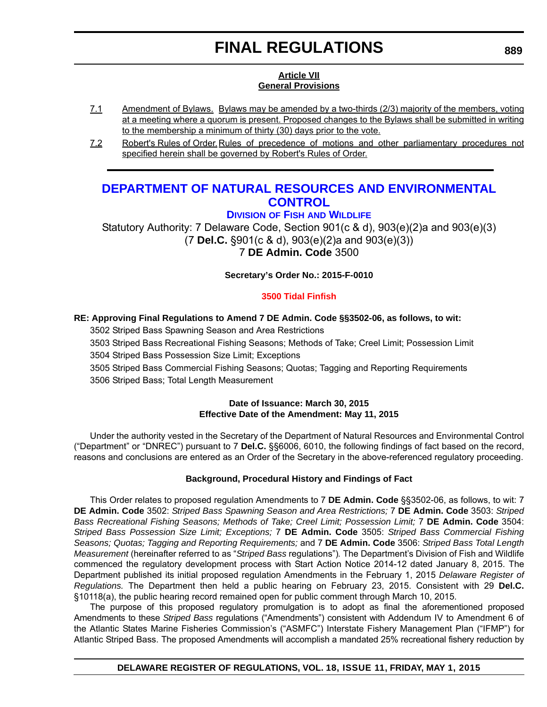### **Article VII General Provisions**

- 7.1 Amendment of Bylaws. Bylaws may be amended by a two-thirds (2/3) majority of the members, voting at a meeting where a quorum is present. Proposed changes to the Bylaws shall be submitted in writing to the membership a minimum of thirty (30) days prior to the vote.
- 7.2 Robert's Rules of Order. Rules of precedence of motions and other parliamentary procedures not specified herein shall be governed by Robert's Rules of Order.

### **[DEPARTMENT OF NATURAL RESOURCES AND ENVIRONMENTAL](http://www.dnrec.delaware.gov/fw/Pages/FWPortal.aspx)  CONTROL**

**DIVISION OF FISH AND WILDLIFE**

Statutory Authority: 7 Delaware Code, Section 901(c & d), 903(e)(2)a and 903(e)(3) (7 **Del.C.** §901(c & d), 903(e)(2)a and 903(e)(3)) 7 **DE Admin. Code** 3500

**Secretary's Order No.: 2015-F-0010**

### **[3500 Tidal Finfish](#page-4-0)**

### **RE: Approving Final Regulations to Amend 7 DE Admin. Code §§3502-06, as follows, to wit:**

3502 Striped Bass Spawning Season and Area Restrictions

3503 Striped Bass Recreational Fishing Seasons; Methods of Take; Creel Limit; Possession Limit

3504 Striped Bass Possession Size Limit; Exceptions

3505 Striped Bass Commercial Fishing Seasons; Quotas; Tagging and Reporting Requirements

3506 Striped Bass; Total Length Measurement

#### **Date of Issuance: March 30, 2015 Effective Date of the Amendment: May 11, 2015**

Under the authority vested in the Secretary of the Department of Natural Resources and Environmental Control ("Department" or "DNREC") pursuant to 7 **Del.C.** §§6006, 6010, the following findings of fact based on the record, reasons and conclusions are entered as an Order of the Secretary in the above-referenced regulatory proceeding.

### **Background, Procedural History and Findings of Fact**

This Order relates to proposed regulation Amendments to 7 **DE Admin. Code** §§3502-06, as follows, to wit: 7 **DE Admin. Code** 3502: *Striped Bass Spawning Season and Area Restrictions;* 7 **DE Admin. Code** 3503: *Striped Bass Recreational Fishing Seasons; Methods of Take; Creel Limit; Possession Limit;* 7 **DE Admin. Code** 3504: *Striped Bass Possession Size Limit; Exceptions;* 7 **DE Admin. Code** 3505: *Striped Bass Commercial Fishing Seasons; Quotas; Tagging and Reporting Requirements;* and 7 **DE Admin. Code** 3506: *Striped Bass Total Length Measurement* (hereinafter referred to as "*Striped Bass* regulations")*.* The Department's Division of Fish and Wildlife commenced the regulatory development process with Start Action Notice 2014-12 dated January 8, 2015. The Department published its initial proposed regulation Amendments in the February 1, 2015 *Delaware Register of Regulations.* The Department then held a public hearing on February 23, 2015. Consistent with 29 **Del.C.** §10118(a), the public hearing record remained open for public comment through March 10, 2015.

The purpose of this proposed regulatory promulgation is to adopt as final the aforementioned proposed Amendments to these *Striped Bass* regulations ("Amendments") consistent with Addendum IV to Amendment 6 of the Atlantic States Marine Fisheries Commission's ("ASMFC") Interstate Fishery Management Plan ("IFMP") for Atlantic Striped Bass. The proposed Amendments will accomplish a mandated 25% recreational fishery reduction by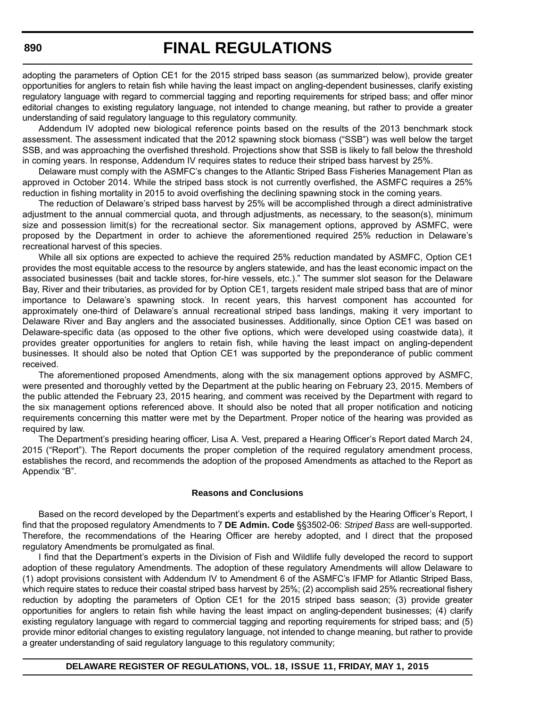adopting the parameters of Option CE1 for the 2015 striped bass season (as summarized below), provide greater opportunities for anglers to retain fish while having the least impact on angling-dependent businesses, clarify existing regulatory language with regard to commercial tagging and reporting requirements for striped bass; and offer minor editorial changes to existing regulatory language, not intended to change meaning, but rather to provide a greater understanding of said regulatory language to this regulatory community.

Addendum IV adopted new biological reference points based on the results of the 2013 benchmark stock assessment. The assessment indicated that the 2012 spawning stock biomass ("SSB") was well below the target SSB, and was approaching the overfished threshold. Projections show that SSB is likely to fall below the threshold in coming years. In response, Addendum IV requires states to reduce their striped bass harvest by 25%.

Delaware must comply with the ASMFC's changes to the Atlantic Striped Bass Fisheries Management Plan as approved in October 2014. While the striped bass stock is not currently overfished, the ASMFC requires a 25% reduction in fishing mortality in 2015 to avoid overfishing the declining spawning stock in the coming years.

The reduction of Delaware's striped bass harvest by 25% will be accomplished through a direct administrative adjustment to the annual commercial quota, and through adjustments, as necessary, to the season(s), minimum size and possession limit(s) for the recreational sector. Six management options, approved by ASMFC, were proposed by the Department in order to achieve the aforementioned required 25% reduction in Delaware's recreational harvest of this species.

While all six options are expected to achieve the required 25% reduction mandated by ASMFC, Option CE1 provides the most equitable access to the resource by anglers statewide, and has the least economic impact on the associated businesses (bait and tackle stores, for-hire vessels, etc.)." The summer slot season for the Delaware Bay, River and their tributaries, as provided for by Option CE1, targets resident male striped bass that are of minor importance to Delaware's spawning stock. In recent years, this harvest component has accounted for approximately one-third of Delaware's annual recreational striped bass landings, making it very important to Delaware River and Bay anglers and the associated businesses. Additionally, since Option CE1 was based on Delaware-specific data (as opposed to the other five options, which were developed using coastwide data), it provides greater opportunities for anglers to retain fish, while having the least impact on angling-dependent businesses. It should also be noted that Option CE1 was supported by the preponderance of public comment received.

The aforementioned proposed Amendments, along with the six management options approved by ASMFC, were presented and thoroughly vetted by the Department at the public hearing on February 23, 2015. Members of the public attended the February 23, 2015 hearing, and comment was received by the Department with regard to the six management options referenced above. It should also be noted that all proper notification and noticing requirements concerning this matter were met by the Department. Proper notice of the hearing was provided as required by law.

The Department's presiding hearing officer, Lisa A. Vest, prepared a Hearing Officer's Report dated March 24, 2015 ("Report"). The Report documents the proper completion of the required regulatory amendment process, establishes the record, and recommends the adoption of the proposed Amendments as attached to the Report as Appendix "B".

#### **Reasons and Conclusions**

Based on the record developed by the Department's experts and established by the Hearing Officer's Report, I find that the proposed regulatory Amendments to 7 **DE Admin. Code** §§3502-06: *Striped Bass* are well-supported. Therefore, the recommendations of the Hearing Officer are hereby adopted, and I direct that the proposed regulatory Amendments be promulgated as final.

I find that the Department's experts in the Division of Fish and Wildlife fully developed the record to support adoption of these regulatory Amendments. The adoption of these regulatory Amendments will allow Delaware to (1) adopt provisions consistent with Addendum IV to Amendment 6 of the ASMFC's IFMP for Atlantic Striped Bass, which require states to reduce their coastal striped bass harvest by 25%; (2) accomplish said 25% recreational fishery reduction by adopting the parameters of Option CE1 for the 2015 striped bass season; (3) provide greater opportunities for anglers to retain fish while having the least impact on angling-dependent businesses; (4) clarify existing regulatory language with regard to commercial tagging and reporting requirements for striped bass; and (5) provide minor editorial changes to existing regulatory language, not intended to change meaning, but rather to provide a greater understanding of said regulatory language to this regulatory community;

**DELAWARE REGISTER OF REGULATIONS, VOL. 18, ISSUE 11, FRIDAY, MAY 1, 2015**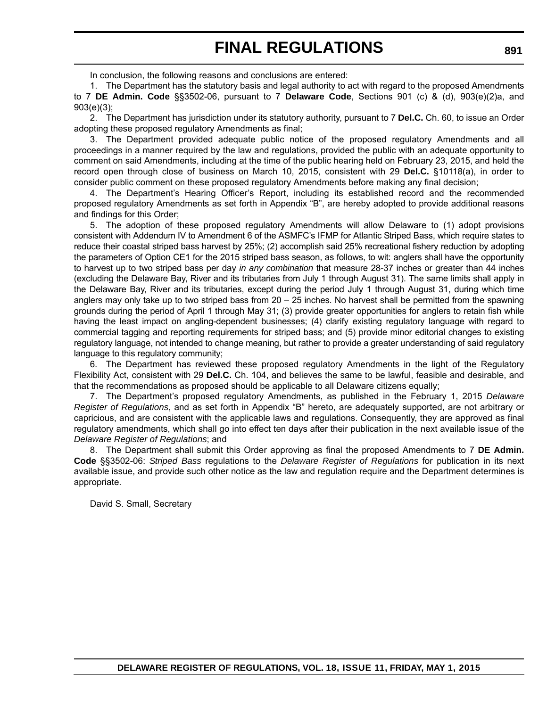In conclusion, the following reasons and conclusions are entered:

1. The Department has the statutory basis and legal authority to act with regard to the proposed Amendments to 7 **DE Admin. Code** §§3502-06, pursuant to 7 **Delaware Code**, Sections 901 (c) & (d), 903(e)(2)a, and 903(e)(3);

2. The Department has jurisdiction under its statutory authority, pursuant to 7 **Del.C.** Ch. 60, to issue an Order adopting these proposed regulatory Amendments as final;

The Department provided adequate public notice of the proposed regulatory Amendments and all proceedings in a manner required by the law and regulations, provided the public with an adequate opportunity to comment on said Amendments, including at the time of the public hearing held on February 23, 2015, and held the record open through close of business on March 10, 2015, consistent with 29 **Del.C.** §10118(a), in order to consider public comment on these proposed regulatory Amendments before making any final decision;

4. The Department's Hearing Officer's Report, including its established record and the recommended proposed regulatory Amendments as set forth in Appendix "B", are hereby adopted to provide additional reasons and findings for this Order;

5. The adoption of these proposed regulatory Amendments will allow Delaware to (1) adopt provisions consistent with Addendum IV to Amendment 6 of the ASMFC's IFMP for Atlantic Striped Bass, which require states to reduce their coastal striped bass harvest by 25%; (2) accomplish said 25% recreational fishery reduction by adopting the parameters of Option CE1 for the 2015 striped bass season, as follows, to wit: anglers shall have the opportunity to harvest up to two striped bass per day *in any combination* that measure 28-37 inches or greater than 44 inches (excluding the Delaware Bay, River and its tributaries from July 1 through August 31). The same limits shall apply in the Delaware Bay, River and its tributaries, except during the period July 1 through August 31, during which time anglers may only take up to two striped bass from  $20 - 25$  inches. No harvest shall be permitted from the spawning grounds during the period of April 1 through May 31; (3) provide greater opportunities for anglers to retain fish while having the least impact on angling-dependent businesses; (4) clarify existing regulatory language with regard to commercial tagging and reporting requirements for striped bass; and (5) provide minor editorial changes to existing regulatory language, not intended to change meaning, but rather to provide a greater understanding of said regulatory language to this regulatory community;

6. The Department has reviewed these proposed regulatory Amendments in the light of the Regulatory Flexibility Act, consistent with 29 **Del.C.** Ch. 104, and believes the same to be lawful, feasible and desirable, and that the recommendations as proposed should be applicable to all Delaware citizens equally;

7. The Department's proposed regulatory Amendments, as published in the February 1, 2015 *Delaware Register of Regulations*, and as set forth in Appendix "B" hereto, are adequately supported, are not arbitrary or capricious, and are consistent with the applicable laws and regulations. Consequently, they are approved as final regulatory amendments, which shall go into effect ten days after their publication in the next available issue of the *Delaware Register of Regulations*; and

8. The Department shall submit this Order approving as final the proposed Amendments to 7 **DE Admin. Code** §§3502-06: *Striped Bass* regulations to the *Delaware Register of Regulations* for publication in its next available issue, and provide such other notice as the law and regulation require and the Department determines is appropriate.

David S. Small, Secretary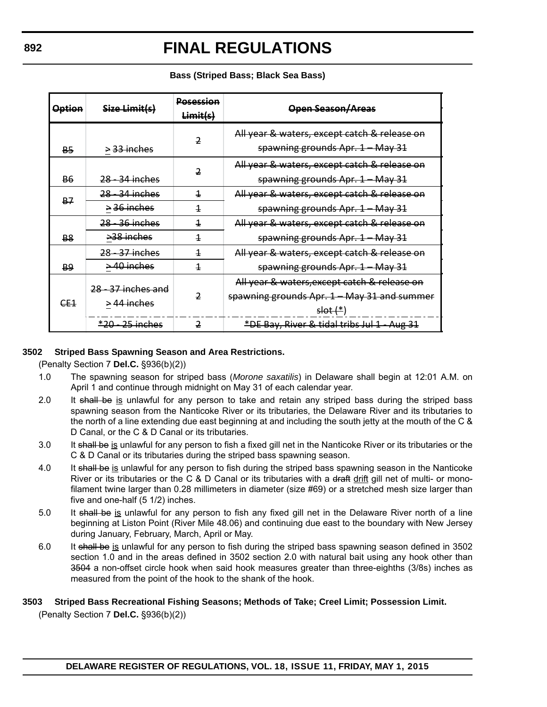| <b>Option</b> | Size Limit(s)             | <b>Posession</b><br>Limits(s) | <b>Open Season/Areas</b>                                                         |
|---------------|---------------------------|-------------------------------|----------------------------------------------------------------------------------|
| B5            | <del>&gt; 33 inches</del> |                               | All year & waters, except catch & release on<br>spawning grounds Apr. 1 - May 31 |
| B6            | <del>28 - 34 inches</del> | 2                             | All year & waters, except catch & release on<br>spawning grounds Apr. 1 - May 31 |
| <b>B7</b>     | <del>28 - 34 inches</del> | 4                             | All year & waters, except catch & release on                                     |
|               | $\geq$ 36 inches          | 4                             | spawning grounds Apr. 1 - May 31                                                 |
|               | <del>28 - 36 inches</del> | 4                             | All year & waters, except catch & release on                                     |
| <b>B8</b>     | <del>&gt;38 inches</del>  | 4                             | spawning grounds Apr. 1 - May 31                                                 |
|               | 28-37 inches              | 4                             | All year & waters, except catch & release on                                     |
| <b>B9</b>     | $\rightarrow$ 40 inches   | 4                             | spawning grounds Apr. 1 - May 31                                                 |
| CE1           | 28 - 37 inches and        |                               | All year & waters, except catch & release on                                     |
|               |                           |                               | spawning grounds Apr. 1 - May 31 and summer                                      |
|               | $>44$ inches              |                               | $slot (*)$                                                                       |
|               | *20 25 inches             |                               | *DE Bay, River & tidal tribs Jul 1 Aug 31                                        |

#### **Bass (Striped Bass; Black Sea Bass)**

### **3502 Striped Bass Spawning Season and Area Restrictions.**

(Penalty Section 7 **Del.C.** §936(b)(2))

- 1.0 The spawning season for striped bass (*Morone saxatilis*) in Delaware shall begin at 12:01 A.M. on April 1 and continue through midnight on May 31 of each calendar year.
- 2.0 It shall be is unlawful for any person to take and retain any striped bass during the striped bass spawning season from the Nanticoke River or its tributaries, the Delaware River and its tributaries to the north of a line extending due east beginning at and including the south jetty at the mouth of the C & D Canal, or the C & D Canal or its tributaries.
- 3.0 It shall be is unlawful for any person to fish a fixed gill net in the Nanticoke River or its tributaries or the C & D Canal or its tributaries during the striped bass spawning season.
- 4.0 It shall be is unlawful for any person to fish during the striped bass spawning season in the Nanticoke River or its tributaries or the C & D Canal or its tributaries with a draft drift gill net of multi- or monofilament twine larger than 0.28 millimeters in diameter (size #69) or a stretched mesh size larger than five and one-half (5 1/2) inches.
- 5.0 It shall be is unlawful for any person to fish any fixed gill net in the Delaware River north of a line beginning at Liston Point (River Mile 48.06) and continuing due east to the boundary with New Jersey during January, February, March, April or May.
- 6.0 It shall be is unlawful for any person to fish during the striped bass spawning season defined in 3502 section 1.0 and in the areas defined in 3502 section 2.0 with natural bait using any hook other than 3504 a non-offset circle hook when said hook measures greater than three-eighths (3/8s) inches as measured from the point of the hook to the shank of the hook.

# **3503 Striped Bass Recreational Fishing Seasons; Methods of Take; Creel Limit; Possession Limit.**

(Penalty Section 7 **Del.C.** §936(b)(2))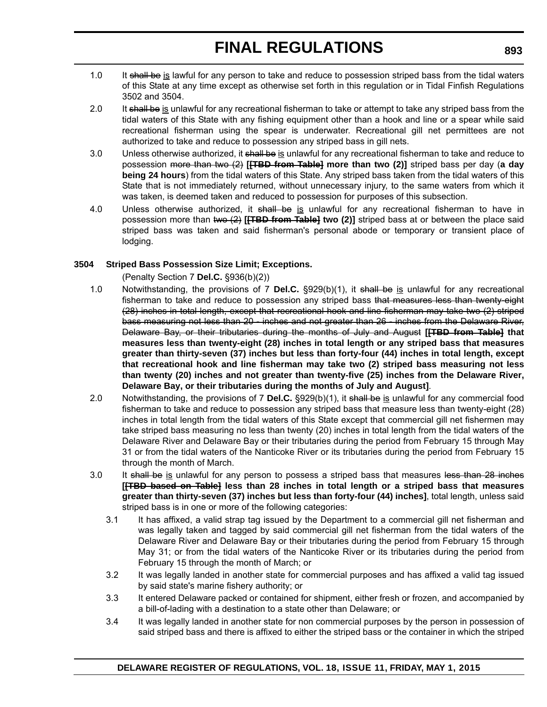- 1.0 It shall be is lawful for any person to take and reduce to possession striped bass from the tidal waters of this State at any time except as otherwise set forth in this regulation or in Tidal Finfish Regulations 3502 and 3504.
- 2.0 It shall be is unlawful for any recreational fisherman to take or attempt to take any striped bass from the tidal waters of this State with any fishing equipment other than a hook and line or a spear while said recreational fisherman using the spear is underwater. Recreational gill net permittees are not authorized to take and reduce to possession any striped bass in gill nets.
- 3.0 Unless otherwise authorized, it shall be is unlawful for any recreational fisherman to take and reduce to possession more than two (2) **[[TBD from Table] more than two (2)]** striped bass per day (**a day being 24 hours**) from the tidal waters of this State. Any striped bass taken from the tidal waters of this State that is not immediately returned, without unnecessary injury, to the same waters from which it was taken, is deemed taken and reduced to possession for purposes of this subsection.
- 4.0 Unless otherwise authorized, it shall be is unlawful for any recreational fisherman to have in possession more than two (2) **[[TBD from Table] two (2)]** striped bass at or between the place said striped bass was taken and said fisherman's personal abode or temporary or transient place of lodging.

### **3504 Striped Bass Possession Size Limit; Exceptions.**

(Penalty Section 7 **Del.C.** §936(b)(2))

- 1.0 Notwithstanding, the provisions of 7 **Del.C.** §929(b)(1), it shall be is unlawful for any recreational fisherman to take and reduce to possession any striped bass that measures less than twenty eight (28) inches in total length, except that recreational hook and line fisherman may take two (2) striped bass measuring not less than 20 - inches and not greater than 26 - inches from the Delaware River, Delaware Bay, or their tributaries during the months of July and August **[[TBD from Table] that measures less than twenty-eight (28) inches in total length or any striped bass that measures greater than thirty-seven (37) inches but less than forty-four (44) inches in total length, except that recreational hook and line fisherman may take two (2) striped bass measuring not less than twenty (20) inches and not greater than twenty-five (25) inches from the Delaware River, Delaware Bay, or their tributaries during the months of July and August]**.
- 2.0 Notwithstanding, the provisions of 7 **Del.C.** §929(b)(1), it shall be is unlawful for any commercial food fisherman to take and reduce to possession any striped bass that measure less than twenty-eight (28) inches in total length from the tidal waters of this State except that commercial gill net fishermen may take striped bass measuring no less than twenty (20) inches in total length from the tidal waters of the Delaware River and Delaware Bay or their tributaries during the period from February 15 through May 31 or from the tidal waters of the Nanticoke River or its tributaries during the period from February 15 through the month of March.
- 3.0 It shall be is unlawful for any person to possess a striped bass that measures less than 28 inches **[[TBD based on Table] less than 28 inches in total length or a striped bass that measures greater than thirty-seven (37) inches but less than forty-four (44) inches]**, total length, unless said striped bass is in one or more of the following categories:
	- 3.1 It has affixed, a valid strap tag issued by the Department to a commercial gill net fisherman and was legally taken and tagged by said commercial gill net fisherman from the tidal waters of the Delaware River and Delaware Bay or their tributaries during the period from February 15 through May 31; or from the tidal waters of the Nanticoke River or its tributaries during the period from February 15 through the month of March; or
	- 3.2 It was legally landed in another state for commercial purposes and has affixed a valid tag issued by said state's marine fishery authority; or
	- 3.3 It entered Delaware packed or contained for shipment, either fresh or frozen, and accompanied by a bill-of-lading with a destination to a state other than Delaware; or
	- 3.4 It was legally landed in another state for non commercial purposes by the person in possession of said striped bass and there is affixed to either the striped bass or the container in which the striped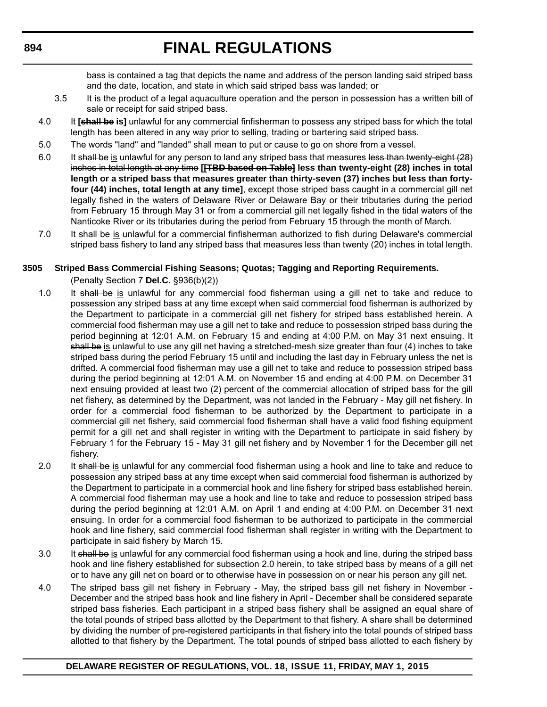bass is contained a tag that depicts the name and address of the person landing said striped bass and the date, location, and state in which said striped bass was landed; or

- 3.5 It is the product of a legal aquaculture operation and the person in possession has a written bill of sale or receipt for said striped bass.
- 4.0 It **[shall be is]** unlawful for any commercial finfisherman to possess any striped bass for which the total length has been altered in any way prior to selling, trading or bartering said striped bass.
- 5.0 The words "land" and "landed" shall mean to put or cause to go on shore from a vessel.
- 6.0 It shall be is unlawful for any person to land any striped bass that measures less than twenty-eight (28) inches in total length at any time **[[TBD based on Table] less than twenty-eight (28) inches in total length or a striped bass that measures greater than thirty-seven (37) inches but less than fortyfour (44) inches, total length at any time]**, except those striped bass caught in a commercial gill net legally fished in the waters of Delaware River or Delaware Bay or their tributaries during the period from February 15 through May 31 or from a commercial gill net legally fished in the tidal waters of the Nanticoke River or its tributaries during the period from February 15 through the month of March.
- 7.0 It shall be is unlawful for a commercial finfisherman authorized to fish during Delaware's commercial striped bass fishery to land any striped bass that measures less than twenty (20) inches in total length.

### **3505 Striped Bass Commercial Fishing Seasons; Quotas; Tagging and Reporting Requirements.**

(Penalty Section 7 **Del.C.** §936(b)(2))

- 1.0 It shall be is unlawful for any commercial food fisherman using a gill net to take and reduce to possession any striped bass at any time except when said commercial food fisherman is authorized by the Department to participate in a commercial gill net fishery for striped bass established herein. A commercial food fisherman may use a gill net to take and reduce to possession striped bass during the period beginning at 12:01 A.M. on February 15 and ending at 4:00 P.M. on May 31 next ensuing. It shall be is unlawful to use any gill net having a stretched-mesh size greater than four (4) inches to take striped bass during the period February 15 until and including the last day in February unless the net is drifted. A commercial food fisherman may use a gill net to take and reduce to possession striped bass during the period beginning at 12:01 A.M. on November 15 and ending at 4:00 P.M. on December 31 next ensuing provided at least two (2) percent of the commercial allocation of striped bass for the gill net fishery, as determined by the Department, was not landed in the February - May gill net fishery. In order for a commercial food fisherman to be authorized by the Department to participate in a commercial gill net fishery, said commercial food fisherman shall have a valid food fishing equipment permit for a gill net and shall register in writing with the Department to participate in said fishery by February 1 for the February 15 - May 31 gill net fishery and by November 1 for the December gill net fishery.
- 2.0 It shall be is unlawful for any commercial food fisherman using a hook and line to take and reduce to possession any striped bass at any time except when said commercial food fisherman is authorized by the Department to participate in a commercial hook and line fishery for striped bass established herein. A commercial food fisherman may use a hook and line to take and reduce to possession striped bass during the period beginning at 12:01 A.M. on April 1 and ending at 4:00 P.M. on December 31 next ensuing. In order for a commercial food fisherman to be authorized to participate in the commercial hook and line fishery, said commercial food fisherman shall register in writing with the Department to participate in said fishery by March 15.
- 3.0 It shall be is unlawful for any commercial food fisherman using a hook and line, during the striped bass hook and line fishery established for subsection 2.0 herein, to take striped bass by means of a gill net or to have any gill net on board or to otherwise have in possession on or near his person any gill net.
- 4.0 The striped bass gill net fishery in February May, the striped bass gill net fishery in November December and the striped bass hook and line fishery in April - December shall be considered separate striped bass fisheries. Each participant in a striped bass fishery shall be assigned an equal share of the total pounds of striped bass allotted by the Department to that fishery. A share shall be determined by dividing the number of pre-registered participants in that fishery into the total pounds of striped bass allotted to that fishery by the Department. The total pounds of striped bass allotted to each fishery by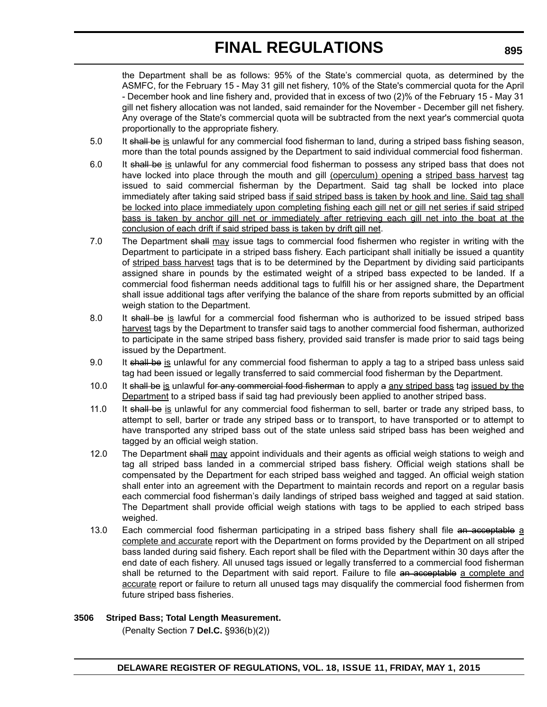the Department shall be as follows: 95% of the State's commercial quota, as determined by the ASMFC, for the February 15 - May 31 gill net fishery, 10% of the State's commercial quota for the April - December hook and line fishery and, provided that in excess of two (2)% of the February 15 - May 31 gill net fishery allocation was not landed, said remainder for the November - December gill net fishery. Any overage of the State's commercial quota will be subtracted from the next year's commercial quota proportionally to the appropriate fishery.

- 5.0 It shall be is unlawful for any commercial food fisherman to land, during a striped bass fishing season, more than the total pounds assigned by the Department to said individual commercial food fisherman.
- 6.0 It shall be is unlawful for any commercial food fisherman to possess any striped bass that does not have locked into place through the mouth and gill (operculum) opening a striped bass harvest tag issued to said commercial fisherman by the Department. Said tag shall be locked into place immediately after taking said striped bass if said striped bass is taken by hook and line. Said tag shall be locked into place immediately upon completing fishing each gill net or gill net series if said striped bass is taken by anchor gill net or immediately after retrieving each gill net into the boat at the conclusion of each drift if said striped bass is taken by drift gill net.
- 7.0 The Department shall may issue tags to commercial food fishermen who register in writing with the Department to participate in a striped bass fishery. Each participant shall initially be issued a quantity of striped bass harvest tags that is to be determined by the Department by dividing said participants assigned share in pounds by the estimated weight of a striped bass expected to be landed. If a commercial food fisherman needs additional tags to fulfill his or her assigned share, the Department shall issue additional tags after verifying the balance of the share from reports submitted by an official weigh station to the Department.
- 8.0 It shall be is lawful for a commercial food fisherman who is authorized to be issued striped bass harvest tags by the Department to transfer said tags to another commercial food fisherman, authorized to participate in the same striped bass fishery, provided said transfer is made prior to said tags being issued by the Department.
- 9.0 It shall be is unlawful for any commercial food fisherman to apply a tag to a striped bass unless said tag had been issued or legally transferred to said commercial food fisherman by the Department.
- 10.0 It shall be is unlawful for any commercial food fisherman to apply a any striped bass tag issued by the Department to a striped bass if said tag had previously been applied to another striped bass.
- 11.0 It shall be is unlawful for any commercial food fisherman to sell, barter or trade any striped bass, to attempt to sell, barter or trade any striped bass or to transport, to have transported or to attempt to have transported any striped bass out of the state unless said striped bass has been weighed and tagged by an official weigh station.
- 12.0 The Department shall may appoint individuals and their agents as official weigh stations to weigh and tag all striped bass landed in a commercial striped bass fishery. Official weigh stations shall be compensated by the Department for each striped bass weighed and tagged. An official weigh station shall enter into an agreement with the Department to maintain records and report on a regular basis each commercial food fisherman's daily landings of striped bass weighed and tagged at said station. The Department shall provide official weigh stations with tags to be applied to each striped bass weighed.
- 13.0 Each commercial food fisherman participating in a striped bass fishery shall file an acceptable a complete and accurate report with the Department on forms provided by the Department on all striped bass landed during said fishery. Each report shall be filed with the Department within 30 days after the end date of each fishery. All unused tags issued or legally transferred to a commercial food fisherman shall be returned to the Department with said report. Failure to file an acceptable a complete and accurate report or failure to return all unused tags may disqualify the commercial food fishermen from future striped bass fisheries.

### **3506 Striped Bass; Total Length Measurement.**

(Penalty Section 7 **Del.C.** §936(b)(2))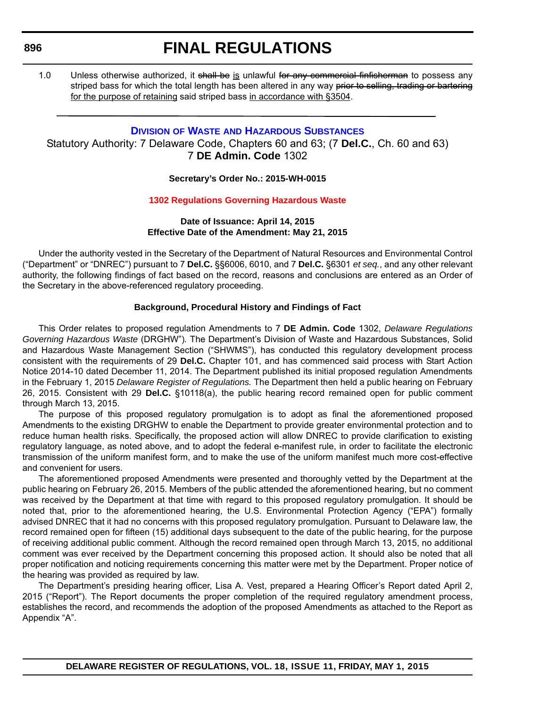**896**

# **FINAL REGULATIONS**

1.0 Unless otherwise authorized, it shall be is unlawful for any commercial finfisherman to possess any striped bass for which the total length has been altered in any way prior to selling, trading or bartering for the purpose of retaining said striped bass in accordance with §3504.

### **DIVISION OF WASTE [AND HAZARDOUS SUBSTANCES](http://www.dnrec.delaware.gov/dwhs/Pages/default.aspx)**

Statutory Authority: 7 Delaware Code, Chapters 60 and 63; (7 **Del.C.**, Ch. 60 and 63) 7 **DE Admin. Code** 1302

### **Secretary's Order No.: 2015-WH-0015**

### **[1302 Regulations Governing Hazardous Waste](#page-4-0)**

#### **Date of Issuance: April 14, 2015 Effective Date of the Amendment: May 21, 2015**

Under the authority vested in the Secretary of the Department of Natural Resources and Environmental Control ("Department" or "DNREC") pursuant to 7 **Del.C.** §§6006, 6010, and 7 **Del.C.** §6301 *et seq.*, and any other relevant authority, the following findings of fact based on the record, reasons and conclusions are entered as an Order of the Secretary in the above-referenced regulatory proceeding.

### **Background, Procedural History and Findings of Fact**

This Order relates to proposed regulation Amendments to 7 **DE Admin. Code** 1302, *Delaware Regulations Governing Hazardous Waste* (DRGHW")*.* The Department's Division of Waste and Hazardous Substances, Solid and Hazardous Waste Management Section ("SHWMS"), has conducted this regulatory development process consistent with the requirements of 29 **Del.C.** Chapter 101, and has commenced said process with Start Action Notice 2014-10 dated December 11, 2014. The Department published its initial proposed regulation Amendments in the February 1, 2015 *Delaware Register of Regulations.* The Department then held a public hearing on February 26, 2015. Consistent with 29 **Del.C.** §10118(a), the public hearing record remained open for public comment through March 13, 2015.

The purpose of this proposed regulatory promulgation is to adopt as final the aforementioned proposed Amendments to the existing DRGHW to enable the Department to provide greater environmental protection and to reduce human health risks. Specifically, the proposed action will allow DNREC to provide clarification to existing regulatory language, as noted above, and to adopt the federal e-manifest rule, in order to facilitate the electronic transmission of the uniform manifest form, and to make the use of the uniform manifest much more cost-effective and convenient for users.

The aforementioned proposed Amendments were presented and thoroughly vetted by the Department at the public hearing on February 26, 2015. Members of the public attended the aforementioned hearing, but no comment was received by the Department at that time with regard to this proposed regulatory promulgation. It should be noted that, prior to the aforementioned hearing, the U.S. Environmental Protection Agency ("EPA") formally advised DNREC that it had no concerns with this proposed regulatory promulgation. Pursuant to Delaware law, the record remained open for fifteen (15) additional days subsequent to the date of the public hearing, for the purpose of receiving additional public comment. Although the record remained open through March 13, 2015, no additional comment was ever received by the Department concerning this proposed action. It should also be noted that all proper notification and noticing requirements concerning this matter were met by the Department. Proper notice of the hearing was provided as required by law.

The Department's presiding hearing officer, Lisa A. Vest, prepared a Hearing Officer's Report dated April 2, 2015 ("Report"). The Report documents the proper completion of the required regulatory amendment process, establishes the record, and recommends the adoption of the proposed Amendments as attached to the Report as Appendix "A".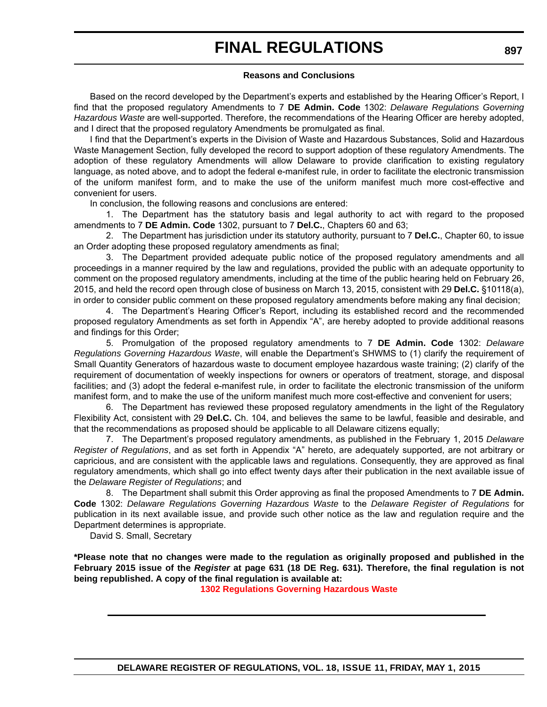#### **Reasons and Conclusions**

Based on the record developed by the Department's experts and established by the Hearing Officer's Report, I find that the proposed regulatory Amendments to 7 **DE Admin. Code** 1302: *Delaware Regulations Governing Hazardous Waste* are well-supported. Therefore, the recommendations of the Hearing Officer are hereby adopted, and I direct that the proposed regulatory Amendments be promulgated as final.

I find that the Department's experts in the Division of Waste and Hazardous Substances, Solid and Hazardous Waste Management Section, fully developed the record to support adoption of these regulatory Amendments. The adoption of these regulatory Amendments will allow Delaware to provide clarification to existing regulatory language, as noted above, and to adopt the federal e-manifest rule, in order to facilitate the electronic transmission of the uniform manifest form, and to make the use of the uniform manifest much more cost-effective and convenient for users.

In conclusion, the following reasons and conclusions are entered:

1. The Department has the statutory basis and legal authority to act with regard to the proposed amendments to 7 **DE Admin. Code** 1302, pursuant to 7 **Del.C.**, Chapters 60 and 63;

2. The Department has jurisdiction under its statutory authority, pursuant to 7 **Del.C.**, Chapter 60, to issue an Order adopting these proposed regulatory amendments as final;

3. The Department provided adequate public notice of the proposed regulatory amendments and all proceedings in a manner required by the law and regulations, provided the public with an adequate opportunity to comment on the proposed regulatory amendments, including at the time of the public hearing held on February 26, 2015, and held the record open through close of business on March 13, 2015, consistent with 29 **Del.C.** §10118(a), in order to consider public comment on these proposed regulatory amendments before making any final decision;

4. The Department's Hearing Officer's Report, including its established record and the recommended proposed regulatory Amendments as set forth in Appendix "A", are hereby adopted to provide additional reasons and findings for this Order;

5. Promulgation of the proposed regulatory amendments to 7 **DE Admin. Code** 1302: *Delaware Regulations Governing Hazardous Waste*, will enable the Department's SHWMS to (1) clarify the requirement of Small Quantity Generators of hazardous waste to document employee hazardous waste training; (2) clarify of the requirement of documentation of weekly inspections for owners or operators of treatment, storage, and disposal facilities; and (3) adopt the federal e-manifest rule, in order to facilitate the electronic transmission of the uniform manifest form, and to make the use of the uniform manifest much more cost-effective and convenient for users;

6. The Department has reviewed these proposed regulatory amendments in the light of the Regulatory Flexibility Act, consistent with 29 **Del.C.** Ch. 104, and believes the same to be lawful, feasible and desirable, and that the recommendations as proposed should be applicable to all Delaware citizens equally;

7. The Department's proposed regulatory amendments, as published in the February 1, 2015 *Delaware Register of Regulations*, and as set forth in Appendix "A" hereto, are adequately supported, are not arbitrary or capricious, and are consistent with the applicable laws and regulations. Consequently, they are approved as final regulatory amendments, which shall go into effect twenty days after their publication in the next available issue of the *Delaware Register of Regulations*; and

8. The Department shall submit this Order approving as final the proposed Amendments to 7 **DE Admin. Code** 1302: *Delaware Regulations Governing Hazardous Waste* to the *Delaware Register of Regulations* for publication in its next available issue, and provide such other notice as the law and regulation require and the Department determines is appropriate.

David S. Small, Secretary

**\*Please note that no changes were made to the regulation as originally proposed and published in the February 2015 issue of the** *Register* **at page 631 (18 DE Reg. 631). Therefore, the final regulation is not being republished. A copy of the final regulation is available at:**

**[1302 Regulations Governing Hazardous Waste](http://regulations.delaware.gov/register/may2015/final/18 DE Reg 896 05-01-15.htm)**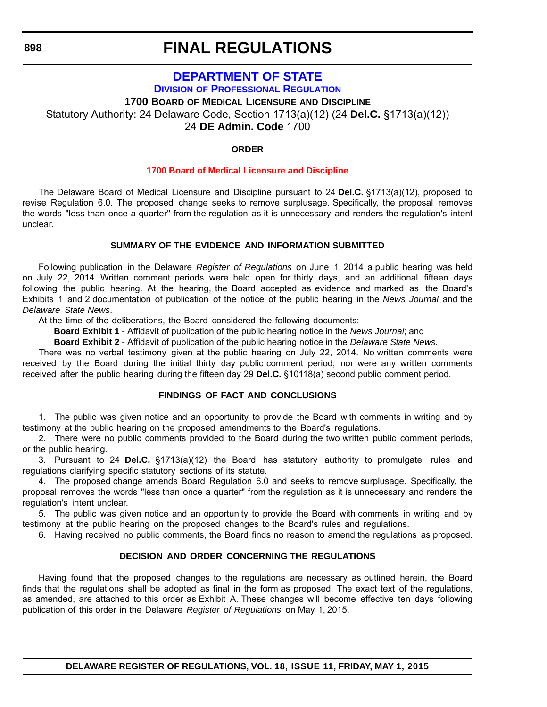**898**

# **FINAL REGULATIONS**

### **[DEPARTMENT OF STATE](http://dpr.delaware.gov/) DIVISION OF PROFESSIONAL REGULATION 1700 BOARD OF MEDICAL LICENSURE AND DISCIPLINE** Statutory Authority: 24 Delaware Code, Section 1713(a)(12) (24 **Del.C.** §1713(a)(12)) 24 **DE Admin. Code** 1700

### **ORDER**

### **[1700 Board of Medical Licensure and Discipline](#page-4-0)**

The Delaware Board of Medical Licensure and Discipline pursuant to 24 **Del.C.** §1713(a)(12), proposed to revise Regulation 6.0. The proposed change seeks to remove surplusage. Specifically, the proposal removes the words "less than once a quarter" from the regulation as it is unnecessary and renders the regulation's intent unclear.

### **SUMMARY OF THE EVIDENCE AND INFORMATION SUBMITTED**

Following publication in the Delaware *Register of Regulations* on June 1, 2014 a public hearing was held on July 22, 2014. Written comment periods were held open for thirty days, and an additional fifteen days following the public hearing. At the hearing, the Board accepted as evidence and marked as the Board's Exhibits 1 and 2 documentation of publication of the notice of the public hearing in the *News Journal* and the *Delaware State News*.

At the time of the deliberations, the Board considered the following documents:

**Board Exhibit 1** - Affidavit of publication of the public hearing notice in the *News Journal*; and

**Board Exhibit 2** - Affidavit of publication of the public hearing notice in the *Delaware State News*.

There was no verbal testimony given at the public hearing on July 22, 2014. No written comments were received by the Board during the initial thirty day public comment period; nor were any written comments received after the public hearing during the fifteen day 29 **Del.C.** §10118(a) second public comment period.

### **FINDINGS OF FACT AND CONCLUSIONS**

1. The public was given notice and an opportunity to provide the Board with comments in writing and by testimony at the public hearing on the proposed amendments to the Board's regulations.

2. There were no public comments provided to the Board during the two written public comment periods, or the public hearing.

3. Pursuant to 24 **Del.C.** §1713(a)(12) the Board has statutory authority to promulgate rules and regulations clarifying specific statutory sections of its statute.

4. The proposed change amends Board Regulation 6.0 and seeks to remove surplusage. Specifically, the proposal removes the words "less than once a quarter" from the regulation as it is unnecessary and renders the regulation's intent unclear.

5. The public was given notice and an opportunity to provide the Board with comments in writing and by testimony at the public hearing on the proposed changes to the Board's rules and regulations.

6. Having received no public comments, the Board finds no reason to amend the regulations as proposed.

#### **DECISION AND ORDER CONCERNING THE REGULATIONS**

Having found that the proposed changes to the regulations are necessary as outlined herein, the Board finds that the regulations shall be adopted as final in the form as proposed. The exact text of the regulations, as amended, are attached to this order as Exhibit A. These changes will become effective ten days following publication of this order in the Delaware *Register of Regulations* on May 1, 2015.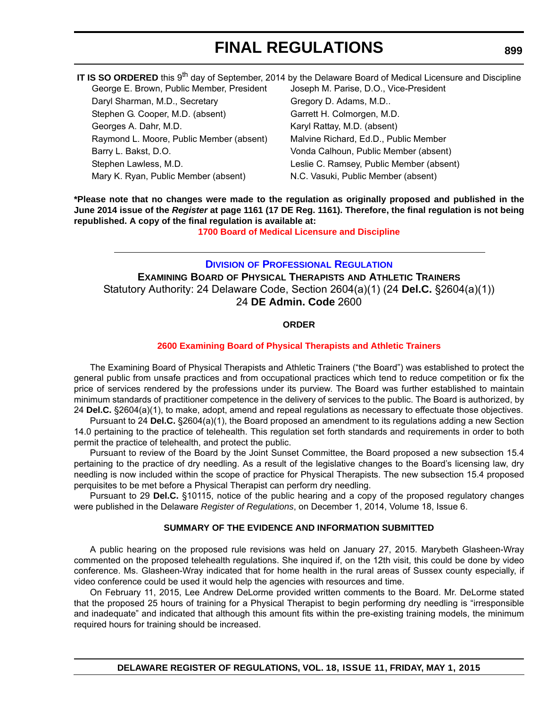|                                           | IT IS SO ORDERED this 9 <sup>th</sup> day of September, 2014 by the Delaware Board of Medical Licensure and Discipline |
|-------------------------------------------|------------------------------------------------------------------------------------------------------------------------|
| George E. Brown, Public Member, President | Joseph M. Parise, D.O., Vice-President                                                                                 |
| Daryl Sharman, M.D., Secretary            | Gregory D. Adams, M.D                                                                                                  |
| Stephen G. Cooper, M.D. (absent)          | Garrett H. Colmorgen, M.D.                                                                                             |
| Georges A. Dahr, M.D.                     | Karyl Rattay, M.D. (absent)                                                                                            |
| Raymond L. Moore, Public Member (absent)  | Malvine Richard, Ed.D., Public Member                                                                                  |
| Barry L. Bakst, D.O.                      | Vonda Calhoun, Public Member (absent)                                                                                  |
| Stephen Lawless, M.D.                     | Leslie C. Ramsey, Public Member (absent)                                                                               |
| Mary K. Ryan, Public Member (absent)      | N.C. Vasuki, Public Member (absent)                                                                                    |

**\*Please note that no changes were made to the regulation as originally proposed and published in the June 2014 issue of the** *Register* **at page 1161 (17 DE Reg. 1161). Therefore, the final regulation is not being republished. A copy of the final regulation is available at:**

**[1700 Board of Medical Licensure and Discipline](http://regulations.delaware.gov/register/may2015/final/18 DE Reg 898 05-01-15.htm)**

### **DIVISION [OF PROFESSIONAL REGULATION](http://dpr.delaware.gov/) EXAMINING BOARD OF PHYSICAL THERAPISTS AND ATHLETIC TRAINERS** Statutory Authority: 24 Delaware Code, Section 2604(a)(1) (24 **Del.C.** §2604(a)(1)) 24 **DE Admin. Code** 2600

### **ORDER**

### **[2600 Examining Board of Physical Therapists and Athletic Trainers](#page-4-0)**

The Examining Board of Physical Therapists and Athletic Trainers ("the Board") was established to protect the general public from unsafe practices and from occupational practices which tend to reduce competition or fix the price of services rendered by the professions under its purview. The Board was further established to maintain minimum standards of practitioner competence in the delivery of services to the public. The Board is authorized, by 24 **Del.C.** §2604(a)(1), to make, adopt, amend and repeal regulations as necessary to effectuate those objectives.

Pursuant to 24 **Del.C.** §2604(a)(1), the Board proposed an amendment to its regulations adding a new Section 14.0 pertaining to the practice of telehealth. This regulation set forth standards and requirements in order to both permit the practice of telehealth, and protect the public.

Pursuant to review of the Board by the Joint Sunset Committee, the Board proposed a new subsection 15.4 pertaining to the practice of dry needling. As a result of the legislative changes to the Board's licensing law, dry needling is now included within the scope of practice for Physical Therapists. The new subsection 15.4 proposed perquisites to be met before a Physical Therapist can perform dry needling.

Pursuant to 29 **Del.C.** §10115, notice of the public hearing and a copy of the proposed regulatory changes were published in the Delaware *Register of Regulations*, on December 1, 2014, Volume 18, Issue 6.

#### **SUMMARY OF THE EVIDENCE AND INFORMATION SUBMITTED**

A public hearing on the proposed rule revisions was held on January 27, 2015. Marybeth Glasheen-Wray commented on the proposed telehealth regulations. She inquired if, on the 12th visit, this could be done by video conference. Ms. Glasheen-Wray indicated that for home health in the rural areas of Sussex county especially, if video conference could be used it would help the agencies with resources and time.

On February 11, 2015, Lee Andrew DeLorme provided written comments to the Board. Mr. DeLorme stated that the proposed 25 hours of training for a Physical Therapist to begin performing dry needling is "irresponsible and inadequate" and indicated that although this amount fits within the pre-existing training models, the minimum required hours for training should be increased.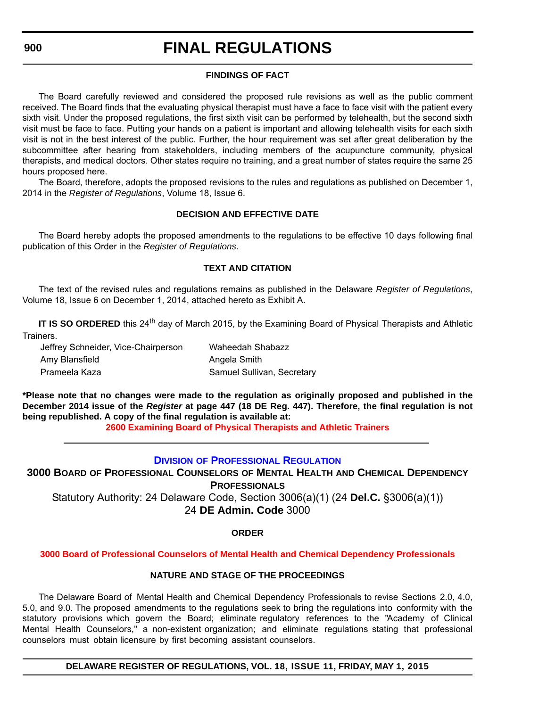**900**

# **FINAL REGULATIONS**

### **FINDINGS OF FACT**

The Board carefully reviewed and considered the proposed rule revisions as well as the public comment received. The Board finds that the evaluating physical therapist must have a face to face visit with the patient every sixth visit. Under the proposed regulations, the first sixth visit can be performed by telehealth, but the second sixth visit must be face to face. Putting your hands on a patient is important and allowing telehealth visits for each sixth visit is not in the best interest of the public. Further, the hour requirement was set after great deliberation by the subcommittee after hearing from stakeholders, including members of the acupuncture community, physical therapists, and medical doctors. Other states require no training, and a great number of states require the same 25 hours proposed here.

The Board, therefore, adopts the proposed revisions to the rules and regulations as published on December 1, 2014 in the *Register of Regulations*, Volume 18, Issue 6.

### **DECISION AND EFFECTIVE DATE**

The Board hereby adopts the proposed amendments to the regulations to be effective 10 days following final publication of this Order in the *Register of Regulations*.

### **TEXT AND CITATION**

The text of the revised rules and regulations remains as published in the Delaware *Register of Regulations*, Volume 18, Issue 6 on December 1, 2014, attached hereto as Exhibit A.

**IT IS SO ORDERED** this 24<sup>th</sup> day of March 2015, by the Examining Board of Physical Therapists and Athletic Trainers.

| Jeffrey Schneider, Vice-Chairperson | Waheedah Shabazz           |
|-------------------------------------|----------------------------|
| Amy Blansfield                      | Angela Smith               |
| Prameela Kaza                       | Samuel Sullivan, Secretary |

**\*Please note that no changes were made to the regulation as originally proposed and published in the December 2014 issue of the** *Register* **at page 447 (18 DE Reg. 447). Therefore, the final regulation is not being republished. A copy of the final regulation is available at:**

**[2600 Examining Board of Physical Therapists and Athletic Trainers](http://regulations.delaware.gov/register/may2015/final/18 DE Reg 899 05-01-15.htm)**

### **DIVISION [OF PROFESSIONAL REGULATION](http://dpr.delaware.gov/)**

**3000 BOARD OF PROFESSIONAL COUNSELORS OF MENTAL HEALTH AND CHEMICAL DEPENDENCY PROFESSIONALS** Statutory Authority: 24 Delaware Code, Section 3006(a)(1) (24 **Del.C.** §3006(a)(1))

24 **DE Admin. Code** 3000

### **ORDER**

### **[3000 Board of Professional Counselors of Mental Health and Chemical Dependency Professionals](#page-4-0)**

### **NATURE AND STAGE OF THE PROCEEDINGS**

The Delaware Board of Mental Health and Chemical Dependency Professionals to revise Sections 2.0, 4.0, 5.0, and 9.0. The proposed amendments to the regulations seek to bring the regulations into conformity with the statutory provisions which govern the Board; eliminate regulatory references to the "Academy of Clinical Mental Health Counselors," a non-existent organization; and eliminate regulations stating that professional counselors must obtain licensure by first becoming assistant counselors.

**DELAWARE REGISTER OF REGULATIONS, VOL. 18, ISSUE 11, FRIDAY, MAY 1, 2015**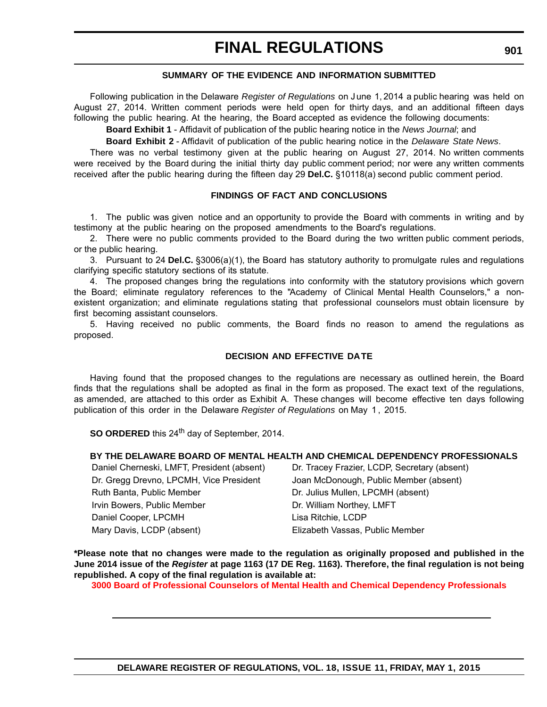### **SUMMARY OF THE EVIDENCE AND INFORMATION SUBMITTED**

Following publication in the Delaware *Register of Regulations* on June 1, 2014 a public hearing was held on August 27, 2014. Written comment periods were held open for thirty days, and an additional fifteen days following the public hearing. At the hearing, the Board accepted as evidence the following documents:

**Board Exhibit 1** - Affidavit of publication of the public hearing notice in the *News Journal*; and

**Board Exhibit 2** - Affidavit of publication of the public hearing notice in the *Delaware State News*.

There was no verbal testimony given at the public hearing on August 27, 2014. No written comments were received by the Board during the initial thirty day public comment period; nor were any written comments received after the public hearing during the fifteen day 29 **Del.C.** §10118(a) second public comment period.

#### **FINDINGS OF FACT AND CONCLUSIONS**

1. The public was given notice and an opportunity to provide the Board with comments in writing and by testimony at the public hearing on the proposed amendments to the Board's regulations.

2. There were no public comments provided to the Board during the two written public comment periods, or the public hearing.

3. Pursuant to 24 **Del.C.** §3006(a)(1), the Board has statutory authority to promulgate rules and regulations clarifying specific statutory sections of its statute.

4. The proposed changes bring the regulations into conformity with the statutory provisions which govern the Board; eliminate regulatory references to the "Academy of Clinical Mental Health Counselors," a nonexistent organization; and eliminate regulations stating that professional counselors must obtain licensure by first becoming assistant counselors.

5. Having received no public comments, the Board finds no reason to amend the regulations as proposed.

#### **DECISION AND EFFECTIVE DA TE**

Having found that the proposed changes to the regulations are necessary as outlined herein, the Board finds that the regulations shall be adopted as final in the form as proposed. The exact text of the regulations, as amended, are attached to this order as Exhibit A. These changes will become effective ten days following publication of this order in the Delaware *Register of Regulations* on May 1 , 2015.

**SO ORDERED** this 24<sup>th</sup> day of September, 2014.

### **BY THE DELAWARE BOARD OF MENTAL HEALTH AND CHEMICAL DEPENDENCY PROFESSIONALS**

| Daniel Cherneski, LMFT, President (absent) | Dr. Tracey Frazier, LCDP, Secretary (absent) |
|--------------------------------------------|----------------------------------------------|
| Dr. Gregg Drevno, LPCMH, Vice President    | Joan McDonough, Public Member (absent)       |
| Ruth Banta, Public Member                  | Dr. Julius Mullen, LPCMH (absent)            |
| Irvin Bowers, Public Member                | Dr. William Northey, LMFT                    |
| Daniel Cooper, LPCMH                       | Lisa Ritchie, LCDP                           |
| Mary Davis, LCDP (absent)                  | Elizabeth Vassas, Public Member              |

**\*Please note that no changes were made to the regulation as originally proposed and published in the June 2014 issue of the** *Register* **at page 1163 (17 DE Reg. 1163). Therefore, the final regulation is not being republished. A copy of the final regulation is available at:**

**[3000 Board of Professional Counselors of Mental Health and Chemical Dependency Professionals](http://regulations.delaware.gov/register/may2015/final/18 DE Reg 900 05-01-15.htm)**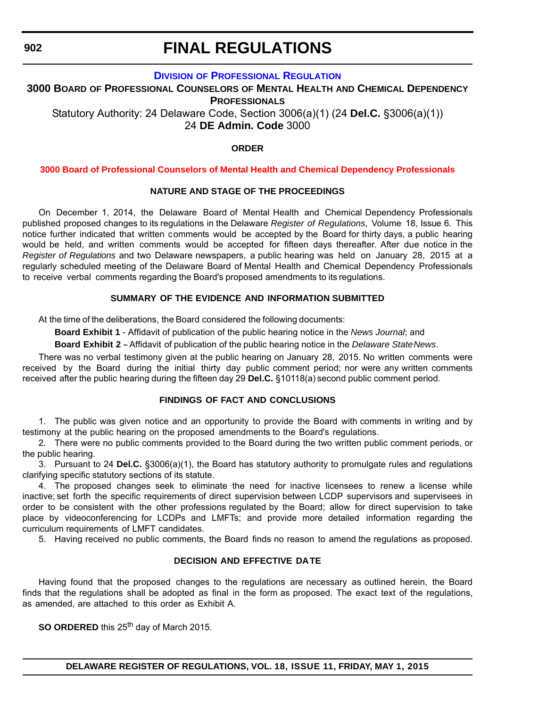**902**

# **FINAL REGULATIONS**

### **DIVISION [OF PROFESSIONAL REGULATION](http://dpr.delaware.gov/)**

**3000 BOARD OF PROFESSIONAL COUNSELORS OF MENTAL HEALTH AND CHEMICAL DEPENDENCY PROFESSIONALS** Statutory Authority: 24 Delaware Code, Section 3006(a)(1) (24 **Del.C.** §3006(a)(1))

24 **DE Admin. Code** 3000

### **ORDER**

### **[3000 Board of Professional Counselors of Mental Health and Chemical Dependency Professionals](#page-4-0)**

### **NATURE AND STAGE OF THE PROCEEDINGS**

On December 1, 2014, the Delaware Board of Mental Health and Chemical Dependency Professionals published proposed changes to its regulations in the Delaware *Register of Regulations*, Volume 18, Issue 6. This notice further indicated that written comments would be accepted by the Board for thirty days, a public hearing would be held, and written comments would be accepted for fifteen days thereafter. After due notice in the *Register of Regulations* and two Delaware newspapers, a public hearing was held on January 28, 2015 at a regularly scheduled meeting of the Delaware Board of Mental Health and Chemical Dependency Professionals to receive verbal comments regarding the Board's proposed amendments to its regulations.

### **SUMMARY OF THE EVIDENCE AND INFORMATION SUBMITTED**

At the time of the deliberations, the Board considered the following documents:

**Board Exhibit 1** - Affidavit of publication of the public hearing notice in the *News Journal*; and

**Board Exhibit 2** - Affidavit of publication of the public hearing notice in the *Delaware State News*.

There was no verbal testimony given at the public hearing on January 28, 2015. No written comments were received by the Board during the initial thirty day public comment period; nor were any written comments received after the public hearing during the fifteen day 29 **Del.C.** §10118(a) second public comment period.

### **FINDINGS OF FACT AND CONCLUSIONS**

1. The public was given notice and an opportunity to provide the Board with comments in writing and by testimony at the public hearing on the proposed amendments to the Board's regulations.

2. There were no public comments provided to the Board during the two written public comment periods, or the public hearing.

3. Pursuant to 24 **Del.C.** §3006(a)(1), the Board has statutory authority to promulgate rules and regulations clarifying specific statutory sections of its statute.

4. The proposed changes seek to eliminate the need for inactive licensees to renew a license while inactive; set forth the specific requirements of direct supervision between LCDP supervisors and supervisees in order to be consistent with the other professions regulated by the Board; allow for direct supervision to take place by videoconferencing for LCDPs and LMFTs; and provide more detailed information regarding the curriculum requirements of LMFT candidates.

5. Having received no public comments, the Board finds no reason to amend the regulations as proposed.

### **DECISION AND EFFECTIVE DA TE**

Having found that the proposed changes to the regulations are necessary as outlined herein, the Board finds that the regulations shall be adopted as final in the form as proposed. The exact text of the regulations, as amended, are attached to this order as Exhibit A.

**SO ORDERED** this 25<sup>th</sup> day of March 2015.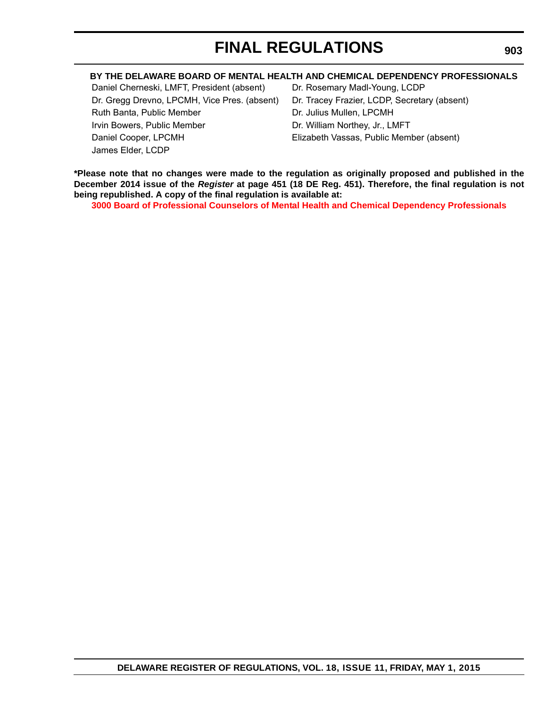### **BY THE DELAWARE BOARD OF MENTAL HEALTH AND CHEMICAL DEPENDENCY PROFESSIONALS**

Daniel Cherneski, LMFT, President (absent) Dr. Rosemary Madl-Young, LCDP Dr. Gregg Drevno, LPCMH, Vice Pres. (absent) Dr. Tracey Frazier, LCDP, Secretary (absent) Ruth Banta, Public Member **Dr. Julius Mullen, LPCMH** Irvin Bowers, Public Member **Dr. William Northey, Jr., LMFT** Daniel Cooper, LPCMH Elizabeth Vassas, Public Member (absent) James Elder, LCDP

**\*Please note that no changes were made to the regulation as originally proposed and published in the December 2014 issue of the** *Register* **at page 451 (18 DE Reg. 451). Therefore, the final regulation is not being republished. A copy of the final regulation is available at:**

**[3000 Board of Professional Counselors of Mental Health and Chemical Dependency Professionals](http://regulations.delaware.gov/register/may2015/final/18 DE Reg 902 05-01-15.htm)**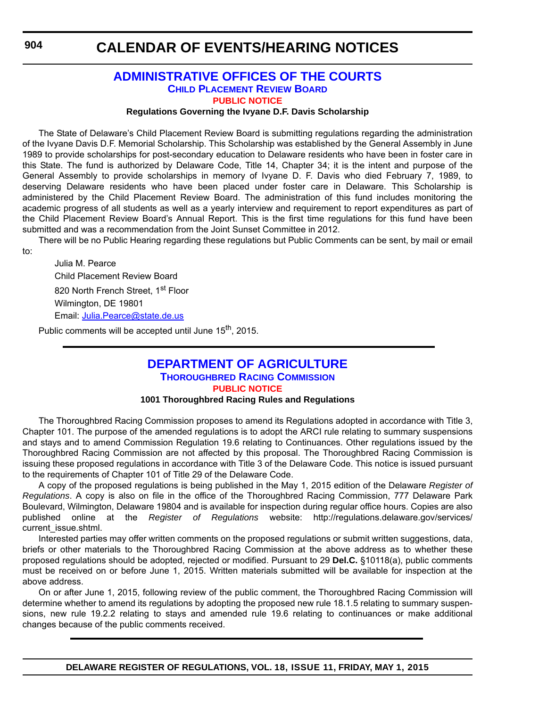to:

### **CALENDAR OF EVENTS/HEARING NOTICES**

### **[ADMINISTRATIVE OFFICES OF THE COURTS](http://courts.delaware.gov/AOC/) [CHILD PLACEMENT REVIEW BOARD](http://courts.delaware.gov/cprb/) [PUBLIC NOTICE](#page-4-0)**

#### **Regulations Governing the Ivyane D.F. Davis Scholarship**

The State of Delaware's Child Placement Review Board is submitting regulations regarding the administration of the Ivyane Davis D.F. Memorial Scholarship. This Scholarship was established by the General Assembly in June 1989 to provide scholarships for post-secondary education to Delaware residents who have been in foster care in this State. The fund is authorized by Delaware Code, Title 14, Chapter 34; it is the intent and purpose of the General Assembly to provide scholarships in memory of Ivyane D. F. Davis who died February 7, 1989, to deserving Delaware residents who have been placed under foster care in Delaware. This Scholarship is administered by the Child Placement Review Board. The administration of this fund includes monitoring the academic progress of all students as well as a yearly interview and requirement to report expenditures as part of the Child Placement Review Board's Annual Report. This is the first time regulations for this fund have been submitted and was a recommendation from the Joint Sunset Committee in 2012.

There will be no Public Hearing regarding these regulations but Public Comments can be sent, by mail or email

Julia M. Pearce Child Placement Review Board 820 North French Street, 1st Floor Wilmington, DE 19801 Email: [Julia.Pearce@state.de.us](mailto:Julia.Pearce@state.de.us)

Public comments will be accepted until June 15<sup>th</sup>, 2015.

### **[DEPARTMENT OF AGRICULTURE](http://dda.delaware.gov/thoroughbred/) THOROUGHBRED RACING COMMISSION [PUBLIC NOTICE](#page-4-0)**

#### **1001 Thoroughbred Racing Rules and Regulations**

The Thoroughbred Racing Commission proposes to amend its Regulations adopted in accordance with Title 3, Chapter 101. The purpose of the amended regulations is to adopt the ARCI rule relating to summary suspensions and stays and to amend Commission Regulation 19.6 relating to Continuances. Other regulations issued by the Thoroughbred Racing Commission are not affected by this proposal. The Thoroughbred Racing Commission is issuing these proposed regulations in accordance with Title 3 of the Delaware Code. This notice is issued pursuant to the requirements of Chapter 101 of Title 29 of the Delaware Code.

A copy of the proposed regulations is being published in the May 1, 2015 edition of the Delaware *Register of Regulations*. A copy is also on file in the office of the Thoroughbred Racing Commission, 777 Delaware Park Boulevard, Wilmington, Delaware 19804 and is available for inspection during regular office hours. Copies are also published online at the *Register of Regulations* website: http://regulations.delaware.gov/services/ current\_issue.shtml.

Interested parties may offer written comments on the proposed regulations or submit written suggestions, data, briefs or other materials to the Thoroughbred Racing Commission at the above address as to whether these proposed regulations should be adopted, rejected or modified. Pursuant to 29 **Del.C.** §10118(a), public comments must be received on or before June 1, 2015. Written materials submitted will be available for inspection at the above address.

On or after June 1, 2015, following review of the public comment, the Thoroughbred Racing Commission will determine whether to amend its regulations by adopting the proposed new rule 18.1.5 relating to summary suspensions, new rule 19.2.2 relating to stays and amended rule 19.6 relating to continuances or make additional changes because of the public comments received.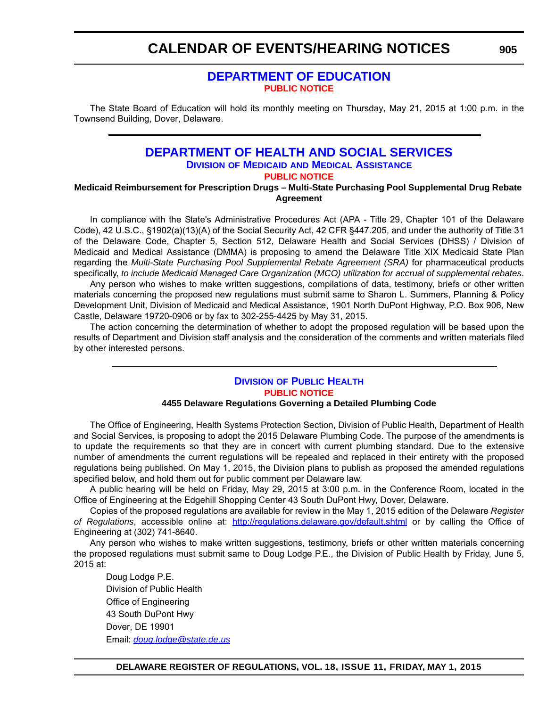### **CALENDAR OF EVENTS/HEARING NOTICES**

### **[DEPARTMENT OF EDUCATION](http://www.doe.k12.de.us/site/default.aspx?PageID=1) [PUBLIC NOTICE](#page-4-0)**

The State Board of Education will hold its monthly meeting on Thursday, May 21, 2015 at 1:00 p.m. in the Townsend Building, Dover, Delaware.

### **[DEPARTMENT OF HEALTH AND SOCIAL SERVICES](http://www.dhss.delaware.gov/dhss/dmma/) DIVISION OF MEDICAID AND MEDICAL ASSISTANCE [PUBLIC NOTICE](#page-4-0)**

**Medicaid Reimbursement for Prescription Drugs – Multi-State Purchasing Pool Supplemental Drug Rebate Agreement**

In compliance with the State's Administrative Procedures Act (APA - Title 29, Chapter 101 of the Delaware Code), 42 U.S.C., §1902(a)(13)(A) of the Social Security Act, 42 CFR §447.205, and under the authority of Title 31 of the Delaware Code, Chapter 5, Section 512, Delaware Health and Social Services (DHSS) / Division of Medicaid and Medical Assistance (DMMA) is proposing to amend the Delaware Title XIX Medicaid State Plan regarding the *Multi-State Purchasing Pool Supplemental Rebate Agreement (SRA)* for pharmaceutical products specifically, *to include Medicaid Managed Care Organization (MCO) utilization for accrual of supplemental rebates*.

Any person who wishes to make written suggestions, compilations of data, testimony, briefs or other written materials concerning the proposed new regulations must submit same to Sharon L. Summers, Planning & Policy Development Unit, Division of Medicaid and Medical Assistance, 1901 North DuPont Highway, P.O. Box 906, New Castle, Delaware 19720-0906 or by fax to 302-255-4425 by May 31, 2015.

The action concerning the determination of whether to adopt the proposed regulation will be based upon the results of Department and Division staff analysis and the consideration of the comments and written materials filed by other interested persons.

### **DIVISION [OF PUBLIC HEALTH](http://www.dhss.delaware.gov/dhss/dph/index.html) [PUBLIC NOTICE](#page-4-0)**

#### **4455 Delaware Regulations Governing a Detailed Plumbing Code**

The Office of Engineering, Health Systems Protection Section, Division of Public Health, Department of Health and Social Services, is proposing to adopt the 2015 Delaware Plumbing Code. The purpose of the amendments is to update the requirements so that they are in concert with current plumbing standard. Due to the extensive number of amendments the current regulations will be repealed and replaced in their entirety with the proposed regulations being published. On May 1, 2015, the Division plans to publish as proposed the amended regulations specified below, and hold them out for public comment per Delaware law.

A public hearing will be held on Friday, May 29, 2015 at 3:00 p.m. in the Conference Room, located in the Office of Engineering at the Edgehill Shopping Center 43 South DuPont Hwy, Dover, Delaware.

Copies of the proposed regulations are available for review in the May 1, 2015 edition of the Delaware *Register of Regulations*, accessible online at: <http://regulations.delaware.gov/default.shtml>or by calling the Office of Engineering at (302) 741-8640.

Any person who wishes to make written suggestions, testimony, briefs or other written materials concerning the proposed regulations must submit same to Doug Lodge P.E., the Division of Public Health by Friday, June 5, 2015 at:

Doug Lodge P.E. Division of Public Health Office of Engineering 43 South DuPont Hwy Dover, DE 19901 Email: *[doug.lodge@state.de.us](mailto:doug.lodge@state.de.us)*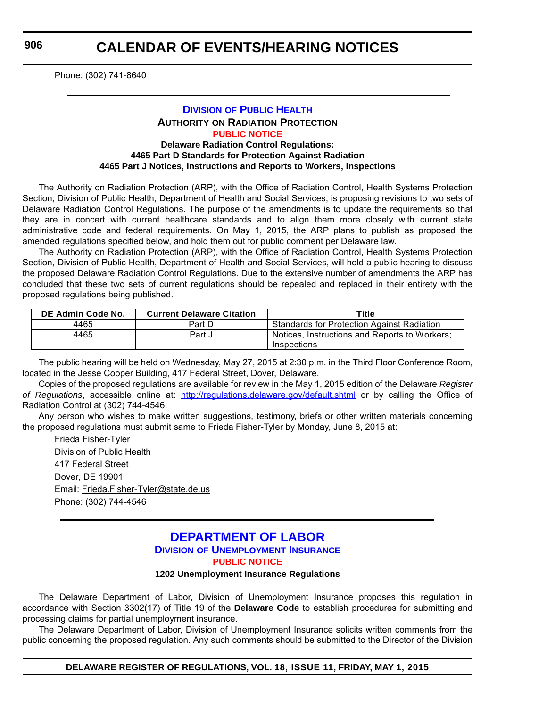**906**

Phone: (302) 741-8640

### **DIVISION [OF PUBLIC HEALTH](http://www.dhss.delaware.gov/dhss/dph/index.html) AUTHORITY ON RADIATION PROTECTION [PUBLIC NOTICE](#page-4-0) Delaware Radiation Control Regulations:**

### **4465 Part D Standards for Protection Against Radiation 4465 Part J Notices, Instructions and Reports to Workers, Inspections**

The Authority on Radiation Protection (ARP), with the Office of Radiation Control, Health Systems Protection Section, Division of Public Health, Department of Health and Social Services, is proposing revisions to two sets of Delaware Radiation Control Regulations. The purpose of the amendments is to update the requirements so that they are in concert with current healthcare standards and to align them more closely with current state administrative code and federal requirements. On May 1, 2015, the ARP plans to publish as proposed the amended regulations specified below, and hold them out for public comment per Delaware law.

The Authority on Radiation Protection (ARP), with the Office of Radiation Control, Health Systems Protection Section, Division of Public Health, Department of Health and Social Services, will hold a public hearing to discuss the proposed Delaware Radiation Control Regulations. Due to the extensive number of amendments the ARP has concluded that these two sets of current regulations should be repealed and replaced in their entirety with the proposed regulations being published.

| DE Admin Code No. | <b>Current Delaware Citation</b> | Title                                                        |
|-------------------|----------------------------------|--------------------------------------------------------------|
| 4465              | Part D                           | <b>Standards for Protection Against Radiation</b>            |
| 4465              | Part J                           | Notices, Instructions and Reports to Workers;<br>Inspections |

The public hearing will be held on Wednesday, May 27, 2015 at 2:30 p.m. in the Third Floor Conference Room, located in the Jesse Cooper Building, 417 Federal Street, Dover, Delaware.

Copies of the proposed regulations are available for review in the May 1, 2015 edition of the Delaware *Register of Regulations*, accessible online at: <http://regulations.delaware.gov/default.shtml> or by calling the Office of Radiation Control at (302) 744-4546.

Any person who wishes to make written suggestions, testimony, briefs or other written materials concerning the proposed regulations must submit same to Frieda Fisher-Tyler by Monday, June 8, 2015 at:

Frieda Fisher-Tyler Division of Public Health 417 Federal Street Dover, DE 19901 Email: [Frieda.Fisher-Tyler@state.de.us](mailto:Frieda.Fisher-Tyler@state.de.us) Phone: (302) 744-4546

### **[DEPARTMENT OF LABOR](http://ui.delawareworks.com/) DIVISION OF UNEMPLOYMENT INSURANCE [PUBLIC NOTICE](#page-4-0)**

#### **1202 Unemployment Insurance Regulations**

The Delaware Department of Labor, Division of Unemployment Insurance proposes this regulation in accordance with Section 3302(17) of Title 19 of the **Delaware Code** to establish procedures for submitting and processing claims for partial unemployment insurance.

The Delaware Department of Labor, Division of Unemployment Insurance solicits written comments from the public concerning the proposed regulation. Any such comments should be submitted to the Director of the Division

**DELAWARE REGISTER OF REGULATIONS, VOL. 18, ISSUE 11, FRIDAY, MAY 1, 2015**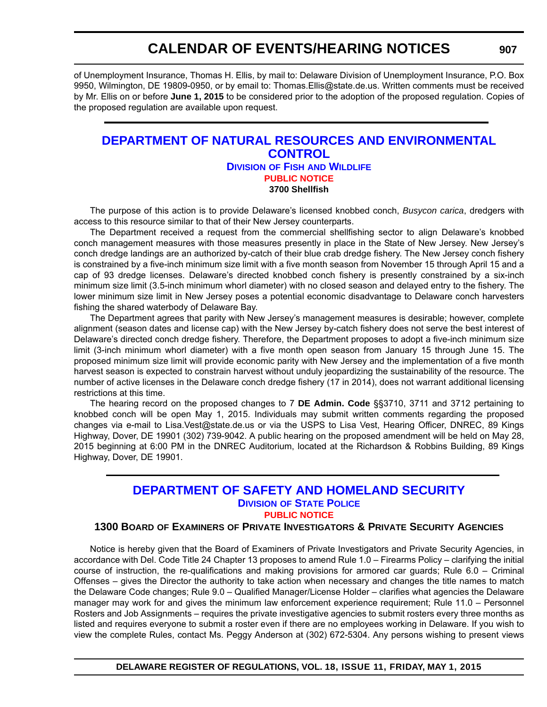### **CALENDAR OF EVENTS/HEARING NOTICES**

of Unemployment Insurance, Thomas H. Ellis, by mail to: Delaware Division of Unemployment Insurance, P.O. Box 9950, Wilmington, DE 19809-0950, or by email to: Thomas.Ellis@state.de.us. Written comments must be received by Mr. Ellis on or before **June 1, 2015** to be considered prior to the adoption of the proposed regulation. Copies of the proposed regulation are available upon request.

### **[DEPARTMENT OF NATURAL RESOURCES AND ENVIRONMENTAL](http://www.dnrec.delaware.gov/fw/Pages/FWPortal.aspx)  CONTROL DIVISION OF FISH AND WILDLIFE [PUBLIC NOTICE](#page-4-0) 3700 Shellfish**

The purpose of this action is to provide Delaware's licensed knobbed conch, *Busycon carica*, dredgers with access to this resource similar to that of their New Jersey counterparts.

The Department received a request from the commercial shellfishing sector to align Delaware's knobbed conch management measures with those measures presently in place in the State of New Jersey. New Jersey's conch dredge landings are an authorized by-catch of their blue crab dredge fishery. The New Jersey conch fishery is constrained by a five-inch minimum size limit with a five month season from November 15 through April 15 and a cap of 93 dredge licenses. Delaware's directed knobbed conch fishery is presently constrained by a six-inch minimum size limit (3.5-inch minimum whorl diameter) with no closed season and delayed entry to the fishery. The lower minimum size limit in New Jersey poses a potential economic disadvantage to Delaware conch harvesters fishing the shared waterbody of Delaware Bay.

The Department agrees that parity with New Jersey's management measures is desirable; however, complete alignment (season dates and license cap) with the New Jersey by-catch fishery does not serve the best interest of Delaware's directed conch dredge fishery. Therefore, the Department proposes to adopt a five-inch minimum size limit (3-inch minimum whorl diameter) with a five month open season from January 15 through June 15. The proposed minimum size limit will provide economic parity with New Jersey and the implementation of a five month harvest season is expected to constrain harvest without unduly jeopardizing the sustainability of the resource. The number of active licenses in the Delaware conch dredge fishery (17 in 2014), does not warrant additional licensing restrictions at this time.

The hearing record on the proposed changes to 7 **DE Admin. Code** §§3710, 3711 and 3712 pertaining to knobbed conch will be open May 1, 2015. Individuals may submit written comments regarding the proposed changes via e-mail to Lisa.Vest@state.de.us or via the USPS to Lisa Vest, Hearing Officer, DNREC, 89 Kings Highway, Dover, DE 19901 (302) 739-9042. A public hearing on the proposed amendment will be held on May 28, 2015 beginning at 6:00 PM in the DNREC Auditorium, located at the Richardson & Robbins Building, 89 Kings Highway, Dover, DE 19901.

### **[DEPARTMENT OF SAFETY AND HOMELAND SECURITY](http://dsp.delaware.gov/) DIVISION OF STATE POLICE [PUBLIC NOTICE](#page-4-0)**

### **1300 BOARD OF EXAMINERS OF PRIVATE INVESTIGATORS & PRIVATE SECURITY AGENCIES**

Notice is hereby given that the Board of Examiners of Private Investigators and Private Security Agencies, in accordance with Del. Code Title 24 Chapter 13 proposes to amend Rule 1.0 – Firearms Policy – clarifying the initial course of instruction, the re-qualifications and making provisions for armored car guards; Rule 6.0 – Criminal Offenses – gives the Director the authority to take action when necessary and changes the title names to match the Delaware Code changes; Rule 9.0 – Qualified Manager/License Holder – clarifies what agencies the Delaware manager may work for and gives the minimum law enforcement experience requirement; Rule 11.0 – Personnel Rosters and Job Assignments – requires the private investigative agencies to submit rosters every three months as listed and requires everyone to submit a roster even if there are no employees working in Delaware. If you wish to view the complete Rules, contact Ms. Peggy Anderson at (302) 672-5304. Any persons wishing to present views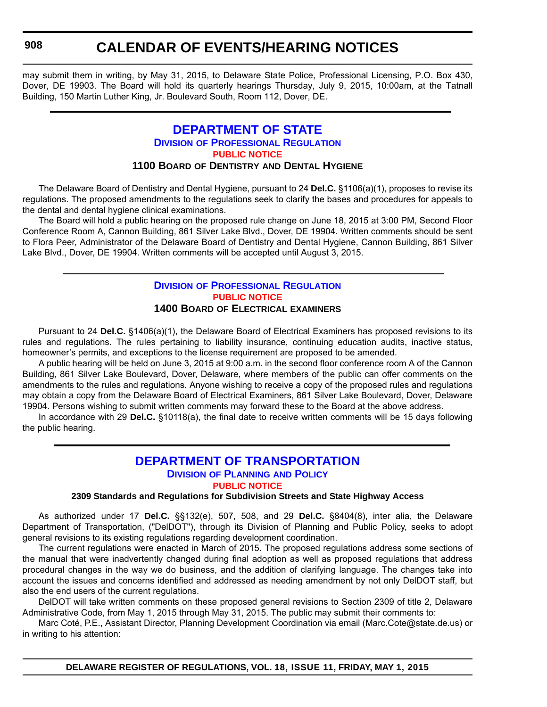**908**

## **CALENDAR OF EVENTS/HEARING NOTICES**

may submit them in writing, by May 31, 2015, to Delaware State Police, Professional Licensing, P.O. Box 430, Dover, DE 19903. The Board will hold its quarterly hearings Thursday, July 9, 2015, 10:00am, at the Tatnall Building, 150 Martin Luther King, Jr. Boulevard South, Room 112, Dover, DE.

#### **[DEPARTMENT OF STATE](http://dpr.delaware.gov/) DIVISION OF PROFESSIONAL REGULATION [PUBLIC NOTICE](#page-4-0) 1100 BOARD OF DENTISTRY AND DENTAL HYGIENE**

The Delaware Board of Dentistry and Dental Hygiene, pursuant to 24 **Del.C.** §1106(a)(1), proposes to revise its regulations. The proposed amendments to the regulations seek to clarify the bases and procedures for appeals to the dental and dental hygiene clinical examinations.

The Board will hold a public hearing on the proposed rule change on June 18, 2015 at 3:00 PM, Second Floor Conference Room A, Cannon Building, 861 Silver Lake Blvd., Dover, DE 19904. Written comments should be sent to Flora Peer, Administrator of the Delaware Board of Dentistry and Dental Hygiene, Cannon Building, 861 Silver Lake Blvd., Dover, DE 19904. Written comments will be accepted until August 3, 2015.

#### **DIVISION [OF PROFESSIONAL REGULATION](http://dpr.delaware.gov/) [PUBLIC NOTICE](#page-4-0) 1400 BOARD OF ELECTRICAL EXAMINERS**

Pursuant to 24 **Del.C.** §1406(a)(1), the Delaware Board of Electrical Examiners has proposed revisions to its rules and regulations. The rules pertaining to liability insurance, continuing education audits, inactive status, homeowner's permits, and exceptions to the license requirement are proposed to be amended.

A public hearing will be held on June 3, 2015 at 9:00 a.m. in the second floor conference room A of the Cannon Building, 861 Silver Lake Boulevard, Dover, Delaware, where members of the public can offer comments on the amendments to the rules and regulations. Anyone wishing to receive a copy of the proposed rules and regulations may obtain a copy from the Delaware Board of Electrical Examiners, 861 Silver Lake Boulevard, Dover, Delaware 19904. Persons wishing to submit written comments may forward these to the Board at the above address.

In accordance with 29 **Del.C.** §10118(a), the final date to receive written comments will be 15 days following the public hearing.

### **[DEPARTMENT OF TRANSPORTATION](http://www.deldot.gov/home/divisions/) DIVISION OF PLANNING AND POLICY**

**[PUBLIC NOTICE](#page-4-0)**

**2309 Standards and Regulations for Subdivision Streets and State Highway Access**

As authorized under 17 **Del.C.** §§132(e), 507, 508, and 29 **Del.C.** §8404(8), inter alia, the Delaware Department of Transportation, ("DelDOT"), through its Division of Planning and Public Policy, seeks to adopt general revisions to its existing regulations regarding development coordination.

The current regulations were enacted in March of 2015. The proposed regulations address some sections of the manual that were inadvertently changed during final adoption as well as proposed regulations that address procedural changes in the way we do business, and the addition of clarifying language. The changes take into account the issues and concerns identified and addressed as needing amendment by not only DelDOT staff, but also the end users of the current regulations.

DelDOT will take written comments on these proposed general revisions to Section 2309 of title 2, Delaware Administrative Code, from May 1, 2015 through May 31, 2015. The public may submit their comments to:

Marc Coté, P.E., Assistant Director, Planning Development Coordination via email (Marc.Cote@state.de.us) or in writing to his attention: